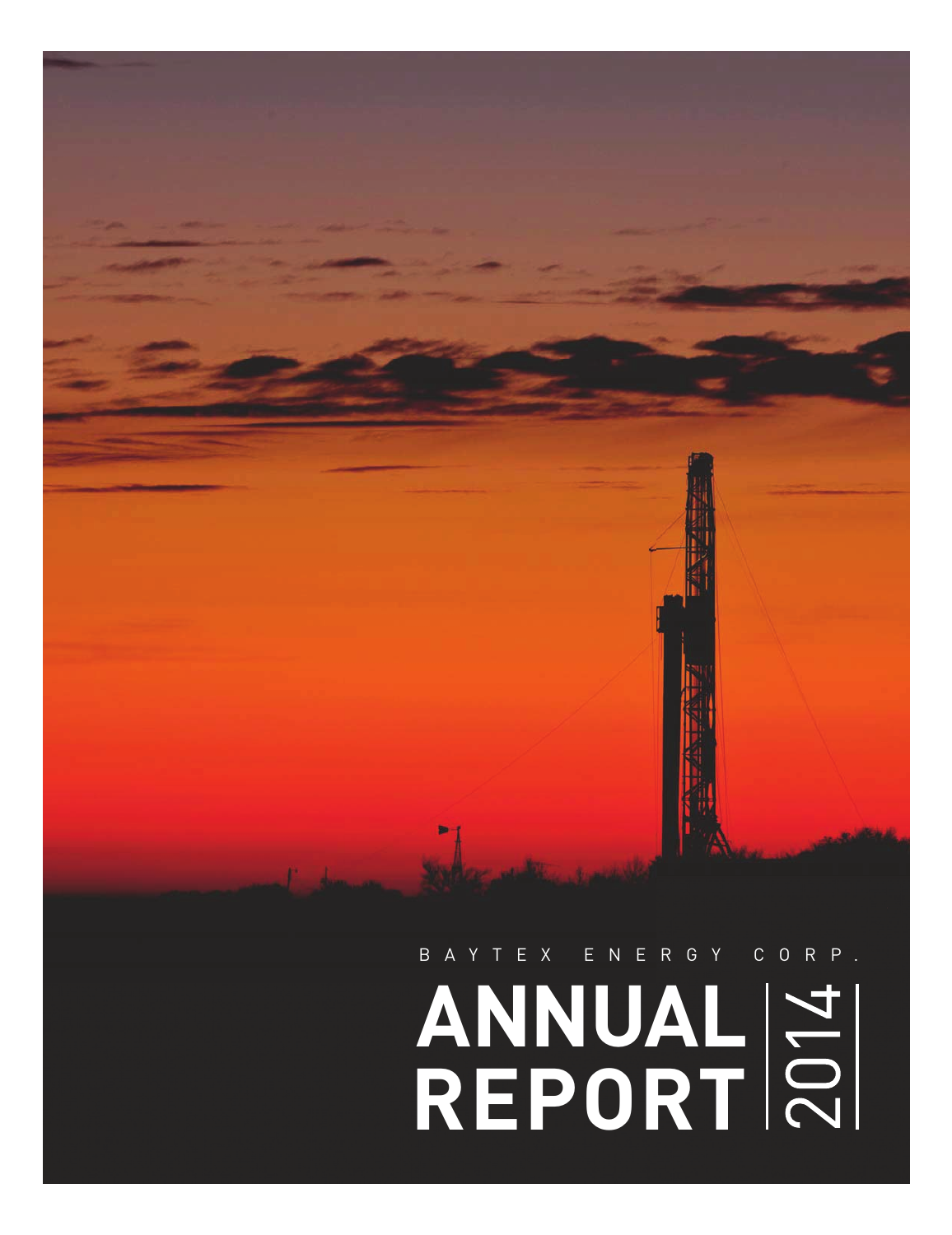# **ANNUAL REPORT**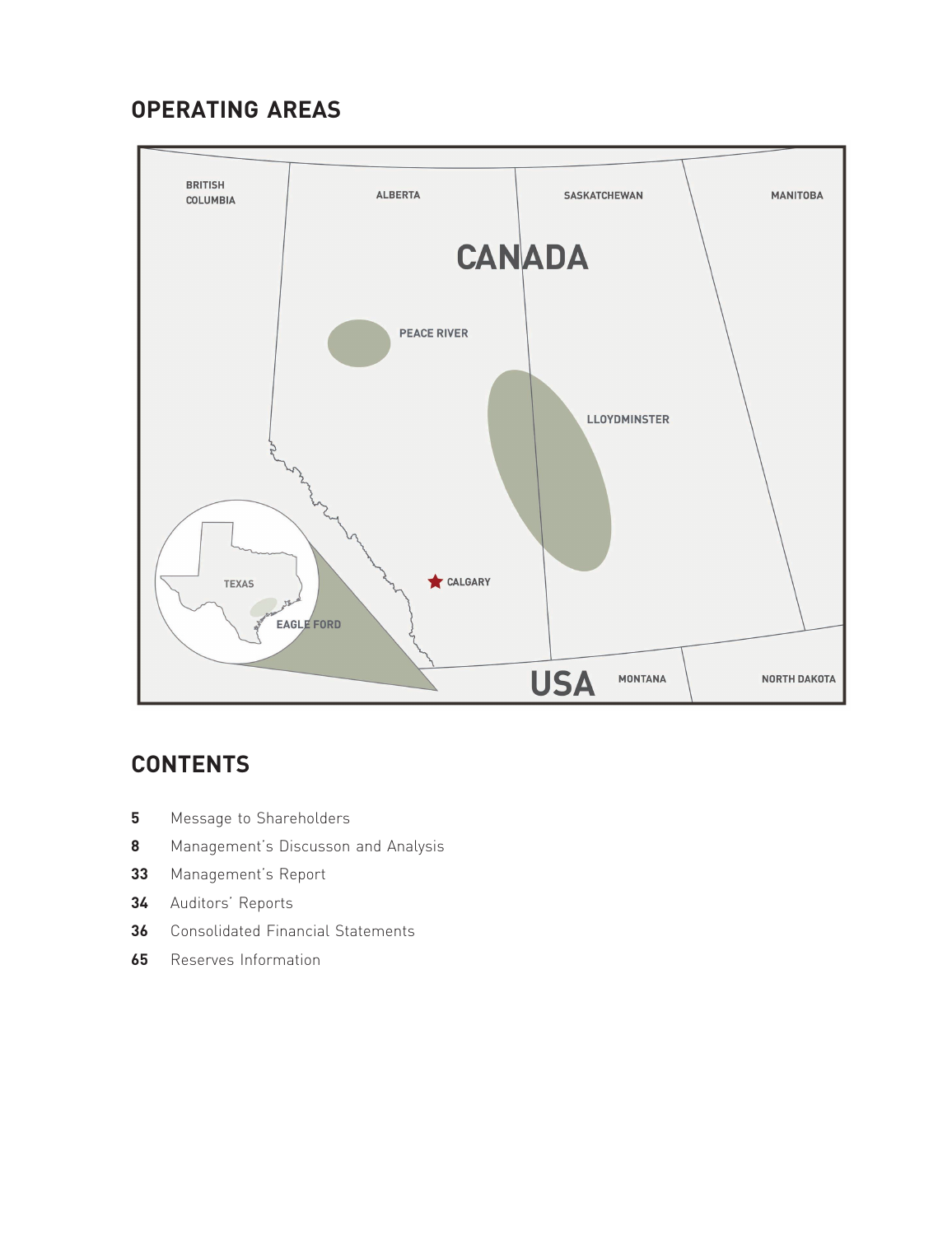# **OPERATING AREAS**



# **CONTENTS**

- Message to Shareholders
- Management's Discusson and Analysis
- Management's Report
- Auditors' Reports
- Consolidated Financial Statements
- Reserves Information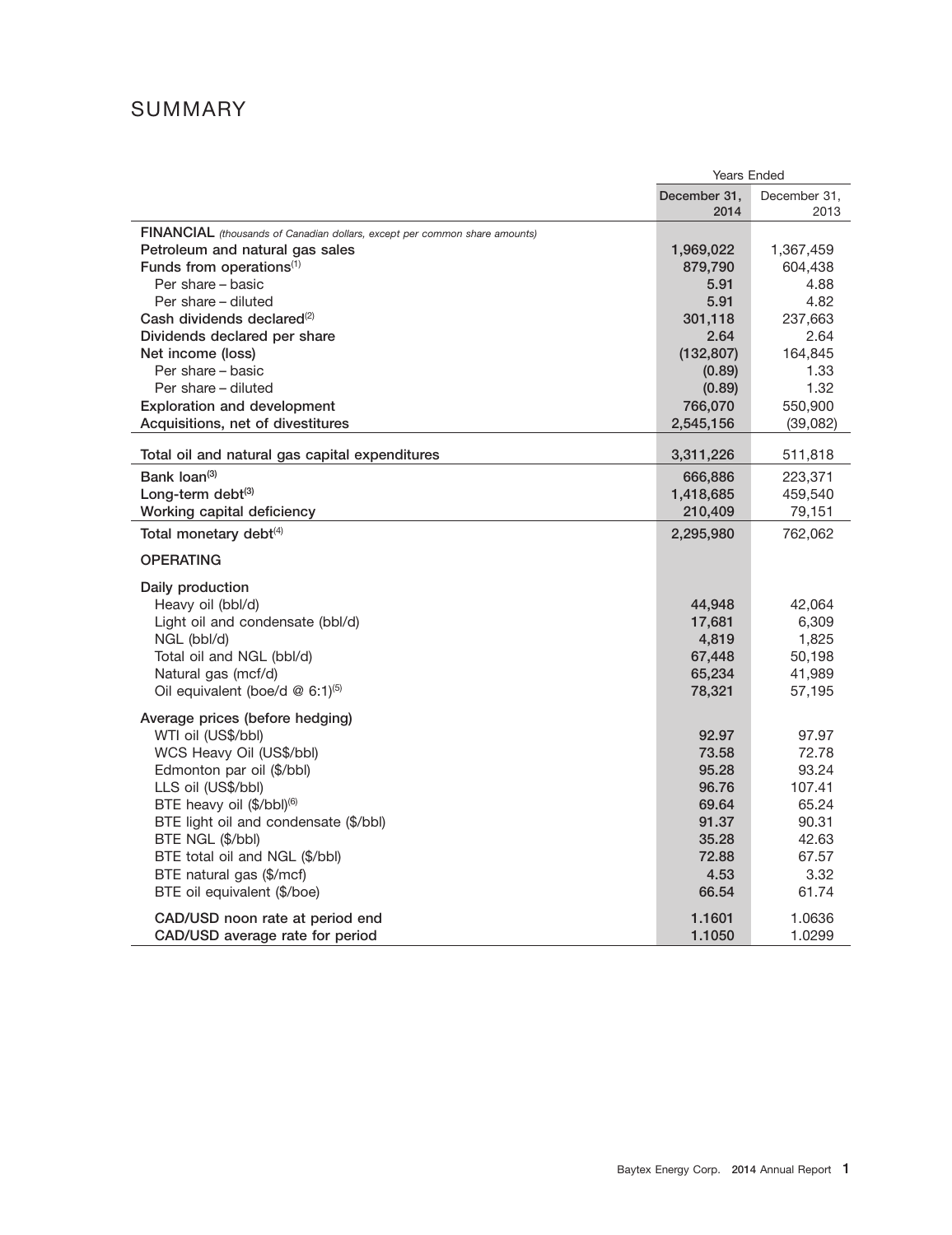# SUMMARY

|                                                                            | <b>Years Ended</b>   |                      |  |  |  |  |  |  |
|----------------------------------------------------------------------------|----------------------|----------------------|--|--|--|--|--|--|
|                                                                            | December 31,<br>2014 | December 31,<br>2013 |  |  |  |  |  |  |
| FINANCIAL (thousands of Canadian dollars, except per common share amounts) |                      |                      |  |  |  |  |  |  |
| Petroleum and natural gas sales                                            | 1,969,022            | 1,367,459            |  |  |  |  |  |  |
| Funds from operations <sup>(1)</sup>                                       | 879,790              | 604,438              |  |  |  |  |  |  |
| Per share - basic                                                          | 5.91                 | 4.88                 |  |  |  |  |  |  |
| Per share - diluted                                                        | 5.91                 | 4.82                 |  |  |  |  |  |  |
| Cash dividends declared <sup>(2)</sup>                                     | 301,118              | 237,663              |  |  |  |  |  |  |
| Dividends declared per share                                               | 2.64                 | 2.64                 |  |  |  |  |  |  |
| Net income (loss)                                                          | (132, 807)           | 164,845              |  |  |  |  |  |  |
| Per share - basic                                                          | (0.89)               | 1.33                 |  |  |  |  |  |  |
| Per share - diluted                                                        | (0.89)               | 1.32                 |  |  |  |  |  |  |
| <b>Exploration and development</b>                                         | 766,070              | 550,900              |  |  |  |  |  |  |
| Acquisitions, net of divestitures                                          | 2,545,156            | (39,082)             |  |  |  |  |  |  |
| Total oil and natural gas capital expenditures                             | 3,311,226            | 511,818              |  |  |  |  |  |  |
|                                                                            |                      |                      |  |  |  |  |  |  |
| Bank loan <sup>(3)</sup>                                                   | 666,886              | 223,371              |  |  |  |  |  |  |
| Long-term debt <sup>(3)</sup>                                              | 1,418,685            | 459,540              |  |  |  |  |  |  |
| Working capital deficiency                                                 | 210,409              | 79,151               |  |  |  |  |  |  |
| Total monetary debt <sup>(4)</sup>                                         | 2,295,980            | 762,062              |  |  |  |  |  |  |
| <b>OPERATING</b>                                                           |                      |                      |  |  |  |  |  |  |
| Daily production                                                           |                      |                      |  |  |  |  |  |  |
| Heavy oil (bbl/d)                                                          | 44,948               | 42,064               |  |  |  |  |  |  |
| Light oil and condensate (bbl/d)                                           | 17,681               | 6,309                |  |  |  |  |  |  |
| NGL (bbl/d)                                                                | 4,819                | 1,825                |  |  |  |  |  |  |
| Total oil and NGL (bbl/d)                                                  | 67,448               | 50,198               |  |  |  |  |  |  |
| Natural gas (mcf/d)                                                        | 65,234               | 41,989               |  |  |  |  |  |  |
| Oil equivalent (boe/d @ 6:1)(5)                                            | 78,321               | 57,195               |  |  |  |  |  |  |
| Average prices (before hedging)                                            |                      |                      |  |  |  |  |  |  |
| WTI oil (US\$/bbl)                                                         | 92.97                | 97.97                |  |  |  |  |  |  |
| WCS Heavy Oil (US\$/bbl)                                                   | 73.58                | 72.78                |  |  |  |  |  |  |
| Edmonton par oil (\$/bbl)                                                  | 95.28                | 93.24                |  |  |  |  |  |  |
| LLS oil (US\$/bbl)                                                         | 96.76                | 107.41               |  |  |  |  |  |  |
| BTE heavy oil (\$/bbl) <sup>(6)</sup>                                      | 69.64                | 65.24                |  |  |  |  |  |  |
| BTE light oil and condensate (\$/bbl)                                      | 91.37                | 90.31                |  |  |  |  |  |  |
| BTE NGL (\$/bbl)                                                           | 35.28                | 42.63                |  |  |  |  |  |  |
| BTE total oil and NGL (\$/bbl)                                             | 72.88                | 67.57                |  |  |  |  |  |  |
| BTE natural gas (\$/mcf)                                                   | 4.53                 | 3.32                 |  |  |  |  |  |  |
| BTE oil equivalent (\$/boe)                                                | 66.54                | 61.74                |  |  |  |  |  |  |
| CAD/USD noon rate at period end                                            | 1.1601               | 1.0636               |  |  |  |  |  |  |
| CAD/USD average rate for period                                            | 1.1050               | 1.0299               |  |  |  |  |  |  |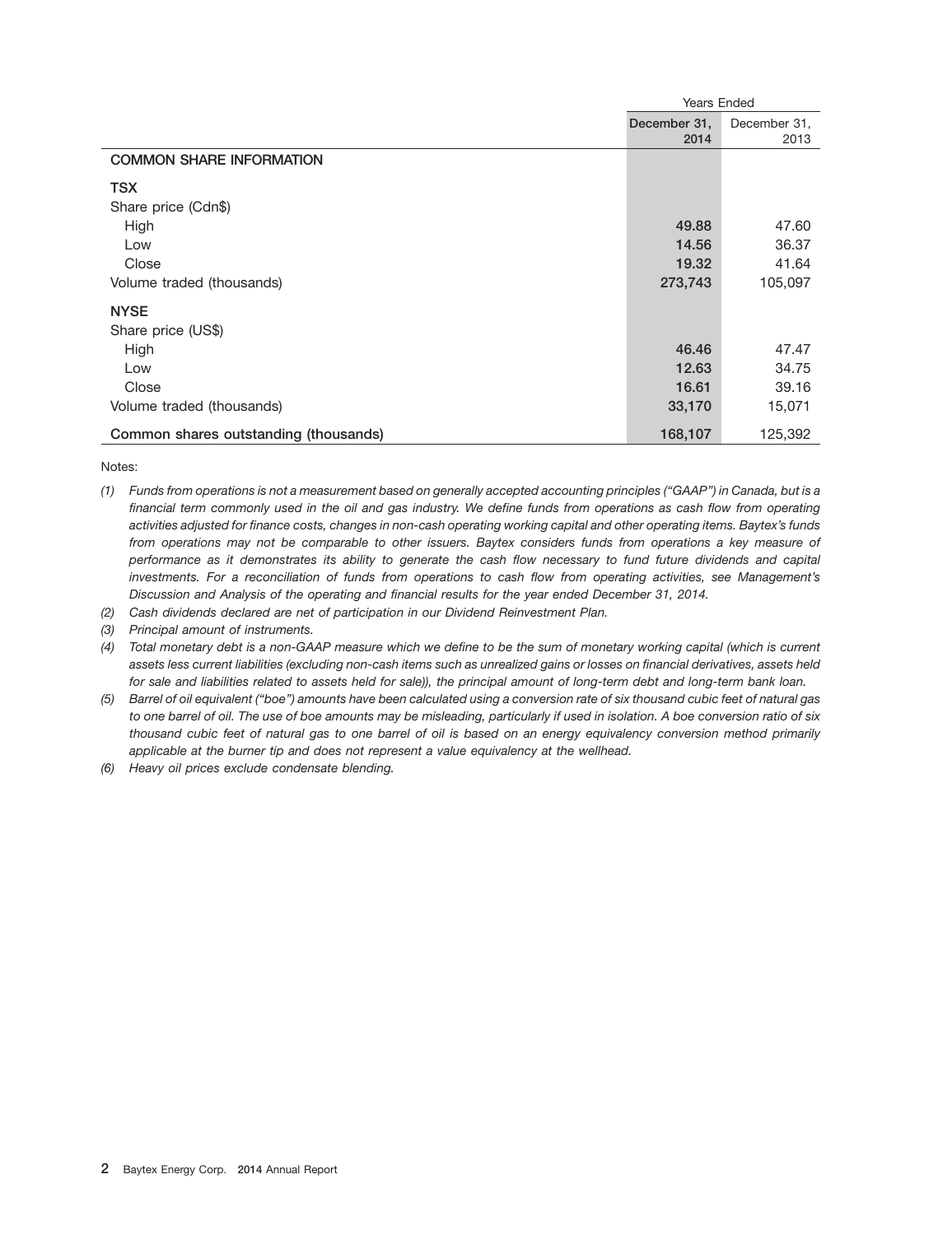|                                       | Years Ended  |              |  |  |  |  |  |
|---------------------------------------|--------------|--------------|--|--|--|--|--|
|                                       | December 31, | December 31, |  |  |  |  |  |
|                                       | 2014         | 2013         |  |  |  |  |  |
| <b>COMMON SHARE INFORMATION</b>       |              |              |  |  |  |  |  |
| <b>TSX</b>                            |              |              |  |  |  |  |  |
| Share price (Cdn\$)                   |              |              |  |  |  |  |  |
| High                                  | 49.88        | 47.60        |  |  |  |  |  |
| Low                                   | 14.56        | 36.37        |  |  |  |  |  |
| Close                                 | 19.32        | 41.64        |  |  |  |  |  |
| Volume traded (thousands)             | 273,743      | 105,097      |  |  |  |  |  |
| <b>NYSE</b>                           |              |              |  |  |  |  |  |
| Share price (US\$)                    |              |              |  |  |  |  |  |
| High                                  | 46.46        | 47.47        |  |  |  |  |  |
| Low                                   | 12.63        | 34.75        |  |  |  |  |  |
| Close                                 | 16.61        | 39.16        |  |  |  |  |  |
| Volume traded (thousands)             | 33,170       | 15,071       |  |  |  |  |  |
| Common shares outstanding (thousands) | 168,107      | 125,392      |  |  |  |  |  |

Notes:

- *(1) Funds from operations is not a measurement based on generally accepted accounting principles (''GAAP'') in Canada, but is a financial term commonly used in the oil and gas industry. We define funds from operations as cash flow from operating activities adjusted for finance costs, changes in non-cash operating working capital and other operating items. Baytex's funds from operations may not be comparable to other issuers. Baytex considers funds from operations a key measure of performance as it demonstrates its ability to generate the cash flow necessary to fund future dividends and capital investments. For a reconciliation of funds from operations to cash flow from operating activities, see Management's Discussion and Analysis of the operating and financial results for the year ended December 31, 2014.*
- *(2) Cash dividends declared are net of participation in our Dividend Reinvestment Plan.*
- *(3) Principal amount of instruments.*

*(4) Total monetary debt is a non-GAAP measure which we define to be the sum of monetary working capital (which is current assets less current liabilities (excluding non-cash items such as unrealized gains or losses on financial derivatives, assets held for sale and liabilities related to assets held for sale)), the principal amount of long-term debt and long-term bank loan.*

- *(5) Barrel of oil equivalent (''boe'') amounts have been calculated using a conversion rate of six thousand cubic feet of natural gas to one barrel of oil. The use of boe amounts may be misleading, particularly if used in isolation. A boe conversion ratio of six thousand cubic feet of natural gas to one barrel of oil is based on an energy equivalency conversion method primarily applicable at the burner tip and does not represent a value equivalency at the wellhead.*
- *(6) Heavy oil prices exclude condensate blending.*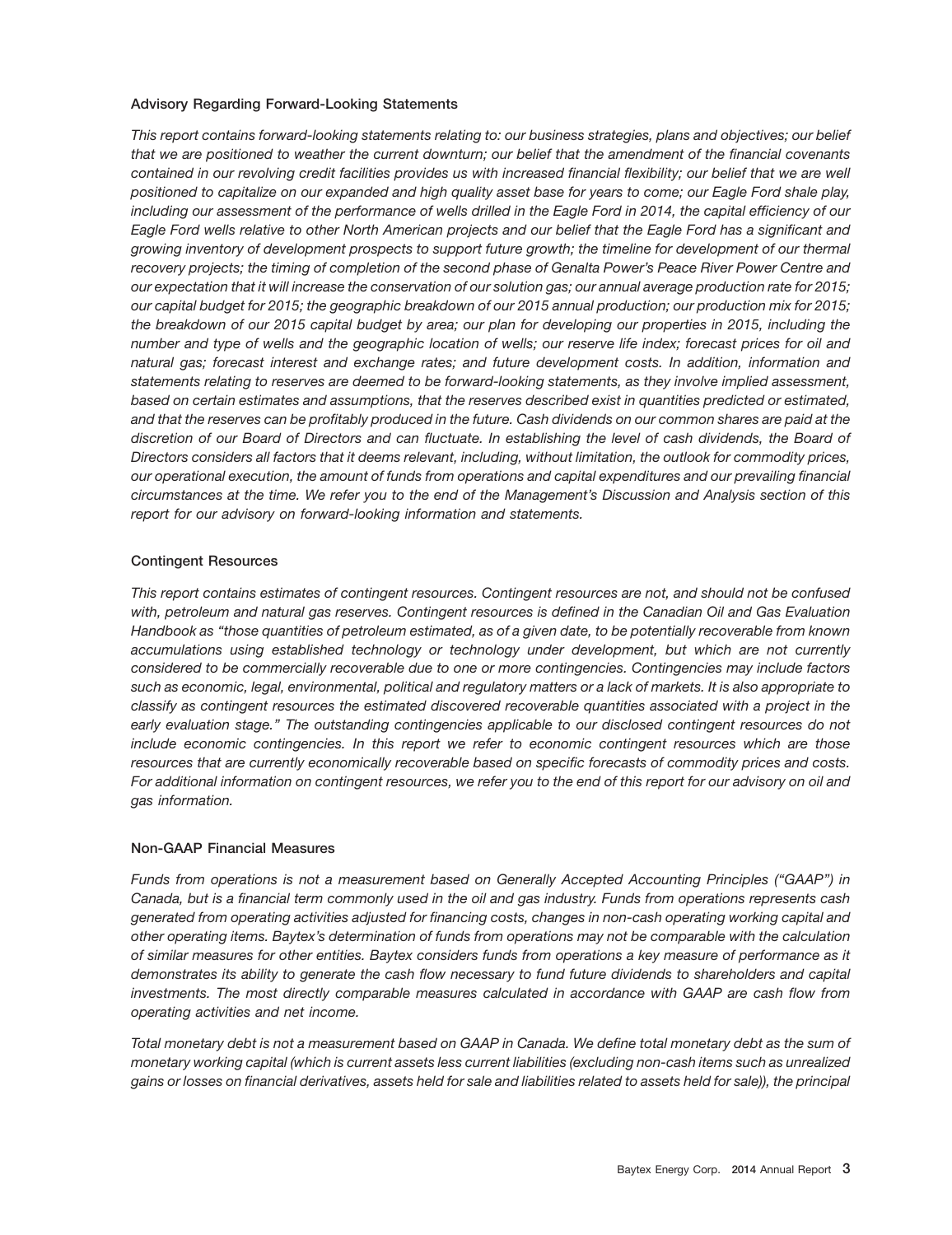## **Advisory Regarding Forward-Looking Statements**

*This report contains forward-looking statements relating to: our business strategies, plans and objectives; our belief that we are positioned to weather the current downturn; our belief that the amendment of the financial covenants contained in our revolving credit facilities provides us with increased financial flexibility; our belief that we are well positioned to capitalize on our expanded and high quality asset base for years to come; our Eagle Ford shale play, including our assessment of the performance of wells drilled in the Eagle Ford in 2014, the capital efficiency of our Eagle Ford wells relative to other North American projects and our belief that the Eagle Ford has a significant and growing inventory of development prospects to support future growth; the timeline for development of our thermal recovery projects; the timing of completion of the second phase of Genalta Power's Peace River Power Centre and our expectation that it will increase the conservation of our solution gas; our annual average production rate for 2015; our capital budget for 2015; the geographic breakdown of our 2015 annual production; our production mix for 2015; the breakdown of our 2015 capital budget by area; our plan for developing our properties in 2015, including the number and type of wells and the geographic location of wells; our reserve life index; forecast prices for oil and natural gas; forecast interest and exchange rates; and future development costs. In addition, information and statements relating to reserves are deemed to be forward-looking statements, as they involve implied assessment, based on certain estimates and assumptions, that the reserves described exist in quantities predicted or estimated, and that the reserves can be profitably produced in the future. Cash dividends on our common shares are paid at the discretion of our Board of Directors and can fluctuate. In establishing the level of cash dividends, the Board of Directors considers all factors that it deems relevant, including, without limitation, the outlook for commodity prices, our operational execution, the amount of funds from operations and capital expenditures and our prevailing financial circumstances at the time. We refer you to the end of the Management's Discussion and Analysis section of this report for our advisory on forward-looking information and statements.*

## **Contingent Resources**

*This report contains estimates of contingent resources. Contingent resources are not, and should not be confused with, petroleum and natural gas reserves. Contingent resources is defined in the Canadian Oil and Gas Evaluation Handbook as ''those quantities of petroleum estimated, as of a given date, to be potentially recoverable from known accumulations using established technology or technology under development, but which are not currently considered to be commercially recoverable due to one or more contingencies. Contingencies may include factors such as economic, legal, environmental, political and regulatory matters or a lack of markets. It is also appropriate to classify as contingent resources the estimated discovered recoverable quantities associated with a project in the early evaluation stage.'' The outstanding contingencies applicable to our disclosed contingent resources do not include economic contingencies. In this report we refer to economic contingent resources which are those resources that are currently economically recoverable based on specific forecasts of commodity prices and costs. For additional information on contingent resources, we refer you to the end of this report for our advisory on oil and gas information.*

## **Non-GAAP Financial Measures**

*Funds from operations is not a measurement based on Generally Accepted Accounting Principles (''GAAP'') in Canada, but is a financial term commonly used in the oil and gas industry. Funds from operations represents cash generated from operating activities adjusted for financing costs, changes in non-cash operating working capital and other operating items. Baytex's determination of funds from operations may not be comparable with the calculation of similar measures for other entities. Baytex considers funds from operations a key measure of performance as it demonstrates its ability to generate the cash flow necessary to fund future dividends to shareholders and capital investments. The most directly comparable measures calculated in accordance with GAAP are cash flow from operating activities and net income.*

*Total monetary debt is not a measurement based on GAAP in Canada. We define total monetary debt as the sum of monetary working capital (which is current assets less current liabilities (excluding non-cash items such as unrealized gains or losses on financial derivatives, assets held for sale and liabilities related to assets held for sale)), the principal*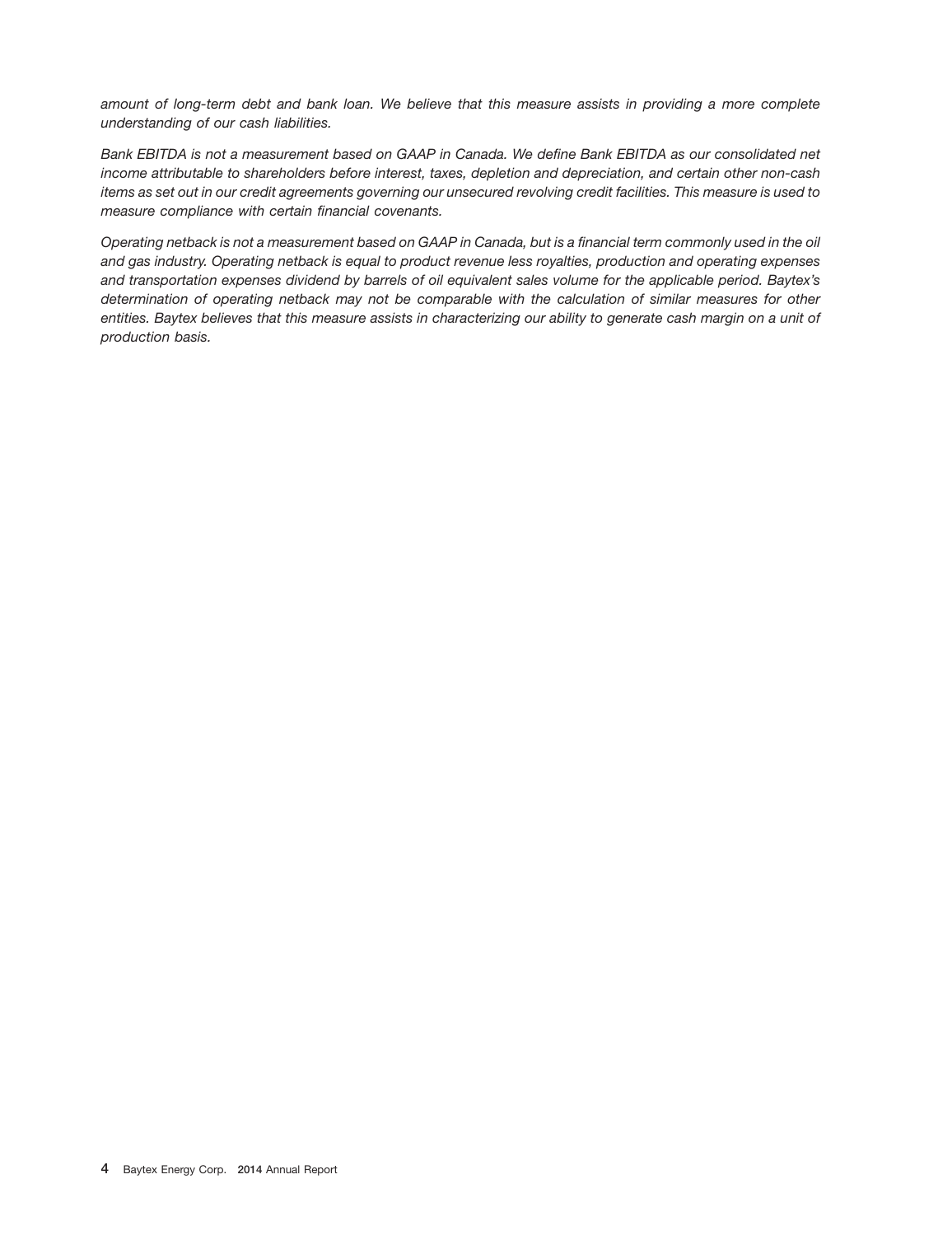*amount of long-term debt and bank loan. We believe that this measure assists in providing a more complete understanding of our cash liabilities.*

*Bank EBITDA is not a measurement based on GAAP in Canada. We define Bank EBITDA as our consolidated net income attributable to shareholders before interest, taxes, depletion and depreciation, and certain other non-cash items as set out in our credit agreements governing our unsecured revolving credit facilities. This measure is used to measure compliance with certain financial covenants.*

*Operating netback is not a measurement based on GAAP in Canada, but is a financial term commonly used in the oil and gas industry. Operating netback is equal to product revenue less royalties, production and operating expenses and transportation expenses dividend by barrels of oil equivalent sales volume for the applicable period. Baytex's determination of operating netback may not be comparable with the calculation of similar measures for other entities. Baytex believes that this measure assists in characterizing our ability to generate cash margin on a unit of production basis.*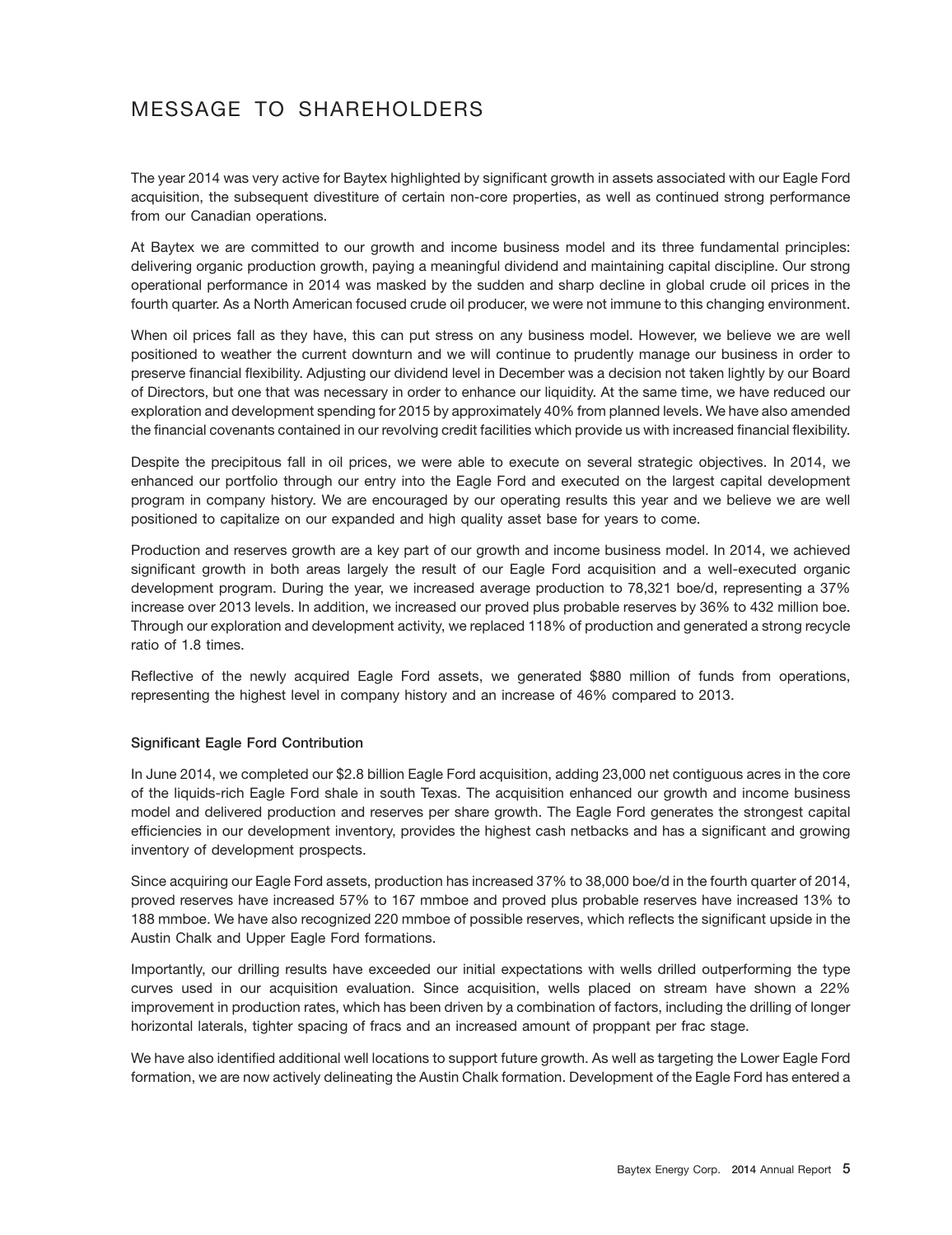# MESSAGE TO SHAREHOLDERS

The year 2014 was very active for Baytex highlighted by significant growth in assets associated with our Eagle Ford acquisition, the subsequent divestiture of certain non-core properties, as well as continued strong performance from our Canadian operations.

At Baytex we are committed to our growth and income business model and its three fundamental principles: delivering organic production growth, paying a meaningful dividend and maintaining capital discipline. Our strong operational performance in 2014 was masked by the sudden and sharp decline in global crude oil prices in the fourth quarter. As a North American focused crude oil producer, we were not immune to this changing environment.

When oil prices fall as they have, this can put stress on any business model. However, we believe we are well positioned to weather the current downturn and we will continue to prudently manage our business in order to preserve financial flexibility. Adjusting our dividend level in December was a decision not taken lightly by our Board of Directors, but one that was necessary in order to enhance our liquidity. At the same time, we have reduced our exploration and development spending for 2015 by approximately 40% from planned levels. We have also amended the financial covenants contained in our revolving credit facilities which provide us with increased financial flexibility.

Despite the precipitous fall in oil prices, we were able to execute on several strategic objectives. In 2014, we enhanced our portfolio through our entry into the Eagle Ford and executed on the largest capital development program in company history. We are encouraged by our operating results this year and we believe we are well positioned to capitalize on our expanded and high quality asset base for years to come.

Production and reserves growth are a key part of our growth and income business model. In 2014, we achieved significant growth in both areas largely the result of our Eagle Ford acquisition and a well-executed organic development program. During the year, we increased average production to 78,321 boe/d, representing a 37% increase over 2013 levels. In addition, we increased our proved plus probable reserves by 36% to 432 million boe. Through our exploration and development activity, we replaced 118% of production and generated a strong recycle ratio of 1.8 times.

Reflective of the newly acquired Eagle Ford assets, we generated \$880 million of funds from operations, representing the highest level in company history and an increase of 46% compared to 2013.

## **Significant Eagle Ford Contribution**

In June 2014, we completed our \$2.8 billion Eagle Ford acquisition, adding 23,000 net contiguous acres in the core of the liquids-rich Eagle Ford shale in south Texas. The acquisition enhanced our growth and income business model and delivered production and reserves per share growth. The Eagle Ford generates the strongest capital efficiencies in our development inventory, provides the highest cash netbacks and has a significant and growing inventory of development prospects.

Since acquiring our Eagle Ford assets, production has increased 37% to 38,000 boe/d in the fourth quarter of 2014, proved reserves have increased 57% to 167 mmboe and proved plus probable reserves have increased 13% to 188 mmboe. We have also recognized 220 mmboe of possible reserves, which reflects the significant upside in the Austin Chalk and Upper Eagle Ford formations.

Importantly, our drilling results have exceeded our initial expectations with wells drilled outperforming the type curves used in our acquisition evaluation. Since acquisition, wells placed on stream have shown a 22% improvement in production rates, which has been driven by a combination of factors, including the drilling of longer horizontal laterals, tighter spacing of fracs and an increased amount of proppant per frac stage.

We have also identified additional well locations to support future growth. As well as targeting the Lower Eagle Ford formation, we are now actively delineating the Austin Chalk formation. Development of the Eagle Ford has entered a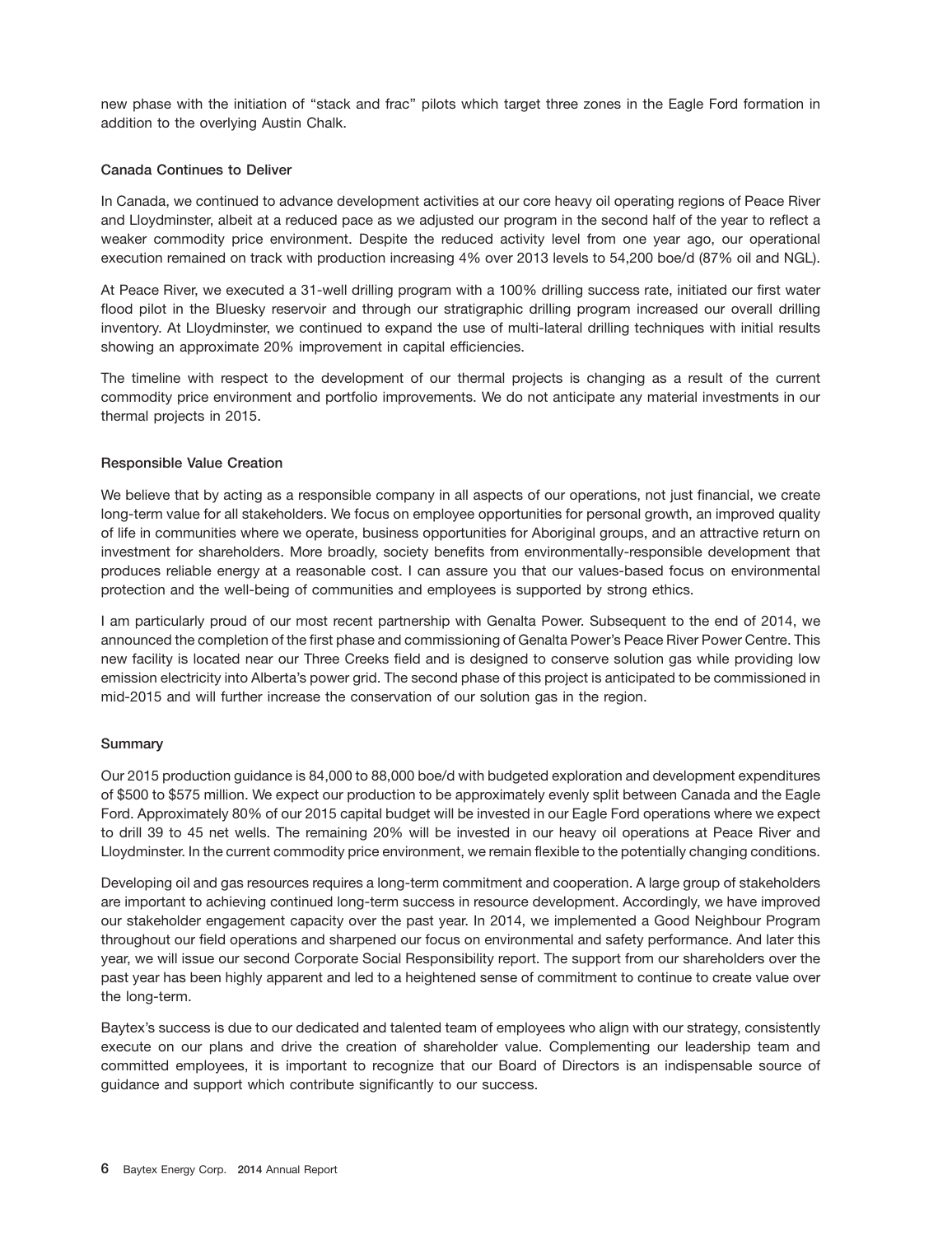new phase with the initiation of ''stack and frac'' pilots which target three zones in the Eagle Ford formation in addition to the overlying Austin Chalk.

#### **Canada Continues to Deliver**

In Canada, we continued to advance development activities at our core heavy oil operating regions of Peace River and Lloydminster, albeit at a reduced pace as we adjusted our program in the second half of the year to reflect a weaker commodity price environment. Despite the reduced activity level from one year ago, our operational execution remained on track with production increasing 4% over 2013 levels to 54,200 boe/d (87% oil and NGL).

At Peace River, we executed a 31-well drilling program with a 100% drilling success rate, initiated our first water flood pilot in the Bluesky reservoir and through our stratigraphic drilling program increased our overall drilling inventory. At Lloydminster, we continued to expand the use of multi-lateral drilling techniques with initial results showing an approximate 20% improvement in capital efficiencies.

The timeline with respect to the development of our thermal projects is changing as a result of the current commodity price environment and portfolio improvements. We do not anticipate any material investments in our thermal projects in 2015.

#### **Responsible Value Creation**

We believe that by acting as a responsible company in all aspects of our operations, not just financial, we create long-term value for all stakeholders. We focus on employee opportunities for personal growth, an improved quality of life in communities where we operate, business opportunities for Aboriginal groups, and an attractive return on investment for shareholders. More broadly, society benefits from environmentally-responsible development that produces reliable energy at a reasonable cost. I can assure you that our values-based focus on environmental protection and the well-being of communities and employees is supported by strong ethics.

I am particularly proud of our most recent partnership with Genalta Power. Subsequent to the end of 2014, we announced the completion of the first phase and commissioning of Genalta Power's Peace River Power Centre. This new facility is located near our Three Creeks field and is designed to conserve solution gas while providing low emission electricity into Alberta's power grid. The second phase of this project is anticipated to be commissioned in mid-2015 and will further increase the conservation of our solution gas in the region.

#### **Summary**

Our 2015 production guidance is 84,000 to 88,000 boe/d with budgeted exploration and development expenditures of \$500 to \$575 million. We expect our production to be approximately evenly split between Canada and the Eagle Ford. Approximately 80% of our 2015 capital budget will be invested in our Eagle Ford operations where we expect to drill 39 to 45 net wells. The remaining 20% will be invested in our heavy oil operations at Peace River and Lloydminster. In the current commodity price environment, we remain flexible to the potentially changing conditions.

Developing oil and gas resources requires a long-term commitment and cooperation. A large group of stakeholders are important to achieving continued long-term success in resource development. Accordingly, we have improved our stakeholder engagement capacity over the past year. In 2014, we implemented a Good Neighbour Program throughout our field operations and sharpened our focus on environmental and safety performance. And later this year, we will issue our second Corporate Social Responsibility report. The support from our shareholders over the past year has been highly apparent and led to a heightened sense of commitment to continue to create value over the long-term.

Baytex's success is due to our dedicated and talented team of employees who align with our strategy, consistently execute on our plans and drive the creation of shareholder value. Complementing our leadership team and committed employees, it is important to recognize that our Board of Directors is an indispensable source of guidance and support which contribute significantly to our success.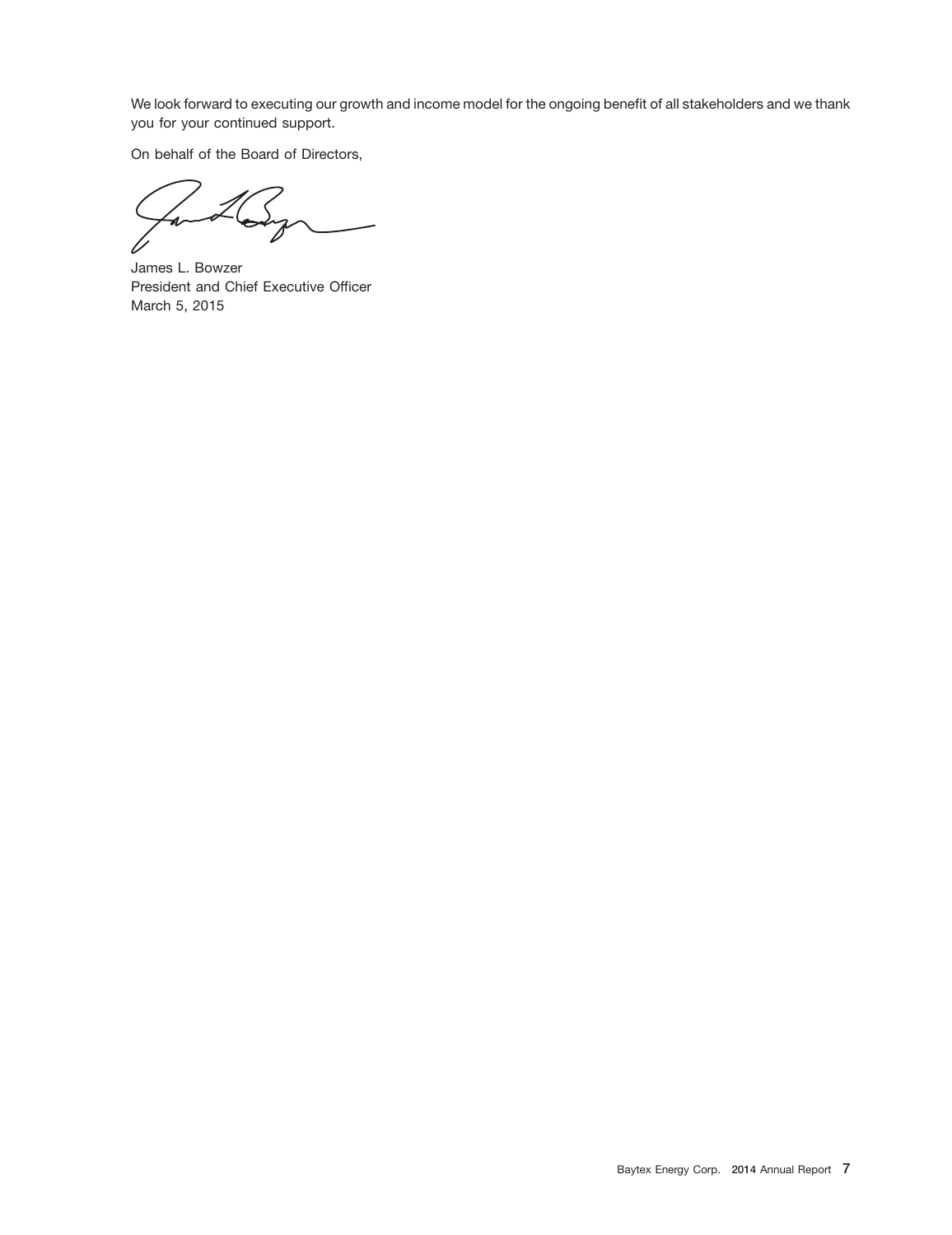We look forward to executing our growth and income model for the ongoing benefit of all stakeholders and we thank you for your continued support.

On behalf of the Board of Directors,

James L. Bowzer President and Chief Executive Officer March 5, 2015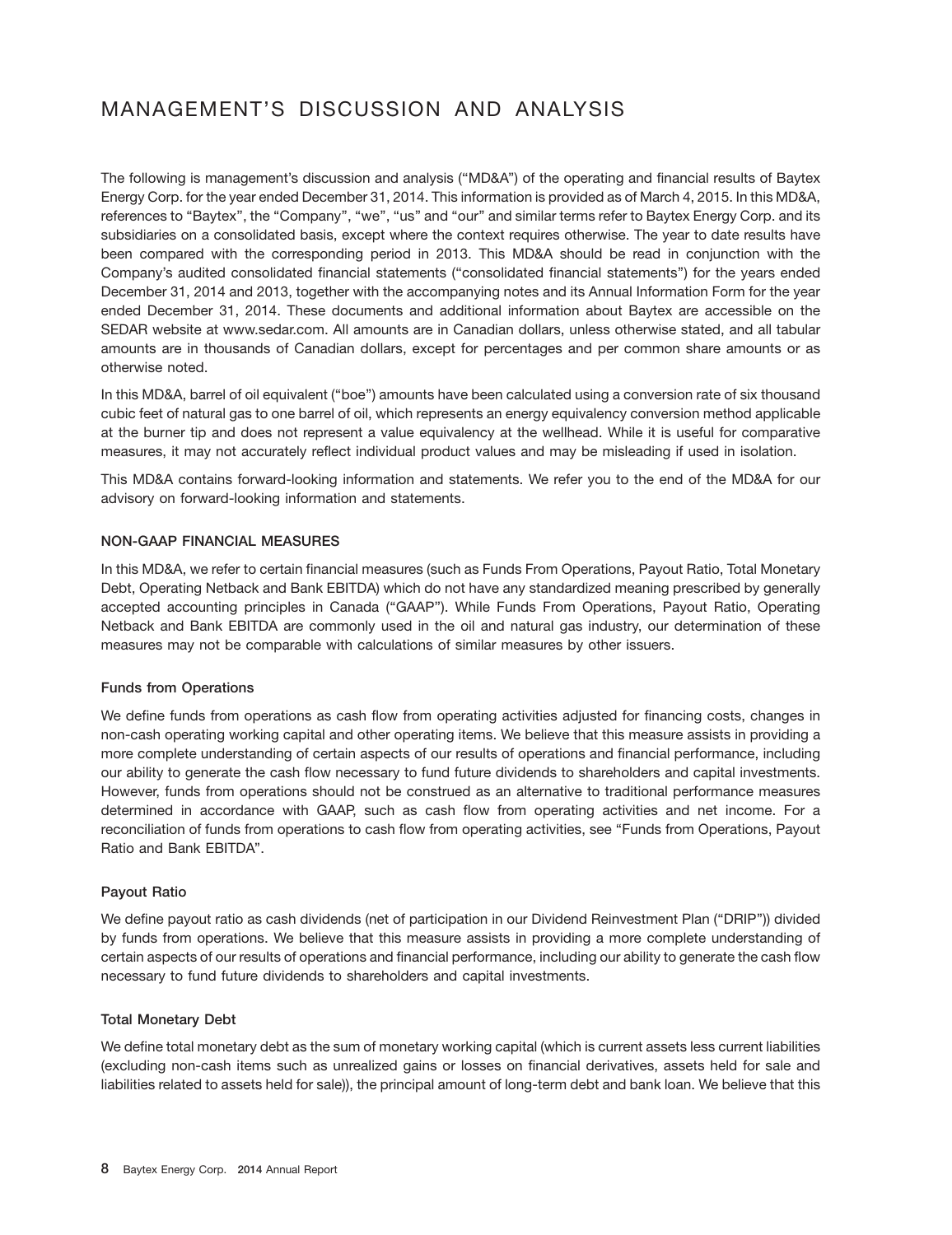# MANAGEMENT'S DISCUSSION AND ANALYSIS

The following is management's discussion and analysis (''MD&A'') of the operating and financial results of Baytex Energy Corp. for the year ended December 31, 2014. This information is provided as of March 4, 2015. In this MD&A, references to "Baytex", the "Company", "we", "us" and "our" and similar terms refer to Baytex Energy Corp. and its subsidiaries on a consolidated basis, except where the context requires otherwise. The year to date results have been compared with the corresponding period in 2013. This MD&A should be read in conjunction with the Company's audited consolidated financial statements (''consolidated financial statements'') for the years ended December 31, 2014 and 2013, together with the accompanying notes and its Annual Information Form for the year ended December 31, 2014. These documents and additional information about Baytex are accessible on the SEDAR website at www.sedar.com. All amounts are in Canadian dollars, unless otherwise stated, and all tabular amounts are in thousands of Canadian dollars, except for percentages and per common share amounts or as otherwise noted.

In this MD&A, barrel of oil equivalent (''boe'') amounts have been calculated using a conversion rate of six thousand cubic feet of natural gas to one barrel of oil, which represents an energy equivalency conversion method applicable at the burner tip and does not represent a value equivalency at the wellhead. While it is useful for comparative measures, it may not accurately reflect individual product values and may be misleading if used in isolation.

This MD&A contains forward-looking information and statements. We refer you to the end of the MD&A for our advisory on forward-looking information and statements.

## **NON-GAAP FINANCIAL MEASURES**

In this MD&A, we refer to certain financial measures (such as Funds From Operations, Payout Ratio, Total Monetary Debt, Operating Netback and Bank EBITDA) which do not have any standardized meaning prescribed by generally accepted accounting principles in Canada (''GAAP''). While Funds From Operations, Payout Ratio, Operating Netback and Bank EBITDA are commonly used in the oil and natural gas industry, our determination of these measures may not be comparable with calculations of similar measures by other issuers.

## **Funds from Operations**

We define funds from operations as cash flow from operating activities adjusted for financing costs, changes in non-cash operating working capital and other operating items. We believe that this measure assists in providing a more complete understanding of certain aspects of our results of operations and financial performance, including our ability to generate the cash flow necessary to fund future dividends to shareholders and capital investments. However, funds from operations should not be construed as an alternative to traditional performance measures determined in accordance with GAAP, such as cash flow from operating activities and net income. For a reconciliation of funds from operations to cash flow from operating activities, see ''Funds from Operations, Payout Ratio and Bank EBITDA''.

## **Payout Ratio**

We define payout ratio as cash dividends (net of participation in our Dividend Reinvestment Plan (''DRIP'')) divided by funds from operations. We believe that this measure assists in providing a more complete understanding of certain aspects of our results of operations and financial performance, including our ability to generate the cash flow necessary to fund future dividends to shareholders and capital investments.

#### **Total Monetary Debt**

We define total monetary debt as the sum of monetary working capital (which is current assets less current liabilities (excluding non-cash items such as unrealized gains or losses on financial derivatives, assets held for sale and liabilities related to assets held for sale)), the principal amount of long-term debt and bank loan. We believe that this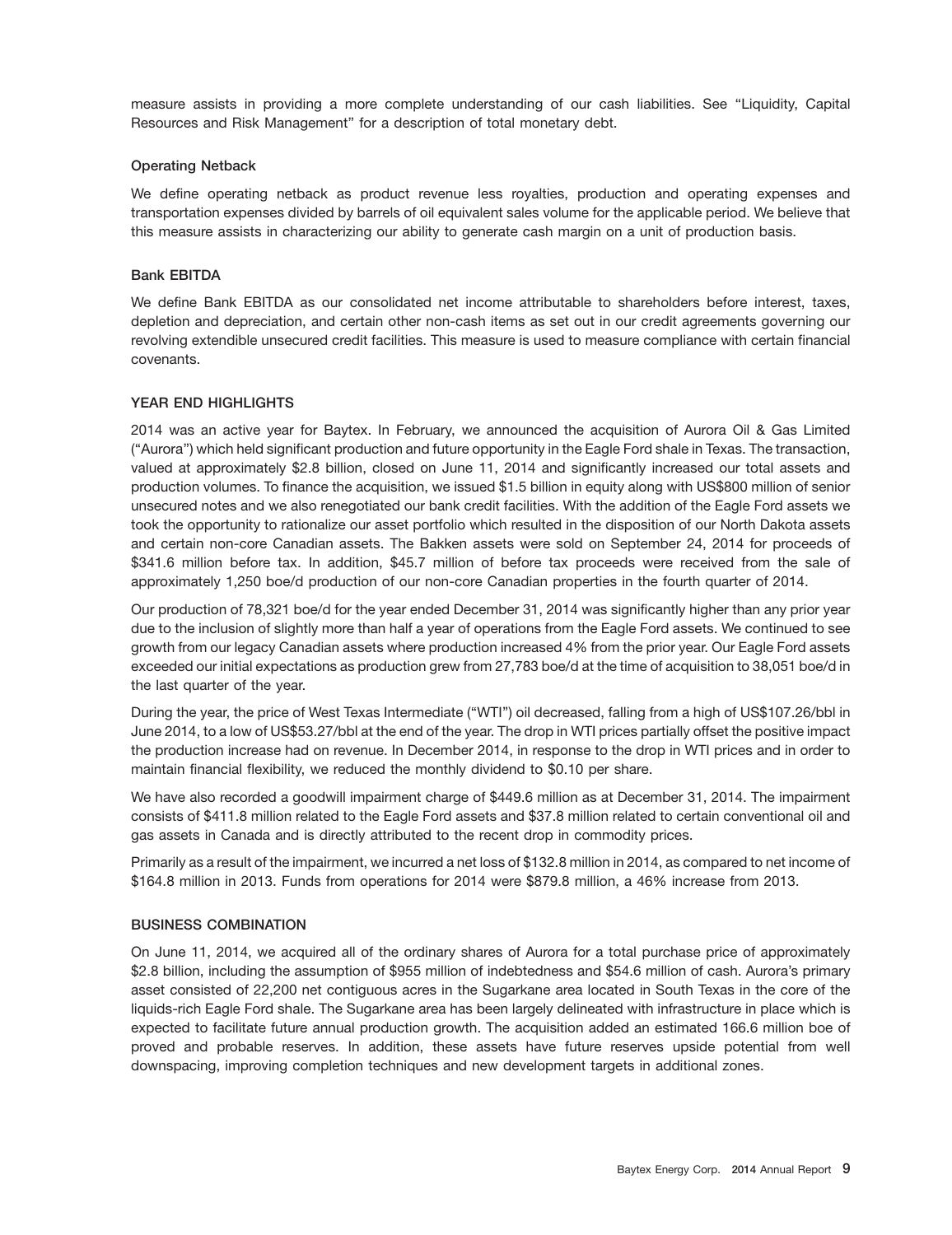measure assists in providing a more complete understanding of our cash liabilities. See "Liquidity, Capital Resources and Risk Management'' for a description of total monetary debt.

#### **Operating Netback**

We define operating netback as product revenue less royalties, production and operating expenses and transportation expenses divided by barrels of oil equivalent sales volume for the applicable period. We believe that this measure assists in characterizing our ability to generate cash margin on a unit of production basis.

#### **Bank EBITDA**

We define Bank EBITDA as our consolidated net income attributable to shareholders before interest, taxes, depletion and depreciation, and certain other non-cash items as set out in our credit agreements governing our revolving extendible unsecured credit facilities. This measure is used to measure compliance with certain financial covenants.

#### **YEAR END HIGHLIGHTS**

2014 was an active year for Baytex. In February, we announced the acquisition of Aurora Oil & Gas Limited (''Aurora'') which held significant production and future opportunity in the Eagle Ford shale in Texas. The transaction, valued at approximately \$2.8 billion, closed on June 11, 2014 and significantly increased our total assets and production volumes. To finance the acquisition, we issued \$1.5 billion in equity along with US\$800 million of senior unsecured notes and we also renegotiated our bank credit facilities. With the addition of the Eagle Ford assets we took the opportunity to rationalize our asset portfolio which resulted in the disposition of our North Dakota assets and certain non-core Canadian assets. The Bakken assets were sold on September 24, 2014 for proceeds of \$341.6 million before tax. In addition, \$45.7 million of before tax proceeds were received from the sale of approximately 1,250 boe/d production of our non-core Canadian properties in the fourth quarter of 2014.

Our production of 78,321 boe/d for the year ended December 31, 2014 was significantly higher than any prior year due to the inclusion of slightly more than half a year of operations from the Eagle Ford assets. We continued to see growth from our legacy Canadian assets where production increased 4% from the prior year. Our Eagle Ford assets exceeded our initial expectations as production grew from 27,783 boe/d at the time of acquisition to 38,051 boe/d in the last quarter of the year.

During the year, the price of West Texas Intermediate (''WTI'') oil decreased, falling from a high of US\$107.26/bbl in June 2014, to a low of US\$53.27/bbl at the end of the year. The drop in WTI prices partially offset the positive impact the production increase had on revenue. In December 2014, in response to the drop in WTI prices and in order to maintain financial flexibility, we reduced the monthly dividend to \$0.10 per share.

We have also recorded a goodwill impairment charge of \$449.6 million as at December 31, 2014. The impairment consists of \$411.8 million related to the Eagle Ford assets and \$37.8 million related to certain conventional oil and gas assets in Canada and is directly attributed to the recent drop in commodity prices.

Primarily as a result of the impairment, we incurred a net loss of \$132.8 million in 2014, as compared to net income of \$164.8 million in 2013. Funds from operations for 2014 were \$879.8 million, a 46% increase from 2013.

#### **BUSINESS COMBINATION**

On June 11, 2014, we acquired all of the ordinary shares of Aurora for a total purchase price of approximately \$2.8 billion, including the assumption of \$955 million of indebtedness and \$54.6 million of cash. Aurora's primary asset consisted of 22,200 net contiguous acres in the Sugarkane area located in South Texas in the core of the liquids-rich Eagle Ford shale. The Sugarkane area has been largely delineated with infrastructure in place which is expected to facilitate future annual production growth. The acquisition added an estimated 166.6 million boe of proved and probable reserves. In addition, these assets have future reserves upside potential from well downspacing, improving completion techniques and new development targets in additional zones.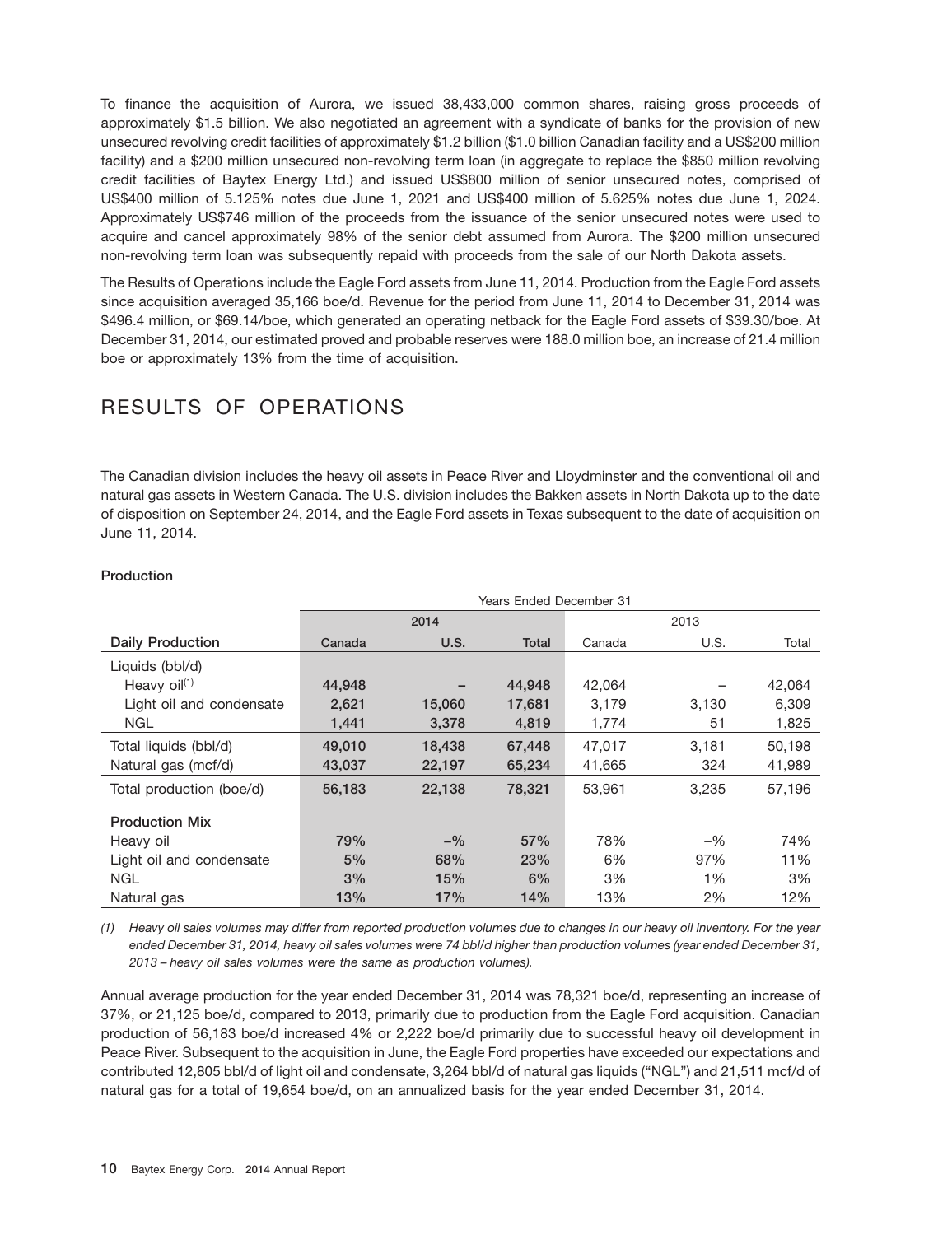To finance the acquisition of Aurora, we issued 38,433,000 common shares, raising gross proceeds of approximately \$1.5 billion. We also negotiated an agreement with a syndicate of banks for the provision of new unsecured revolving credit facilities of approximately \$1.2 billion (\$1.0 billion Canadian facility and a US\$200 million facility) and a \$200 million unsecured non-revolving term loan (in aggregate to replace the \$850 million revolving credit facilities of Baytex Energy Ltd.) and issued US\$800 million of senior unsecured notes, comprised of US\$400 million of 5.125% notes due June 1, 2021 and US\$400 million of 5.625% notes due June 1, 2024. Approximately US\$746 million of the proceeds from the issuance of the senior unsecured notes were used to acquire and cancel approximately 98% of the senior debt assumed from Aurora. The \$200 million unsecured non-revolving term loan was subsequently repaid with proceeds from the sale of our North Dakota assets.

The Results of Operations include the Eagle Ford assets from June 11, 2014. Production from the Eagle Ford assets since acquisition averaged 35,166 boe/d. Revenue for the period from June 11, 2014 to December 31, 2014 was \$496.4 million, or \$69.14/boe, which generated an operating netback for the Eagle Ford assets of \$39.30/boe. At December 31, 2014, our estimated proved and probable reserves were 188.0 million boe, an increase of 21.4 million boe or approximately 13% from the time of acquisition.

# RESULTS OF OPERATIONS

The Canadian division includes the heavy oil assets in Peace River and Lloydminster and the conventional oil and natural gas assets in Western Canada. The U.S. division includes the Bakken assets in North Dakota up to the date of disposition on September 24, 2014, and the Eagle Ford assets in Texas subsequent to the date of acquisition on June 11, 2014.

|                          | <b>Years Ended December 31</b> |        |        |        |       |        |  |  |  |  |  |  |  |
|--------------------------|--------------------------------|--------|--------|--------|-------|--------|--|--|--|--|--|--|--|
|                          |                                | 2014   |        | 2013   |       |        |  |  |  |  |  |  |  |
| <b>Daily Production</b>  | Canada                         | U.S.   | Total  | Canada | U.S.  | Total  |  |  |  |  |  |  |  |
| Liquids (bbl/d)          |                                |        |        |        |       |        |  |  |  |  |  |  |  |
| Heavy oil <sup>(1)</sup> | 44,948                         |        | 44,948 | 42,064 |       | 42,064 |  |  |  |  |  |  |  |
| Light oil and condensate | 2,621                          | 15,060 | 17,681 | 3,179  | 3,130 | 6,309  |  |  |  |  |  |  |  |
| NGL                      | 1,441                          | 3,378  | 4,819  | 1,774  | 51    | 1,825  |  |  |  |  |  |  |  |
| Total liquids (bbl/d)    | 49,010                         | 18.438 | 67.448 | 47,017 | 3.181 | 50,198 |  |  |  |  |  |  |  |
| Natural gas (mcf/d)      | 43,037                         | 22,197 | 65,234 | 41,665 | 324   | 41,989 |  |  |  |  |  |  |  |
| Total production (boe/d) | 56,183                         | 22,138 | 78,321 | 53,961 | 3,235 | 57,196 |  |  |  |  |  |  |  |
| <b>Production Mix</b>    |                                |        |        |        |       |        |  |  |  |  |  |  |  |
| Heavy oil                | 79%                            | $-$ %  | 57%    | 78%    | $-$ % | 74%    |  |  |  |  |  |  |  |
| Light oil and condensate | 5%                             | 68%    | 23%    | 6%     | 97%   | 11%    |  |  |  |  |  |  |  |
| <b>NGL</b>               | 3%                             | 15%    | 6%     | 3%     | 1%    | 3%     |  |  |  |  |  |  |  |
| Natural gas              | 13%                            | 17%    | 14%    | 13%    | 2%    | 12%    |  |  |  |  |  |  |  |

## **Production**

*(1) Heavy oil sales volumes may differ from reported production volumes due to changes in our heavy oil inventory. For the year ended December 31, 2014, heavy oil sales volumes were 74 bbl/d higher than production volumes (year ended December 31, 2013 – heavy oil sales volumes were the same as production volumes).*

Annual average production for the year ended December 31, 2014 was 78,321 boe/d, representing an increase of 37%, or 21,125 boe/d, compared to 2013, primarily due to production from the Eagle Ford acquisition. Canadian production of 56,183 boe/d increased 4% or 2,222 boe/d primarily due to successful heavy oil development in Peace River. Subsequent to the acquisition in June, the Eagle Ford properties have exceeded our expectations and contributed 12,805 bbl/d of light oil and condensate, 3,264 bbl/d of natural gas liquids (''NGL'') and 21,511 mcf/d of natural gas for a total of 19,654 boe/d, on an annualized basis for the year ended December 31, 2014.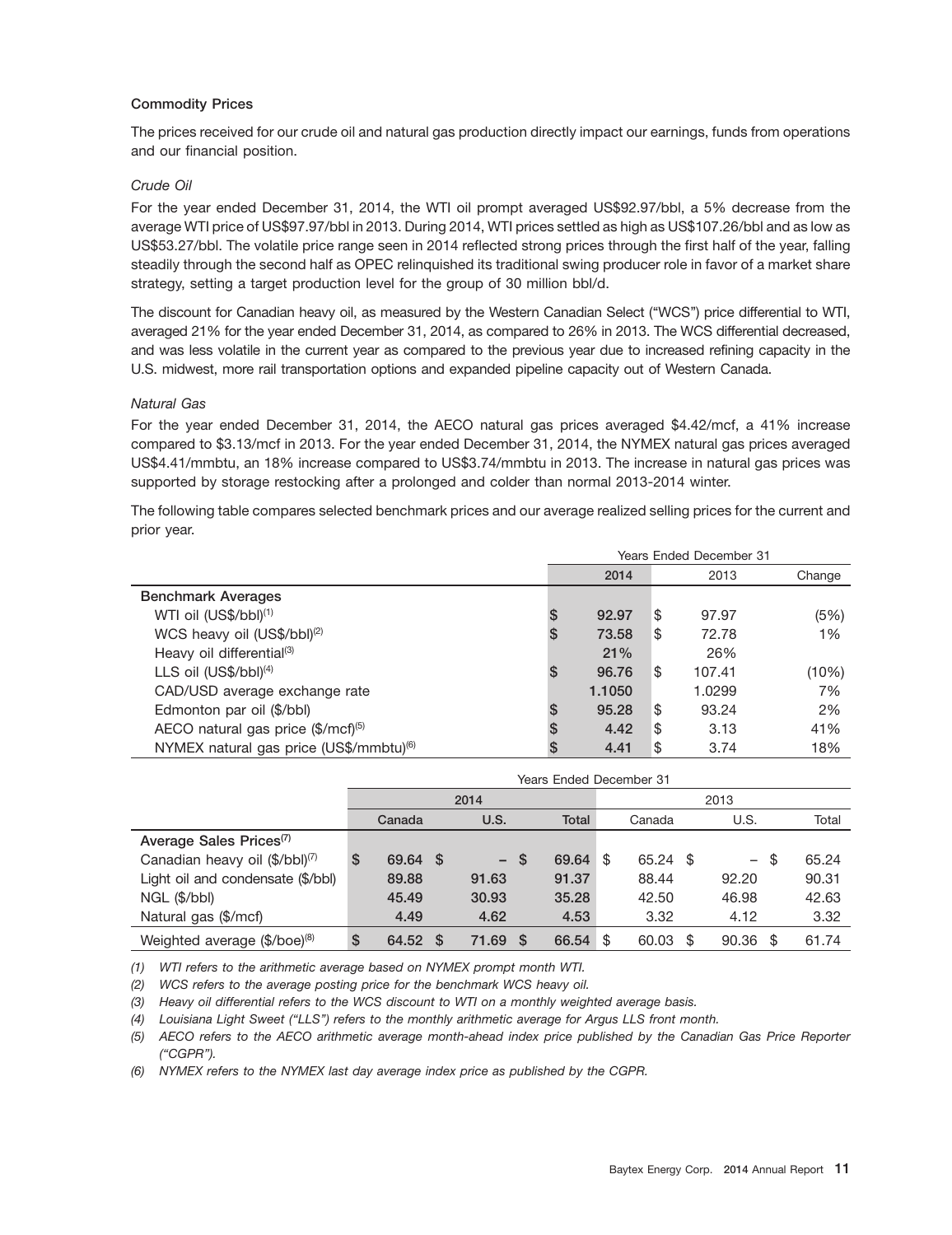#### **Commodity Prices**

The prices received for our crude oil and natural gas production directly impact our earnings, funds from operations and our financial position.

#### *Crude Oil*

For the year ended December 31, 2014, the WTI oil prompt averaged US\$92.97/bbl, a 5% decrease from the average WTI price of US\$97.97/bbl in 2013. During 2014, WTI prices settled as high as US\$107.26/bbl and as low as US\$53.27/bbl. The volatile price range seen in 2014 reflected strong prices through the first half of the year, falling steadily through the second half as OPEC relinquished its traditional swing producer role in favor of a market share strategy, setting a target production level for the group of 30 million bbl/d.

The discount for Canadian heavy oil, as measured by the Western Canadian Select (''WCS'') price differential to WTI, averaged 21% for the year ended December 31, 2014, as compared to 26% in 2013. The WCS differential decreased, and was less volatile in the current year as compared to the previous year due to increased refining capacity in the U.S. midwest, more rail transportation options and expanded pipeline capacity out of Western Canada.

#### *Natural Gas*

For the year ended December 31, 2014, the AECO natural gas prices averaged \$4.42/mcf, a 41% increase compared to \$3.13/mcf in 2013. For the year ended December 31, 2014, the NYMEX natural gas prices averaged US\$4.41/mmbtu, an 18% increase compared to US\$3.74/mmbtu in 2013. The increase in natural gas prices was supported by storage restocking after a prolonged and colder than normal 2013-2014 winter.

The following table compares selected benchmark prices and our average realized selling prices for the current and prior year.

|                                                     |    | Years Ended December 31 |    |        |        |  |  |  |  |  |  |
|-----------------------------------------------------|----|-------------------------|----|--------|--------|--|--|--|--|--|--|
|                                                     |    | 2014                    |    | 2013   | Change |  |  |  |  |  |  |
| <b>Benchmark Averages</b>                           |    |                         |    |        |        |  |  |  |  |  |  |
| WTI oil (US\$/bbl) <sup>(1)</sup>                   | S  | 92.97                   | \$ | 97.97  | (5%)   |  |  |  |  |  |  |
| WCS heavy oil (US\$/bbl) <sup>(2)</sup>             | S  | 73.58                   | \$ | 72.78  | 1%     |  |  |  |  |  |  |
| Heavy oil differential <sup>(3)</sup>               |    | 21%                     |    | 26%    |        |  |  |  |  |  |  |
| LLS oil $(US$/bbI)(4)$                              | S  | 96.76                   | \$ | 107.41 | (10%)  |  |  |  |  |  |  |
| CAD/USD average exchange rate                       |    | 1.1050                  |    | 1.0299 | 7%     |  |  |  |  |  |  |
| Edmonton par oil (\$/bbl)                           | S. | 95.28                   | \$ | 93.24  | 2%     |  |  |  |  |  |  |
| AECO natural gas price (\$/mcf)(5)                  | S  | 4.42                    | \$ | 3.13   | 41%    |  |  |  |  |  |  |
| NYMEX natural gas price (US\$/mmbtu) <sup>(6)</sup> | S  | 4.41                    | \$ | 3.74   | 18%    |  |  |  |  |  |  |

|                                             | Years Ended December 31 |    |        |     |              |      |          |     |       |      |       |  |
|---------------------------------------------|-------------------------|----|--------|-----|--------------|------|----------|-----|-------|------|-------|--|
|                                             |                         |    | 2014   |     |              | 2013 |          |     |       |      |       |  |
|                                             | Canada                  |    | U.S.   |     | <b>Total</b> |      | Canada   |     | U.S.  |      | Total |  |
| Average Sales Prices <sup>(7)</sup>         |                         |    |        |     |              |      |          |     |       |      |       |  |
| Canadian heavy oil $(\frac{4}{5}/bb)^{(7)}$ | \$<br>69.64 \$          |    | $-$ \$ |     | 69.64        | \$   | 65.24 \$ |     | $ \,$ | -\$  | 65.24 |  |
| Light oil and condensate (\$/bbl)           | 89.88                   |    | 91.63  |     | 91.37        |      | 88.44    |     | 92.20 |      | 90.31 |  |
| NGL (\$/bbl)                                | 45.49                   |    | 30.93  |     | 35.28        |      | 42.50    |     | 46.98 |      | 42.63 |  |
| Natural gas (\$/mcf)                        | 4.49                    |    | 4.62   |     | 4.53         |      | 3.32     |     | 4.12  |      | 3.32  |  |
| Weighted average (\$/boe) <sup>(8)</sup>    | \$<br>64.52             | -S | 71.69  | - S | 66.54        | \$.  | 60.03    | \$. | 90.36 | - \$ | 61.74 |  |

*(1) WTI refers to the arithmetic average based on NYMEX prompt month WTI.*

*(2) WCS refers to the average posting price for the benchmark WCS heavy oil.*

*(3) Heavy oil differential refers to the WCS discount to WTI on a monthly weighted average basis.*

*(4) Louisiana Light Sweet (''LLS'') refers to the monthly arithmetic average for Argus LLS front month.*

*(5) AECO refers to the AECO arithmetic average month-ahead index price published by the Canadian Gas Price Reporter (''CGPR'').*

*(6) NYMEX refers to the NYMEX last day average index price as published by the CGPR.*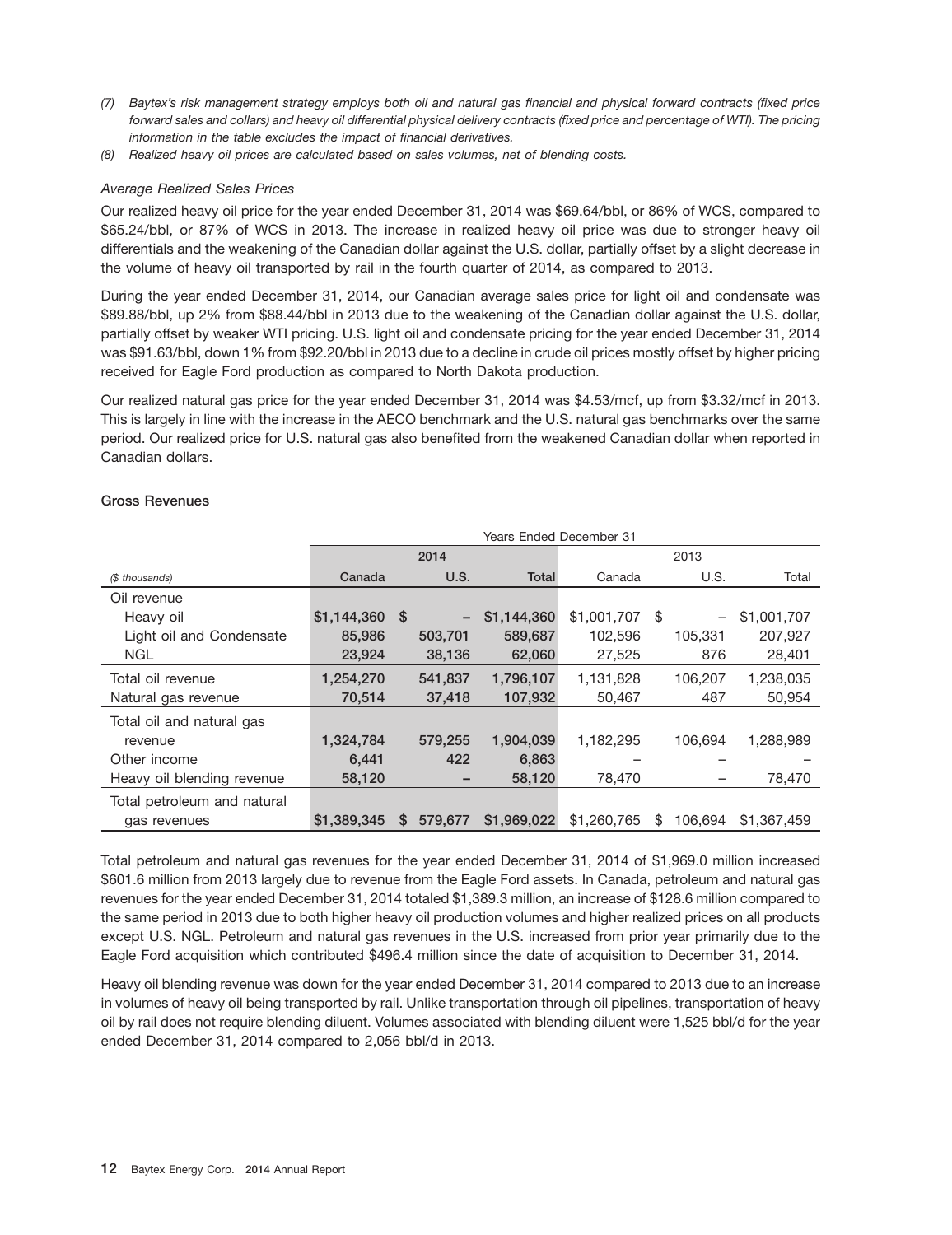- *(7) Baytex's risk management strategy employs both oil and natural gas financial and physical forward contracts (fixed price forward sales and collars) and heavy oil differential physical delivery contracts (fixed price and percentage of WTI). The pricing information in the table excludes the impact of financial derivatives.*
- *(8) Realized heavy oil prices are calculated based on sales volumes, net of blending costs.*

# *Average Realized Sales Prices*

Our realized heavy oil price for the year ended December 31, 2014 was \$69.64/bbl, or 86% of WCS, compared to \$65.24/bbl, or 87% of WCS in 2013. The increase in realized heavy oil price was due to stronger heavy oil differentials and the weakening of the Canadian dollar against the U.S. dollar, partially offset by a slight decrease in the volume of heavy oil transported by rail in the fourth quarter of 2014, as compared to 2013.

During the year ended December 31, 2014, our Canadian average sales price for light oil and condensate was \$89.88/bbl, up 2% from \$88.44/bbl in 2013 due to the weakening of the Canadian dollar against the U.S. dollar, partially offset by weaker WTI pricing. U.S. light oil and condensate pricing for the year ended December 31, 2014 was \$91.63/bbl, down 1% from \$92.20/bbl in 2013 due to a decline in crude oil prices mostly offset by higher pricing received for Eagle Ford production as compared to North Dakota production.

Our realized natural gas price for the year ended December 31, 2014 was \$4.53/mcf, up from \$3.32/mcf in 2013. This is largely in line with the increase in the AECO benchmark and the U.S. natural gas benchmarks over the same period. Our realized price for U.S. natural gas also benefited from the weakened Canadian dollar when reported in Canadian dollars.

## **Gross Revenues**

|                             | <b>Years Ended December 31</b> |              |      |              |             |      |         |             |  |  |  |  |  |
|-----------------------------|--------------------------------|--------------|------|--------------|-------------|------|---------|-------------|--|--|--|--|--|
|                             |                                | 2014         |      |              |             |      | 2013    |             |  |  |  |  |  |
| (\$ thousands)              | Canada                         |              | U.S. | <b>Total</b> | Canada      |      | U.S.    | Total       |  |  |  |  |  |
| Oil revenue                 |                                |              |      |              |             |      |         |             |  |  |  |  |  |
| Heavy oil                   | $$1,144,360$ \$                |              |      | \$1,144,360  | \$1,001,707 | - \$ | -       | \$1,001,707 |  |  |  |  |  |
| Light oil and Condensate    | 85,986                         | 503,701      |      | 589,687      | 102,596     |      | 105,331 | 207,927     |  |  |  |  |  |
| NGL                         | 23,924                         | 38,136       |      | 62,060       | 27,525      |      | 876     | 28,401      |  |  |  |  |  |
| Total oil revenue           | 1,254,270                      | 541,837      |      | 1,796,107    | 1,131,828   |      | 106,207 | 1,238,035   |  |  |  |  |  |
| Natural gas revenue         | 70,514                         | 37,418       |      | 107,932      | 50,467      |      | 487     | 50,954      |  |  |  |  |  |
| Total oil and natural gas   |                                |              |      |              |             |      |         |             |  |  |  |  |  |
| revenue                     | 1,324,784                      | 579.255      |      | 1.904.039    | 1,182,295   |      | 106.694 | 1,288,989   |  |  |  |  |  |
| Other income                | 6,441                          |              | 422  | 6,863        |             |      |         |             |  |  |  |  |  |
| Heavy oil blending revenue  | 58,120                         |              |      | 58,120       | 78,470      |      |         | 78,470      |  |  |  |  |  |
| Total petroleum and natural |                                |              |      |              |             |      |         |             |  |  |  |  |  |
| gas revenues                | \$1,389,345                    | 579.677<br>S |      | \$1,969,022  | \$1,260,765 | \$   | 106.694 | \$1,367,459 |  |  |  |  |  |

Total petroleum and natural gas revenues for the year ended December 31, 2014 of \$1,969.0 million increased \$601.6 million from 2013 largely due to revenue from the Eagle Ford assets. In Canada, petroleum and natural gas revenues for the year ended December 31, 2014 totaled \$1,389.3 million, an increase of \$128.6 million compared to the same period in 2013 due to both higher heavy oil production volumes and higher realized prices on all products except U.S. NGL. Petroleum and natural gas revenues in the U.S. increased from prior year primarily due to the Eagle Ford acquisition which contributed \$496.4 million since the date of acquisition to December 31, 2014.

Heavy oil blending revenue was down for the year ended December 31, 2014 compared to 2013 due to an increase in volumes of heavy oil being transported by rail. Unlike transportation through oil pipelines, transportation of heavy oil by rail does not require blending diluent. Volumes associated with blending diluent were 1,525 bbl/d for the year ended December 31, 2014 compared to 2,056 bbl/d in 2013.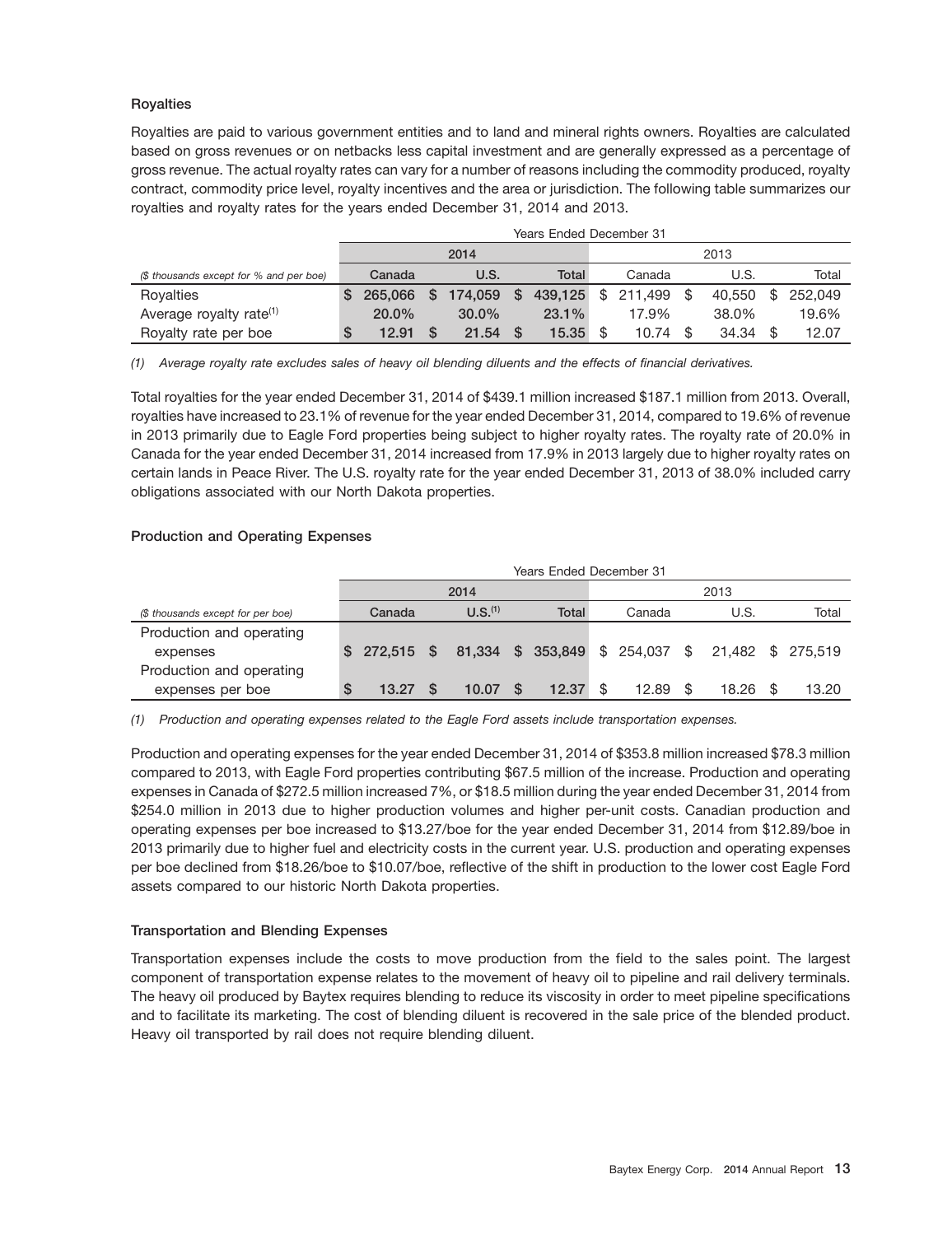# **Royalties**

Royalties are paid to various government entities and to land and mineral rights owners. Royalties are calculated based on gross revenues or on netbacks less capital investment and are generally expressed as a percentage of gross revenue. The actual royalty rates can vary for a number of reasons including the commodity produced, royalty contract, commodity price level, royalty incentives and the area or jurisdiction. The following table summarizes our royalties and royalty rates for the years ended December 31, 2014 and 2013.

|                                         | <b>Years Ended December 31</b> |         |          |            |          |          |      |                    |      |        |      |         |  |
|-----------------------------------------|--------------------------------|---------|----------|------------|----------|----------|------|--------------------|------|--------|------|---------|--|
|                                         |                                |         |          | 2014       |          |          | 2013 |                    |      |        |      |         |  |
| (\$ thousands except for % and per boe) |                                | Canada  |          | U.S.       |          | Total    |      | Canada             |      | U.S.   |      | Total   |  |
| Royalties                               | S                              | 265.066 | <b>S</b> | 174.059 \$ |          |          |      | 439.125 \$ 211.499 | - \$ | 40.550 | - \$ | 252.049 |  |
| Average royalty rate <sup>(1)</sup>     |                                | 20.0%   |          | $30.0\%$   |          | $23.1\%$ |      | 17.9%              |      | 38.0%  |      | 19.6%   |  |
| Royalty rate per boe                    | S                              | 12.91   |          | 21.54      | <b>S</b> | 15.35    |      | 10.74              |      | 34.34  |      | 12.07   |  |

*(1) Average royalty rate excludes sales of heavy oil blending diluents and the effects of financial derivatives.*

Total royalties for the year ended December 31, 2014 of \$439.1 million increased \$187.1 million from 2013. Overall, royalties have increased to 23.1% of revenue for the year ended December 31, 2014, compared to 19.6% of revenue in 2013 primarily due to Eagle Ford properties being subject to higher royalty rates. The royalty rate of 20.0% in Canada for the year ended December 31, 2014 increased from 17.9% in 2013 largely due to higher royalty rates on certain lands in Peace River. The U.S. royalty rate for the year ended December 31, 2013 of 38.0% included carry obligations associated with our North Dakota properties.

# **Production and Operating Expenses**

|                                   |          | Years Ended December 31 |      |                     |      |                                                   |  |        |  |       |  |       |  |  |
|-----------------------------------|----------|-------------------------|------|---------------------|------|---------------------------------------------------|--|--------|--|-------|--|-------|--|--|
|                                   |          |                         | 2014 |                     | 2013 |                                                   |  |        |  |       |  |       |  |  |
| (\$ thousands except for per boe) |          | Canada                  |      | U.S. <sup>(1)</sup> |      | <b>Total</b>                                      |  | Canada |  | U.S.  |  | Total |  |  |
| Production and operating          |          |                         |      |                     |      |                                                   |  |        |  |       |  |       |  |  |
| expenses                          | <b>S</b> | 272.515 \$              |      |                     |      | 81,334 \$ 353,849 \$ 254,037 \$ 21,482 \$ 275,519 |  |        |  |       |  |       |  |  |
| Production and operating          |          |                         |      |                     |      |                                                   |  |        |  |       |  |       |  |  |
| expenses per boe                  | S        | 13.27                   |      | 10.07               |      | 12.37                                             |  | 12.89  |  | 18.26 |  | 13.20 |  |  |

*(1) Production and operating expenses related to the Eagle Ford assets include transportation expenses.*

Production and operating expenses for the year ended December 31, 2014 of \$353.8 million increased \$78.3 million compared to 2013, with Eagle Ford properties contributing \$67.5 million of the increase. Production and operating expenses in Canada of \$272.5 million increased 7%, or \$18.5 million during the year ended December 31, 2014 from \$254.0 million in 2013 due to higher production volumes and higher per-unit costs. Canadian production and operating expenses per boe increased to \$13.27/boe for the year ended December 31, 2014 from \$12.89/boe in 2013 primarily due to higher fuel and electricity costs in the current year. U.S. production and operating expenses per boe declined from \$18.26/boe to \$10.07/boe, reflective of the shift in production to the lower cost Eagle Ford assets compared to our historic North Dakota properties.

# **Transportation and Blending Expenses**

Transportation expenses include the costs to move production from the field to the sales point. The largest component of transportation expense relates to the movement of heavy oil to pipeline and rail delivery terminals. The heavy oil produced by Baytex requires blending to reduce its viscosity in order to meet pipeline specifications and to facilitate its marketing. The cost of blending diluent is recovered in the sale price of the blended product. Heavy oil transported by rail does not require blending diluent.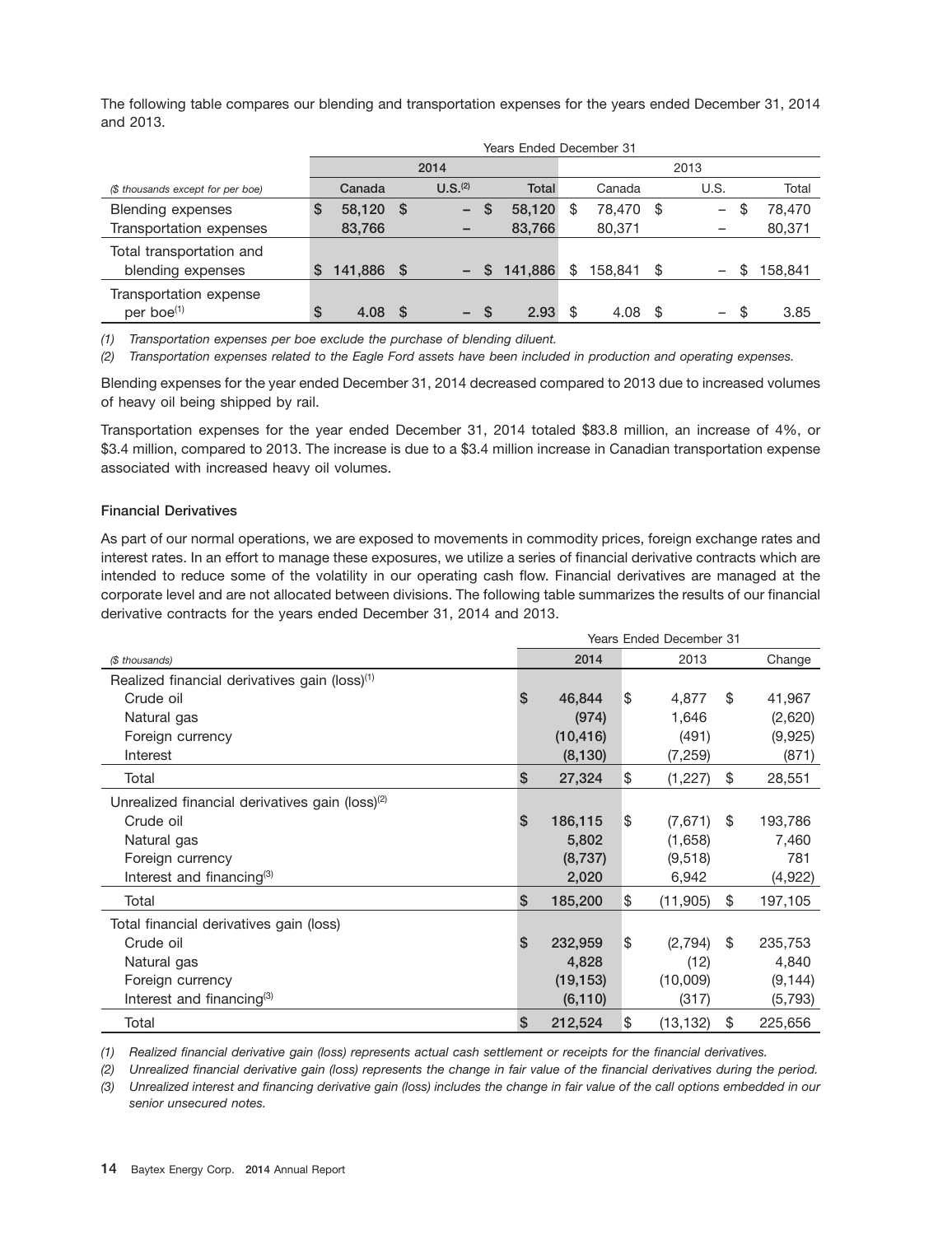The following table compares our blending and transportation expenses for the years ended December 31, 2014 and 2013.

|                                   |    | Years Ended December 31 |          |                     |              |         |   |         |      |                                |         |  |  |
|-----------------------------------|----|-------------------------|----------|---------------------|--------------|---------|---|---------|------|--------------------------------|---------|--|--|
|                                   |    |                         | 2014     |                     |              | 2013    |   |         |      |                                |         |  |  |
| (\$ thousands except for per boe) |    | Canada                  |          | U.S. <sup>(2)</sup> |              | Total   |   | Canada  |      | U.S.                           | Total   |  |  |
| <b>Blending expenses</b>          | S  | 58,120                  | <b>S</b> | $-$                 | <b>S</b>     | 58,120  | S | 78.470  | - \$ | \$<br>$\overline{\phantom{0}}$ | 78.470  |  |  |
| Transportation expenses           |    | 83.766                  |          |                     |              | 83,766  |   | 80.371  |      |                                | 80,371  |  |  |
| Total transportation and          |    |                         |          |                     |              |         |   |         |      |                                |         |  |  |
| blending expenses                 | S  | 141,886                 | S        |                     | <sub>S</sub> | 141,886 | S | 158.841 | \$   | S<br>$\qquad \qquad -$         | 158,841 |  |  |
| Transportation expense            |    |                         |          |                     |              |         |   |         |      |                                |         |  |  |
| per boe <sup>(1)</sup>            | \$ | 4.08                    | <b>S</b> | $-$ \$              |              | 2.93    |   | 4.08    | -\$  | - \$<br>$-$                    | 3.85    |  |  |

*(1) Transportation expenses per boe exclude the purchase of blending diluent.*

*(2) Transportation expenses related to the Eagle Ford assets have been included in production and operating expenses.*

Blending expenses for the year ended December 31, 2014 decreased compared to 2013 due to increased volumes of heavy oil being shipped by rail.

Transportation expenses for the year ended December 31, 2014 totaled \$83.8 million, an increase of 4%, or \$3.4 million, compared to 2013. The increase is due to a \$3.4 million increase in Canadian transportation expense associated with increased heavy oil volumes.

#### **Financial Derivatives**

As part of our normal operations, we are exposed to movements in commodity prices, foreign exchange rates and interest rates. In an effort to manage these exposures, we utilize a series of financial derivative contracts which are intended to reduce some of the volatility in our operating cash flow. Financial derivatives are managed at the corporate level and are not allocated between divisions. The following table summarizes the results of our financial derivative contracts for the years ended December 31, 2014 and 2013.

|                                                             |                | <b>Years Ended December 31</b> |     |           |    |          |  |  |  |  |
|-------------------------------------------------------------|----------------|--------------------------------|-----|-----------|----|----------|--|--|--|--|
| (\$ thousands)                                              |                | 2014                           |     | 2013      |    | Change   |  |  |  |  |
| Realized financial derivatives gain (loss) <sup>(1)</sup>   |                |                                |     |           |    |          |  |  |  |  |
| Crude oil                                                   | \$             | 46,844                         | Ι\$ | 4,877     | \$ | 41,967   |  |  |  |  |
| Natural gas                                                 |                | (974)                          |     | 1,646     |    | (2,620)  |  |  |  |  |
| Foreign currency                                            |                | (10, 416)                      |     | (491)     |    | (9,925)  |  |  |  |  |
| Interest                                                    |                | (8, 130)                       |     | (7,259)   |    | (871)    |  |  |  |  |
| Total                                                       | \$             | 27,324                         | \$  | (1, 227)  | \$ | 28,551   |  |  |  |  |
| Unrealized financial derivatives gain (loss) <sup>(2)</sup> |                |                                |     |           |    |          |  |  |  |  |
| Crude oil                                                   | $\mathbf{s}$   | 186,115                        | Ι\$ | (7,671)   | \$ | 193,786  |  |  |  |  |
| Natural gas                                                 |                | 5,802                          |     | (1,658)   |    | 7,460    |  |  |  |  |
| Foreign currency                                            |                | (8,737)                        |     | (9,518)   |    | 781      |  |  |  |  |
| Interest and financing $(3)$                                |                | 2,020                          |     | 6,942     |    | (4,922)  |  |  |  |  |
| Total                                                       | $\mathfrak{s}$ | 185,200                        | \$  | (11,905)  | \$ | 197,105  |  |  |  |  |
| Total financial derivatives gain (loss)                     |                |                                |     |           |    |          |  |  |  |  |
| Crude oil                                                   | $\mathbf{s}$   | 232,959                        | Ι\$ | (2,794)   | \$ | 235,753  |  |  |  |  |
| Natural gas                                                 |                | 4,828                          |     | (12)      |    | 4,840    |  |  |  |  |
| Foreign currency                                            |                | (19, 153)                      |     | (10,009)  |    | (9, 144) |  |  |  |  |
| Interest and financing $(3)$                                |                | (6, 110)                       |     | (317)     |    | (5,793)  |  |  |  |  |
| Total                                                       | \$             | 212,524                        | \$  | (13, 132) | \$ | 225,656  |  |  |  |  |

*(1) Realized financial derivative gain (loss) represents actual cash settlement or receipts for the financial derivatives.*

*(2) Unrealized financial derivative gain (loss) represents the change in fair value of the financial derivatives during the period. (3) Unrealized interest and financing derivative gain (loss) includes the change in fair value of the call options embedded in our senior unsecured notes.*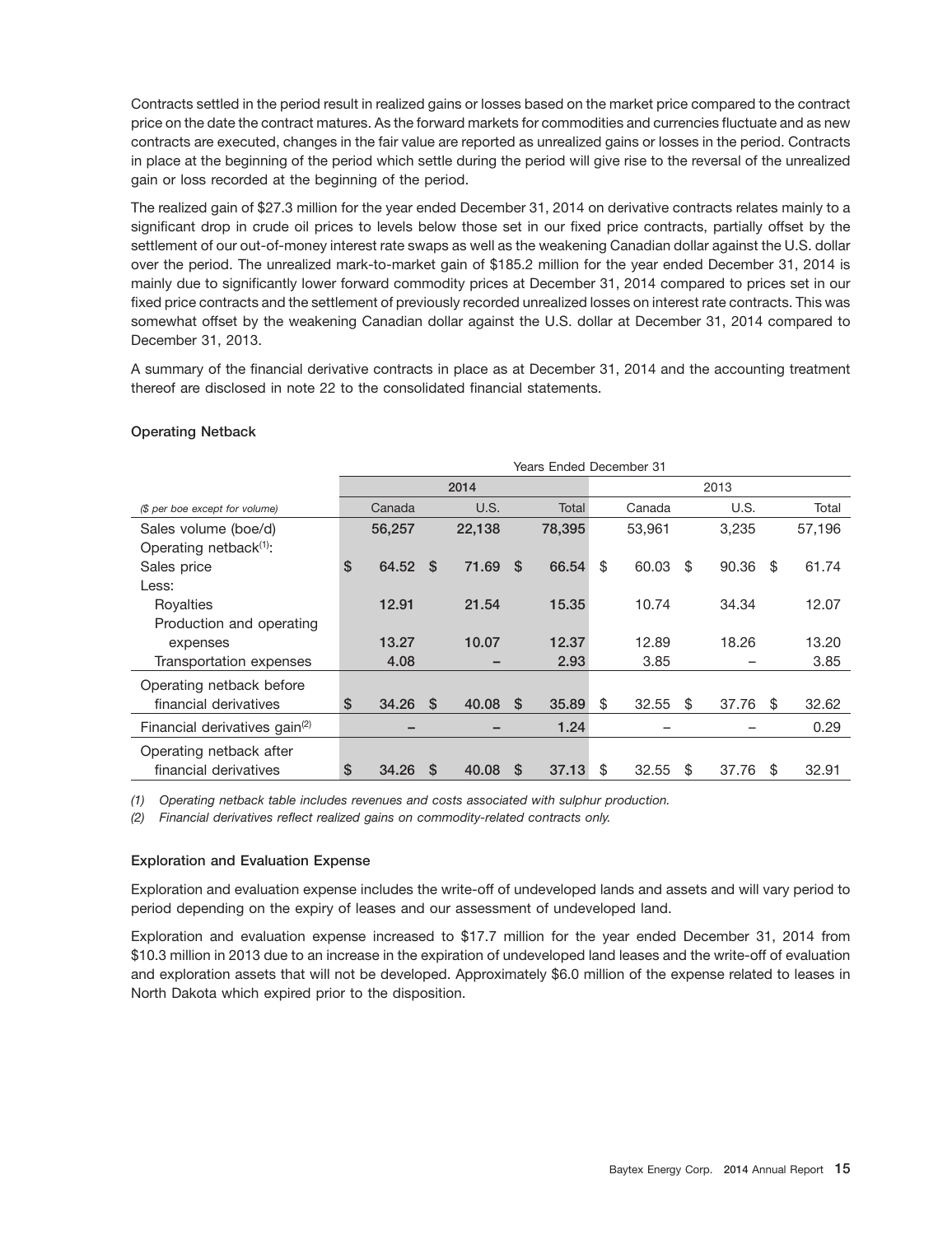Contracts settled in the period result in realized gains or losses based on the market price compared to the contract price on the date the contract matures. As the forward markets for commodities and currencies fluctuate and as new contracts are executed, changes in the fair value are reported as unrealized gains or losses in the period. Contracts in place at the beginning of the period which settle during the period will give rise to the reversal of the unrealized gain or loss recorded at the beginning of the period.

The realized gain of \$27.3 million for the year ended December 31, 2014 on derivative contracts relates mainly to a significant drop in crude oil prices to levels below those set in our fixed price contracts, partially offset by the settlement of our out-of-money interest rate swaps as well as the weakening Canadian dollar against the U.S. dollar over the period. The unrealized mark-to-market gain of \$185.2 million for the year ended December 31, 2014 is mainly due to significantly lower forward commodity prices at December 31, 2014 compared to prices set in our fixed price contracts and the settlement of previously recorded unrealized losses on interest rate contracts. This was somewhat offset by the weakening Canadian dollar against the U.S. dollar at December 31, 2014 compared to December 31, 2013.

A summary of the financial derivative contracts in place as at December 31, 2014 and the accounting treatment thereof are disclosed in note 22 to the consolidated financial statements.

# **Operating Netback**

|                                           | <b>Years Ended December 31</b> |          |        |          |        |      |        |    |       |     |        |  |
|-------------------------------------------|--------------------------------|----------|--------|----------|--------|------|--------|----|-------|-----|--------|--|
|                                           |                                |          | 2014   |          |        | 2013 |        |    |       |     |        |  |
| (\$ per boe except for volume)            | Canada                         |          | U.S.   |          | Total  |      | Canada |    | U.S.  |     | Total  |  |
| Sales volume (boe/d)                      | 56,257                         |          | 22,138 |          | 78.395 |      | 53,961 |    | 3.235 |     | 57,196 |  |
| Operating netback <sup>(1)</sup> :        |                                |          |        |          |        |      |        |    |       |     |        |  |
| Sales price                               | \$<br>64.52                    | \$       | 71.69  | -S       | 66.54  | \$   | 60.03  | \$ | 90.36 | -\$ | 61.74  |  |
| Less:                                     |                                |          |        |          |        |      |        |    |       |     |        |  |
| Rovalties                                 | 12.91                          |          | 21.54  |          | 15.35  |      | 10.74  |    | 34.34 |     | 12.07  |  |
| Production and operating                  |                                |          |        |          |        |      |        |    |       |     |        |  |
| expenses                                  | 13.27                          |          | 10.07  |          | 12.37  |      | 12.89  |    | 18.26 |     | 13.20  |  |
| Transportation expenses                   | 4.08                           |          |        |          | 2.93   |      | 3.85   |    |       |     | 3.85   |  |
| Operating netback before                  |                                |          |        |          |        |      |        |    |       |     |        |  |
| financial derivatives                     | \$<br>34.26                    | <b>S</b> | 40.08  | <b>S</b> | 35.89  | \$   | 32.55  | \$ | 37.76 | -S  | 32.62  |  |
| Financial derivatives gain <sup>(2)</sup> |                                |          |        |          | 1.24   |      |        |    |       |     | 0.29   |  |
| Operating netback after                   |                                |          |        |          |        |      |        |    |       |     |        |  |
| financial derivatives                     | \$<br>34.26                    | S        | 40.08  | S        | 37.13  | \$   | 32.55  | \$ | 37.76 | S   | 32.91  |  |

*(1) Operating netback table includes revenues and costs associated with sulphur production.*

*(2) Financial derivatives reflect realized gains on commodity-related contracts only.*

## **Exploration and Evaluation Expense**

Exploration and evaluation expense includes the write-off of undeveloped lands and assets and will vary period to period depending on the expiry of leases and our assessment of undeveloped land.

Exploration and evaluation expense increased to \$17.7 million for the year ended December 31, 2014 from \$10.3 million in 2013 due to an increase in the expiration of undeveloped land leases and the write-off of evaluation and exploration assets that will not be developed. Approximately \$6.0 million of the expense related to leases in North Dakota which expired prior to the disposition.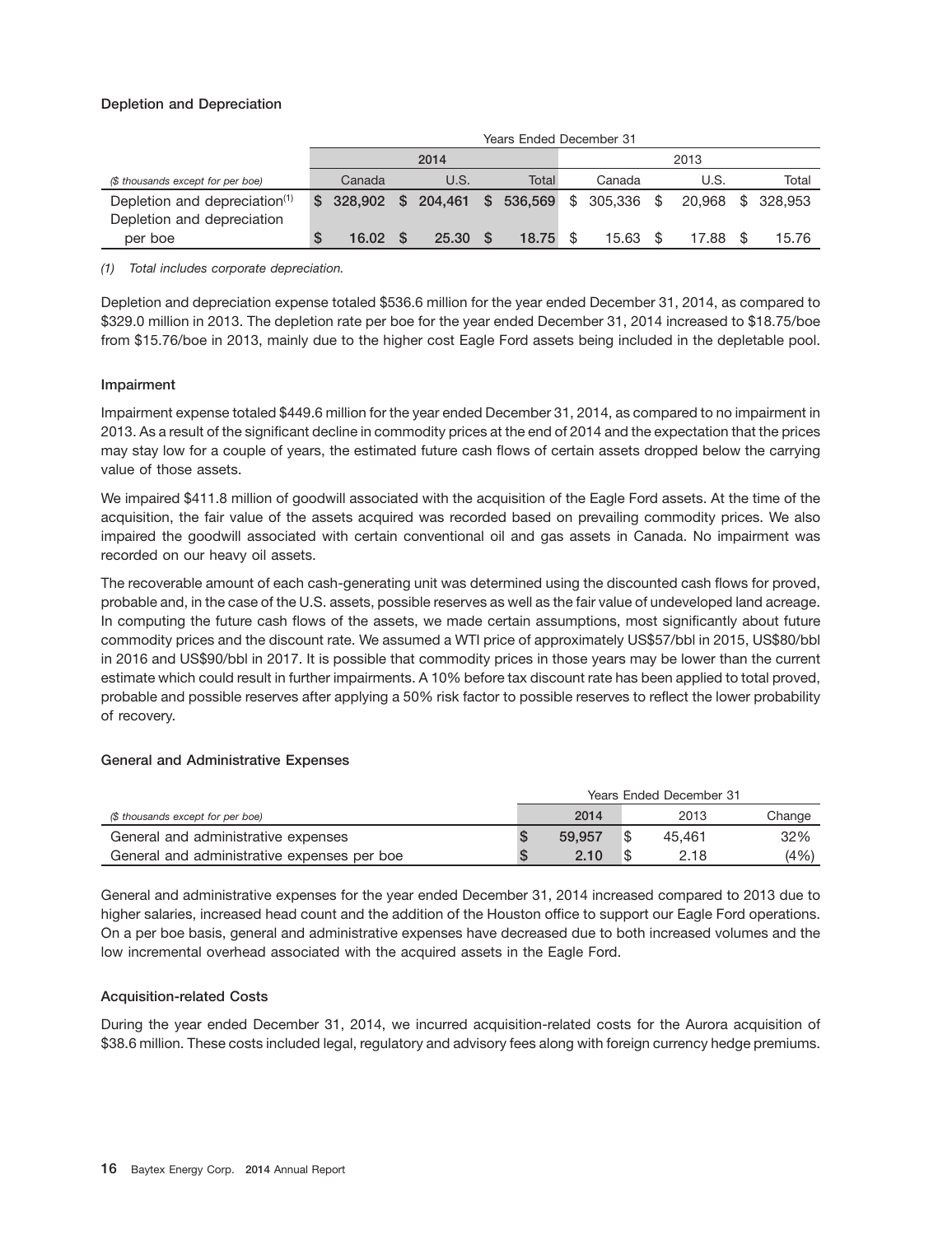# **Depletion and Depreciation**

|                                           | Years Ended December 31 |      |                                                |      |       |  |        |      |       |  |                   |  |
|-------------------------------------------|-------------------------|------|------------------------------------------------|------|-------|--|--------|------|-------|--|-------------------|--|
|                                           |                         | 2014 |                                                | 2013 |       |  |        |      |       |  |                   |  |
| (\$ thousands except for per boe)         | Canada                  |      | U.S.                                           |      | Total |  | Canada |      | U.S.  |  | Total             |  |
| Depletion and depreciation <sup>(1)</sup> |                         |      | $$328,902$ \$ 204,461 \$ 536,569 \$ 305,336 \$ |      |       |  |        |      |       |  | 20.968 \$ 328.953 |  |
| Depletion and depreciation                |                         |      |                                                |      |       |  |        |      |       |  |                   |  |
| per boe                                   | 16.02                   |      | 25.30                                          |      | 18.75 |  | 15.63  | - \$ | 17.88 |  | 15.76             |  |

*(1) Total includes corporate depreciation.*

Depletion and depreciation expense totaled \$536.6 million for the year ended December 31, 2014, as compared to \$329.0 million in 2013. The depletion rate per boe for the year ended December 31, 2014 increased to \$18.75/boe from \$15.76/boe in 2013, mainly due to the higher cost Eagle Ford assets being included in the depletable pool.

## **Impairment**

Impairment expense totaled \$449.6 million for the year ended December 31, 2014, as compared to no impairment in 2013. As a result of the significant decline in commodity prices at the end of 2014 and the expectation that the prices may stay low for a couple of years, the estimated future cash flows of certain assets dropped below the carrying value of those assets.

We impaired \$411.8 million of goodwill associated with the acquisition of the Eagle Ford assets. At the time of the acquisition, the fair value of the assets acquired was recorded based on prevailing commodity prices. We also impaired the goodwill associated with certain conventional oil and gas assets in Canada. No impairment was recorded on our heavy oil assets.

The recoverable amount of each cash-generating unit was determined using the discounted cash flows for proved, probable and, in the case of the U.S. assets, possible reserves as well as the fair value of undeveloped land acreage. In computing the future cash flows of the assets, we made certain assumptions, most significantly about future commodity prices and the discount rate. We assumed a WTI price of approximately US\$57/bbl in 2015, US\$80/bbl in 2016 and US\$90/bbl in 2017. It is possible that commodity prices in those years may be lower than the current estimate which could result in further impairments. A 10% before tax discount rate has been applied to total proved, probable and possible reserves after applying a 50% risk factor to possible reserves to reflect the lower probability of recovery.

## **General and Administrative Expenses**

|                                             | Years Ended December 31 |   |        |        |  |  |
|---------------------------------------------|-------------------------|---|--------|--------|--|--|
| (\$ thousands except for per boe)           | 2014                    |   | 2013   | Change |  |  |
| General and administrative expenses         | 59.957                  | S | 45.461 | 32%    |  |  |
| General and administrative expenses per boe | 2.10                    |   | 2.18   | (4% )  |  |  |

General and administrative expenses for the year ended December 31, 2014 increased compared to 2013 due to higher salaries, increased head count and the addition of the Houston office to support our Eagle Ford operations. On a per boe basis, general and administrative expenses have decreased due to both increased volumes and the low incremental overhead associated with the acquired assets in the Eagle Ford.

## **Acquisition-related Costs**

During the year ended December 31, 2014, we incurred acquisition-related costs for the Aurora acquisition of \$38.6 million. These costs included legal, regulatory and advisory fees along with foreign currency hedge premiums.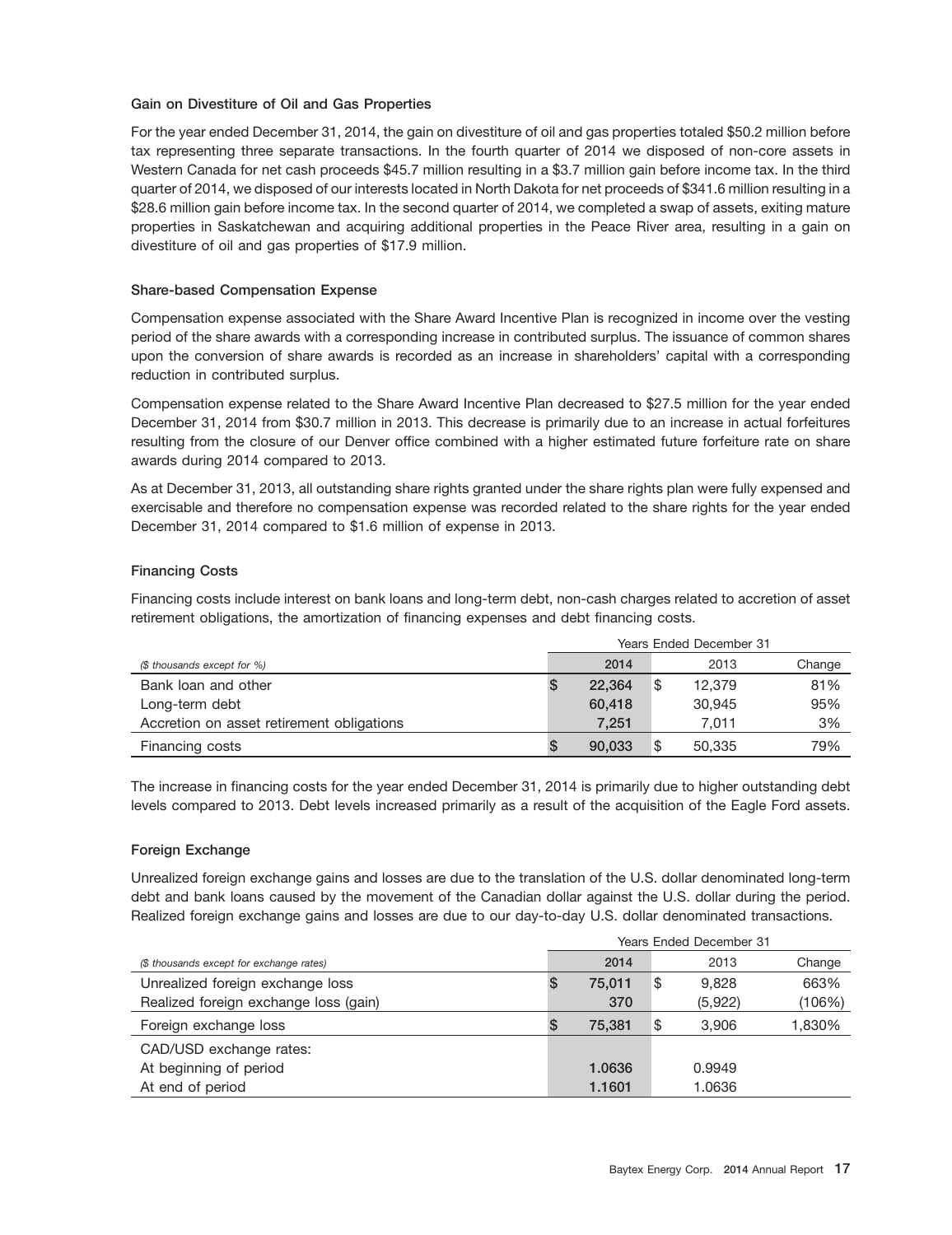#### **Gain on Divestiture of Oil and Gas Properties**

For the year ended December 31, 2014, the gain on divestiture of oil and gas properties totaled \$50.2 million before tax representing three separate transactions. In the fourth quarter of 2014 we disposed of non-core assets in Western Canada for net cash proceeds \$45.7 million resulting in a \$3.7 million gain before income tax. In the third quarter of 2014, we disposed of our interests located in North Dakota for net proceeds of \$341.6 million resulting in a \$28.6 million gain before income tax. In the second quarter of 2014, we completed a swap of assets, exiting mature properties in Saskatchewan and acquiring additional properties in the Peace River area, resulting in a gain on divestiture of oil and gas properties of \$17.9 million.

#### **Share-based Compensation Expense**

Compensation expense associated with the Share Award Incentive Plan is recognized in income over the vesting period of the share awards with a corresponding increase in contributed surplus. The issuance of common shares upon the conversion of share awards is recorded as an increase in shareholders' capital with a corresponding reduction in contributed surplus.

Compensation expense related to the Share Award Incentive Plan decreased to \$27.5 million for the year ended December 31, 2014 from \$30.7 million in 2013. This decrease is primarily due to an increase in actual forfeitures resulting from the closure of our Denver office combined with a higher estimated future forfeiture rate on share awards during 2014 compared to 2013.

As at December 31, 2013, all outstanding share rights granted under the share rights plan were fully expensed and exercisable and therefore no compensation expense was recorded related to the share rights for the year ended December 31, 2014 compared to \$1.6 million of expense in 2013.

#### **Financing Costs**

Financing costs include interest on bank loans and long-term debt, non-cash charges related to accretion of asset retirement obligations, the amortization of financing expenses and debt financing costs.

|                                           | Years Ended December 31 |   |        |        |  |  |
|-------------------------------------------|-------------------------|---|--------|--------|--|--|
| (\$ thousands except for %)               | 2014                    |   | 2013   | Change |  |  |
| Bank loan and other                       | 22.364                  | S | 12.379 | 81%    |  |  |
| Long-term debt                            | 60,418                  |   | 30.945 | 95%    |  |  |
| Accretion on asset retirement obligations | 7.251                   |   | 7.011  | 3%     |  |  |
| Financing costs                           | 90,033                  | S | 50,335 | 79%    |  |  |

The increase in financing costs for the year ended December 31, 2014 is primarily due to higher outstanding debt levels compared to 2013. Debt levels increased primarily as a result of the acquisition of the Eagle Ford assets.

#### **Foreign Exchange**

Unrealized foreign exchange gains and losses are due to the translation of the U.S. dollar denominated long-term debt and bank loans caused by the movement of the Canadian dollar against the U.S. dollar during the period. Realized foreign exchange gains and losses are due to our day-to-day U.S. dollar denominated transactions.

|                                          | <b>Years Ended December 31</b> |        |    |         |        |  |
|------------------------------------------|--------------------------------|--------|----|---------|--------|--|
| (\$ thousands except for exchange rates) |                                | 2014   |    | 2013    | Change |  |
| Unrealized foreign exchange loss         |                                | 75.011 | \$ | 9.828   | 663%   |  |
| Realized foreign exchange loss (gain)    |                                | 370    |    | (5,922) | (106%) |  |
| Foreign exchange loss                    |                                | 75.381 | \$ | 3.906   | 1,830% |  |
| CAD/USD exchange rates:                  |                                |        |    |         |        |  |
| At beginning of period                   |                                | 1.0636 |    | 0.9949  |        |  |
| At end of period                         |                                | 1.1601 |    | 1.0636  |        |  |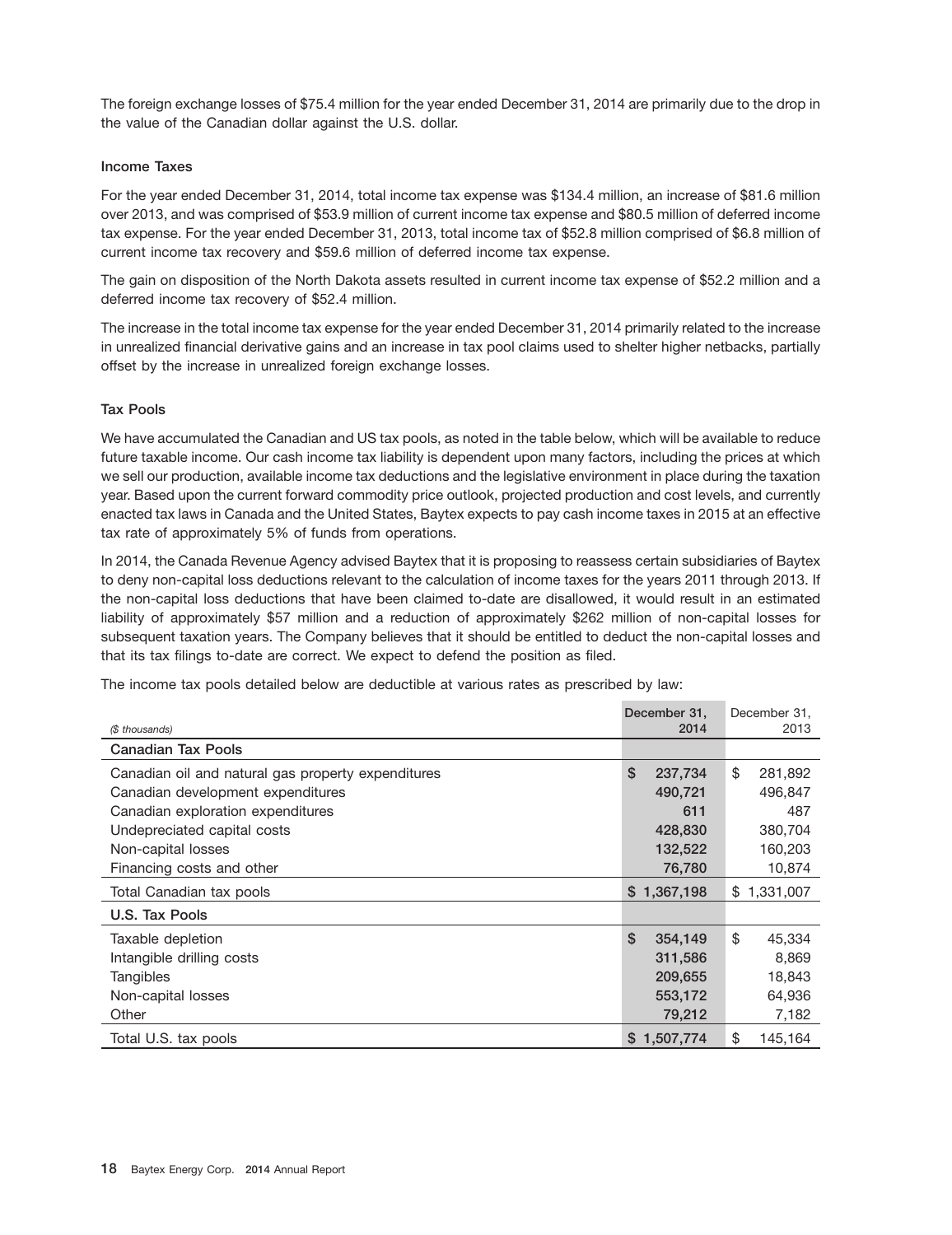The foreign exchange losses of \$75.4 million for the year ended December 31, 2014 are primarily due to the drop in the value of the Canadian dollar against the U.S. dollar.

## **Income Taxes**

For the year ended December 31, 2014, total income tax expense was \$134.4 million, an increase of \$81.6 million over 2013, and was comprised of \$53.9 million of current income tax expense and \$80.5 million of deferred income tax expense. For the year ended December 31, 2013, total income tax of \$52.8 million comprised of \$6.8 million of current income tax recovery and \$59.6 million of deferred income tax expense.

The gain on disposition of the North Dakota assets resulted in current income tax expense of \$52.2 million and a deferred income tax recovery of \$52.4 million.

The increase in the total income tax expense for the year ended December 31, 2014 primarily related to the increase in unrealized financial derivative gains and an increase in tax pool claims used to shelter higher netbacks, partially offset by the increase in unrealized foreign exchange losses.

## **Tax Pools**

We have accumulated the Canadian and US tax pools, as noted in the table below, which will be available to reduce future taxable income. Our cash income tax liability is dependent upon many factors, including the prices at which we sell our production, available income tax deductions and the legislative environment in place during the taxation year. Based upon the current forward commodity price outlook, projected production and cost levels, and currently enacted tax laws in Canada and the United States, Baytex expects to pay cash income taxes in 2015 at an effective tax rate of approximately 5% of funds from operations.

In 2014, the Canada Revenue Agency advised Baytex that it is proposing to reassess certain subsidiaries of Baytex to deny non-capital loss deductions relevant to the calculation of income taxes for the years 2011 through 2013. If the non-capital loss deductions that have been claimed to-date are disallowed, it would result in an estimated liability of approximately \$57 million and a reduction of approximately \$262 million of non-capital losses for subsequent taxation years. The Company believes that it should be entitled to deduct the non-capital losses and that its tax filings to-date are correct. We expect to defend the position as filed.

The income tax pools detailed below are deductible at various rates as prescribed by law:

|                                                    | December 31.  | December 31.  |
|----------------------------------------------------|---------------|---------------|
| (\$ thousands)                                     | 2014          | 2013          |
| <b>Canadian Tax Pools</b>                          |               |               |
| Canadian oil and natural gas property expenditures | \$<br>237,734 | \$<br>281,892 |
| Canadian development expenditures                  | 490,721       | 496,847       |
| Canadian exploration expenditures                  | 611           | 487           |
| Undepreciated capital costs                        | 428,830       | 380,704       |
| Non-capital losses                                 | 132,522       | 160,203       |
| Financing costs and other                          | 76,780        | 10,874        |
| Total Canadian tax pools                           | \$1,367,198   | \$1,331,007   |
| U.S. Tax Pools                                     |               |               |
| Taxable depletion                                  | \$<br>354,149 | \$<br>45,334  |
| Intangible drilling costs                          | 311,586       | 8,869         |
| Tangibles                                          | 209,655       | 18,843        |
| Non-capital losses                                 | 553,172       | 64,936        |
| Other                                              | 79,212        | 7,182         |
| Total U.S. tax pools                               | \$1,507,774   | \$<br>145,164 |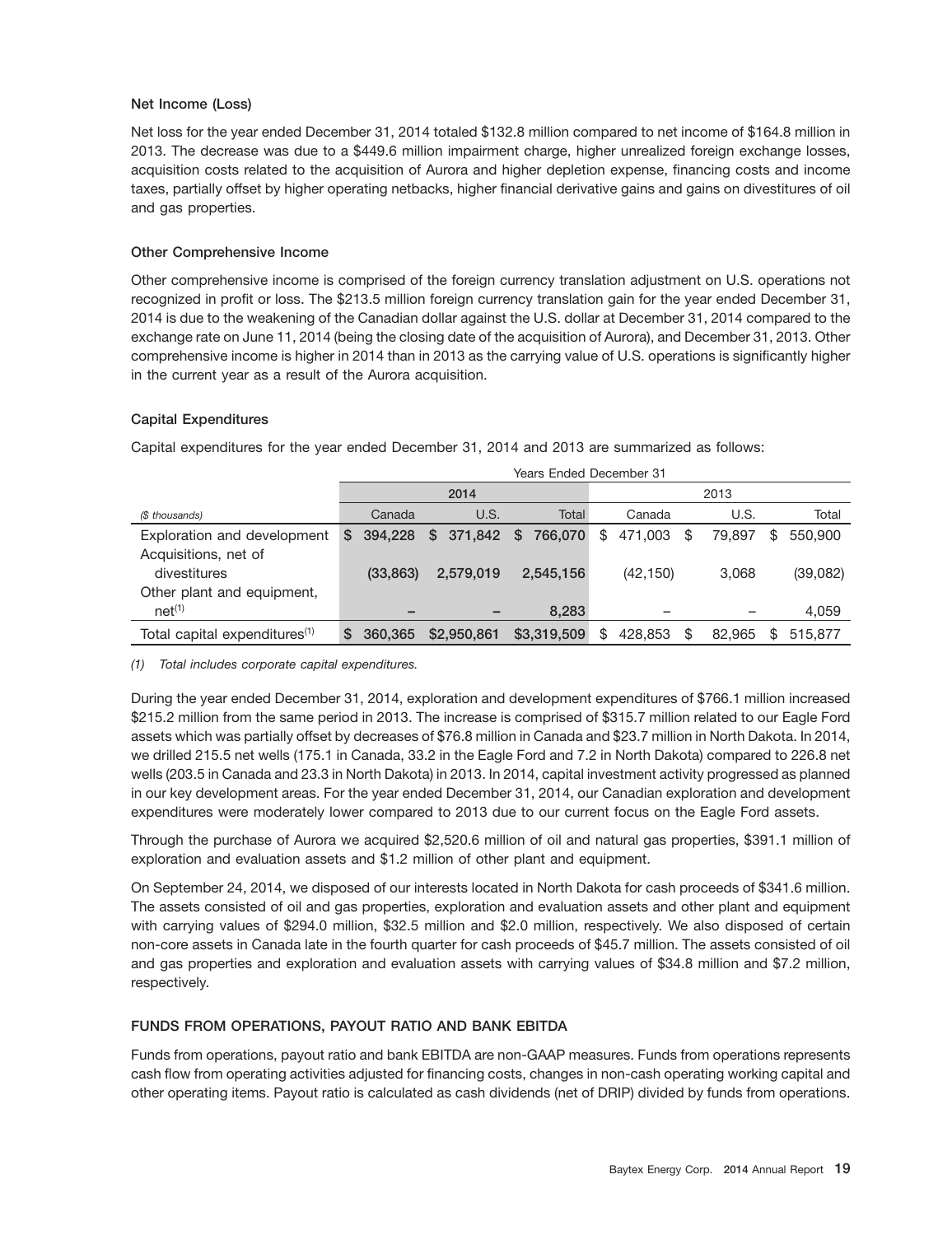## **Net Income (Loss)**

Net loss for the year ended December 31, 2014 totaled \$132.8 million compared to net income of \$164.8 million in 2013. The decrease was due to a \$449.6 million impairment charge, higher unrealized foreign exchange losses, acquisition costs related to the acquisition of Aurora and higher depletion expense, financing costs and income taxes, partially offset by higher operating netbacks, higher financial derivative gains and gains on divestitures of oil and gas properties.

# **Other Comprehensive Income**

Other comprehensive income is comprised of the foreign currency translation adjustment on U.S. operations not recognized in profit or loss. The \$213.5 million foreign currency translation gain for the year ended December 31, 2014 is due to the weakening of the Canadian dollar against the U.S. dollar at December 31, 2014 compared to the exchange rate on June 11, 2014 (being the closing date of the acquisition of Aurora), and December 31, 2013. Other comprehensive income is higher in 2014 than in 2013 as the carrying value of U.S. operations is significantly higher in the current year as a result of the Aurora acquisition.

# **Capital Expenditures**

Capital expenditures for the year ended December 31, 2014 and 2013 are summarized as follows:

|                                           |    | Years Ended December 31 |                       |  |             |    |           |              |               |
|-------------------------------------------|----|-------------------------|-----------------------|--|-------------|----|-----------|--------------|---------------|
|                                           |    |                         | 2014                  |  |             |    |           | 2013         |               |
| (\$ thousands)                            |    | Canada                  | U.S.                  |  | Total       |    | Canada    | U.S.         | Total         |
| Exploration and development               | \$ | 394.228                 | \$ 371,842 \$ 766,070 |  |             | \$ | 471.003   | \$<br>79.897 | \$<br>550,900 |
| Acquisitions, net of                      |    |                         |                       |  |             |    |           |              |               |
| divestitures                              |    | (33, 863)               | 2,579,019             |  | 2.545.156   |    | (42, 150) | 3.068        | (39,082)      |
| Other plant and equipment,                |    |                         |                       |  |             |    |           |              |               |
| net <sup>(1)</sup>                        |    |                         |                       |  | 8,283       |    |           |              | 4,059         |
| Total capital expenditures <sup>(1)</sup> | S  | 360,365                 | \$2,950,861           |  | \$3,319,509 | \$ | 428.853   | \$<br>82.965 | 515.877       |

*(1) Total includes corporate capital expenditures.*

During the year ended December 31, 2014, exploration and development expenditures of \$766.1 million increased \$215.2 million from the same period in 2013. The increase is comprised of \$315.7 million related to our Eagle Ford assets which was partially offset by decreases of \$76.8 million in Canada and \$23.7 million in North Dakota. In 2014, we drilled 215.5 net wells (175.1 in Canada, 33.2 in the Eagle Ford and 7.2 in North Dakota) compared to 226.8 net wells (203.5 in Canada and 23.3 in North Dakota) in 2013. In 2014, capital investment activity progressed as planned in our key development areas. For the year ended December 31, 2014, our Canadian exploration and development expenditures were moderately lower compared to 2013 due to our current focus on the Eagle Ford assets.

Through the purchase of Aurora we acquired \$2,520.6 million of oil and natural gas properties, \$391.1 million of exploration and evaluation assets and \$1.2 million of other plant and equipment.

On September 24, 2014, we disposed of our interests located in North Dakota for cash proceeds of \$341.6 million. The assets consisted of oil and gas properties, exploration and evaluation assets and other plant and equipment with carrying values of \$294.0 million, \$32.5 million and \$2.0 million, respectively. We also disposed of certain non-core assets in Canada late in the fourth quarter for cash proceeds of \$45.7 million. The assets consisted of oil and gas properties and exploration and evaluation assets with carrying values of \$34.8 million and \$7.2 million, respectively.

# **FUNDS FROM OPERATIONS, PAYOUT RATIO AND BANK EBITDA**

Funds from operations, payout ratio and bank EBITDA are non-GAAP measures. Funds from operations represents cash flow from operating activities adjusted for financing costs, changes in non-cash operating working capital and other operating items. Payout ratio is calculated as cash dividends (net of DRIP) divided by funds from operations.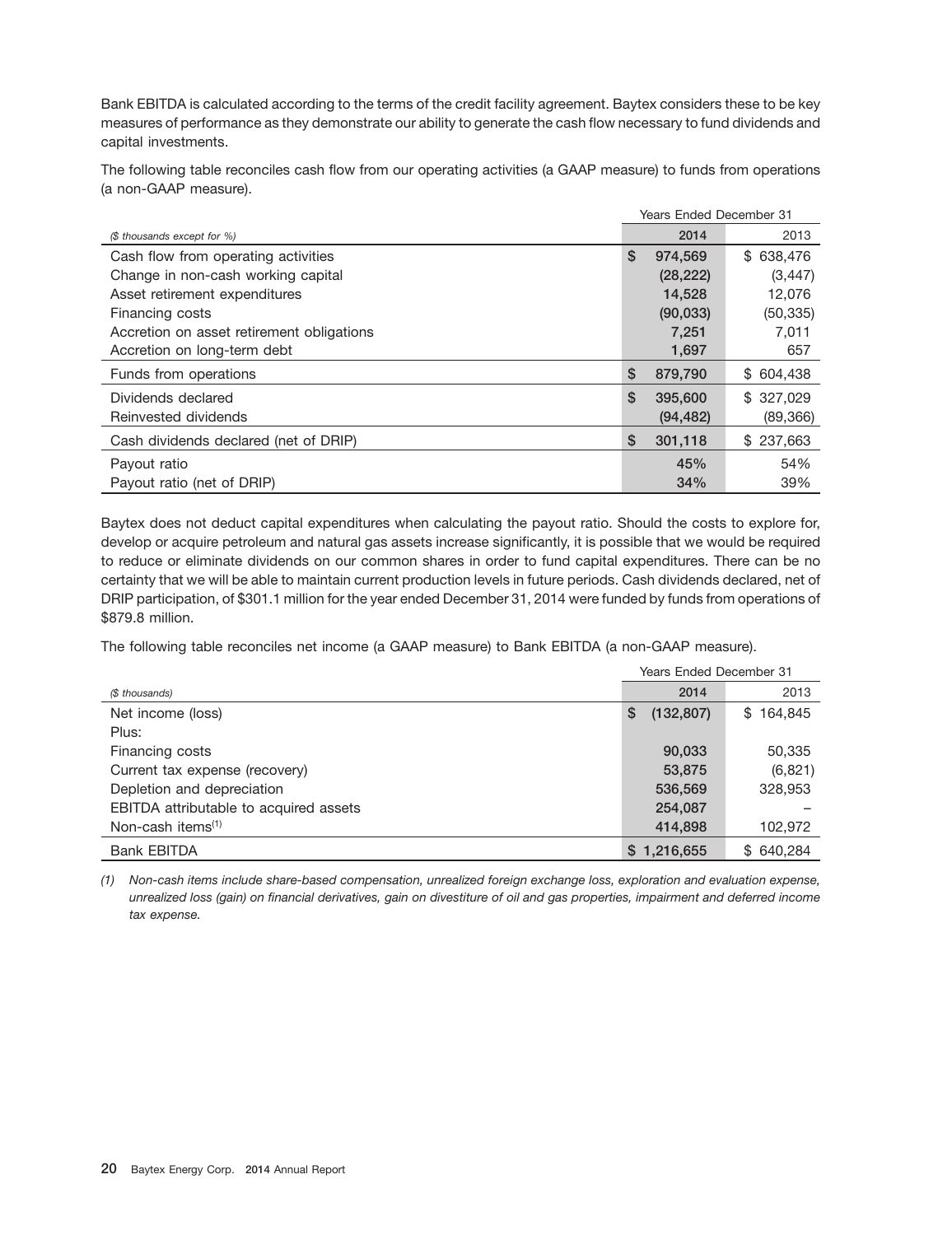Bank EBITDA is calculated according to the terms of the credit facility agreement. Baytex considers these to be key measures of performance as they demonstrate our ability to generate the cash flow necessary to fund dividends and capital investments.

The following table reconciles cash flow from our operating activities (a GAAP measure) to funds from operations (a non-GAAP measure).

|                                           | <b>Years Ended December 31</b> |           |            |  |
|-------------------------------------------|--------------------------------|-----------|------------|--|
| (\$ thousands except for %)               |                                | 2014      | 2013       |  |
| Cash flow from operating activities       | \$                             | 974,569   | \$ 638,476 |  |
| Change in non-cash working capital        |                                | (28, 222) | (3, 447)   |  |
| Asset retirement expenditures             |                                | 14,528    | 12,076     |  |
| Financing costs                           |                                | (90, 033) | (50, 335)  |  |
| Accretion on asset retirement obligations |                                | 7,251     | 7,011      |  |
| Accretion on long-term debt               |                                | 1,697     | 657        |  |
| Funds from operations                     | \$                             | 879,790   | \$ 604,438 |  |
| Dividends declared                        | \$                             | 395,600   | \$327.029  |  |
| Reinvested dividends                      |                                | (94, 482) | (89, 366)  |  |
| Cash dividends declared (net of DRIP)     | \$                             | 301,118   | \$237,663  |  |
| Payout ratio                              |                                | 45%       | 54%        |  |
| Payout ratio (net of DRIP)                |                                | 34%       | 39%        |  |

Baytex does not deduct capital expenditures when calculating the payout ratio. Should the costs to explore for, develop or acquire petroleum and natural gas assets increase significantly, it is possible that we would be required to reduce or eliminate dividends on our common shares in order to fund capital expenditures. There can be no certainty that we will be able to maintain current production levels in future periods. Cash dividends declared, net of DRIP participation, of \$301.1 million for the year ended December 31, 2014 were funded by funds from operations of \$879.8 million.

The following table reconciles net income (a GAAP measure) to Bank EBITDA (a non-GAAP measure).

|                                        | <b>Years Ended December 31</b> |           |  |  |
|----------------------------------------|--------------------------------|-----------|--|--|
| (\$ thousands)                         | 2014                           | 2013      |  |  |
| Net income (loss)                      | (132, 807)<br>\$               | \$164,845 |  |  |
| Plus:                                  |                                |           |  |  |
| Financing costs                        | 90,033                         | 50,335    |  |  |
| Current tax expense (recovery)         | 53,875                         | (6, 821)  |  |  |
| Depletion and depreciation             | 536,569                        | 328,953   |  |  |
| EBITDA attributable to acquired assets | 254,087                        |           |  |  |
| Non-cash items <sup>(1)</sup>          | 414,898                        | 102,972   |  |  |
| <b>Bank EBITDA</b>                     | \$1,216,655                    | \$640.284 |  |  |

*(1) Non-cash items include share-based compensation, unrealized foreign exchange loss, exploration and evaluation expense, unrealized loss (gain) on financial derivatives, gain on divestiture of oil and gas properties, impairment and deferred income tax expense.*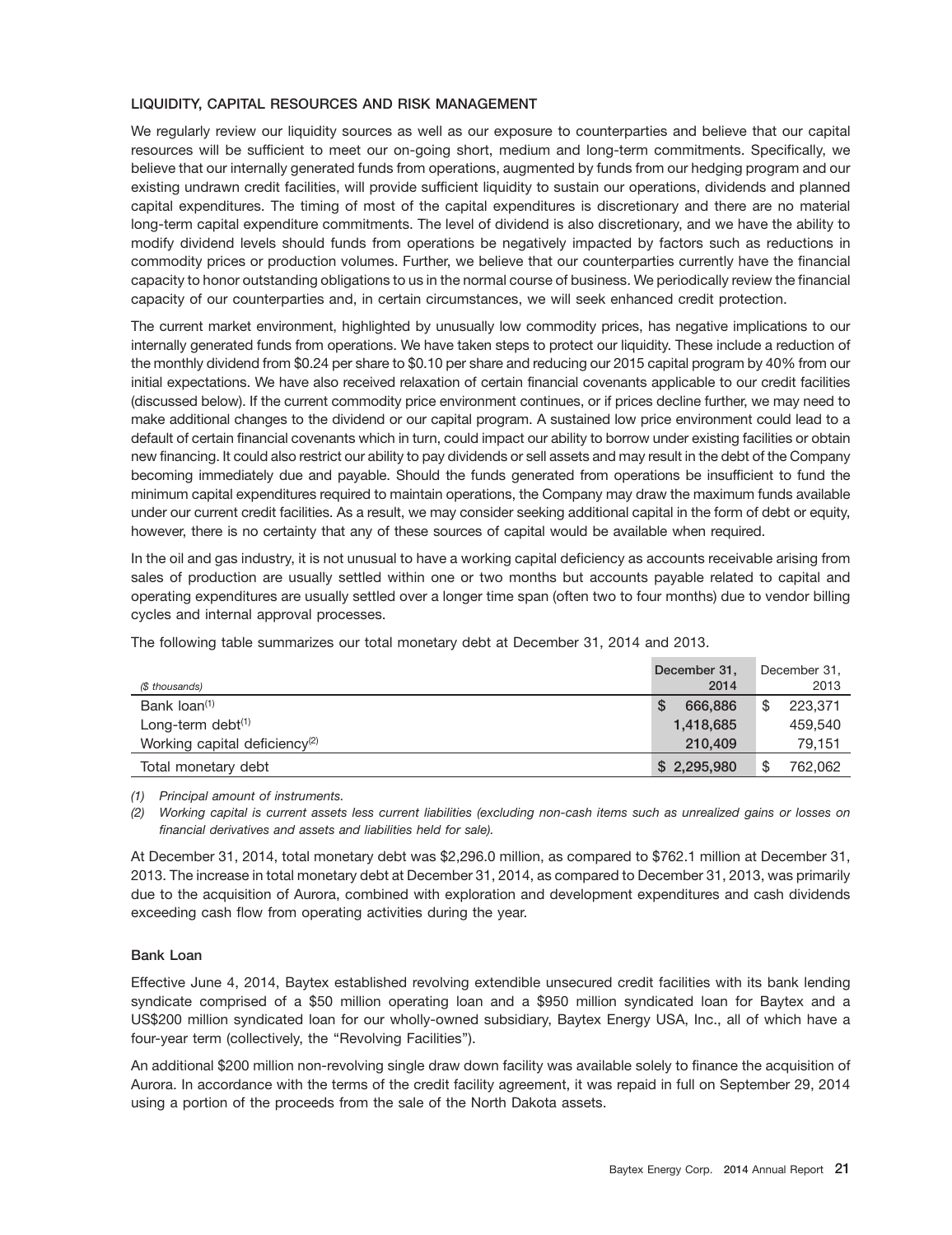# **LIQUIDITY, CAPITAL RESOURCES AND RISK MANAGEMENT**

We regularly review our liquidity sources as well as our exposure to counterparties and believe that our capital resources will be sufficient to meet our on-going short, medium and long-term commitments. Specifically, we believe that our internally generated funds from operations, augmented by funds from our hedging program and our existing undrawn credit facilities, will provide sufficient liquidity to sustain our operations, dividends and planned capital expenditures. The timing of most of the capital expenditures is discretionary and there are no material long-term capital expenditure commitments. The level of dividend is also discretionary, and we have the ability to modify dividend levels should funds from operations be negatively impacted by factors such as reductions in commodity prices or production volumes. Further, we believe that our counterparties currently have the financial capacity to honor outstanding obligations to us in the normal course of business. We periodically review the financial capacity of our counterparties and, in certain circumstances, we will seek enhanced credit protection.

The current market environment, highlighted by unusually low commodity prices, has negative implications to our internally generated funds from operations. We have taken steps to protect our liquidity. These include a reduction of the monthly dividend from \$0.24 per share to \$0.10 per share and reducing our 2015 capital program by 40% from our initial expectations. We have also received relaxation of certain financial covenants applicable to our credit facilities (discussed below). If the current commodity price environment continues, or if prices decline further, we may need to make additional changes to the dividend or our capital program. A sustained low price environment could lead to a default of certain financial covenants which in turn, could impact our ability to borrow under existing facilities or obtain new financing. It could also restrict our ability to pay dividends or sell assets and may result in the debt of the Company becoming immediately due and payable. Should the funds generated from operations be insufficient to fund the minimum capital expenditures required to maintain operations, the Company may draw the maximum funds available under our current credit facilities. As a result, we may consider seeking additional capital in the form of debt or equity, however, there is no certainty that any of these sources of capital would be available when required.

In the oil and gas industry, it is not unusual to have a working capital deficiency as accounts receivable arising from sales of production are usually settled within one or two months but accounts payable related to capital and operating expenditures are usually settled over a longer time span (often two to four months) due to vendor billing cycles and internal approval processes.

| (\$ thousands)                            | December 31,<br>2014 | December 31,<br>2013 |
|-------------------------------------------|----------------------|----------------------|
| Bank loan <sup>(1)</sup>                  | 666,886              | \$<br>223,371        |
| Long-term debt $(1)$                      | 1,418,685            | 459,540              |
| Working capital deficiency <sup>(2)</sup> | 210,409              | 79.151               |
| Total monetary debt                       | \$2,295,980          | \$<br>762.062        |

The following table summarizes our total monetary debt at December 31, 2014 and 2013.

*(1) Principal amount of instruments.*

*(2) Working capital is current assets less current liabilities (excluding non-cash items such as unrealized gains or losses on financial derivatives and assets and liabilities held for sale).*

At December 31, 2014, total monetary debt was \$2,296.0 million, as compared to \$762.1 million at December 31, 2013. The increase in total monetary debt at December 31, 2014, as compared to December 31, 2013, was primarily due to the acquisition of Aurora, combined with exploration and development expenditures and cash dividends exceeding cash flow from operating activities during the year.

## **Bank Loan**

Effective June 4, 2014, Baytex established revolving extendible unsecured credit facilities with its bank lending syndicate comprised of a \$50 million operating loan and a \$950 million syndicated loan for Baytex and a US\$200 million syndicated loan for our wholly-owned subsidiary, Baytex Energy USA, Inc., all of which have a four-year term (collectively, the "Revolving Facilities").

An additional \$200 million non-revolving single draw down facility was available solely to finance the acquisition of Aurora. In accordance with the terms of the credit facility agreement, it was repaid in full on September 29, 2014 using a portion of the proceeds from the sale of the North Dakota assets.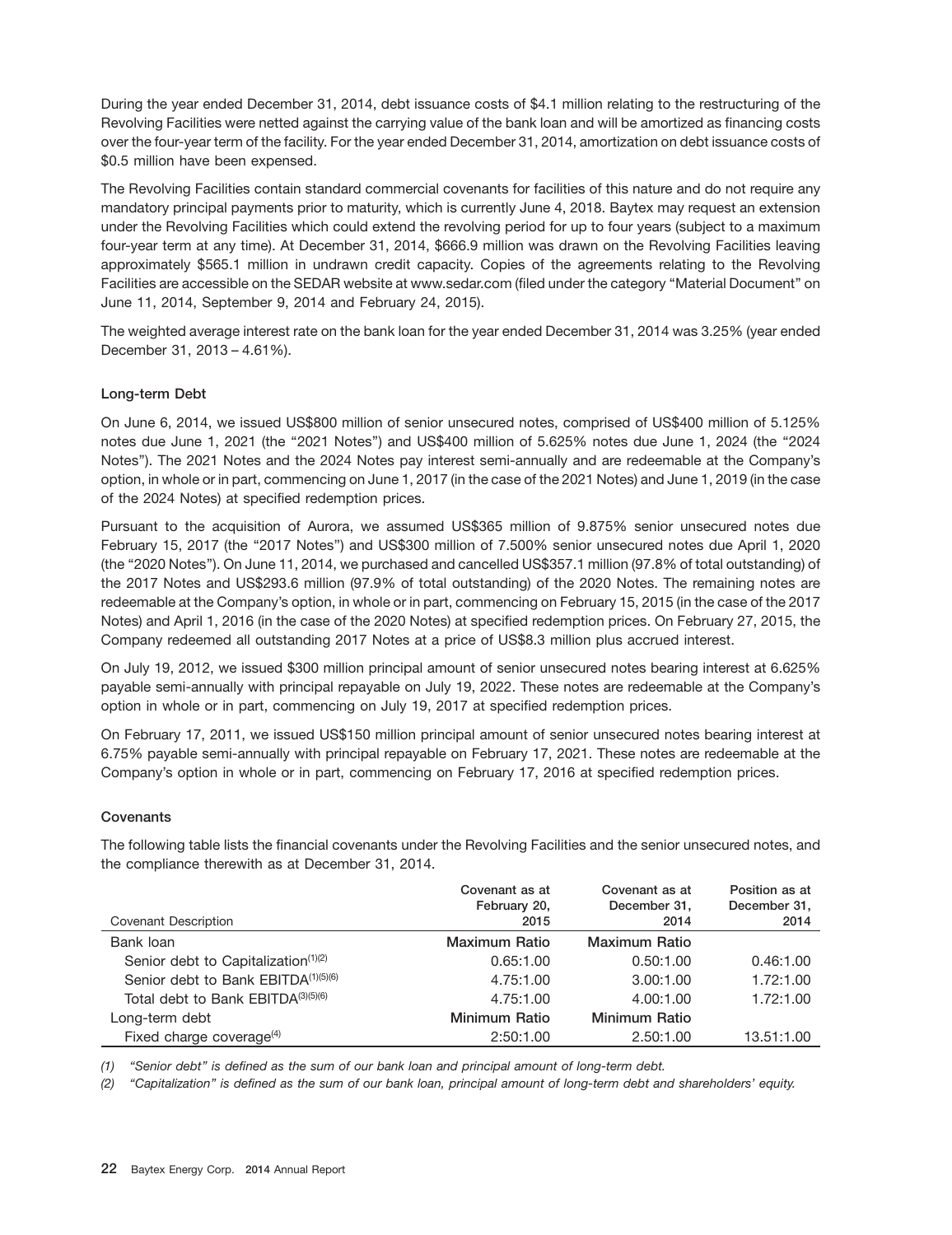During the year ended December 31, 2014, debt issuance costs of \$4.1 million relating to the restructuring of the Revolving Facilities were netted against the carrying value of the bank loan and will be amortized as financing costs over the four-year term of the facility. For the year ended December 31, 2014, amortization on debt issuance costs of \$0.5 million have been expensed.

The Revolving Facilities contain standard commercial covenants for facilities of this nature and do not require any mandatory principal payments prior to maturity, which is currently June 4, 2018. Baytex may request an extension under the Revolving Facilities which could extend the revolving period for up to four years (subject to a maximum four-year term at any time). At December 31, 2014, \$666.9 million was drawn on the Revolving Facilities leaving approximately \$565.1 million in undrawn credit capacity. Copies of the agreements relating to the Revolving Facilities are accessible on the SEDAR website at www.sedar.com (filed under the category ''Material Document'' on June 11, 2014, September 9, 2014 and February 24, 2015).

The weighted average interest rate on the bank loan for the year ended December 31, 2014 was 3.25% (year ended December 31, 2013 – 4.61%).

# **Long-term Debt**

On June 6, 2014, we issued US\$800 million of senior unsecured notes, comprised of US\$400 million of 5.125% notes due June 1, 2021 (the ''2021 Notes'') and US\$400 million of 5.625% notes due June 1, 2024 (the ''2024 Notes''). The 2021 Notes and the 2024 Notes pay interest semi-annually and are redeemable at the Company's option, in whole or in part, commencing on June 1, 2017 (in the case of the 2021 Notes) and June 1, 2019 (in the case of the 2024 Notes) at specified redemption prices.

Pursuant to the acquisition of Aurora, we assumed US\$365 million of 9.875% senior unsecured notes due February 15, 2017 (the "2017 Notes") and US\$300 million of 7.500% senior unsecured notes due April 1, 2020 (the ''2020 Notes''). On June 11, 2014, we purchased and cancelled US\$357.1 million (97.8% of total outstanding) of the 2017 Notes and US\$293.6 million (97.9% of total outstanding) of the 2020 Notes. The remaining notes are redeemable at the Company's option, in whole or in part, commencing on February 15, 2015 (in the case of the 2017 Notes) and April 1, 2016 (in the case of the 2020 Notes) at specified redemption prices. On February 27, 2015, the Company redeemed all outstanding 2017 Notes at a price of US\$8.3 million plus accrued interest.

On July 19, 2012, we issued \$300 million principal amount of senior unsecured notes bearing interest at 6.625% payable semi-annually with principal repayable on July 19, 2022. These notes are redeemable at the Company's option in whole or in part, commencing on July 19, 2017 at specified redemption prices.

On February 17, 2011, we issued US\$150 million principal amount of senior unsecured notes bearing interest at 6.75% payable semi-annually with principal repayable on February 17, 2021. These notes are redeemable at the Company's option in whole or in part, commencing on February 17, 2016 at specified redemption prices.

## **Covenants**

The following table lists the financial covenants under the Revolving Facilities and the senior unsecured notes, and the compliance therewith as at December 31, 2014.

| Covenant Description                            | Covenant as at<br>February 20,<br>2015 | Covenant as at<br>December 31,<br>2014 | Position as at<br>December 31,<br>2014 |
|-------------------------------------------------|----------------------------------------|----------------------------------------|----------------------------------------|
| Bank loan                                       | Maximum Ratio                          | <b>Maximum Ratio</b>                   |                                        |
| Senior debt to Capitalization <sup>(1)(2)</sup> | 0.65:1.00                              | 0.50:1.00                              | 0.46:1.00                              |
| Senior debt to Bank EBITDA(1)(5)(6)             | 4.75:1.00                              | 3.00:1.00                              | 1.72:1.00                              |
| Total debt to Bank EBITDA(3)(5)(6)              | 4.75:1.00                              | 4.00:1.00                              | 1.72:1.00                              |
| Long-term debt                                  | Minimum Ratio                          | <b>Minimum Ratio</b>                   |                                        |
| Fixed charge coverage $(4)$                     | 2:50:1.00                              | 2.50:1.00                              | 13.51:1.00                             |

*(1) ''Senior debt'' is defined as the sum of our bank loan and principal amount of long-term debt.*

*(2) ''Capitalization'' is defined as the sum of our bank loan, principal amount of long-term debt and shareholders' equity.*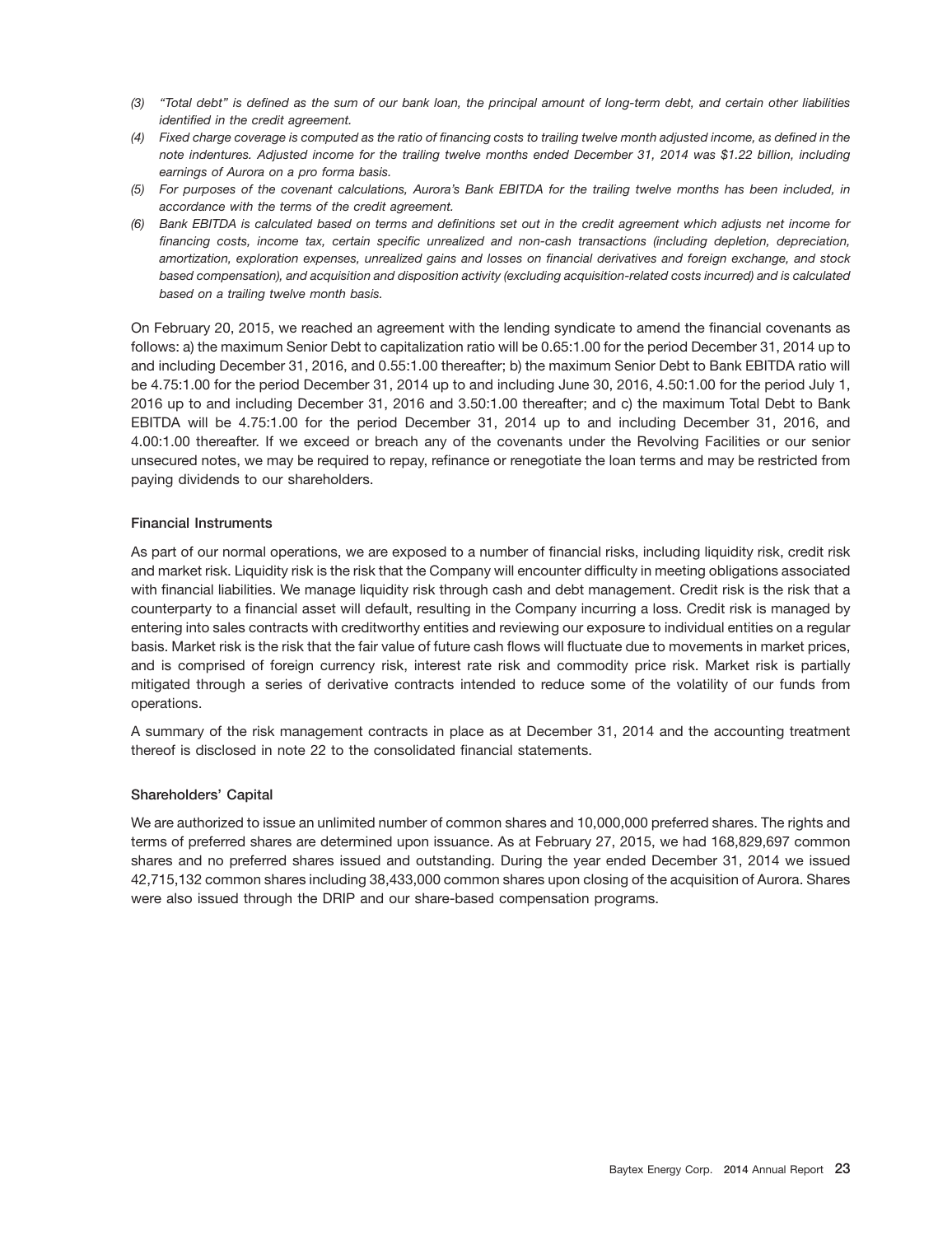- *(3) ''Total debt'' is defined as the sum of our bank loan, the principal amount of long-term debt, and certain other liabilities identified in the credit agreement.*
- *(4) Fixed charge coverage is computed as the ratio of financing costs to trailing twelve month adjusted income, as defined in the note indentures. Adjusted income for the trailing twelve months ended December 31, 2014 was \$1.22 billion, including earnings of Aurora on a pro forma basis.*
- *(5) For purposes of the covenant calculations, Aurora's Bank EBITDA for the trailing twelve months has been included, in accordance with the terms of the credit agreement.*
- *(6) Bank EBITDA is calculated based on terms and definitions set out in the credit agreement which adjusts net income for financing costs, income tax, certain specific unrealized and non-cash transactions (including depletion, depreciation, amortization, exploration expenses, unrealized gains and losses on financial derivatives and foreign exchange, and stock based compensation), and acquisition and disposition activity (excluding acquisition-related costs incurred) and is calculated based on a trailing twelve month basis.*

On February 20, 2015, we reached an agreement with the lending syndicate to amend the financial covenants as follows: a) the maximum Senior Debt to capitalization ratio will be 0.65:1.00 for the period December 31, 2014 up to and including December 31, 2016, and 0.55:1.00 thereafter; b) the maximum Senior Debt to Bank EBITDA ratio will be 4.75:1.00 for the period December 31, 2014 up to and including June 30, 2016, 4.50:1.00 for the period July 1, 2016 up to and including December 31, 2016 and 3.50:1.00 thereafter; and c) the maximum Total Debt to Bank EBITDA will be 4.75:1.00 for the period December 31, 2014 up to and including December 31, 2016, and 4.00:1.00 thereafter. If we exceed or breach any of the covenants under the Revolving Facilities or our senior unsecured notes, we may be required to repay, refinance or renegotiate the loan terms and may be restricted from paying dividends to our shareholders.

## **Financial Instruments**

As part of our normal operations, we are exposed to a number of financial risks, including liquidity risk, credit risk and market risk. Liquidity risk is the risk that the Company will encounter difficulty in meeting obligations associated with financial liabilities. We manage liquidity risk through cash and debt management. Credit risk is the risk that a counterparty to a financial asset will default, resulting in the Company incurring a loss. Credit risk is managed by entering into sales contracts with creditworthy entities and reviewing our exposure to individual entities on a regular basis. Market risk is the risk that the fair value of future cash flows will fluctuate due to movements in market prices, and is comprised of foreign currency risk, interest rate risk and commodity price risk. Market risk is partially mitigated through a series of derivative contracts intended to reduce some of the volatility of our funds from operations.

A summary of the risk management contracts in place as at December 31, 2014 and the accounting treatment thereof is disclosed in note 22 to the consolidated financial statements.

#### **Shareholders' Capital**

We are authorized to issue an unlimited number of common shares and 10,000,000 preferred shares. The rights and terms of preferred shares are determined upon issuance. As at February 27, 2015, we had 168,829,697 common shares and no preferred shares issued and outstanding. During the year ended December 31, 2014 we issued 42,715,132 common shares including 38,433,000 common shares upon closing of the acquisition of Aurora. Shares were also issued through the DRIP and our share-based compensation programs.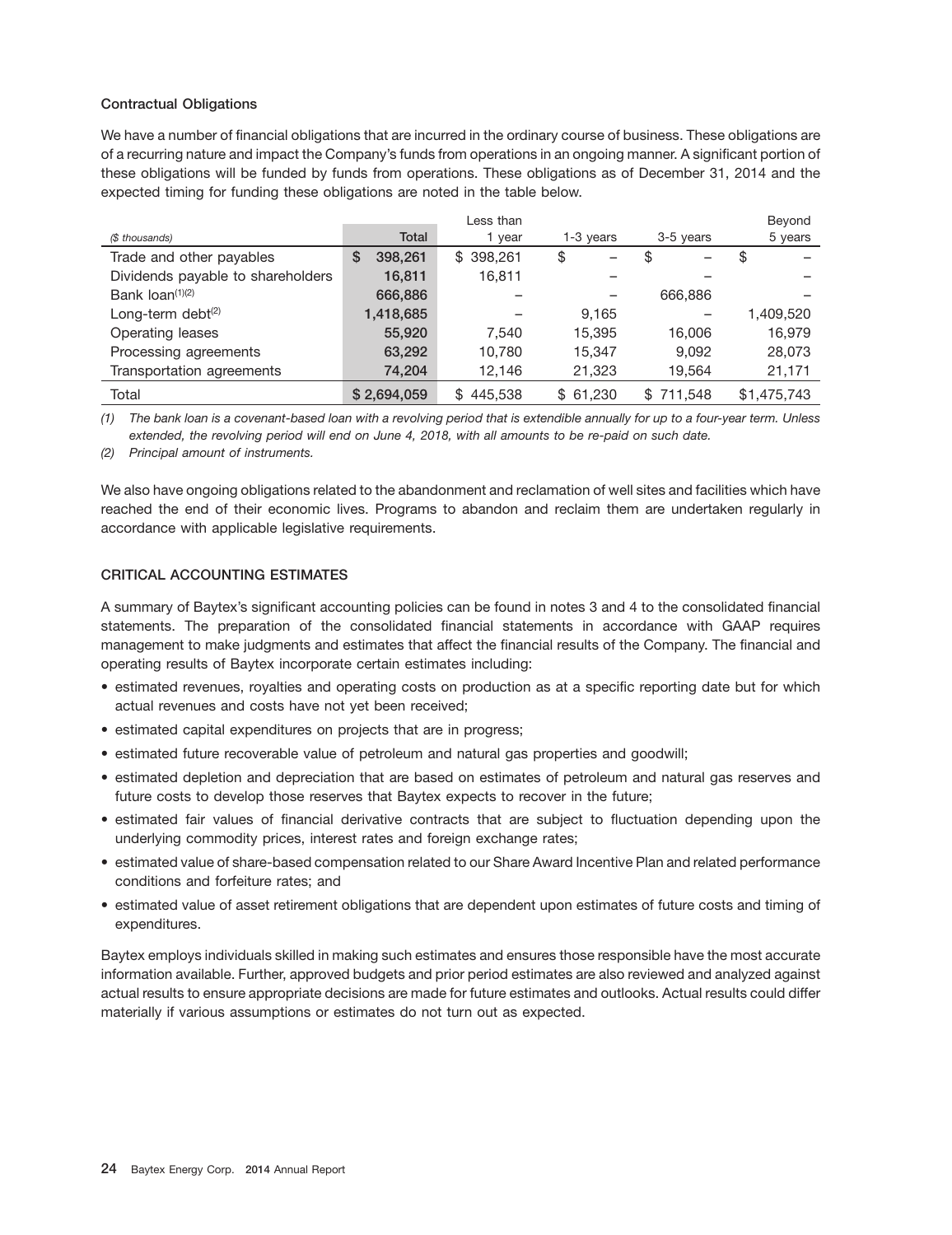## **Contractual Obligations**

We have a number of financial obligations that are incurred in the ordinary course of business. These obligations are of a recurring nature and impact the Company's funds from operations in an ongoing manner. A significant portion of these obligations will be funded by funds from operations. These obligations as of December 31, 2014 and the expected timing for funding these obligations are noted in the table below.

|                                   |              | Less than      |                        |           | Beyond      |
|-----------------------------------|--------------|----------------|------------------------|-----------|-------------|
| (\$ thousands)                    | Total        | year           | 3-5 years<br>1-3 years |           | 5 years     |
| Trade and other payables          | 398,261<br>S | \$398,261      | \$                     | \$        | \$          |
| Dividends payable to shareholders | 16,811       | 16,811         |                        |           |             |
| Bank $\text{Ioan}^{(1)(2)}$       | 666,886      |                |                        | 666,886   |             |
| Long-term debt $(2)$              | 1,418,685    |                | 9,165                  |           | 1,409,520   |
| Operating leases                  | 55,920       | 7.540          | 15.395                 | 16,006    | 16,979      |
| Processing agreements             | 63,292       | 10,780         | 15.347                 | 9.092     | 28,073      |
| Transportation agreements         | 74,204       | 12,146         | 21,323                 | 19,564    | 21,171      |
| Total                             | \$2,694,059  | 445.538<br>\$. | \$61,230               | \$711,548 | \$1,475,743 |

*(1) The bank loan is a covenant-based loan with a revolving period that is extendible annually for up to a four-year term. Unless extended, the revolving period will end on June 4, 2018, with all amounts to be re-paid on such date.*

*(2) Principal amount of instruments.*

We also have ongoing obligations related to the abandonment and reclamation of well sites and facilities which have reached the end of their economic lives. Programs to abandon and reclaim them are undertaken regularly in accordance with applicable legislative requirements.

# **CRITICAL ACCOUNTING ESTIMATES**

A summary of Baytex's significant accounting policies can be found in notes 3 and 4 to the consolidated financial statements. The preparation of the consolidated financial statements in accordance with GAAP requires management to make judgments and estimates that affect the financial results of the Company. The financial and operating results of Baytex incorporate certain estimates including:

- estimated revenues, royalties and operating costs on production as at a specific reporting date but for which actual revenues and costs have not yet been received;
- estimated capital expenditures on projects that are in progress;
- estimated future recoverable value of petroleum and natural gas properties and goodwill;
- estimated depletion and depreciation that are based on estimates of petroleum and natural gas reserves and future costs to develop those reserves that Baytex expects to recover in the future;
- estimated fair values of financial derivative contracts that are subject to fluctuation depending upon the underlying commodity prices, interest rates and foreign exchange rates;
- estimated value of share-based compensation related to our Share Award Incentive Plan and related performance conditions and forfeiture rates; and
- estimated value of asset retirement obligations that are dependent upon estimates of future costs and timing of expenditures.

Baytex employs individuals skilled in making such estimates and ensures those responsible have the most accurate information available. Further, approved budgets and prior period estimates are also reviewed and analyzed against actual results to ensure appropriate decisions are made for future estimates and outlooks. Actual results could differ materially if various assumptions or estimates do not turn out as expected.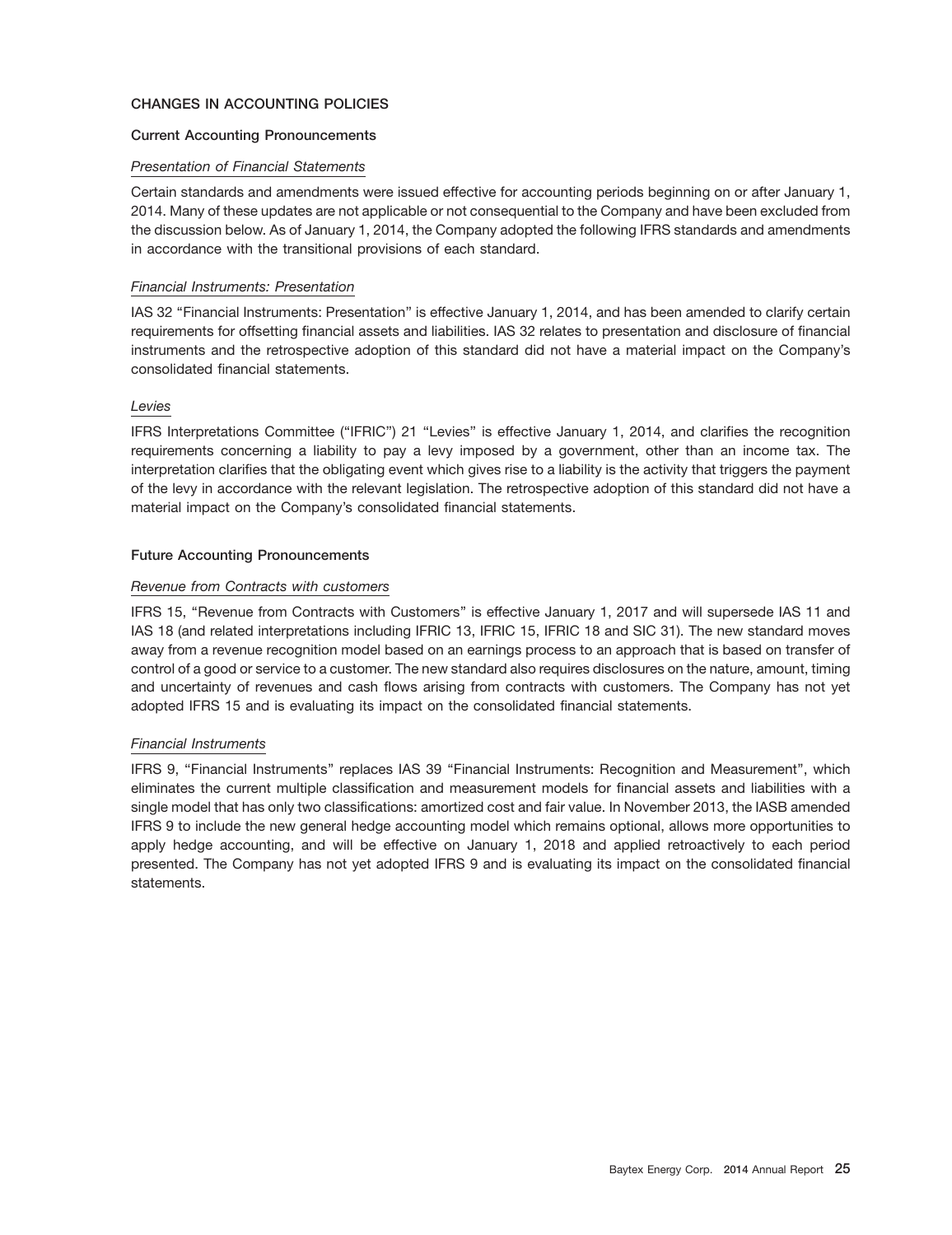# **CHANGES IN ACCOUNTING POLICIES**

## **Current Accounting Pronouncements**

#### *Presentation of Financial Statements*

Certain standards and amendments were issued effective for accounting periods beginning on or after January 1, 2014. Many of these updates are not applicable or not consequential to the Company and have been excluded from the discussion below. As of January 1, 2014, the Company adopted the following IFRS standards and amendments in accordance with the transitional provisions of each standard.

#### *Financial Instruments: Presentation*

IAS 32 ''Financial Instruments: Presentation'' is effective January 1, 2014, and has been amended to clarify certain requirements for offsetting financial assets and liabilities. IAS 32 relates to presentation and disclosure of financial instruments and the retrospective adoption of this standard did not have a material impact on the Company's consolidated financial statements.

#### *Levies*

IFRS Interpretations Committee (''IFRIC'') 21 ''Levies'' is effective January 1, 2014, and clarifies the recognition requirements concerning a liability to pay a levy imposed by a government, other than an income tax. The interpretation clarifies that the obligating event which gives rise to a liability is the activity that triggers the payment of the levy in accordance with the relevant legislation. The retrospective adoption of this standard did not have a material impact on the Company's consolidated financial statements.

#### **Future Accounting Pronouncements**

#### *Revenue from Contracts with customers*

IFRS 15, ''Revenue from Contracts with Customers'' is effective January 1, 2017 and will supersede IAS 11 and IAS 18 (and related interpretations including IFRIC 13, IFRIC 15, IFRIC 18 and SIC 31). The new standard moves away from a revenue recognition model based on an earnings process to an approach that is based on transfer of control of a good or service to a customer. The new standard also requires disclosures on the nature, amount, timing and uncertainty of revenues and cash flows arising from contracts with customers. The Company has not yet adopted IFRS 15 and is evaluating its impact on the consolidated financial statements.

# *Financial Instruments*

IFRS 9, ''Financial Instruments'' replaces IAS 39 ''Financial Instruments: Recognition and Measurement'', which eliminates the current multiple classification and measurement models for financial assets and liabilities with a single model that has only two classifications: amortized cost and fair value. In November 2013, the IASB amended IFRS 9 to include the new general hedge accounting model which remains optional, allows more opportunities to apply hedge accounting, and will be effective on January 1, 2018 and applied retroactively to each period presented. The Company has not yet adopted IFRS 9 and is evaluating its impact on the consolidated financial statements.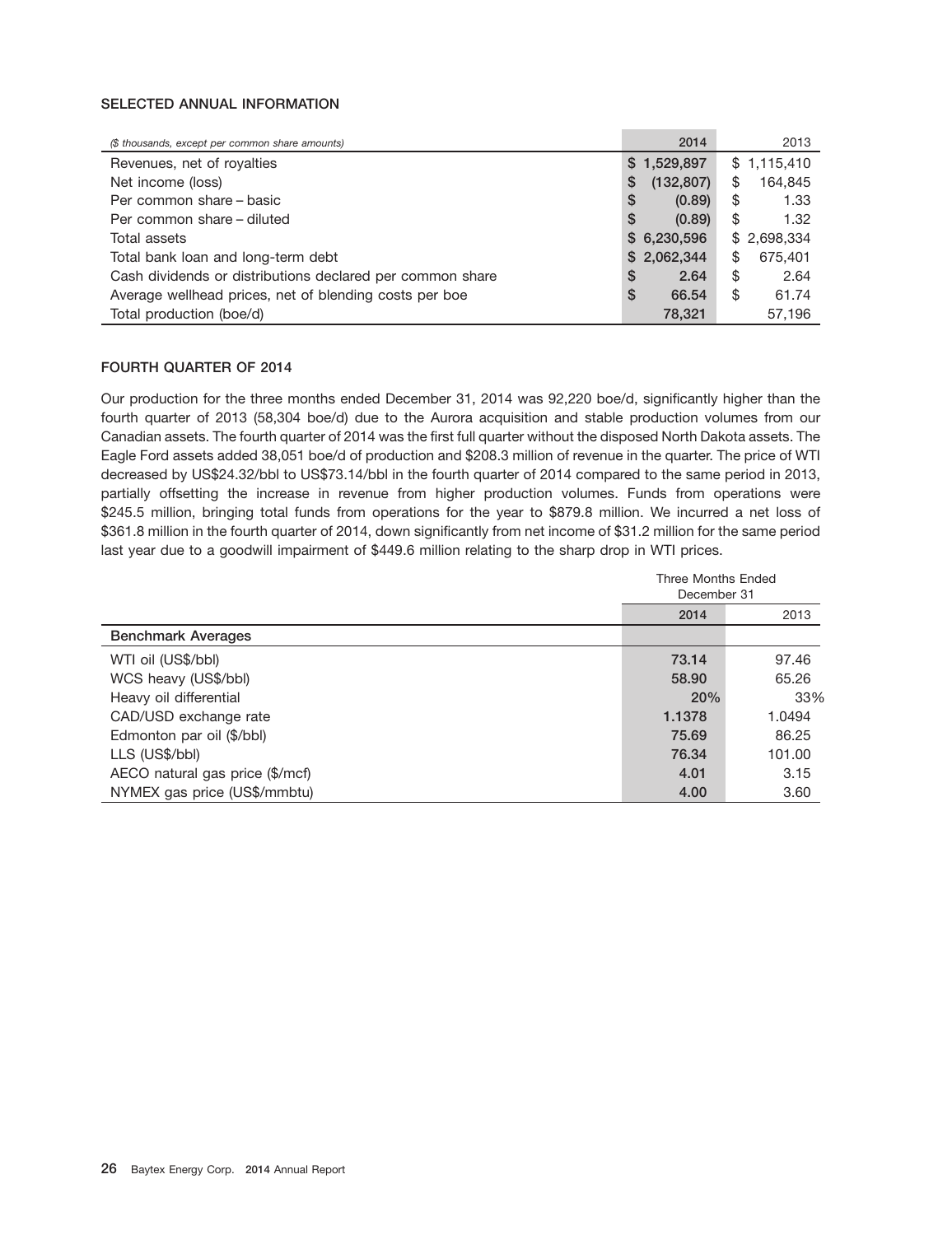# **SELECTED ANNUAL INFORMATION**

| (\$ thousands, except per common share amounts)           | 2014            | 2013          |
|-----------------------------------------------------------|-----------------|---------------|
| Revenues, net of royalties                                | \$1,529,897     | \$1,115,410   |
| Net income (loss)                                         | (132, 807)<br>S | 164,845<br>\$ |
| Per common share – basic                                  | \$<br>(0.89)    | \$<br>1.33    |
| Per common share – diluted                                | S<br>(0.89)     | 1.32<br>\$    |
| Total assets                                              | \$6,230,596     | \$2,698,334   |
| Total bank loan and long-term debt                        | \$2,062,344     | \$<br>675,401 |
| Cash dividends or distributions declared per common share | S<br>2.64       | \$<br>2.64    |
| Average wellhead prices, net of blending costs per boe    | S<br>66.54      | \$<br>61.74   |
| Total production (boe/d)                                  | 78,321          | 57,196        |

# **FOURTH QUARTER OF 2014**

Our production for the three months ended December 31, 2014 was 92,220 boe/d, significantly higher than the fourth quarter of 2013 (58,304 boe/d) due to the Aurora acquisition and stable production volumes from our Canadian assets. The fourth quarter of 2014 was the first full quarter without the disposed North Dakota assets. The Eagle Ford assets added 38,051 boe/d of production and \$208.3 million of revenue in the quarter. The price of WTI decreased by US\$24.32/bbl to US\$73.14/bbl in the fourth quarter of 2014 compared to the same period in 2013, partially offsetting the increase in revenue from higher production volumes. Funds from operations were \$245.5 million, bringing total funds from operations for the year to \$879.8 million. We incurred a net loss of \$361.8 million in the fourth quarter of 2014, down significantly from net income of \$31.2 million for the same period last year due to a goodwill impairment of \$449.6 million relating to the sharp drop in WTI prices.

|                                 | Three Months Ended<br>December 31 |        |  |
|---------------------------------|-----------------------------------|--------|--|
|                                 | 2014                              | 2013   |  |
| <b>Benchmark Averages</b>       |                                   |        |  |
| WTI oil (US\$/bbl)              | 73.14                             | 97.46  |  |
| WCS heavy (US\$/bbl)            | 58.90                             | 65.26  |  |
| Heavy oil differential          | 20%                               | 33%    |  |
| CAD/USD exchange rate           | 1.1378                            | 1.0494 |  |
| Edmonton par oil (\$/bbl)       | 75.69                             | 86.25  |  |
| LLS (US\$/bbl)                  | 76.34                             | 101.00 |  |
| AECO natural gas price (\$/mcf) | 4.01                              | 3.15   |  |
| NYMEX gas price (US\$/mmbtu)    | 4.00                              | 3.60   |  |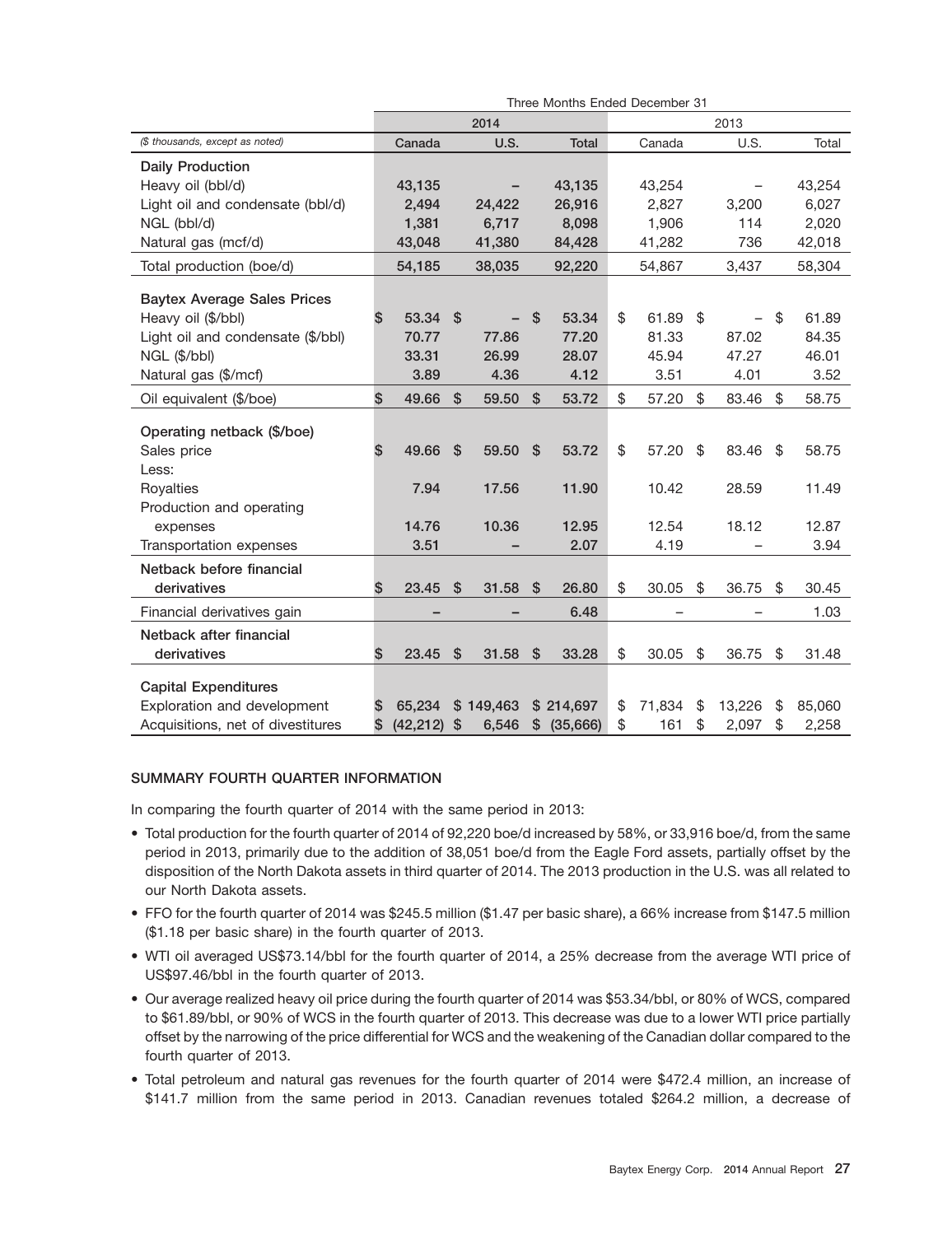|                                      | Three Months Ended December 31 |           |      |           |                           |           |      |        |    |        |    |        |
|--------------------------------------|--------------------------------|-----------|------|-----------|---------------------------|-----------|------|--------|----|--------|----|--------|
|                                      | 2014                           |           |      |           |                           |           | 2013 |        |    |        |    |        |
| (\$ thousands, except as noted)      |                                | Canada    |      | U.S.      |                           | Total     |      | Canada |    | U.S.   |    | Total  |
| <b>Daily Production</b>              |                                |           |      |           |                           |           |      |        |    |        |    |        |
| Heavy oil (bbl/d)                    |                                | 43,135    |      |           |                           | 43,135    |      | 43,254 |    |        |    | 43,254 |
| Light oil and condensate (bbl/d)     |                                | 2,494     |      | 24,422    |                           | 26,916    |      | 2,827  |    | 3,200  |    | 6,027  |
| NGL (bbl/d)                          |                                | 1,381     |      | 6,717     |                           | 8,098     |      | 1,906  |    | 114    |    | 2,020  |
| Natural gas (mcf/d)                  |                                | 43,048    |      | 41,380    |                           | 84,428    |      | 41,282 |    | 736    |    | 42,018 |
| Total production (boe/d)             |                                | 54,185    |      | 38,035    |                           | 92,220    |      | 54,867 |    | 3,437  |    | 58,304 |
| <b>Baytex Average Sales Prices</b>   |                                |           |      |           |                           |           |      |        |    |        |    |        |
| Heavy oil (\$/bbl)                   | \$                             | 53.34     | \$   |           | \$                        | 53.34     | \$   | 61.89  | \$ |        | \$ | 61.89  |
| Light oil and condensate (\$/bbl)    |                                | 70.77     |      | 77.86     |                           | 77.20     |      | 81.33  |    | 87.02  |    | 84.35  |
| NGL (\$/bbl)                         |                                | 33.31     |      | 26.99     |                           | 28.07     |      | 45.94  |    | 47.27  |    | 46.01  |
| Natural gas (\$/mcf)                 |                                | 3.89      |      | 4.36      |                           | 4.12      |      | 3.51   |    | 4.01   |    | 3.52   |
| Oil equivalent (\$/boe)              | \$                             | 49.66     | -\$  | 59.50     | $\mathfrak{s}$            | 53.72     | \$   | 57.20  | \$ | 83.46  | \$ | 58.75  |
|                                      |                                |           |      |           |                           |           |      |        |    |        |    |        |
| Operating netback (\$/boe)           |                                |           |      |           |                           |           |      |        |    |        |    |        |
| Sales price                          | \$                             | 49.66     | \$   | 59.50     | $\boldsymbol{\mathsf{S}}$ | 53.72     | \$   | 57.20  | \$ | 83.46  | \$ | 58.75  |
| Less:                                |                                | 7.94      |      | 17.56     |                           | 11.90     |      | 10.42  |    | 28.59  |    | 11.49  |
| Royalties                            |                                |           |      |           |                           |           |      |        |    |        |    |        |
| Production and operating<br>expenses |                                | 14.76     |      | 10.36     |                           | 12.95     |      | 12.54  |    | 18.12  |    | 12.87  |
| Transportation expenses              |                                | 3.51      |      |           |                           | 2.07      |      | 4.19   |    |        |    | 3.94   |
|                                      |                                |           |      |           |                           |           |      |        |    |        |    |        |
| Netback before financial             |                                |           |      |           |                           |           |      |        |    |        |    |        |
| derivatives                          | \$                             | 23.45     | - \$ | 31.58     | \$                        | 26.80     | \$   | 30.05  | \$ | 36.75  | \$ | 30.45  |
| Financial derivatives gain           |                                |           |      |           |                           | 6.48      |      |        |    |        |    | 1.03   |
| Netback after financial              |                                |           |      |           |                           |           |      |        |    |        |    |        |
| derivatives                          | \$                             | 23.45     | \$   | 31.58     | $\boldsymbol{\mathsf{S}}$ | 33.28     | \$   | 30.05  | \$ | 36.75  | \$ | 31.48  |
| <b>Capital Expenditures</b>          |                                |           |      |           |                           |           |      |        |    |        |    |        |
| Exploration and development          | S                              | 65.234    |      | \$149,463 |                           | \$214,697 | \$   | 71,834 | \$ | 13,226 | \$ | 85,060 |
| Acquisitions, net of divestitures    | \$                             | (42, 212) | \$   | 6,546     | \$                        | (35,666)  | \$   | 161    | \$ | 2,097  | \$ | 2,258  |

## **SUMMARY FOURTH QUARTER INFORMATION**

In comparing the fourth quarter of 2014 with the same period in 2013:

- Total production for the fourth quarter of 2014 of 92,220 boe/d increased by 58%, or 33,916 boe/d, from the same period in 2013, primarily due to the addition of 38,051 boe/d from the Eagle Ford assets, partially offset by the disposition of the North Dakota assets in third quarter of 2014. The 2013 production in the U.S. was all related to our North Dakota assets.
- FFO for the fourth quarter of 2014 was \$245.5 million (\$1.47 per basic share), a 66% increase from \$147.5 million (\$1.18 per basic share) in the fourth quarter of 2013.
- WTI oil averaged US\$73.14/bbl for the fourth quarter of 2014, a 25% decrease from the average WTI price of US\$97.46/bbl in the fourth quarter of 2013.
- Our average realized heavy oil price during the fourth quarter of 2014 was \$53.34/bbl, or 80% of WCS, compared to \$61.89/bbl, or 90% of WCS in the fourth quarter of 2013. This decrease was due to a lower WTI price partially offset by the narrowing of the price differential for WCS and the weakening of the Canadian dollar compared to the fourth quarter of 2013.
- Total petroleum and natural gas revenues for the fourth quarter of 2014 were \$472.4 million, an increase of \$141.7 million from the same period in 2013. Canadian revenues totaled \$264.2 million, a decrease of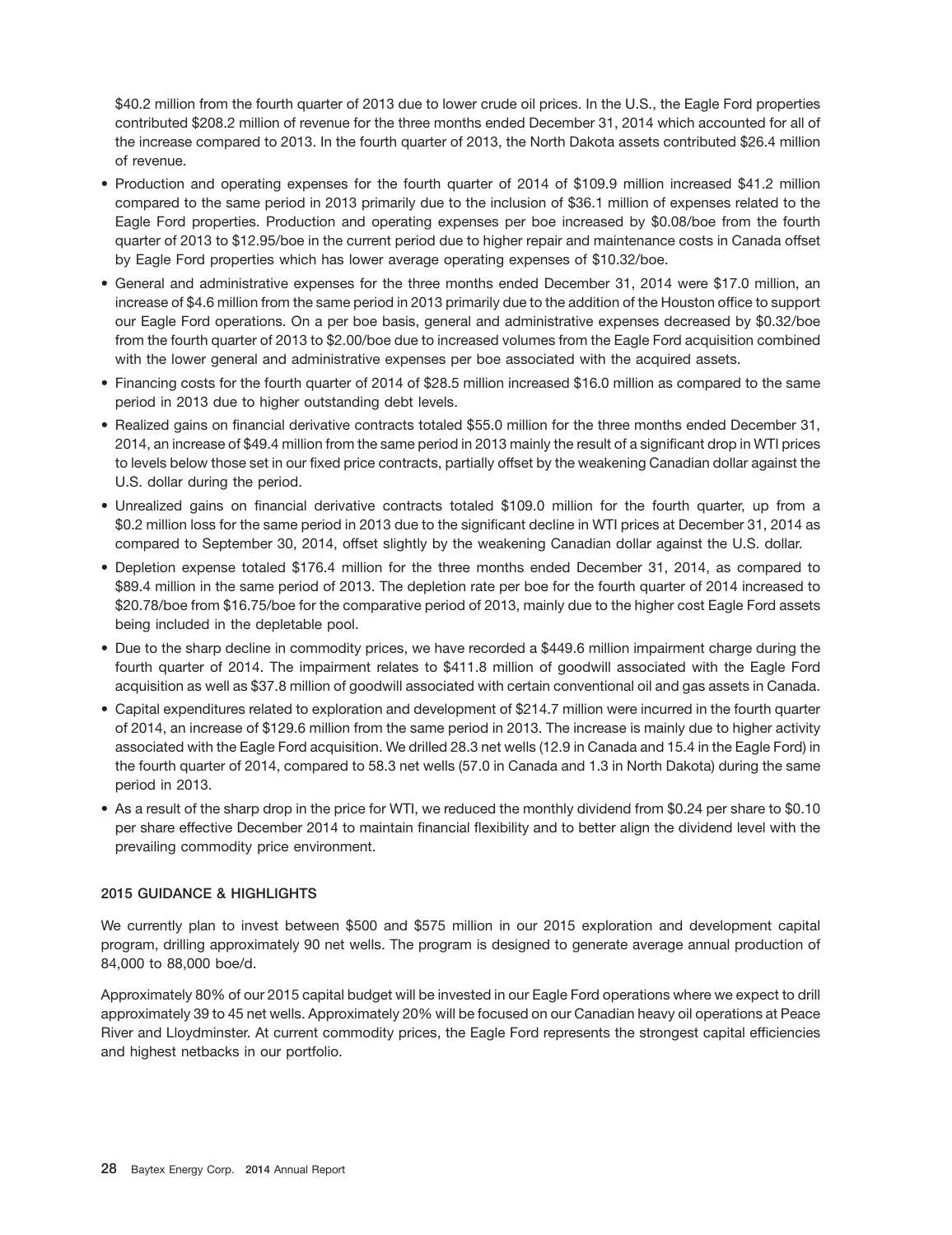\$40.2 million from the fourth quarter of 2013 due to lower crude oil prices. In the U.S., the Eagle Ford properties contributed \$208.2 million of revenue for the three months ended December 31, 2014 which accounted for all of the increase compared to 2013. In the fourth quarter of 2013, the North Dakota assets contributed \$26.4 million of revenue.

- Production and operating expenses for the fourth quarter of 2014 of \$109.9 million increased \$41.2 million compared to the same period in 2013 primarily due to the inclusion of \$36.1 million of expenses related to the Eagle Ford properties. Production and operating expenses per boe increased by \$0.08/boe from the fourth quarter of 2013 to \$12.95/boe in the current period due to higher repair and maintenance costs in Canada offset by Eagle Ford properties which has lower average operating expenses of \$10.32/boe.
- General and administrative expenses for the three months ended December 31, 2014 were \$17.0 million, an increase of \$4.6 million from the same period in 2013 primarily due to the addition of the Houston office to support our Eagle Ford operations. On a per boe basis, general and administrative expenses decreased by \$0.32/boe from the fourth quarter of 2013 to \$2.00/boe due to increased volumes from the Eagle Ford acquisition combined with the lower general and administrative expenses per boe associated with the acquired assets.
- Financing costs for the fourth quarter of 2014 of \$28.5 million increased \$16.0 million as compared to the same period in 2013 due to higher outstanding debt levels.
- Realized gains on financial derivative contracts totaled \$55.0 million for the three months ended December 31, 2014, an increase of \$49.4 million from the same period in 2013 mainly the result of a significant drop in WTI prices to levels below those set in our fixed price contracts, partially offset by the weakening Canadian dollar against the U.S. dollar during the period.
- Unrealized gains on financial derivative contracts totaled \$109.0 million for the fourth quarter, up from a \$0.2 million loss for the same period in 2013 due to the significant decline in WTI prices at December 31, 2014 as compared to September 30, 2014, offset slightly by the weakening Canadian dollar against the U.S. dollar.
- Depletion expense totaled \$176.4 million for the three months ended December 31, 2014, as compared to \$89.4 million in the same period of 2013. The depletion rate per boe for the fourth quarter of 2014 increased to \$20.78/boe from \$16.75/boe for the comparative period of 2013, mainly due to the higher cost Eagle Ford assets being included in the depletable pool.
- Due to the sharp decline in commodity prices, we have recorded a \$449.6 million impairment charge during the fourth quarter of 2014. The impairment relates to \$411.8 million of goodwill associated with the Eagle Ford acquisition as well as \$37.8 million of goodwill associated with certain conventional oil and gas assets in Canada.
- Capital expenditures related to exploration and development of \$214.7 million were incurred in the fourth quarter of 2014, an increase of \$129.6 million from the same period in 2013. The increase is mainly due to higher activity associated with the Eagle Ford acquisition. We drilled 28.3 net wells (12.9 in Canada and 15.4 in the Eagle Ford) in the fourth quarter of 2014, compared to 58.3 net wells (57.0 in Canada and 1.3 in North Dakota) during the same period in 2013.
- As a result of the sharp drop in the price for WTI, we reduced the monthly dividend from \$0.24 per share to \$0.10 per share effective December 2014 to maintain financial flexibility and to better align the dividend level with the prevailing commodity price environment.

## **2015 GUIDANCE & HIGHLIGHTS**

We currently plan to invest between \$500 and \$575 million in our 2015 exploration and development capital program, drilling approximately 90 net wells. The program is designed to generate average annual production of 84,000 to 88,000 boe/d.

Approximately 80% of our 2015 capital budget will be invested in our Eagle Ford operations where we expect to drill approximately 39 to 45 net wells. Approximately 20% will be focused on our Canadian heavy oil operations at Peace River and Lloydminster. At current commodity prices, the Eagle Ford represents the strongest capital efficiencies and highest netbacks in our portfolio.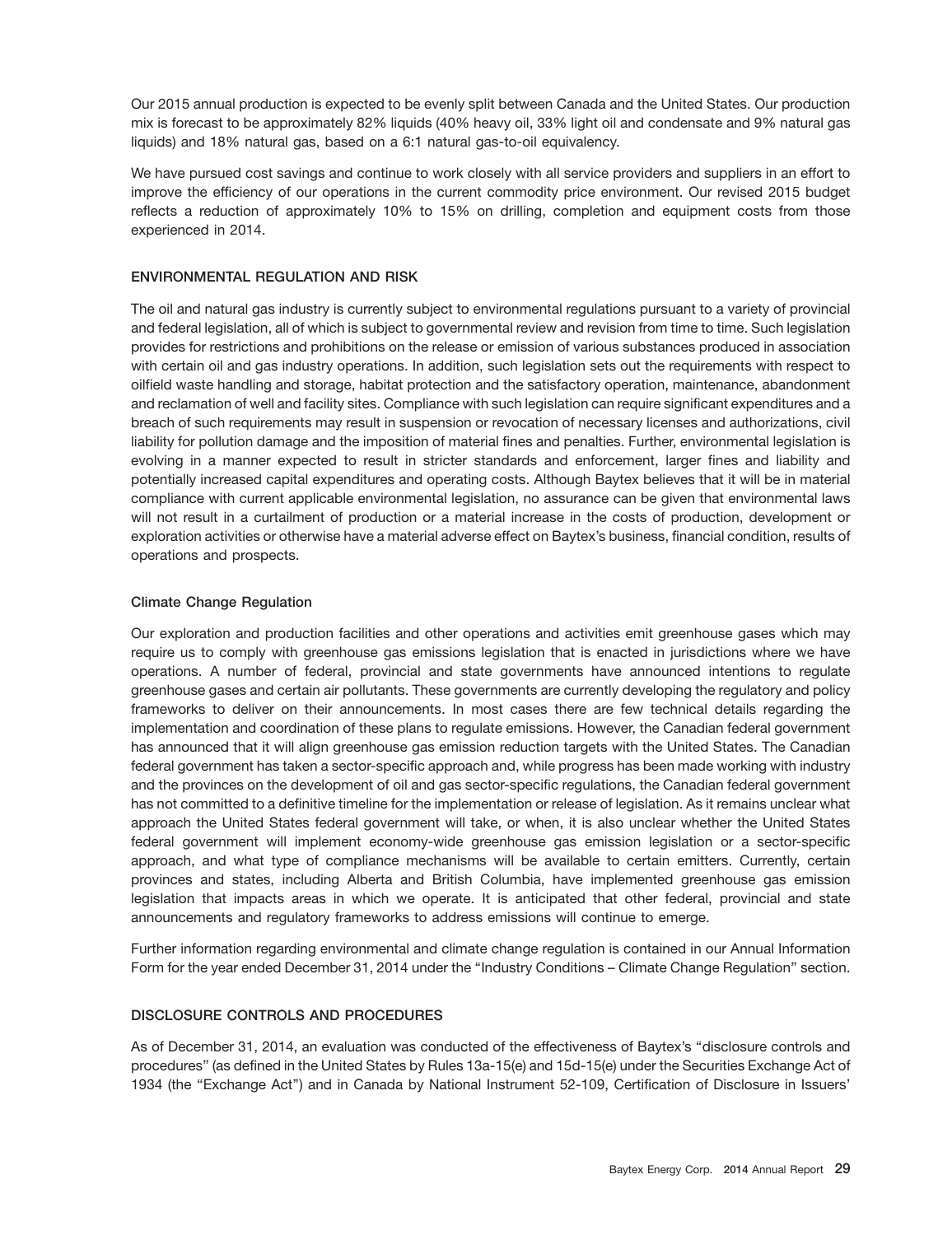Our 2015 annual production is expected to be evenly split between Canada and the United States. Our production mix is forecast to be approximately 82% liquids (40% heavy oil, 33% light oil and condensate and 9% natural gas liquids) and 18% natural gas, based on a 6:1 natural gas-to-oil equivalency.

We have pursued cost savings and continue to work closely with all service providers and suppliers in an effort to improve the efficiency of our operations in the current commodity price environment. Our revised 2015 budget reflects a reduction of approximately 10% to 15% on drilling, completion and equipment costs from those experienced in 2014.

# **ENVIRONMENTAL REGULATION AND RISK**

The oil and natural gas industry is currently subject to environmental regulations pursuant to a variety of provincial and federal legislation, all of which is subject to governmental review and revision from time to time. Such legislation provides for restrictions and prohibitions on the release or emission of various substances produced in association with certain oil and gas industry operations. In addition, such legislation sets out the requirements with respect to oilfield waste handling and storage, habitat protection and the satisfactory operation, maintenance, abandonment and reclamation of well and facility sites. Compliance with such legislation can require significant expenditures and a breach of such requirements may result in suspension or revocation of necessary licenses and authorizations, civil liability for pollution damage and the imposition of material fines and penalties. Further, environmental legislation is evolving in a manner expected to result in stricter standards and enforcement, larger fines and liability and potentially increased capital expenditures and operating costs. Although Baytex believes that it will be in material compliance with current applicable environmental legislation, no assurance can be given that environmental laws will not result in a curtailment of production or a material increase in the costs of production, development or exploration activities or otherwise have a material adverse effect on Baytex's business, financial condition, results of operations and prospects.

## **Climate Change Regulation**

Our exploration and production facilities and other operations and activities emit greenhouse gases which may require us to comply with greenhouse gas emissions legislation that is enacted in jurisdictions where we have operations. A number of federal, provincial and state governments have announced intentions to regulate greenhouse gases and certain air pollutants. These governments are currently developing the regulatory and policy frameworks to deliver on their announcements. In most cases there are few technical details regarding the implementation and coordination of these plans to regulate emissions. However, the Canadian federal government has announced that it will align greenhouse gas emission reduction targets with the United States. The Canadian federal government has taken a sector-specific approach and, while progress has been made working with industry and the provinces on the development of oil and gas sector-specific regulations, the Canadian federal government has not committed to a definitive timeline for the implementation or release of legislation. As it remains unclear what approach the United States federal government will take, or when, it is also unclear whether the United States federal government will implement economy-wide greenhouse gas emission legislation or a sector-specific approach, and what type of compliance mechanisms will be available to certain emitters. Currently, certain provinces and states, including Alberta and British Columbia, have implemented greenhouse gas emission legislation that impacts areas in which we operate. It is anticipated that other federal, provincial and state announcements and regulatory frameworks to address emissions will continue to emerge.

Further information regarding environmental and climate change regulation is contained in our Annual Information Form for the year ended December 31, 2014 under the ''Industry Conditions – Climate Change Regulation'' section.

## **DISCLOSURE CONTROLS AND PROCEDURES**

As of December 31, 2014, an evaluation was conducted of the effectiveness of Baytex's ''disclosure controls and procedures'' (as defined in the United States by Rules 13a-15(e) and 15d-15(e) under the Securities Exchange Act of 1934 (the ''Exchange Act'') and in Canada by National Instrument 52-109, Certification of Disclosure in Issuers'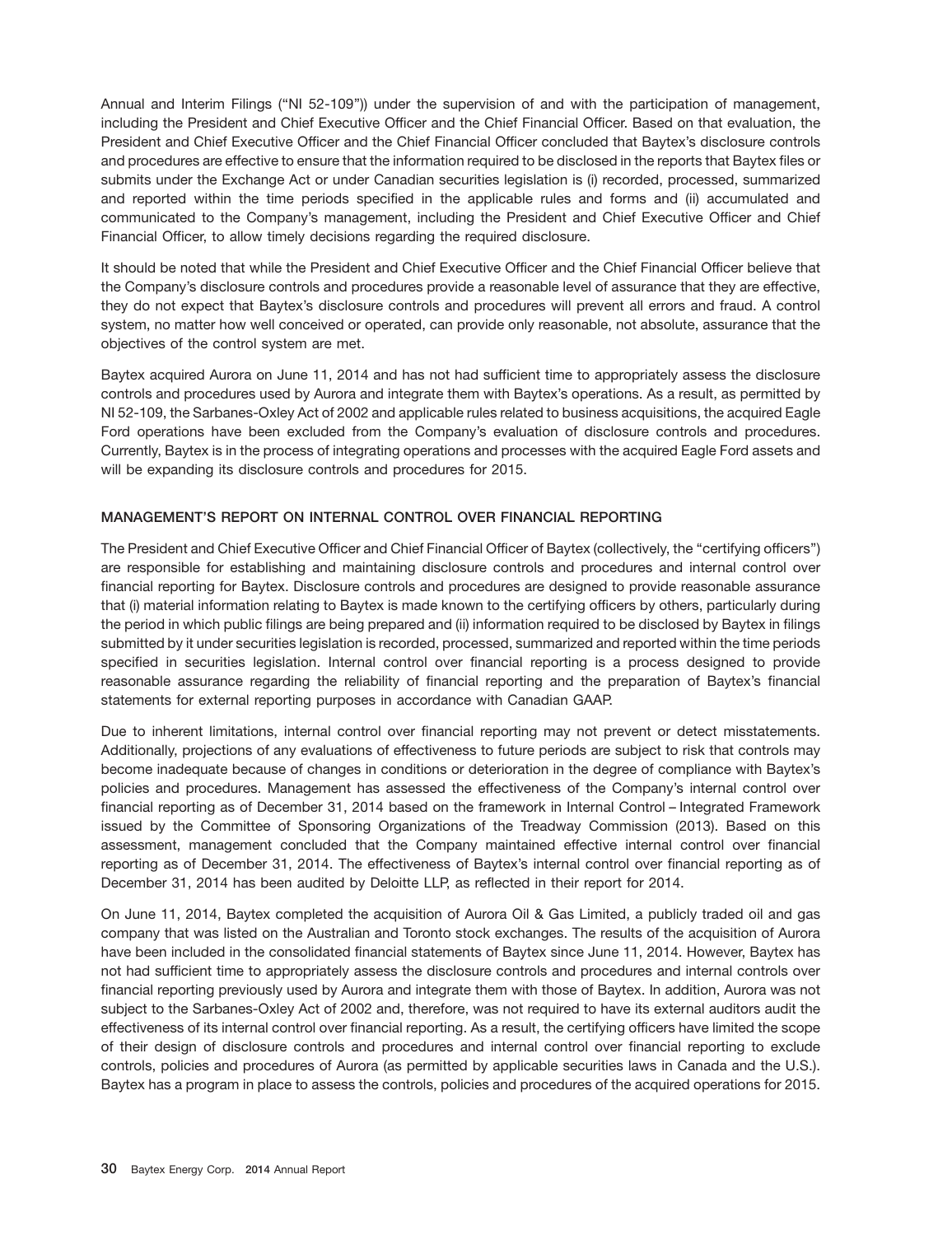Annual and Interim Filings (''NI 52-109'')) under the supervision of and with the participation of management, including the President and Chief Executive Officer and the Chief Financial Officer. Based on that evaluation, the President and Chief Executive Officer and the Chief Financial Officer concluded that Baytex's disclosure controls and procedures are effective to ensure that the information required to be disclosed in the reports that Baytex files or submits under the Exchange Act or under Canadian securities legislation is (i) recorded, processed, summarized and reported within the time periods specified in the applicable rules and forms and (ii) accumulated and communicated to the Company's management, including the President and Chief Executive Officer and Chief Financial Officer, to allow timely decisions regarding the required disclosure.

It should be noted that while the President and Chief Executive Officer and the Chief Financial Officer believe that the Company's disclosure controls and procedures provide a reasonable level of assurance that they are effective, they do not expect that Baytex's disclosure controls and procedures will prevent all errors and fraud. A control system, no matter how well conceived or operated, can provide only reasonable, not absolute, assurance that the objectives of the control system are met.

Baytex acquired Aurora on June 11, 2014 and has not had sufficient time to appropriately assess the disclosure controls and procedures used by Aurora and integrate them with Baytex's operations. As a result, as permitted by NI 52-109, the Sarbanes-Oxley Act of 2002 and applicable rules related to business acquisitions, the acquired Eagle Ford operations have been excluded from the Company's evaluation of disclosure controls and procedures. Currently, Baytex is in the process of integrating operations and processes with the acquired Eagle Ford assets and will be expanding its disclosure controls and procedures for 2015.

# **MANAGEMENT'S REPORT ON INTERNAL CONTROL OVER FINANCIAL REPORTING**

The President and Chief Executive Officer and Chief Financial Officer of Baytex (collectively, the ''certifying officers'') are responsible for establishing and maintaining disclosure controls and procedures and internal control over financial reporting for Baytex. Disclosure controls and procedures are designed to provide reasonable assurance that (i) material information relating to Baytex is made known to the certifying officers by others, particularly during the period in which public filings are being prepared and (ii) information required to be disclosed by Baytex in filings submitted by it under securities legislation is recorded, processed, summarized and reported within the time periods specified in securities legislation. Internal control over financial reporting is a process designed to provide reasonable assurance regarding the reliability of financial reporting and the preparation of Baytex's financial statements for external reporting purposes in accordance with Canadian GAAP.

Due to inherent limitations, internal control over financial reporting may not prevent or detect misstatements. Additionally, projections of any evaluations of effectiveness to future periods are subject to risk that controls may become inadequate because of changes in conditions or deterioration in the degree of compliance with Baytex's policies and procedures. Management has assessed the effectiveness of the Company's internal control over financial reporting as of December 31, 2014 based on the framework in Internal Control – Integrated Framework issued by the Committee of Sponsoring Organizations of the Treadway Commission (2013). Based on this assessment, management concluded that the Company maintained effective internal control over financial reporting as of December 31, 2014. The effectiveness of Baytex's internal control over financial reporting as of December 31, 2014 has been audited by Deloitte LLP, as reflected in their report for 2014.

On June 11, 2014, Baytex completed the acquisition of Aurora Oil & Gas Limited, a publicly traded oil and gas company that was listed on the Australian and Toronto stock exchanges. The results of the acquisition of Aurora have been included in the consolidated financial statements of Baytex since June 11, 2014. However, Baytex has not had sufficient time to appropriately assess the disclosure controls and procedures and internal controls over financial reporting previously used by Aurora and integrate them with those of Baytex. In addition, Aurora was not subject to the Sarbanes-Oxley Act of 2002 and, therefore, was not required to have its external auditors audit the effectiveness of its internal control over financial reporting. As a result, the certifying officers have limited the scope of their design of disclosure controls and procedures and internal control over financial reporting to exclude controls, policies and procedures of Aurora (as permitted by applicable securities laws in Canada and the U.S.). Baytex has a program in place to assess the controls, policies and procedures of the acquired operations for 2015.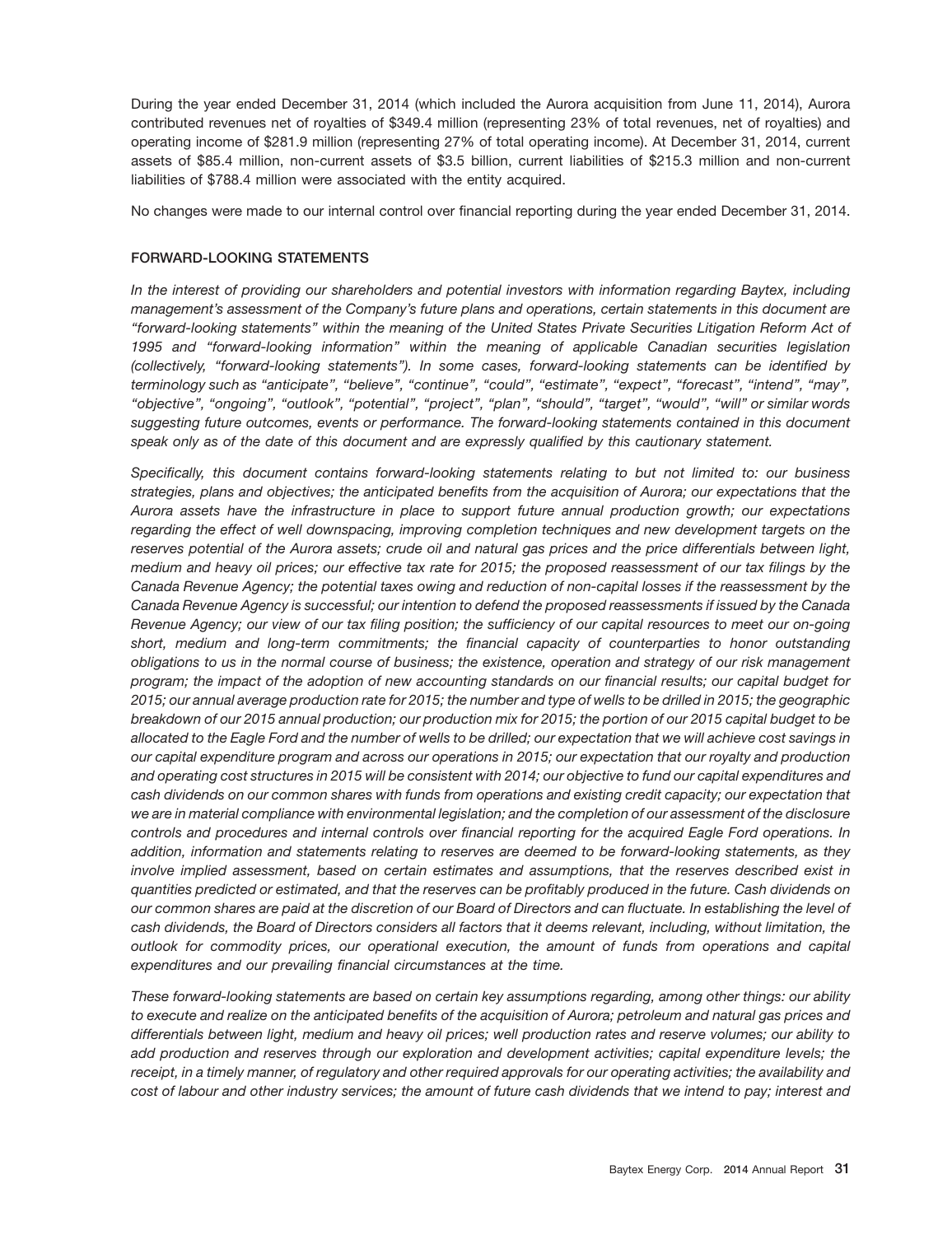During the year ended December 31, 2014 (which included the Aurora acquisition from June 11, 2014), Aurora contributed revenues net of royalties of \$349.4 million (representing 23% of total revenues, net of royalties) and operating income of \$281.9 million (representing 27% of total operating income). At December 31, 2014, current assets of \$85.4 million, non-current assets of \$3.5 billion, current liabilities of \$215.3 million and non-current liabilities of \$788.4 million were associated with the entity acquired.

No changes were made to our internal control over financial reporting during the year ended December 31, 2014.

# **FORWARD-LOOKING STATEMENTS**

*In the interest of providing our shareholders and potential investors with information regarding Baytex, including management's assessment of the Company's future plans and operations, certain statements in this document are ''forward-looking statements'' within the meaning of the United States Private Securities Litigation Reform Act of 1995 and ''forward-looking information'' within the meaning of applicable Canadian securities legislation (collectively, ''forward-looking statements''). In some cases, forward-looking statements can be identified by terminology such as ''anticipate'', ''believe'', ''continue'', ''could'', ''estimate'', ''expect'', ''forecast'', ''intend'', ''may'', ''objective'', ''ongoing'', ''outlook'', ''potential'', ''project'', ''plan'', ''should'', ''target'', ''would'', ''will'' or similar words suggesting future outcomes, events or performance. The forward-looking statements contained in this document speak only as of the date of this document and are expressly qualified by this cautionary statement.*

*Specifically, this document contains forward-looking statements relating to but not limited to: our business strategies, plans and objectives; the anticipated benefits from the acquisition of Aurora; our expectations that the Aurora assets have the infrastructure in place to support future annual production growth; our expectations regarding the effect of well downspacing, improving completion techniques and new development targets on the reserves potential of the Aurora assets; crude oil and natural gas prices and the price differentials between light, medium and heavy oil prices; our effective tax rate for 2015; the proposed reassessment of our tax filings by the Canada Revenue Agency; the potential taxes owing and reduction of non-capital losses if the reassessment by the Canada Revenue Agency is successful; our intention to defend the proposed reassessments if issued by the Canada Revenue Agency; our view of our tax filing position; the sufficiency of our capital resources to meet our on-going short, medium and long-term commitments; the financial capacity of counterparties to honor outstanding obligations to us in the normal course of business; the existence, operation and strategy of our risk management program; the impact of the adoption of new accounting standards on our financial results; our capital budget for 2015; our annual average production rate for 2015; the number and type of wells to be drilled in 2015; the geographic breakdown of our 2015 annual production; our production mix for 2015; the portion of our 2015 capital budget to be allocated to the Eagle Ford and the number of wells to be drilled; our expectation that we will achieve cost savings in our capital expenditure program and across our operations in 2015; our expectation that our royalty and production and operating cost structures in 2015 will be consistent with 2014; our objective to fund our capital expenditures and cash dividends on our common shares with funds from operations and existing credit capacity; our expectation that we are in material compliance with environmental legislation; and the completion of our assessment of the disclosure controls and procedures and internal controls over financial reporting for the acquired Eagle Ford operations. In addition, information and statements relating to reserves are deemed to be forward-looking statements, as they involve implied assessment, based on certain estimates and assumptions, that the reserves described exist in quantities predicted or estimated, and that the reserves can be profitably produced in the future. Cash dividends on our common shares are paid at the discretion of our Board of Directors and can fluctuate. In establishing the level of cash dividends, the Board of Directors considers all factors that it deems relevant, including, without limitation, the outlook for commodity prices, our operational execution, the amount of funds from operations and capital expenditures and our prevailing financial circumstances at the time.*

*These forward-looking statements are based on certain key assumptions regarding, among other things: our ability to execute and realize on the anticipated benefits of the acquisition of Aurora; petroleum and natural gas prices and differentials between light, medium and heavy oil prices; well production rates and reserve volumes; our ability to add production and reserves through our exploration and development activities; capital expenditure levels; the receipt, in a timely manner, of regulatory and other required approvals for our operating activities; the availability and cost of labour and other industry services; the amount of future cash dividends that we intend to pay; interest and*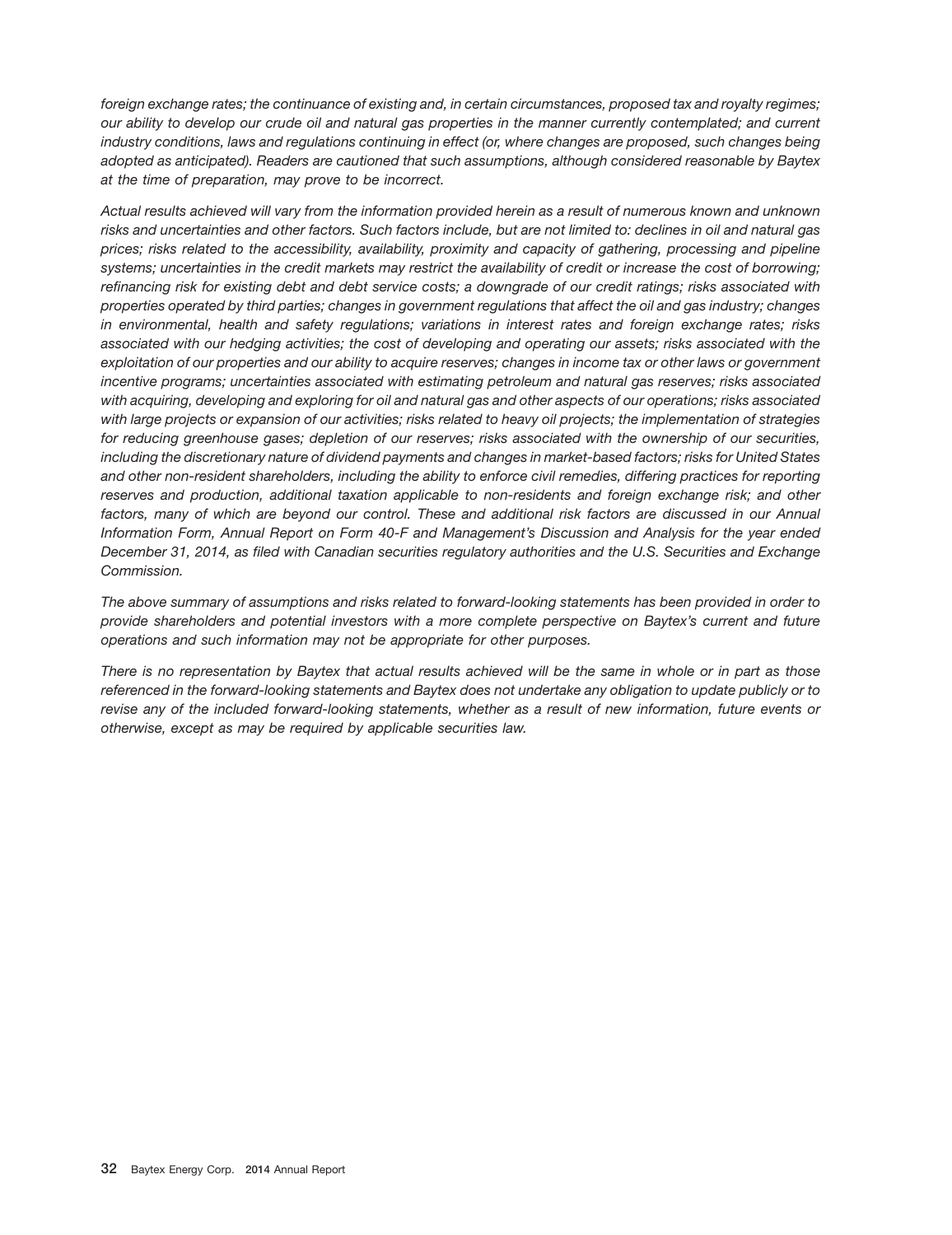*foreign exchange rates; the continuance of existing and, in certain circumstances, proposed tax and royalty regimes; our ability to develop our crude oil and natural gas properties in the manner currently contemplated; and current industry conditions, laws and regulations continuing in effect (or, where changes are proposed, such changes being adopted as anticipated). Readers are cautioned that such assumptions, although considered reasonable by Baytex at the time of preparation, may prove to be incorrect.*

*Actual results achieved will vary from the information provided herein as a result of numerous known and unknown risks and uncertainties and other factors. Such factors include, but are not limited to: declines in oil and natural gas prices; risks related to the accessibility, availability, proximity and capacity of gathering, processing and pipeline systems; uncertainties in the credit markets may restrict the availability of credit or increase the cost of borrowing; refinancing risk for existing debt and debt service costs; a downgrade of our credit ratings; risks associated with properties operated by third parties; changes in government regulations that affect the oil and gas industry; changes in environmental, health and safety regulations; variations in interest rates and foreign exchange rates; risks associated with our hedging activities; the cost of developing and operating our assets; risks associated with the exploitation of our properties and our ability to acquire reserves; changes in income tax or other laws or government incentive programs; uncertainties associated with estimating petroleum and natural gas reserves; risks associated with acquiring, developing and exploring for oil and natural gas and other aspects of our operations; risks associated with large projects or expansion of our activities; risks related to heavy oil projects; the implementation of strategies for reducing greenhouse gases; depletion of our reserves; risks associated with the ownership of our securities, including the discretionary nature of dividend payments and changes in market-based factors; risks for United States and other non-resident shareholders, including the ability to enforce civil remedies, differing practices for reporting reserves and production, additional taxation applicable to non-residents and foreign exchange risk; and other factors, many of which are beyond our control. These and additional risk factors are discussed in our Annual Information Form, Annual Report on Form 40-F and Management's Discussion and Analysis for the year ended December 31, 2014, as filed with Canadian securities regulatory authorities and the U.S. Securities and Exchange Commission.*

*The above summary of assumptions and risks related to forward-looking statements has been provided in order to provide shareholders and potential investors with a more complete perspective on Baytex's current and future operations and such information may not be appropriate for other purposes.*

*There is no representation by Baytex that actual results achieved will be the same in whole or in part as those referenced in the forward-looking statements and Baytex does not undertake any obligation to update publicly or to revise any of the included forward-looking statements, whether as a result of new information, future events or otherwise, except as may be required by applicable securities law.*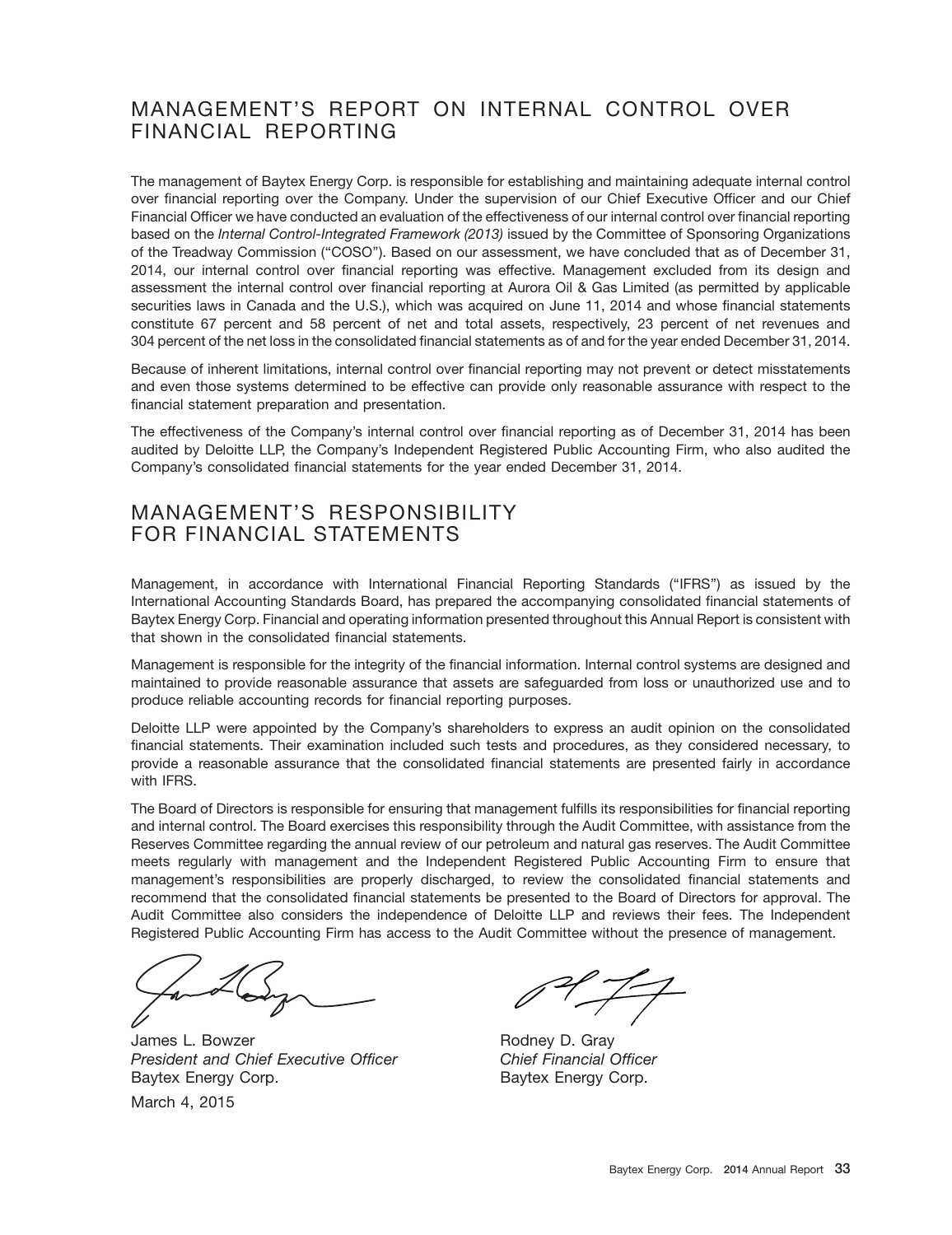# MANAGEMENT'S REPORT ON INTERNAL CONTROL OVER FINANCIAL REPORTING

The management of Baytex Energy Corp. is responsible for establishing and maintaining adequate internal control over financial reporting over the Company. Under the supervision of our Chief Executive Officer and our Chief Financial Officer we have conducted an evaluation of the effectiveness of our internal control over financial reporting based on the *Internal Control-Integrated Framework (2013)* issued by the Committee of Sponsoring Organizations of the Treadway Commission ("COSO"). Based on our assessment, we have concluded that as of December 31, 2014, our internal control over financial reporting was effective. Management excluded from its design and assessment the internal control over financial reporting at Aurora Oil & Gas Limited (as permitted by applicable securities laws in Canada and the U.S.), which was acquired on June 11, 2014 and whose financial statements constitute 67 percent and 58 percent of net and total assets, respectively, 23 percent of net revenues and 304 percent of the net loss in the consolidated financial statements as of and for the year ended December 31, 2014.

Because of inherent limitations, internal control over financial reporting may not prevent or detect misstatements and even those systems determined to be effective can provide only reasonable assurance with respect to the financial statement preparation and presentation.

The effectiveness of the Company's internal control over financial reporting as of December 31, 2014 has been audited by Deloitte LLP, the Company's Independent Registered Public Accounting Firm, who also audited the Company's consolidated financial statements for the year ended December 31, 2014.

# MANAGEMENT'S RESPONSIBILITY FOR FINANCIAL STATEMENTS

Management, in accordance with International Financial Reporting Standards (''IFRS'') as issued by the International Accounting Standards Board, has prepared the accompanying consolidated financial statements of Baytex Energy Corp. Financial and operating information presented throughout this Annual Report is consistent with that shown in the consolidated financial statements.

Management is responsible for the integrity of the financial information. Internal control systems are designed and maintained to provide reasonable assurance that assets are safeguarded from loss or unauthorized use and to produce reliable accounting records for financial reporting purposes.

Deloitte LLP were appointed by the Company's shareholders to express an audit opinion on the consolidated financial statements. Their examination included such tests and procedures, as they considered necessary, to provide a reasonable assurance that the consolidated financial statements are presented fairly in accordance with IFRS.

The Board of Directors is responsible for ensuring that management fulfills its responsibilities for financial reporting and internal control. The Board exercises this responsibility through the Audit Committee, with assistance from the Reserves Committee regarding the annual review of our petroleum and natural gas reserves. The Audit Committee meets regularly with management and the Independent Registered Public Accounting Firm to ensure that management's responsibilities are properly discharged, to review the consolidated financial statements and recommend that the consolidated financial statements be presented to the Board of Directors for approval. The Audit Committee also considers the independence of Deloitte LLP and reviews their fees. The Independent Registered Public Accounting Firm has access to the Audit Committee without the presence of management.

James L. Bowzer **Rodney D. Gray** *President and Chief Executive Officer Chief Financial Officer* Baytex Energy Corp. Baytex Energy Corp.

March 4, 2015

 $\frac{1}{\sqrt{2}}$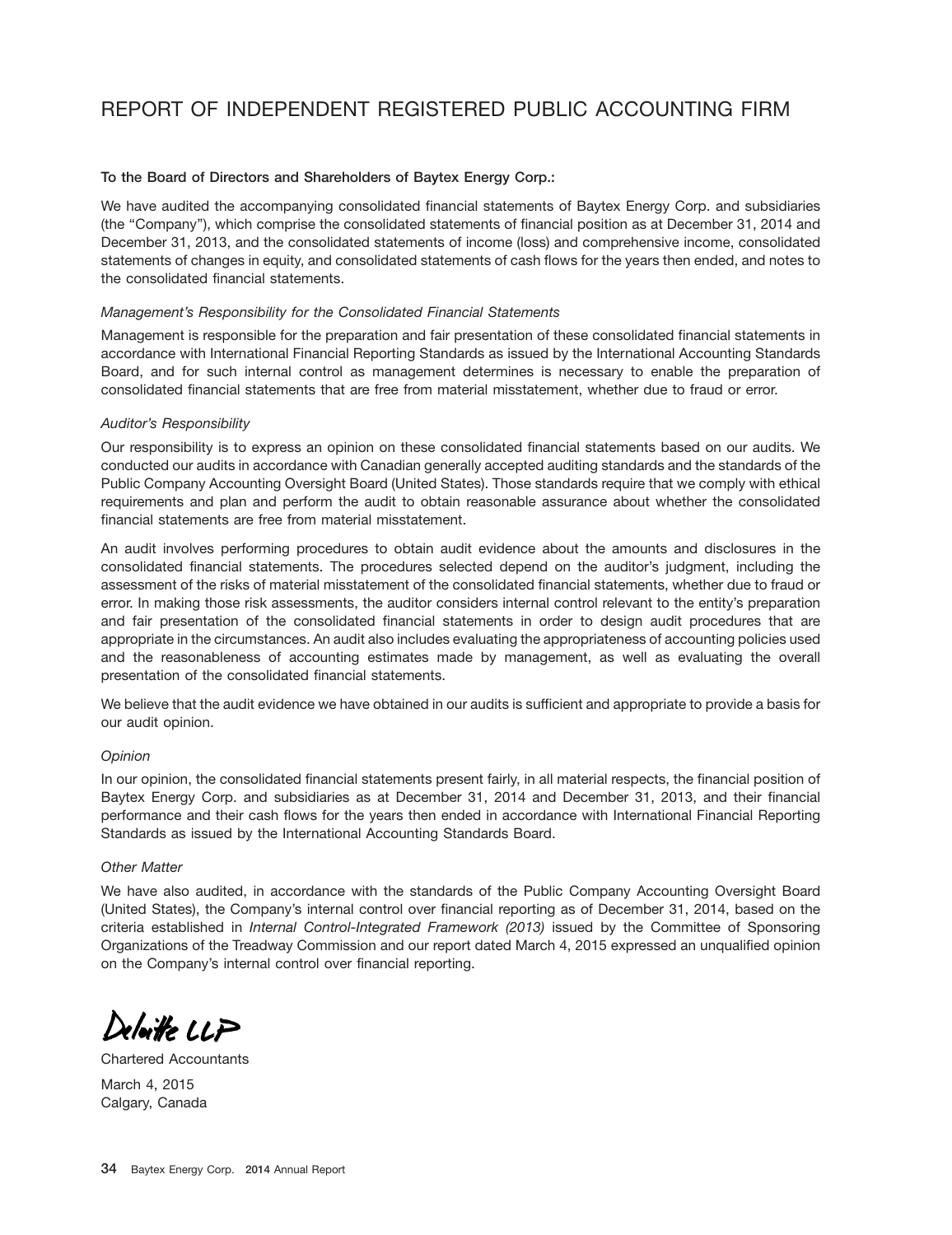# REPORT OF INDEPENDENT REGISTERED PUBLIC ACCOUNTING FIRM

#### **To the Board of Directors and Shareholders of Baytex Energy Corp.:**

We have audited the accompanying consolidated financial statements of Baytex Energy Corp. and subsidiaries (the ''Company''), which comprise the consolidated statements of financial position as at December 31, 2014 and December 31, 2013, and the consolidated statements of income (loss) and comprehensive income, consolidated statements of changes in equity, and consolidated statements of cash flows for the years then ended, and notes to the consolidated financial statements.

#### *Management's Responsibility for the Consolidated Financial Statements*

Management is responsible for the preparation and fair presentation of these consolidated financial statements in accordance with International Financial Reporting Standards as issued by the International Accounting Standards Board, and for such internal control as management determines is necessary to enable the preparation of consolidated financial statements that are free from material misstatement, whether due to fraud or error.

#### *Auditor's Responsibility*

Our responsibility is to express an opinion on these consolidated financial statements based on our audits. We conducted our audits in accordance with Canadian generally accepted auditing standards and the standards of the Public Company Accounting Oversight Board (United States). Those standards require that we comply with ethical requirements and plan and perform the audit to obtain reasonable assurance about whether the consolidated financial statements are free from material misstatement.

An audit involves performing procedures to obtain audit evidence about the amounts and disclosures in the consolidated financial statements. The procedures selected depend on the auditor's judgment, including the assessment of the risks of material misstatement of the consolidated financial statements, whether due to fraud or error. In making those risk assessments, the auditor considers internal control relevant to the entity's preparation and fair presentation of the consolidated financial statements in order to design audit procedures that are appropriate in the circumstances. An audit also includes evaluating the appropriateness of accounting policies used and the reasonableness of accounting estimates made by management, as well as evaluating the overall presentation of the consolidated financial statements.

We believe that the audit evidence we have obtained in our audits is sufficient and appropriate to provide a basis for our audit opinion.

## *Opinion*

In our opinion, the consolidated financial statements present fairly, in all material respects, the financial position of Baytex Energy Corp. and subsidiaries as at December 31, 2014 and December 31, 2013, and their financial performance and their cash flows for the years then ended in accordance with International Financial Reporting Standards as issued by the International Accounting Standards Board.

#### *Other Matter*

We have also audited, in accordance with the standards of the Public Company Accounting Oversight Board (United States), the Company's internal control over financial reporting as of December 31, 2014, based on the criteria established in *Internal Control-Integrated Framework (2013)* issued by the Committee of Sponsoring Organizations of the Treadway Commission and our report dated March 4, 2015 expressed an unqualified opinion on the Company's internal control over financial reporting.

 $\sim$   $\sim$   $\sim$   $\sim$ 

Chartered Accountants

March 4, 2015 Calgary, Canada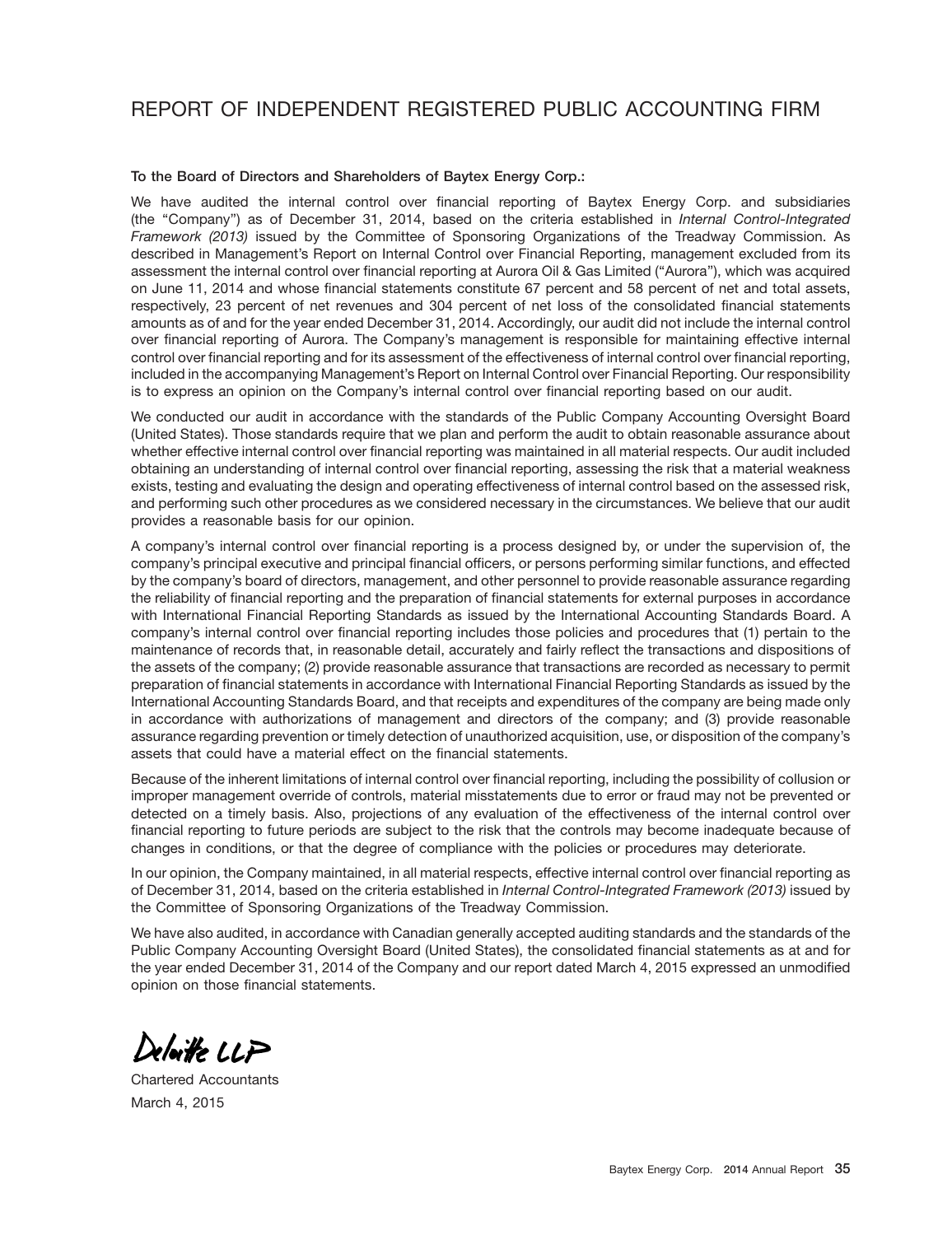# REPORT OF INDEPENDENT REGISTERED PUBLIC ACCOUNTING FIRM

#### **To the Board of Directors and Shareholders of Baytex Energy Corp.:**

We have audited the internal control over financial reporting of Baytex Energy Corp. and subsidiaries (the ''Company'') as of December 31, 2014, based on the criteria established in *Internal Control-Integrated Framework (2013)* issued by the Committee of Sponsoring Organizations of the Treadway Commission. As described in Management's Report on Internal Control over Financial Reporting, management excluded from its assessment the internal control over financial reporting at Aurora Oil & Gas Limited (''Aurora''), which was acquired on June 11, 2014 and whose financial statements constitute 67 percent and 58 percent of net and total assets, respectively, 23 percent of net revenues and 304 percent of net loss of the consolidated financial statements amounts as of and for the year ended December 31, 2014. Accordingly, our audit did not include the internal control over financial reporting of Aurora. The Company's management is responsible for maintaining effective internal control over financial reporting and for its assessment of the effectiveness of internal control over financial reporting, included in the accompanying Management's Report on Internal Control over Financial Reporting. Our responsibility is to express an opinion on the Company's internal control over financial reporting based on our audit.

We conducted our audit in accordance with the standards of the Public Company Accounting Oversight Board (United States). Those standards require that we plan and perform the audit to obtain reasonable assurance about whether effective internal control over financial reporting was maintained in all material respects. Our audit included obtaining an understanding of internal control over financial reporting, assessing the risk that a material weakness exists, testing and evaluating the design and operating effectiveness of internal control based on the assessed risk, and performing such other procedures as we considered necessary in the circumstances. We believe that our audit provides a reasonable basis for our opinion.

A company's internal control over financial reporting is a process designed by, or under the supervision of, the company's principal executive and principal financial officers, or persons performing similar functions, and effected by the company's board of directors, management, and other personnel to provide reasonable assurance regarding the reliability of financial reporting and the preparation of financial statements for external purposes in accordance with International Financial Reporting Standards as issued by the International Accounting Standards Board. A company's internal control over financial reporting includes those policies and procedures that (1) pertain to the maintenance of records that, in reasonable detail, accurately and fairly reflect the transactions and dispositions of the assets of the company; (2) provide reasonable assurance that transactions are recorded as necessary to permit preparation of financial statements in accordance with International Financial Reporting Standards as issued by the International Accounting Standards Board, and that receipts and expenditures of the company are being made only in accordance with authorizations of management and directors of the company; and (3) provide reasonable assurance regarding prevention or timely detection of unauthorized acquisition, use, or disposition of the company's assets that could have a material effect on the financial statements.

Because of the inherent limitations of internal control over financial reporting, including the possibility of collusion or improper management override of controls, material misstatements due to error or fraud may not be prevented or detected on a timely basis. Also, projections of any evaluation of the effectiveness of the internal control over financial reporting to future periods are subject to the risk that the controls may become inadequate because of changes in conditions, or that the degree of compliance with the policies or procedures may deteriorate.

In our opinion, the Company maintained, in all material respects, effective internal control over financial reporting as of December 31, 2014, based on the criteria established in *Internal Control-Integrated Framework (2013)* issued by the Committee of Sponsoring Organizations of the Treadway Commission.

We have also audited, in accordance with Canadian generally accepted auditing standards and the standards of the Public Company Accounting Oversight Board (United States), the consolidated financial statements as at and for the year ended December 31, 2014 of the Company and our report dated March 4, 2015 expressed an unmodified opinion on those financial statements.

Delaite LLP

Chartered Accountants March 4, 2015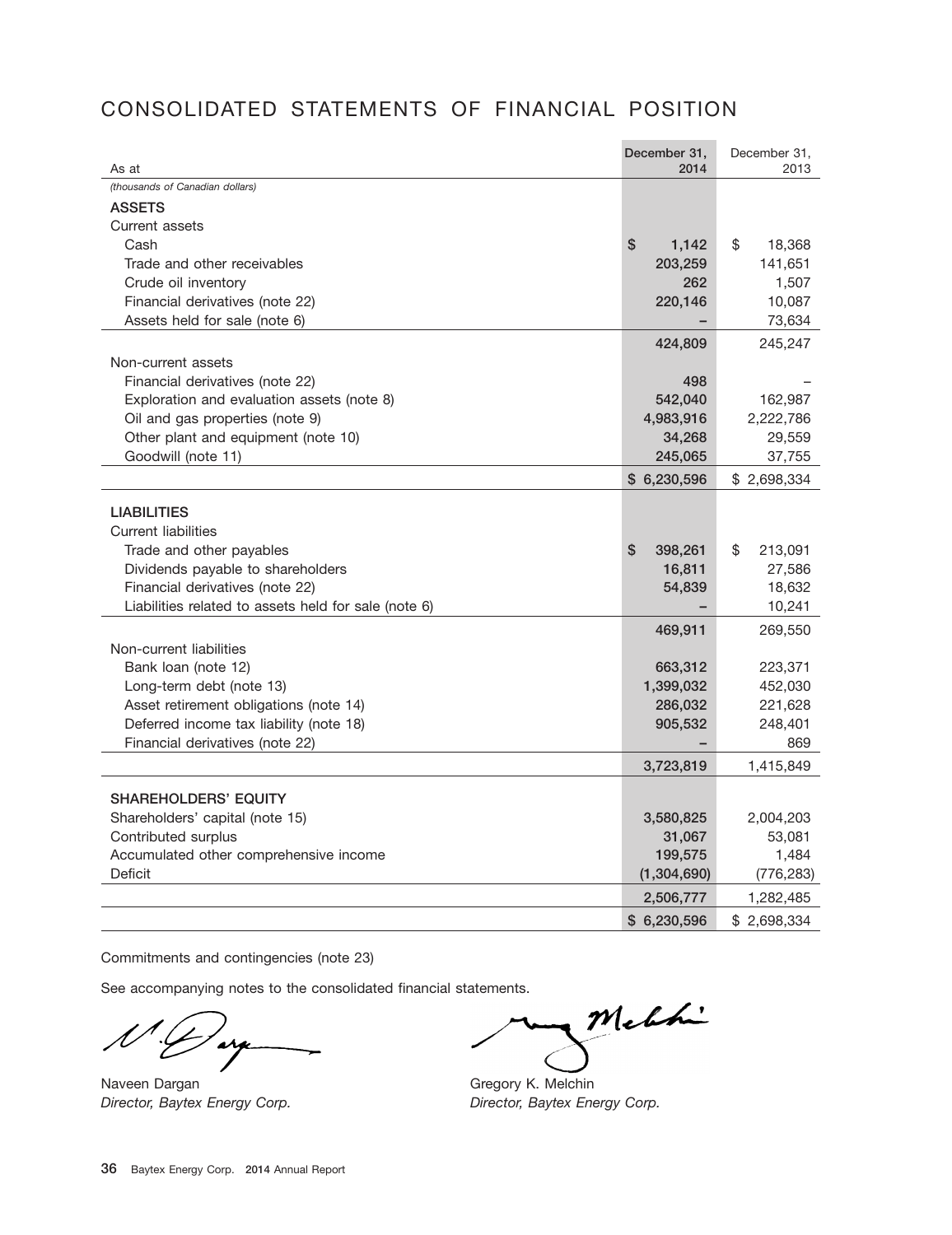# CONSOLIDATED STATEMENTS OF FINANCIAL POSITION

| As at                                                              | December 31,<br>2014 | December 31,<br>2013 |
|--------------------------------------------------------------------|----------------------|----------------------|
| (thousands of Canadian dollars)                                    |                      |                      |
| <b>ASSETS</b>                                                      |                      |                      |
| Current assets                                                     |                      |                      |
| Cash                                                               | \$<br>1,142          | \$<br>18,368         |
| Trade and other receivables                                        | 203,259              | 141,651              |
| Crude oil inventory                                                | 262                  | 1,507                |
| Financial derivatives (note 22)                                    | 220,146              | 10,087               |
| Assets held for sale (note 6)                                      |                      | 73,634               |
|                                                                    | 424,809              | 245,247              |
| Non-current assets                                                 |                      |                      |
| Financial derivatives (note 22)                                    | 498                  |                      |
| Exploration and evaluation assets (note 8)                         | 542,040              | 162,987              |
| Oil and gas properties (note 9)                                    | 4,983,916            | 2,222,786            |
| Other plant and equipment (note 10)                                | 34,268               | 29,559               |
| Goodwill (note 11)                                                 | 245,065              | 37,755               |
|                                                                    | \$6,230,596          | \$2,698,334          |
| <b>LIABILITIES</b>                                                 |                      |                      |
| <b>Current liabilities</b>                                         |                      |                      |
| Trade and other payables                                           | \$<br>398,261        | \$<br>213,091        |
| Dividends payable to shareholders                                  | 16,811               | 27,586               |
| Financial derivatives (note 22)                                    | 54,839               | 18,632               |
| Liabilities related to assets held for sale (note 6)               |                      | 10,241               |
|                                                                    |                      |                      |
|                                                                    | 469,911              | 269,550              |
| Non-current liabilities                                            |                      |                      |
| Bank loan (note 12)                                                | 663,312              | 223,371              |
| Long-term debt (note 13)<br>Asset retirement obligations (note 14) | 1,399,032<br>286,032 | 452,030              |
| Deferred income tax liability (note 18)                            | 905,532              | 221,628<br>248,401   |
| Financial derivatives (note 22)                                    |                      | 869                  |
|                                                                    | 3,723,819            | 1,415,849            |
|                                                                    |                      |                      |
| <b>SHAREHOLDERS' EQUITY</b>                                        |                      |                      |
| Shareholders' capital (note 15)                                    | 3,580,825            | 2,004,203            |
| Contributed surplus                                                | 31,067               | 53,081               |
| Accumulated other comprehensive income                             | 199,575              | 1,484                |
| Deficit                                                            | (1,304,690)          | (776, 283)           |
|                                                                    | 2,506,777            | 1,282,485            |
|                                                                    | \$6,230,596          | \$2,698,334          |

Commitments and contingencies (note 23)

 $\sim$ 

Naveen Dargan Gregory K. Melchin *Director, Baytex Energy Corp. Director, Baytex Energy Corp.*

Melhi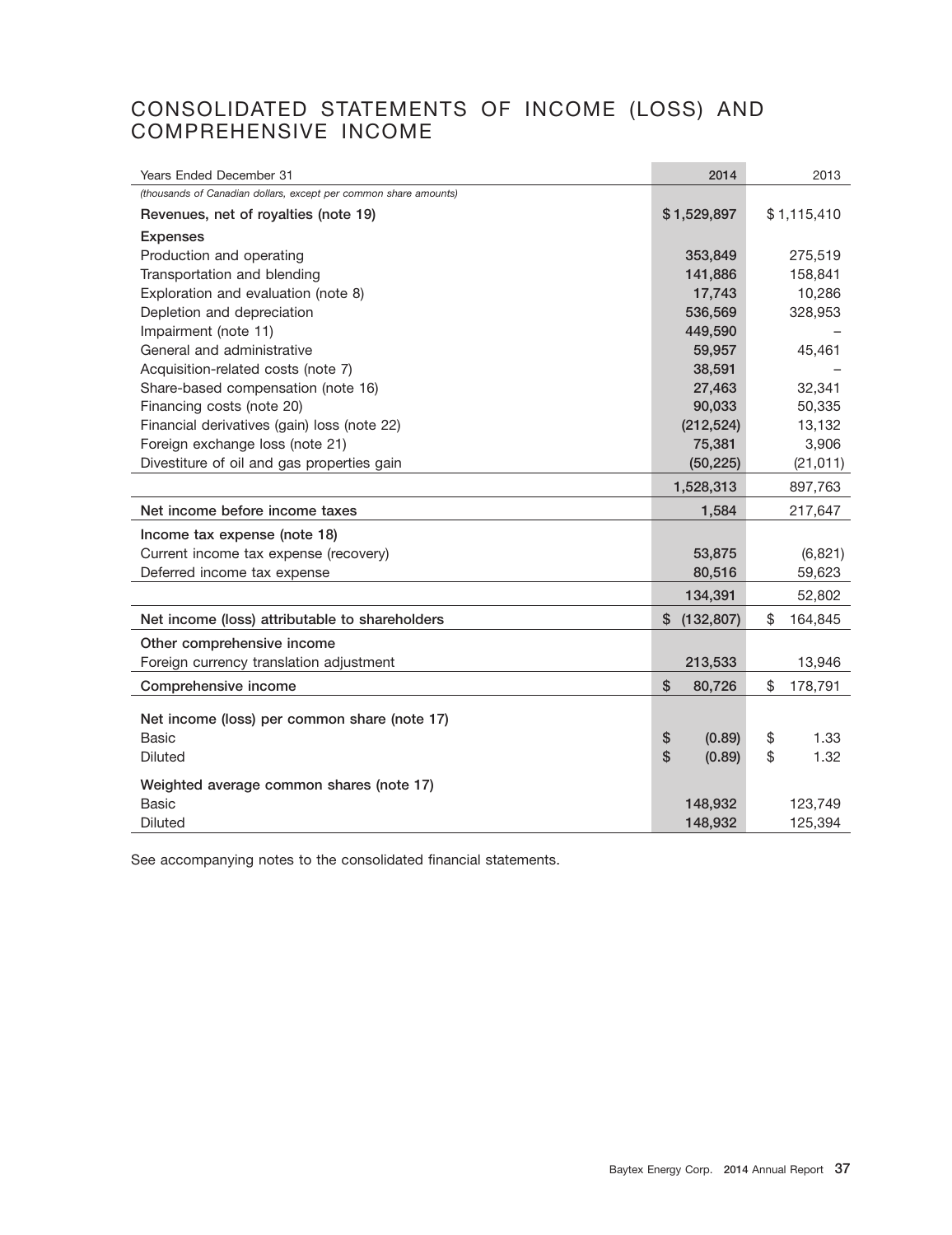## CONSOLIDATED STATEMENTS OF INCOME (LOSS) AND COMPREHENSIVE INCOME

| Years Ended December 31                                          | 2014                          | 2013          |
|------------------------------------------------------------------|-------------------------------|---------------|
| (thousands of Canadian dollars, except per common share amounts) |                               |               |
| Revenues, net of royalties (note 19)                             | \$1,529,897                   | \$1,115,410   |
| <b>Expenses</b>                                                  |                               |               |
| Production and operating                                         | 353,849                       | 275,519       |
| Transportation and blending                                      | 141,886                       | 158,841       |
| Exploration and evaluation (note 8)                              | 17,743                        | 10,286        |
| Depletion and depreciation                                       | 536,569                       | 328,953       |
| Impairment (note 11)                                             | 449,590                       |               |
| General and administrative                                       | 59,957                        | 45,461        |
| Acquisition-related costs (note 7)                               | 38,591                        |               |
| Share-based compensation (note 16)                               | 27,463                        | 32,341        |
| Financing costs (note 20)                                        | 90,033                        | 50,335        |
| Financial derivatives (gain) loss (note 22)                      | (212, 524)                    | 13,132        |
| Foreign exchange loss (note 21)                                  | 75,381                        | 3,906         |
| Divestiture of oil and gas properties gain                       | (50, 225)                     | (21, 011)     |
|                                                                  | 1,528,313                     | 897,763       |
| Net income before income taxes                                   | 1,584                         | 217,647       |
| Income tax expense (note 18)                                     |                               |               |
| Current income tax expense (recovery)                            | 53,875                        | (6,821)       |
| Deferred income tax expense                                      | 80,516                        | 59,623        |
|                                                                  | 134,391                       | 52,802        |
| Net income (loss) attributable to shareholders                   | \$<br>(132, 807)              | \$<br>164,845 |
| Other comprehensive income                                       |                               |               |
| Foreign currency translation adjustment                          | 213,533                       | 13,946        |
| Comprehensive income                                             | \$<br>80,726                  | \$<br>178,791 |
|                                                                  |                               |               |
| Net income (loss) per common share (note 17)                     |                               |               |
| <b>Basic</b>                                                     | \$<br>(0.89)<br>$\mathsf{\$}$ | \$<br>1.33    |
| Diluted                                                          | (0.89)                        | \$<br>1.32    |
| Weighted average common shares (note 17)                         |                               |               |
| <b>Basic</b>                                                     | 148,932                       | 123,749       |
| <b>Diluted</b>                                                   | 148,932                       | 125,394       |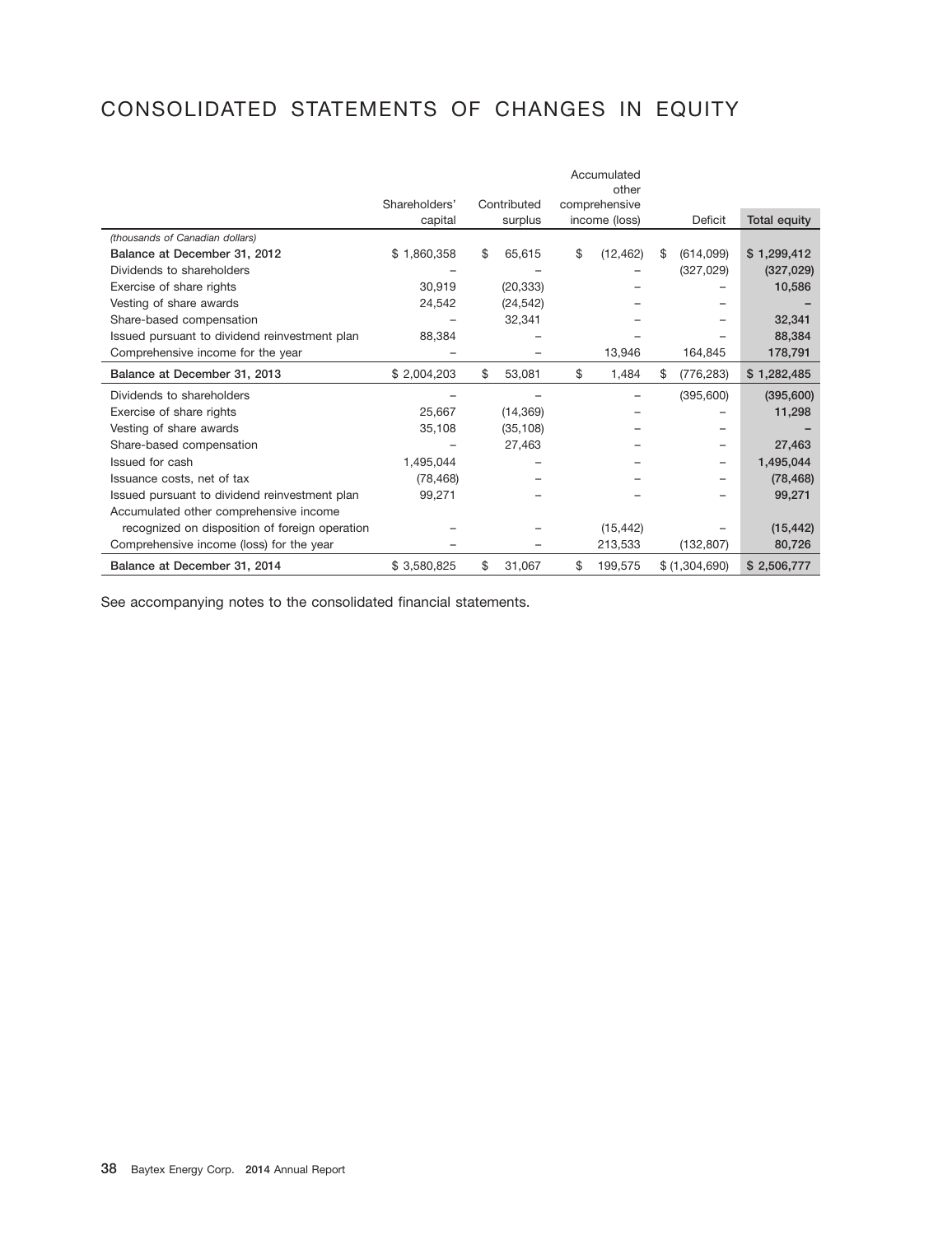# CONSOLIDATED STATEMENTS OF CHANGES IN EQUITY

|                                                | Shareholders' | Contributed  | Accumulated<br>other<br>comprehensive |                  |                     |
|------------------------------------------------|---------------|--------------|---------------------------------------|------------------|---------------------|
|                                                | capital       | surplus      | income (loss)                         | Deficit          | <b>Total equity</b> |
| (thousands of Canadian dollars)                |               |              |                                       |                  |                     |
| Balance at December 31, 2012                   | \$1,860,358   | \$<br>65.615 | \$<br>(12, 462)                       | \$<br>(614,099)  | \$1,299,412         |
| Dividends to shareholders                      |               |              |                                       | (327, 029)       | (327, 029)          |
| Exercise of share rights                       | 30.919        | (20, 333)    |                                       |                  | 10,586              |
| Vesting of share awards                        | 24,542        | (24, 542)    |                                       |                  |                     |
| Share-based compensation                       |               | 32,341       |                                       |                  | 32,341              |
| Issued pursuant to dividend reinvestment plan  | 88,384        |              |                                       |                  | 88,384              |
| Comprehensive income for the year              |               |              | 13,946                                | 164,845          | 178,791             |
| Balance at December 31, 2013                   | \$2,004,203   | \$<br>53,081 | \$<br>1,484                           | \$<br>(776, 283) | \$1,282,485         |
| Dividends to shareholders                      |               |              |                                       | (395, 600)       | (395,600)           |
| Exercise of share rights                       | 25,667        | (14, 369)    |                                       |                  | 11,298              |
| Vesting of share awards                        | 35,108        | (35, 108)    |                                       |                  |                     |
| Share-based compensation                       |               | 27.463       |                                       |                  | 27,463              |
| Issued for cash                                | 1,495,044     |              |                                       |                  | 1,495,044           |
| Issuance costs, net of tax                     | (78, 468)     |              |                                       |                  | (78, 468)           |
| Issued pursuant to dividend reinvestment plan  | 99,271        |              |                                       |                  | 99,271              |
| Accumulated other comprehensive income         |               |              |                                       |                  |                     |
| recognized on disposition of foreign operation |               |              | (15, 442)                             |                  | (15, 442)           |
| Comprehensive income (loss) for the year       |               |              | 213,533                               | (132, 807)       | 80,726              |
| Balance at December 31, 2014                   | \$3,580,825   | \$<br>31,067 | \$<br>199,575                         | \$ (1,304,690)   | \$2,506,777         |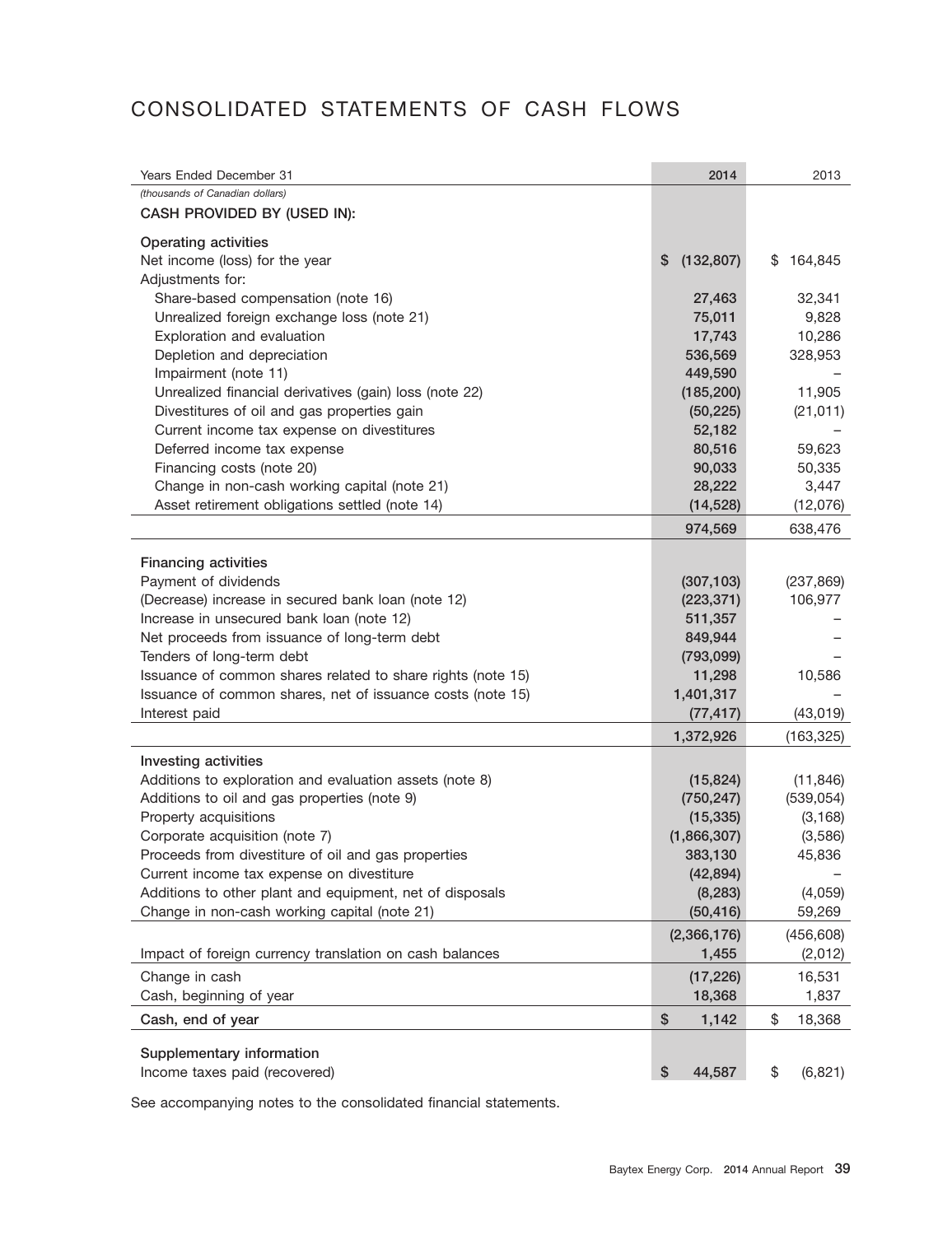# CONSOLIDATED STATEMENTS OF CASH FLOWS

| Years Ended December 31                                                                         | 2014                  | 2013                  |
|-------------------------------------------------------------------------------------------------|-----------------------|-----------------------|
| (thousands of Canadian dollars)                                                                 |                       |                       |
| CASH PROVIDED BY (USED IN):                                                                     |                       |                       |
| <b>Operating activities</b>                                                                     |                       |                       |
| Net income (loss) for the year                                                                  | \$<br>(132, 807)      | 164,845<br>\$         |
| Adjustments for:                                                                                |                       |                       |
| Share-based compensation (note 16)                                                              | 27,463                | 32,341                |
| Unrealized foreign exchange loss (note 21)                                                      | 75,011                | 9,828                 |
| Exploration and evaluation                                                                      | 17,743                | 10,286                |
| Depletion and depreciation                                                                      | 536,569               | 328,953               |
| Impairment (note 11)                                                                            | 449,590               |                       |
| Unrealized financial derivatives (gain) loss (note 22)                                          | (185, 200)            | 11,905                |
| Divestitures of oil and gas properties gain                                                     | (50, 225)             | (21, 011)             |
| Current income tax expense on divestitures                                                      | 52,182                |                       |
| Deferred income tax expense                                                                     | 80,516                | 59,623                |
| Financing costs (note 20)                                                                       | 90,033                | 50,335                |
| Change in non-cash working capital (note 21)                                                    | 28,222                | 3,447                 |
| Asset retirement obligations settled (note 14)                                                  | (14, 528)             | (12,076)              |
|                                                                                                 | 974,569               | 638,476               |
|                                                                                                 |                       |                       |
| <b>Financing activities</b>                                                                     |                       |                       |
| Payment of dividends                                                                            | (307, 103)            | (237, 869)<br>106,977 |
| (Decrease) increase in secured bank loan (note 12)<br>Increase in unsecured bank loan (note 12) | (223, 371)<br>511,357 |                       |
| Net proceeds from issuance of long-term debt                                                    | 849,944               |                       |
| Tenders of long-term debt                                                                       | (793,099)             |                       |
| Issuance of common shares related to share rights (note 15)                                     | 11,298                | 10,586                |
| Issuance of common shares, net of issuance costs (note 15)                                      | 1,401,317             |                       |
| Interest paid                                                                                   | (77, 417)             | (43, 019)             |
|                                                                                                 |                       |                       |
|                                                                                                 | 1,372,926             | (163, 325)            |
| Investing activities                                                                            |                       |                       |
| Additions to exploration and evaluation assets (note 8)                                         | (15, 824)             | (11, 846)             |
| Additions to oil and gas properties (note 9)                                                    | (750, 247)            | (539, 054)            |
| Property acquisitions                                                                           | (15, 335)             | (3, 168)              |
| Corporate acquisition (note 7)                                                                  | (1,866,307)           | (3,586)               |
| Proceeds from divestiture of oil and gas properties                                             | 383,130               | 45,836                |
| Current income tax expense on divestiture                                                       | (42, 894)             |                       |
| Additions to other plant and equipment, net of disposals                                        | (8, 283)              | (4,059)               |
| Change in non-cash working capital (note 21)                                                    | (50, 416)             | 59,269                |
|                                                                                                 | (2,366,176)           | (456, 608)            |
| Impact of foreign currency translation on cash balances                                         | 1,455                 | (2,012)               |
| Change in cash                                                                                  | (17, 226)             | 16,531                |
| Cash, beginning of year                                                                         | 18,368                | 1,837                 |
| Cash, end of year                                                                               | \$<br>1,142           | \$<br>18,368          |
| Supplementary information                                                                       |                       |                       |
| Income taxes paid (recovered)                                                                   | \$<br>44,587          | \$<br>(6, 821)        |
|                                                                                                 |                       |                       |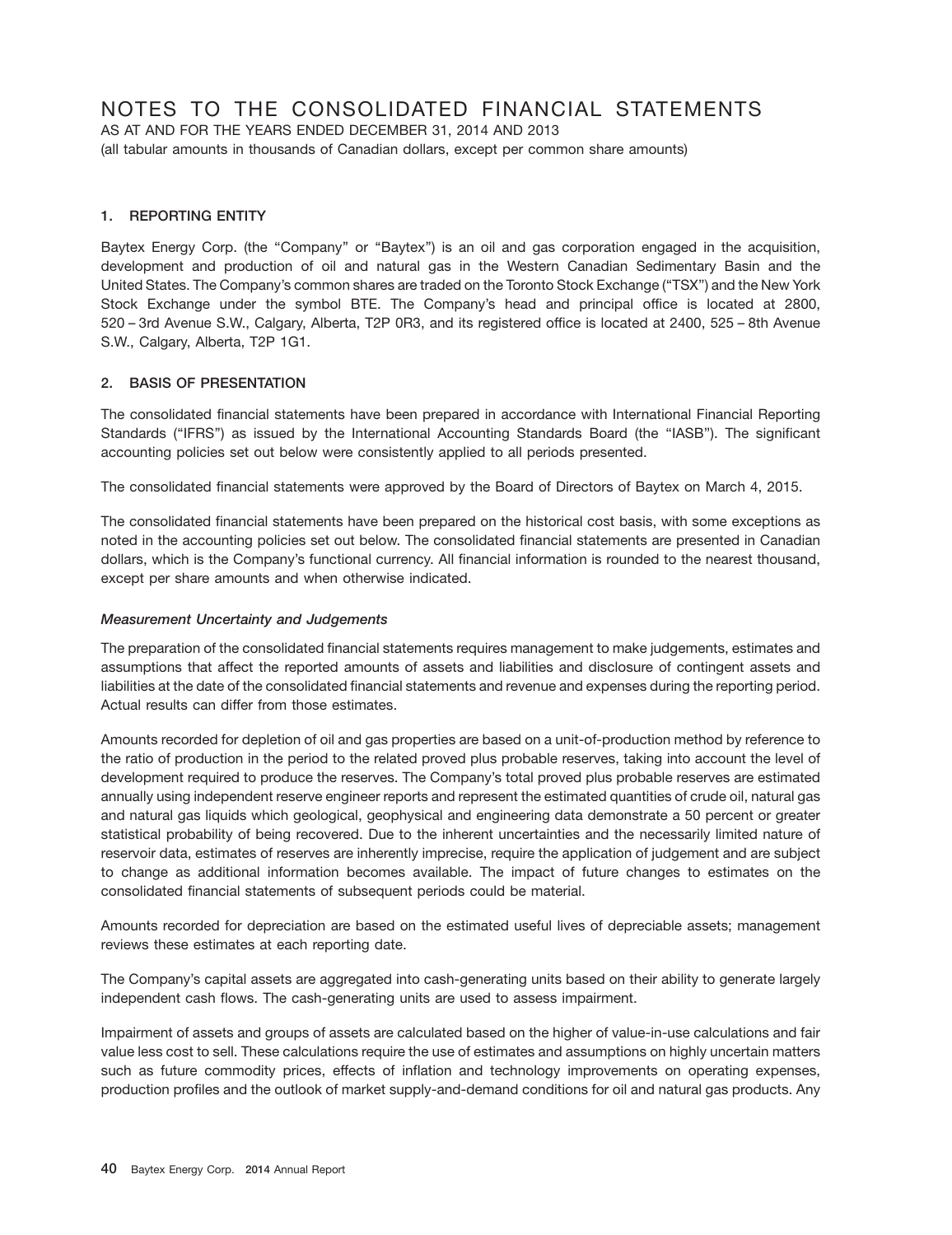## NOTES TO THE CONSOLIDATED FINANCIAL STATEMENTS

AS AT AND FOR THE YEARS ENDED DECEMBER 31, 2014 AND 2013 (all tabular amounts in thousands of Canadian dollars, except per common share amounts)

## **1. REPORTING ENTITY**

Baytex Energy Corp. (the "Company" or "Baytex") is an oil and gas corporation engaged in the acquisition, development and production of oil and natural gas in the Western Canadian Sedimentary Basin and the United States. The Company's common shares are traded on the Toronto Stock Exchange (''TSX'') and the New York Stock Exchange under the symbol BTE. The Company's head and principal office is located at 2800, 520 – 3rd Avenue S.W., Calgary, Alberta, T2P 0R3, and its registered office is located at 2400, 525 – 8th Avenue S.W., Calgary, Alberta, T2P 1G1.

## **2. BASIS OF PRESENTATION**

The consolidated financial statements have been prepared in accordance with International Financial Reporting Standards (''IFRS'') as issued by the International Accounting Standards Board (the ''IASB''). The significant accounting policies set out below were consistently applied to all periods presented.

The consolidated financial statements were approved by the Board of Directors of Baytex on March 4, 2015.

The consolidated financial statements have been prepared on the historical cost basis, with some exceptions as noted in the accounting policies set out below. The consolidated financial statements are presented in Canadian dollars, which is the Company's functional currency. All financial information is rounded to the nearest thousand, except per share amounts and when otherwise indicated.

## *Measurement Uncertainty and Judgements*

The preparation of the consolidated financial statements requires management to make judgements, estimates and assumptions that affect the reported amounts of assets and liabilities and disclosure of contingent assets and liabilities at the date of the consolidated financial statements and revenue and expenses during the reporting period. Actual results can differ from those estimates.

Amounts recorded for depletion of oil and gas properties are based on a unit-of-production method by reference to the ratio of production in the period to the related proved plus probable reserves, taking into account the level of development required to produce the reserves. The Company's total proved plus probable reserves are estimated annually using independent reserve engineer reports and represent the estimated quantities of crude oil, natural gas and natural gas liquids which geological, geophysical and engineering data demonstrate a 50 percent or greater statistical probability of being recovered. Due to the inherent uncertainties and the necessarily limited nature of reservoir data, estimates of reserves are inherently imprecise, require the application of judgement and are subject to change as additional information becomes available. The impact of future changes to estimates on the consolidated financial statements of subsequent periods could be material.

Amounts recorded for depreciation are based on the estimated useful lives of depreciable assets; management reviews these estimates at each reporting date.

The Company's capital assets are aggregated into cash-generating units based on their ability to generate largely independent cash flows. The cash-generating units are used to assess impairment.

Impairment of assets and groups of assets are calculated based on the higher of value-in-use calculations and fair value less cost to sell. These calculations require the use of estimates and assumptions on highly uncertain matters such as future commodity prices, effects of inflation and technology improvements on operating expenses, production profiles and the outlook of market supply-and-demand conditions for oil and natural gas products. Any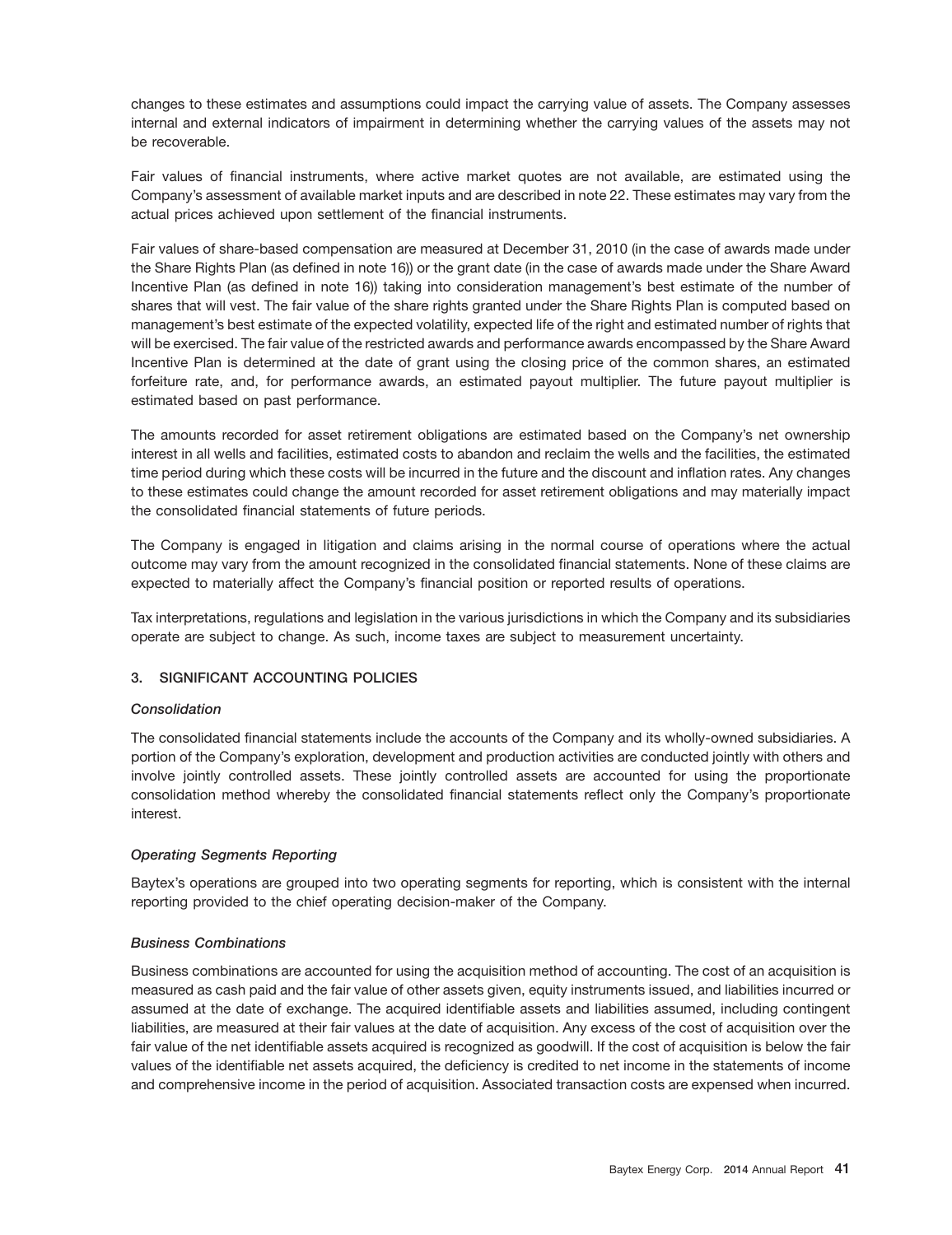changes to these estimates and assumptions could impact the carrying value of assets. The Company assesses internal and external indicators of impairment in determining whether the carrying values of the assets may not be recoverable.

Fair values of financial instruments, where active market quotes are not available, are estimated using the Company's assessment of available market inputs and are described in note 22. These estimates may vary from the actual prices achieved upon settlement of the financial instruments.

Fair values of share-based compensation are measured at December 31, 2010 (in the case of awards made under the Share Rights Plan (as defined in note 16)) or the grant date (in the case of awards made under the Share Award Incentive Plan (as defined in note 16)) taking into consideration management's best estimate of the number of shares that will vest. The fair value of the share rights granted under the Share Rights Plan is computed based on management's best estimate of the expected volatility, expected life of the right and estimated number of rights that will be exercised. The fair value of the restricted awards and performance awards encompassed by the Share Award Incentive Plan is determined at the date of grant using the closing price of the common shares, an estimated forfeiture rate, and, for performance awards, an estimated payout multiplier. The future payout multiplier is estimated based on past performance.

The amounts recorded for asset retirement obligations are estimated based on the Company's net ownership interest in all wells and facilities, estimated costs to abandon and reclaim the wells and the facilities, the estimated time period during which these costs will be incurred in the future and the discount and inflation rates. Any changes to these estimates could change the amount recorded for asset retirement obligations and may materially impact the consolidated financial statements of future periods.

The Company is engaged in litigation and claims arising in the normal course of operations where the actual outcome may vary from the amount recognized in the consolidated financial statements. None of these claims are expected to materially affect the Company's financial position or reported results of operations.

Tax interpretations, regulations and legislation in the various jurisdictions in which the Company and its subsidiaries operate are subject to change. As such, income taxes are subject to measurement uncertainty.

## **3. SIGNIFICANT ACCOUNTING POLICIES**

## *Consolidation*

The consolidated financial statements include the accounts of the Company and its wholly-owned subsidiaries. A portion of the Company's exploration, development and production activities are conducted jointly with others and involve jointly controlled assets. These jointly controlled assets are accounted for using the proportionate consolidation method whereby the consolidated financial statements reflect only the Company's proportionate interest.

## *Operating Segments Reporting*

Baytex's operations are grouped into two operating segments for reporting, which is consistent with the internal reporting provided to the chief operating decision-maker of the Company.

## *Business Combinations*

Business combinations are accounted for using the acquisition method of accounting. The cost of an acquisition is measured as cash paid and the fair value of other assets given, equity instruments issued, and liabilities incurred or assumed at the date of exchange. The acquired identifiable assets and liabilities assumed, including contingent liabilities, are measured at their fair values at the date of acquisition. Any excess of the cost of acquisition over the fair value of the net identifiable assets acquired is recognized as goodwill. If the cost of acquisition is below the fair values of the identifiable net assets acquired, the deficiency is credited to net income in the statements of income and comprehensive income in the period of acquisition. Associated transaction costs are expensed when incurred.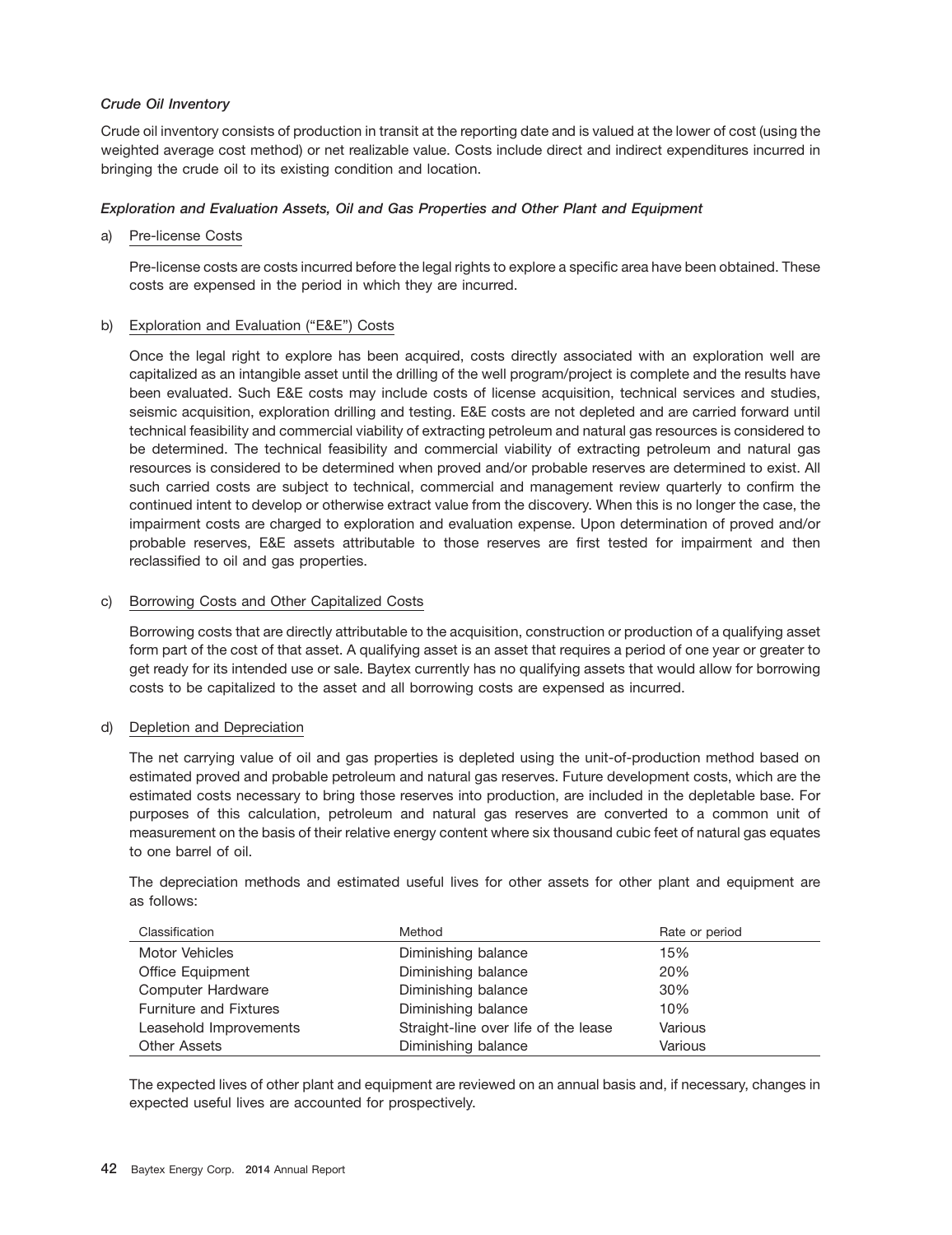## *Crude Oil Inventory*

Crude oil inventory consists of production in transit at the reporting date and is valued at the lower of cost (using the weighted average cost method) or net realizable value. Costs include direct and indirect expenditures incurred in bringing the crude oil to its existing condition and location.

## *Exploration and Evaluation Assets, Oil and Gas Properties and Other Plant and Equipment*

## a) Pre-license Costs

Pre-license costs are costs incurred before the legal rights to explore a specific area have been obtained. These costs are expensed in the period in which they are incurred.

## b) Exploration and Evaluation ("E&E") Costs

Once the legal right to explore has been acquired, costs directly associated with an exploration well are capitalized as an intangible asset until the drilling of the well program/project is complete and the results have been evaluated. Such E&E costs may include costs of license acquisition, technical services and studies, seismic acquisition, exploration drilling and testing. E&E costs are not depleted and are carried forward until technical feasibility and commercial viability of extracting petroleum and natural gas resources is considered to be determined. The technical feasibility and commercial viability of extracting petroleum and natural gas resources is considered to be determined when proved and/or probable reserves are determined to exist. All such carried costs are subject to technical, commercial and management review quarterly to confirm the continued intent to develop or otherwise extract value from the discovery. When this is no longer the case, the impairment costs are charged to exploration and evaluation expense. Upon determination of proved and/or probable reserves, E&E assets attributable to those reserves are first tested for impairment and then reclassified to oil and gas properties.

## c) Borrowing Costs and Other Capitalized Costs

Borrowing costs that are directly attributable to the acquisition, construction or production of a qualifying asset form part of the cost of that asset. A qualifying asset is an asset that requires a period of one year or greater to get ready for its intended use or sale. Baytex currently has no qualifying assets that would allow for borrowing costs to be capitalized to the asset and all borrowing costs are expensed as incurred.

## d) Depletion and Depreciation

The net carrying value of oil and gas properties is depleted using the unit-of-production method based on estimated proved and probable petroleum and natural gas reserves. Future development costs, which are the estimated costs necessary to bring those reserves into production, are included in the depletable base. For purposes of this calculation, petroleum and natural gas reserves are converted to a common unit of measurement on the basis of their relative energy content where six thousand cubic feet of natural gas equates to one barrel of oil.

The depreciation methods and estimated useful lives for other assets for other plant and equipment are as follows:

| Classification                | Method                               | Rate or period |
|-------------------------------|--------------------------------------|----------------|
| Motor Vehicles                | Diminishing balance                  | 15%            |
| Office Equipment              | Diminishing balance                  | 20%            |
| Computer Hardware             | Diminishing balance                  | 30%            |
| <b>Furniture and Fixtures</b> | Diminishing balance                  | 10%            |
| Leasehold Improvements        | Straight-line over life of the lease | Various        |
| <b>Other Assets</b>           | Diminishing balance                  | Various        |

The expected lives of other plant and equipment are reviewed on an annual basis and, if necessary, changes in expected useful lives are accounted for prospectively.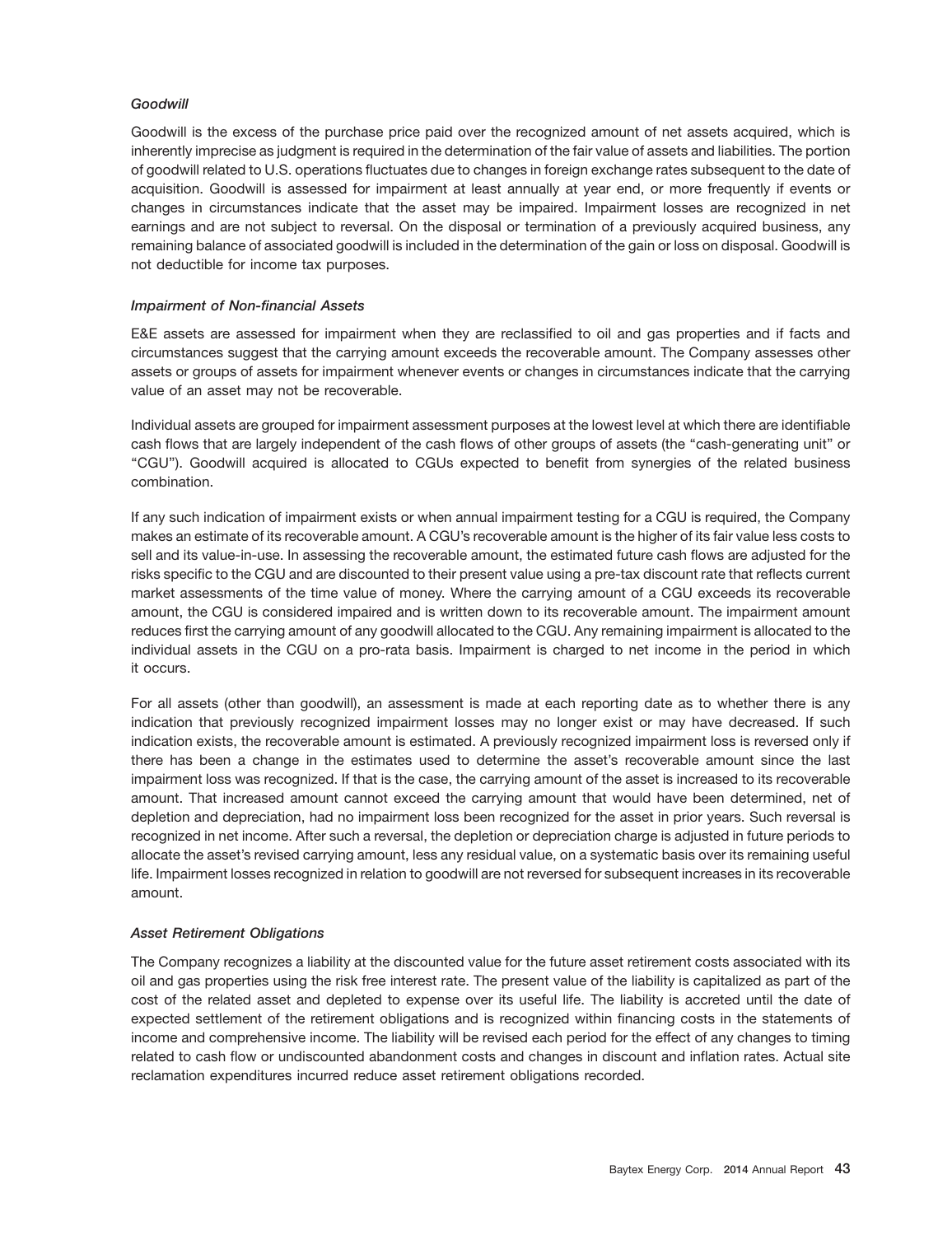### *Goodwill*

Goodwill is the excess of the purchase price paid over the recognized amount of net assets acquired, which is inherently imprecise as judgment is required in the determination of the fair value of assets and liabilities. The portion of goodwill related to U.S. operations fluctuates due to changes in foreign exchange rates subsequent to the date of acquisition. Goodwill is assessed for impairment at least annually at year end, or more frequently if events or changes in circumstances indicate that the asset may be impaired. Impairment losses are recognized in net earnings and are not subject to reversal. On the disposal or termination of a previously acquired business, any remaining balance of associated goodwill is included in the determination of the gain or loss on disposal. Goodwill is not deductible for income tax purposes.

#### *Impairment of Non-financial Assets*

E&E assets are assessed for impairment when they are reclassified to oil and gas properties and if facts and circumstances suggest that the carrying amount exceeds the recoverable amount. The Company assesses other assets or groups of assets for impairment whenever events or changes in circumstances indicate that the carrying value of an asset may not be recoverable.

Individual assets are grouped for impairment assessment purposes at the lowest level at which there are identifiable cash flows that are largely independent of the cash flows of other groups of assets (the "cash-generating unit" or ''CGU''). Goodwill acquired is allocated to CGUs expected to benefit from synergies of the related business combination.

If any such indication of impairment exists or when annual impairment testing for a CGU is required, the Company makes an estimate of its recoverable amount. A CGU's recoverable amount is the higher of its fair value less costs to sell and its value-in-use. In assessing the recoverable amount, the estimated future cash flows are adjusted for the risks specific to the CGU and are discounted to their present value using a pre-tax discount rate that reflects current market assessments of the time value of money. Where the carrying amount of a CGU exceeds its recoverable amount, the CGU is considered impaired and is written down to its recoverable amount. The impairment amount reduces first the carrying amount of any goodwill allocated to the CGU. Any remaining impairment is allocated to the individual assets in the CGU on a pro-rata basis. Impairment is charged to net income in the period in which it occurs.

For all assets (other than goodwill), an assessment is made at each reporting date as to whether there is any indication that previously recognized impairment losses may no longer exist or may have decreased. If such indication exists, the recoverable amount is estimated. A previously recognized impairment loss is reversed only if there has been a change in the estimates used to determine the asset's recoverable amount since the last impairment loss was recognized. If that is the case, the carrying amount of the asset is increased to its recoverable amount. That increased amount cannot exceed the carrying amount that would have been determined, net of depletion and depreciation, had no impairment loss been recognized for the asset in prior years. Such reversal is recognized in net income. After such a reversal, the depletion or depreciation charge is adjusted in future periods to allocate the asset's revised carrying amount, less any residual value, on a systematic basis over its remaining useful life. Impairment losses recognized in relation to goodwill are not reversed for subsequent increases in its recoverable amount.

#### *Asset Retirement Obligations*

The Company recognizes a liability at the discounted value for the future asset retirement costs associated with its oil and gas properties using the risk free interest rate. The present value of the liability is capitalized as part of the cost of the related asset and depleted to expense over its useful life. The liability is accreted until the date of expected settlement of the retirement obligations and is recognized within financing costs in the statements of income and comprehensive income. The liability will be revised each period for the effect of any changes to timing related to cash flow or undiscounted abandonment costs and changes in discount and inflation rates. Actual site reclamation expenditures incurred reduce asset retirement obligations recorded.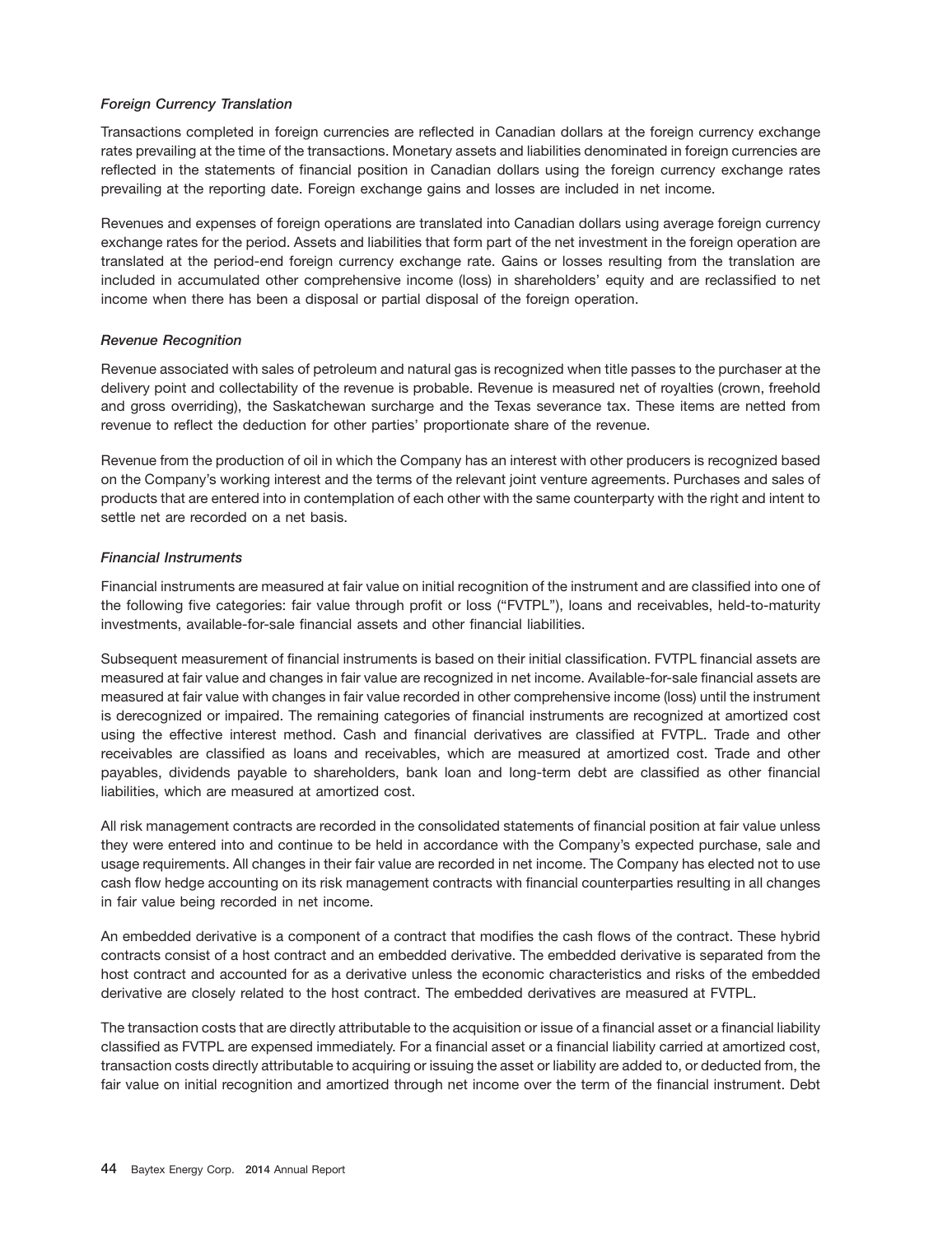## *Foreign Currency Translation*

Transactions completed in foreign currencies are reflected in Canadian dollars at the foreign currency exchange rates prevailing at the time of the transactions. Monetary assets and liabilities denominated in foreign currencies are reflected in the statements of financial position in Canadian dollars using the foreign currency exchange rates prevailing at the reporting date. Foreign exchange gains and losses are included in net income.

Revenues and expenses of foreign operations are translated into Canadian dollars using average foreign currency exchange rates for the period. Assets and liabilities that form part of the net investment in the foreign operation are translated at the period-end foreign currency exchange rate. Gains or losses resulting from the translation are included in accumulated other comprehensive income (loss) in shareholders' equity and are reclassified to net income when there has been a disposal or partial disposal of the foreign operation.

## *Revenue Recognition*

Revenue associated with sales of petroleum and natural gas is recognized when title passes to the purchaser at the delivery point and collectability of the revenue is probable. Revenue is measured net of royalties (crown, freehold and gross overriding), the Saskatchewan surcharge and the Texas severance tax. These items are netted from revenue to reflect the deduction for other parties' proportionate share of the revenue.

Revenue from the production of oil in which the Company has an interest with other producers is recognized based on the Company's working interest and the terms of the relevant joint venture agreements. Purchases and sales of products that are entered into in contemplation of each other with the same counterparty with the right and intent to settle net are recorded on a net basis.

## *Financial Instruments*

Financial instruments are measured at fair value on initial recognition of the instrument and are classified into one of the following five categories: fair value through profit or loss (''FVTPL''), loans and receivables, held-to-maturity investments, available-for-sale financial assets and other financial liabilities.

Subsequent measurement of financial instruments is based on their initial classification. FVTPL financial assets are measured at fair value and changes in fair value are recognized in net income. Available-for-sale financial assets are measured at fair value with changes in fair value recorded in other comprehensive income (loss) until the instrument is derecognized or impaired. The remaining categories of financial instruments are recognized at amortized cost using the effective interest method. Cash and financial derivatives are classified at FVTPL. Trade and other receivables are classified as loans and receivables, which are measured at amortized cost. Trade and other payables, dividends payable to shareholders, bank loan and long-term debt are classified as other financial liabilities, which are measured at amortized cost.

All risk management contracts are recorded in the consolidated statements of financial position at fair value unless they were entered into and continue to be held in accordance with the Company's expected purchase, sale and usage requirements. All changes in their fair value are recorded in net income. The Company has elected not to use cash flow hedge accounting on its risk management contracts with financial counterparties resulting in all changes in fair value being recorded in net income.

An embedded derivative is a component of a contract that modifies the cash flows of the contract. These hybrid contracts consist of a host contract and an embedded derivative. The embedded derivative is separated from the host contract and accounted for as a derivative unless the economic characteristics and risks of the embedded derivative are closely related to the host contract. The embedded derivatives are measured at FVTPL.

The transaction costs that are directly attributable to the acquisition or issue of a financial asset or a financial liability classified as FVTPL are expensed immediately. For a financial asset or a financial liability carried at amortized cost, transaction costs directly attributable to acquiring or issuing the asset or liability are added to, or deducted from, the fair value on initial recognition and amortized through net income over the term of the financial instrument. Debt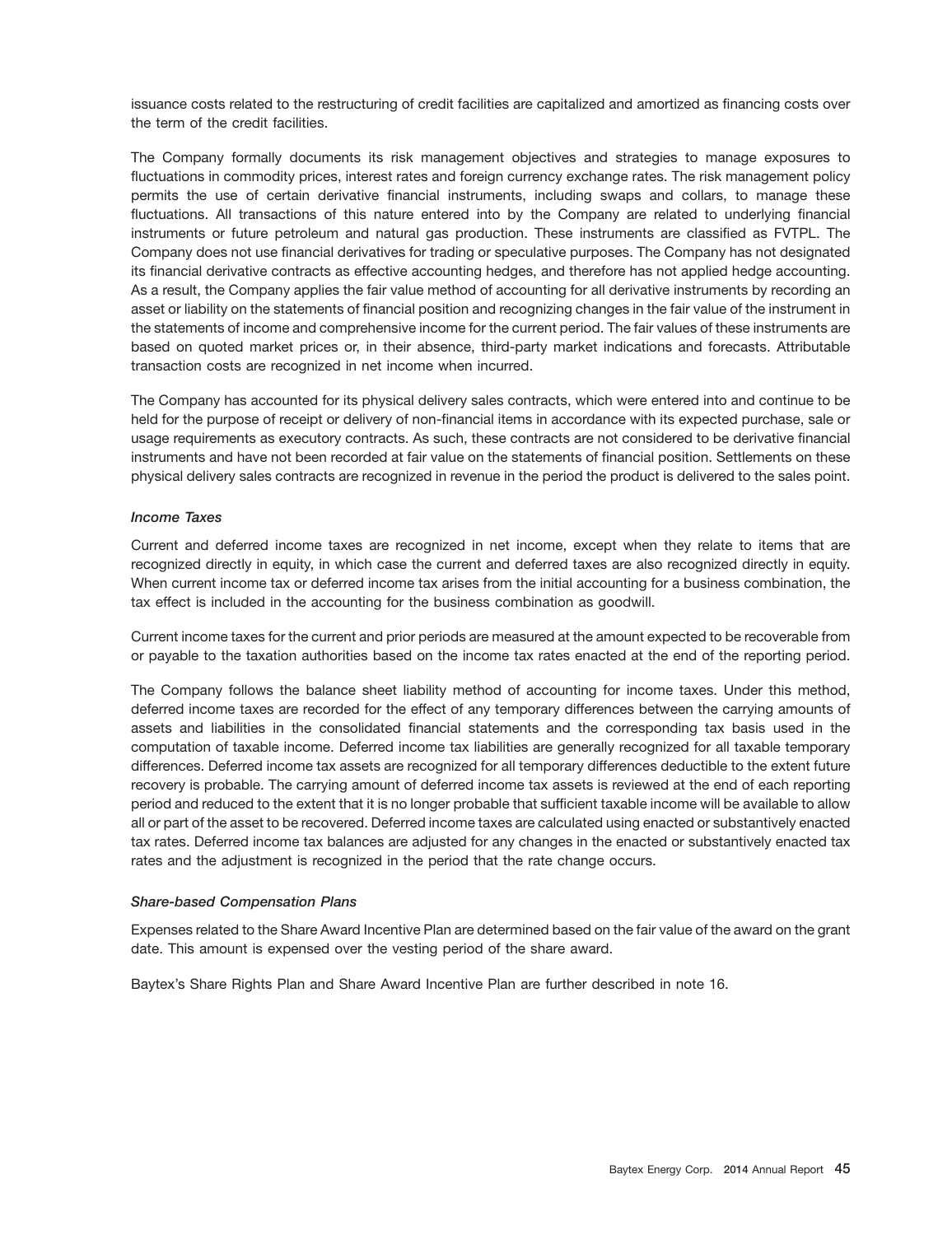issuance costs related to the restructuring of credit facilities are capitalized and amortized as financing costs over the term of the credit facilities.

The Company formally documents its risk management objectives and strategies to manage exposures to fluctuations in commodity prices, interest rates and foreign currency exchange rates. The risk management policy permits the use of certain derivative financial instruments, including swaps and collars, to manage these fluctuations. All transactions of this nature entered into by the Company are related to underlying financial instruments or future petroleum and natural gas production. These instruments are classified as FVTPL. The Company does not use financial derivatives for trading or speculative purposes. The Company has not designated its financial derivative contracts as effective accounting hedges, and therefore has not applied hedge accounting. As a result, the Company applies the fair value method of accounting for all derivative instruments by recording an asset or liability on the statements of financial position and recognizing changes in the fair value of the instrument in the statements of income and comprehensive income for the current period. The fair values of these instruments are based on quoted market prices or, in their absence, third-party market indications and forecasts. Attributable transaction costs are recognized in net income when incurred.

The Company has accounted for its physical delivery sales contracts, which were entered into and continue to be held for the purpose of receipt or delivery of non-financial items in accordance with its expected purchase, sale or usage requirements as executory contracts. As such, these contracts are not considered to be derivative financial instruments and have not been recorded at fair value on the statements of financial position. Settlements on these physical delivery sales contracts are recognized in revenue in the period the product is delivered to the sales point.

#### *Income Taxes*

Current and deferred income taxes are recognized in net income, except when they relate to items that are recognized directly in equity, in which case the current and deferred taxes are also recognized directly in equity. When current income tax or deferred income tax arises from the initial accounting for a business combination, the tax effect is included in the accounting for the business combination as goodwill.

Current income taxes for the current and prior periods are measured at the amount expected to be recoverable from or payable to the taxation authorities based on the income tax rates enacted at the end of the reporting period.

The Company follows the balance sheet liability method of accounting for income taxes. Under this method, deferred income taxes are recorded for the effect of any temporary differences between the carrying amounts of assets and liabilities in the consolidated financial statements and the corresponding tax basis used in the computation of taxable income. Deferred income tax liabilities are generally recognized for all taxable temporary differences. Deferred income tax assets are recognized for all temporary differences deductible to the extent future recovery is probable. The carrying amount of deferred income tax assets is reviewed at the end of each reporting period and reduced to the extent that it is no longer probable that sufficient taxable income will be available to allow all or part of the asset to be recovered. Deferred income taxes are calculated using enacted or substantively enacted tax rates. Deferred income tax balances are adjusted for any changes in the enacted or substantively enacted tax rates and the adjustment is recognized in the period that the rate change occurs.

#### *Share-based Compensation Plans*

Expenses related to the Share Award Incentive Plan are determined based on the fair value of the award on the grant date. This amount is expensed over the vesting period of the share award.

Baytex's Share Rights Plan and Share Award Incentive Plan are further described in note 16.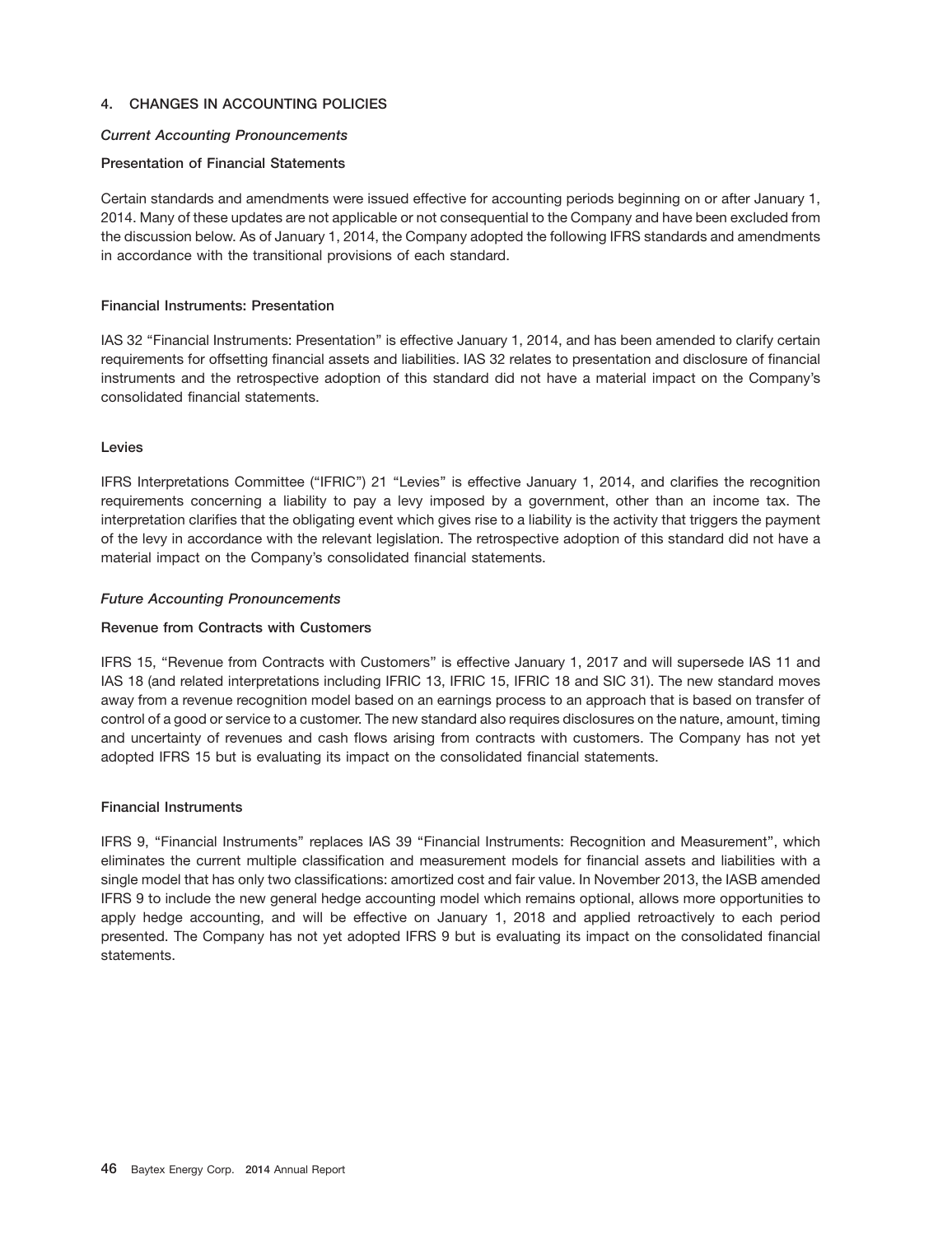## **4. CHANGES IN ACCOUNTING POLICIES**

### *Current Accounting Pronouncements*

#### **Presentation of Financial Statements**

Certain standards and amendments were issued effective for accounting periods beginning on or after January 1, 2014. Many of these updates are not applicable or not consequential to the Company and have been excluded from the discussion below. As of January 1, 2014, the Company adopted the following IFRS standards and amendments in accordance with the transitional provisions of each standard.

#### **Financial Instruments: Presentation**

IAS 32 ''Financial Instruments: Presentation'' is effective January 1, 2014, and has been amended to clarify certain requirements for offsetting financial assets and liabilities. IAS 32 relates to presentation and disclosure of financial instruments and the retrospective adoption of this standard did not have a material impact on the Company's consolidated financial statements.

#### **Levies**

IFRS Interpretations Committee (''IFRIC'') 21 ''Levies'' is effective January 1, 2014, and clarifies the recognition requirements concerning a liability to pay a levy imposed by a government, other than an income tax. The interpretation clarifies that the obligating event which gives rise to a liability is the activity that triggers the payment of the levy in accordance with the relevant legislation. The retrospective adoption of this standard did not have a material impact on the Company's consolidated financial statements.

#### *Future Accounting Pronouncements*

#### **Revenue from Contracts with Customers**

IFRS 15, ''Revenue from Contracts with Customers'' is effective January 1, 2017 and will supersede IAS 11 and IAS 18 (and related interpretations including IFRIC 13, IFRIC 15, IFRIC 18 and SIC 31). The new standard moves away from a revenue recognition model based on an earnings process to an approach that is based on transfer of control of a good or service to a customer. The new standard also requires disclosures on the nature, amount, timing and uncertainty of revenues and cash flows arising from contracts with customers. The Company has not yet adopted IFRS 15 but is evaluating its impact on the consolidated financial statements.

### **Financial Instruments**

IFRS 9, ''Financial Instruments'' replaces IAS 39 ''Financial Instruments: Recognition and Measurement'', which eliminates the current multiple classification and measurement models for financial assets and liabilities with a single model that has only two classifications: amortized cost and fair value. In November 2013, the IASB amended IFRS 9 to include the new general hedge accounting model which remains optional, allows more opportunities to apply hedge accounting, and will be effective on January 1, 2018 and applied retroactively to each period presented. The Company has not yet adopted IFRS 9 but is evaluating its impact on the consolidated financial statements.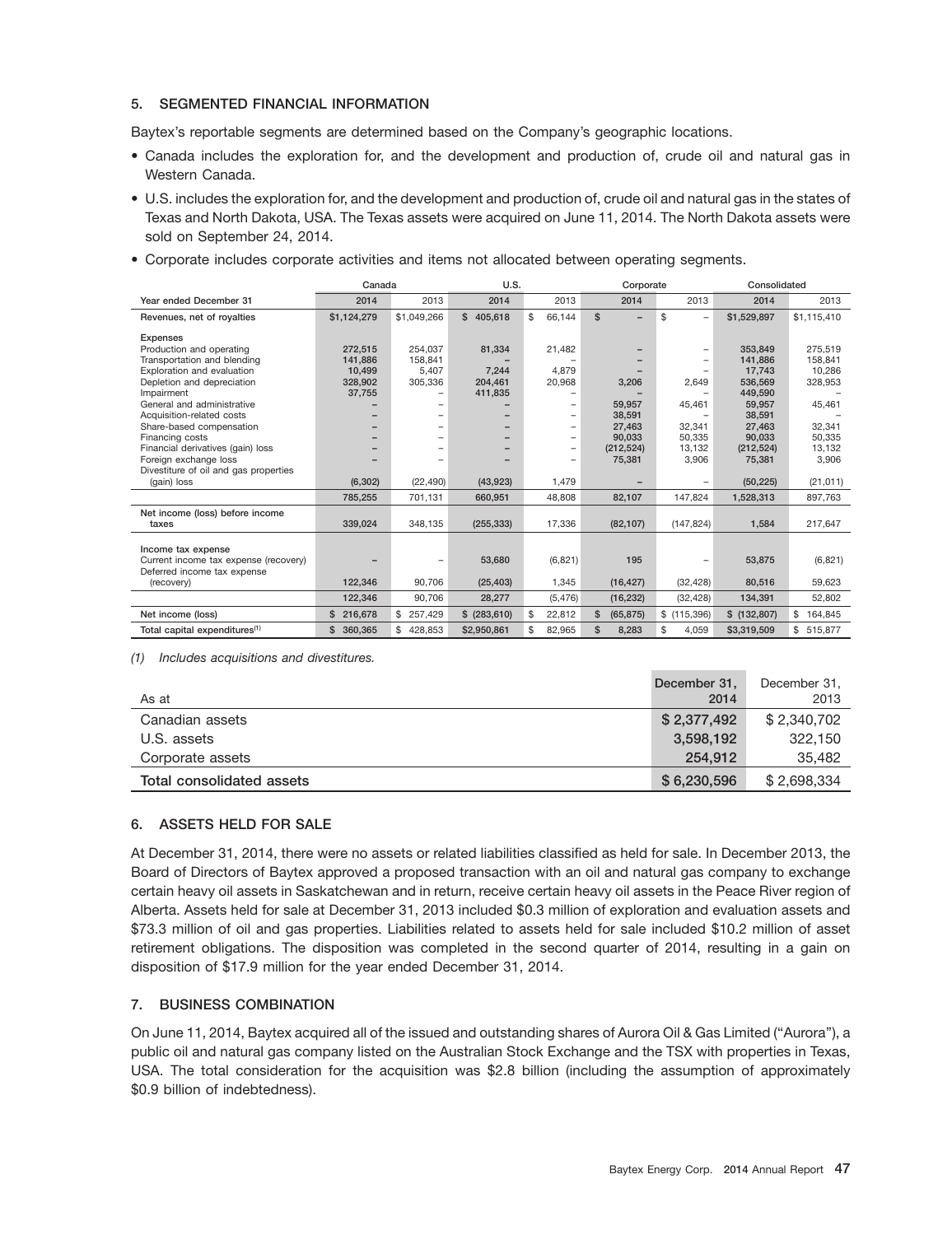## **5. SEGMENTED FINANCIAL INFORMATION**

Baytex's reportable segments are determined based on the Company's geographic locations.

- Canada includes the exploration for, and the development and production of, crude oil and natural gas in Western Canada.
- U.S. includes the exploration for, and the development and production of, crude oil and natural gas in the states of Texas and North Dakota, USA. The Texas assets were acquired on June 11, 2014. The North Dakota assets were sold on September 24, 2014.
- Corporate includes corporate activities and items not allocated between operating segments.

|                                           | Canada      |                          | U.S.          |                          |              | Corporate                |                                | Consolidated |               |
|-------------------------------------------|-------------|--------------------------|---------------|--------------------------|--------------|--------------------------|--------------------------------|--------------|---------------|
| Year ended December 31                    | 2014        | 2013                     | 2014          | 2013                     |              | 2014                     | 2013                           | 2014         | 2013          |
| Revenues, net of royalties                | \$1,124,279 | \$1,049,266              | \$405,618     | \$<br>66,144             | $\mathbf{s}$ | $\overline{\phantom{0}}$ | \$<br>$\overline{\phantom{0}}$ | \$1.529.897  | \$1,115,410   |
| Expenses                                  |             |                          |               |                          |              |                          |                                |              |               |
| Production and operating                  | 272.515     | 254,037                  | 81,334        | 21,482                   |              |                          | $\overline{\phantom{0}}$       | 353.849      | 275.519       |
| Transportation and blending               | 141.886     | 158.841                  |               |                          |              |                          |                                | 141.886      | 158.841       |
| Exploration and evaluation                | 10,499      | 5,407                    | 7,244         | 4,879                    |              |                          |                                | 17,743       | 10,286        |
| Depletion and depreciation                | 328,902     | 305,336                  | 204.461       | 20,968                   |              | 3,206                    | 2,649                          | 536,569      | 328,953       |
| Impairment                                | 37,755      | $\qquad \qquad -$        | 411,835       |                          |              |                          |                                | 449.590      |               |
| General and administrative                |             |                          |               | $\overline{\phantom{0}}$ |              | 59,957                   | 45,461                         | 59,957       | 45,461        |
| Acquisition-related costs                 |             |                          |               | $\overline{\phantom{0}}$ |              | 38,591                   |                                | 38,591       |               |
| Share-based compensation                  |             |                          |               | $\qquad \qquad -$        |              | 27,463                   | 32,341                         | 27.463       | 32.341        |
| Financing costs                           |             | $\overline{\phantom{0}}$ |               | $\overline{\phantom{0}}$ |              | 90,033                   | 50,335                         | 90,033       | 50,335        |
| Financial derivatives (gain) loss         |             |                          |               | $\overline{\phantom{m}}$ |              | (212, 524)               | 13,132                         | (212, 524)   | 13,132        |
| Foreign exchange loss                     |             |                          |               |                          |              | 75,381                   | 3,906                          | 75,381       | 3,906         |
| Divestiture of oil and gas properties     |             |                          |               |                          |              |                          |                                |              |               |
| (gain) loss                               | (6, 302)    | (22, 490)                | (43,923)      | 1,479                    |              |                          |                                | (50, 225)    | (21, 011)     |
|                                           | 785.255     | 701,131                  | 660.951       | 48.808                   |              | 82,107                   | 147.824                        | 1,528,313    | 897,763       |
| Net income (loss) before income           |             |                          |               |                          |              |                          |                                |              |               |
| taxes                                     | 339,024     | 348,135                  | (255, 333)    | 17,336                   |              | (82, 107)                | (147, 824)                     | 1,584        | 217,647       |
|                                           |             |                          |               |                          |              |                          |                                |              |               |
| Income tax expense                        |             |                          |               |                          |              |                          |                                |              |               |
| Current income tax expense (recovery)     |             |                          | 53,680        | (6,821)                  |              | 195                      |                                | 53,875       | (6,821)       |
| Deferred income tax expense               |             |                          |               |                          |              |                          |                                |              |               |
| (recovery)                                | 122,346     | 90,706                   | (25, 403)     | 1,345                    |              | (16, 427)                | (32, 428)                      | 80,516       | 59,623        |
|                                           | 122,346     | 90.706                   | 28.277        | (5, 476)                 |              | (16, 232)                | (32, 428)                      | 134,391      | 52,802        |
| Net income (loss)                         | \$216,678   | 257,429<br>\$            | \$ (283, 610) | \$<br>22,812             | \$           | (65, 875)                | \$(115,396)                    | \$(132,807)  | \$<br>164,845 |
| Total capital expenditures <sup>(1)</sup> | \$ 360,365  | 428.853<br>\$            | \$2,950,861   | \$<br>82.965             | $\mathsf{s}$ | 8,283                    | \$<br>4,059                    | \$3,319,509  | \$515,877     |

*(1) Includes acquisitions and divestitures.*

| As at                     | December 31,<br>2014 | December 31,<br>2013 |
|---------------------------|----------------------|----------------------|
| Canadian assets           | \$2,377,492          | \$2,340,702          |
| U.S. assets               | 3,598,192            | 322.150              |
| Corporate assets          | 254.912              | 35,482               |
| Total consolidated assets | \$6,230,596          | \$2,698,334          |

## **6. ASSETS HELD FOR SALE**

At December 31, 2014, there were no assets or related liabilities classified as held for sale. In December 2013, the Board of Directors of Baytex approved a proposed transaction with an oil and natural gas company to exchange certain heavy oil assets in Saskatchewan and in return, receive certain heavy oil assets in the Peace River region of Alberta. Assets held for sale at December 31, 2013 included \$0.3 million of exploration and evaluation assets and \$73.3 million of oil and gas properties. Liabilities related to assets held for sale included \$10.2 million of asset retirement obligations. The disposition was completed in the second quarter of 2014, resulting in a gain on disposition of \$17.9 million for the year ended December 31, 2014.

## **7. BUSINESS COMBINATION**

On June 11, 2014, Baytex acquired all of the issued and outstanding shares of Aurora Oil & Gas Limited (''Aurora''), a public oil and natural gas company listed on the Australian Stock Exchange and the TSX with properties in Texas, USA. The total consideration for the acquisition was \$2.8 billion (including the assumption of approximately \$0.9 billion of indebtedness).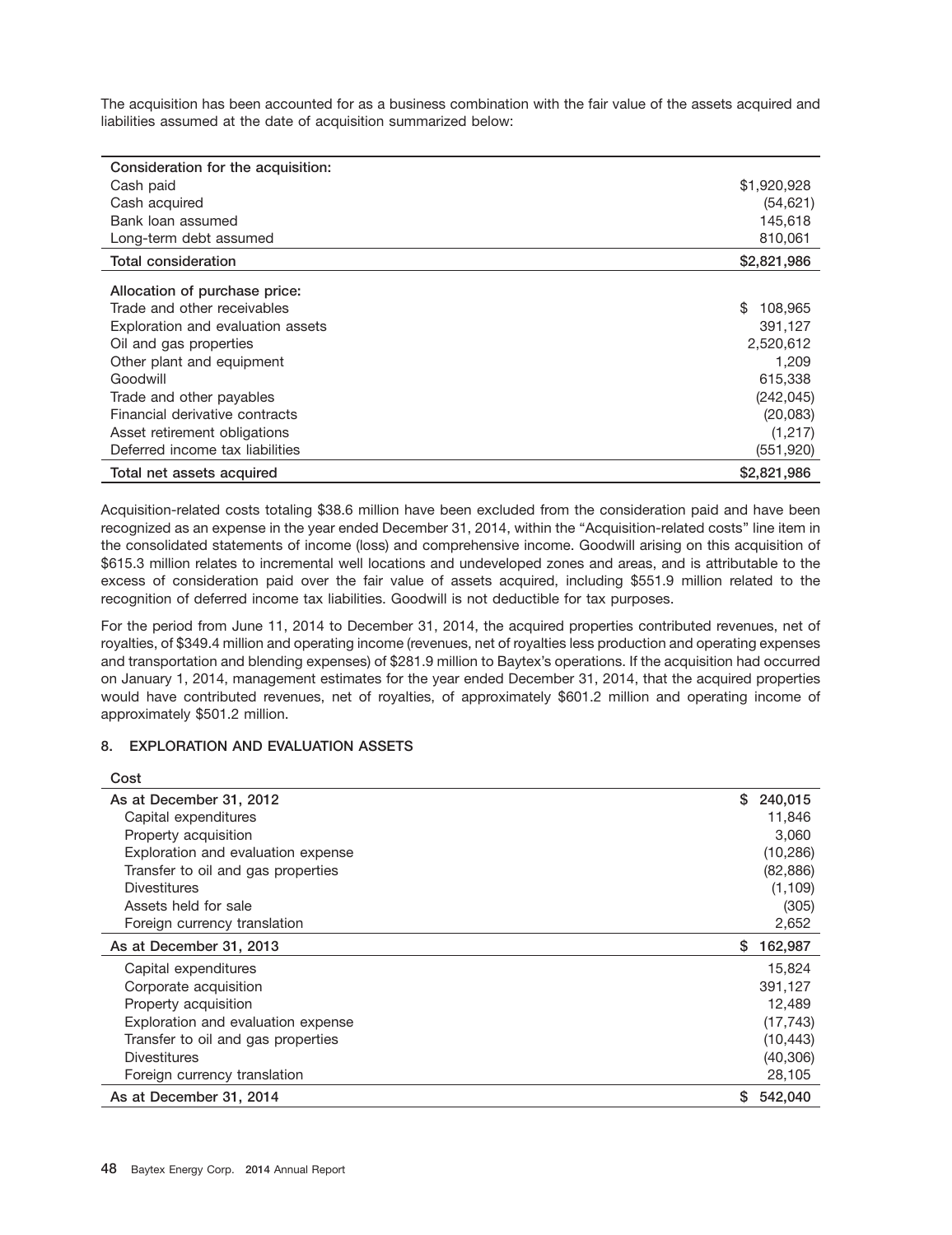The acquisition has been accounted for as a business combination with the fair value of the assets acquired and liabilities assumed at the date of acquisition summarized below:

| Consideration for the acquisition: |               |
|------------------------------------|---------------|
| Cash paid                          | \$1,920,928   |
| Cash acquired                      | (54, 621)     |
| Bank loan assumed                  | 145,618       |
| Long-term debt assumed             | 810,061       |
| Total consideration                | \$2,821,986   |
| Allocation of purchase price:      |               |
| Trade and other receivables        | \$<br>108,965 |
| Exploration and evaluation assets  | 391,127       |
| Oil and gas properties             | 2,520,612     |
| Other plant and equipment          | 1,209         |
| Goodwill                           | 615,338       |
| Trade and other payables           | (242, 045)    |
| Financial derivative contracts     | (20,083)      |
| Asset retirement obligations       | (1,217)       |
| Deferred income tax liabilities    | (551, 920)    |
| Total net assets acquired          | \$2,821,986   |

Acquisition-related costs totaling \$38.6 million have been excluded from the consideration paid and have been recognized as an expense in the year ended December 31, 2014, within the "Acquisition-related costs" line item in the consolidated statements of income (loss) and comprehensive income. Goodwill arising on this acquisition of \$615.3 million relates to incremental well locations and undeveloped zones and areas, and is attributable to the excess of consideration paid over the fair value of assets acquired, including \$551.9 million related to the recognition of deferred income tax liabilities. Goodwill is not deductible for tax purposes.

For the period from June 11, 2014 to December 31, 2014, the acquired properties contributed revenues, net of royalties, of \$349.4 million and operating income (revenues, net of royalties less production and operating expenses and transportation and blending expenses) of \$281.9 million to Baytex's operations. If the acquisition had occurred on January 1, 2014, management estimates for the year ended December 31, 2014, that the acquired properties would have contributed revenues, net of royalties, of approximately \$601.2 million and operating income of approximately \$501.2 million.

## **8. EXPLORATION AND EVALUATION ASSETS**

 $\sim$ 

| COST                               |    |           |
|------------------------------------|----|-----------|
| As at December 31, 2012            | \$ | 240,015   |
| Capital expenditures               |    | 11,846    |
| Property acquisition               |    | 3,060     |
| Exploration and evaluation expense |    | (10, 286) |
| Transfer to oil and gas properties |    | (82, 886) |
| <b>Divestitures</b>                |    | (1, 109)  |
| Assets held for sale               |    | (305)     |
| Foreign currency translation       |    | 2,652     |
| As at December 31, 2013            | S. | 162,987   |
| Capital expenditures               |    | 15,824    |
| Corporate acquisition              |    | 391,127   |
| Property acquisition               |    | 12,489    |
| Exploration and evaluation expense |    | (17, 743) |
| Transfer to oil and gas properties |    | (10, 443) |
| <b>Divestitures</b>                |    | (40, 306) |
| Foreign currency translation       |    | 28,105    |
| As at December 31, 2014            | S. | 542,040   |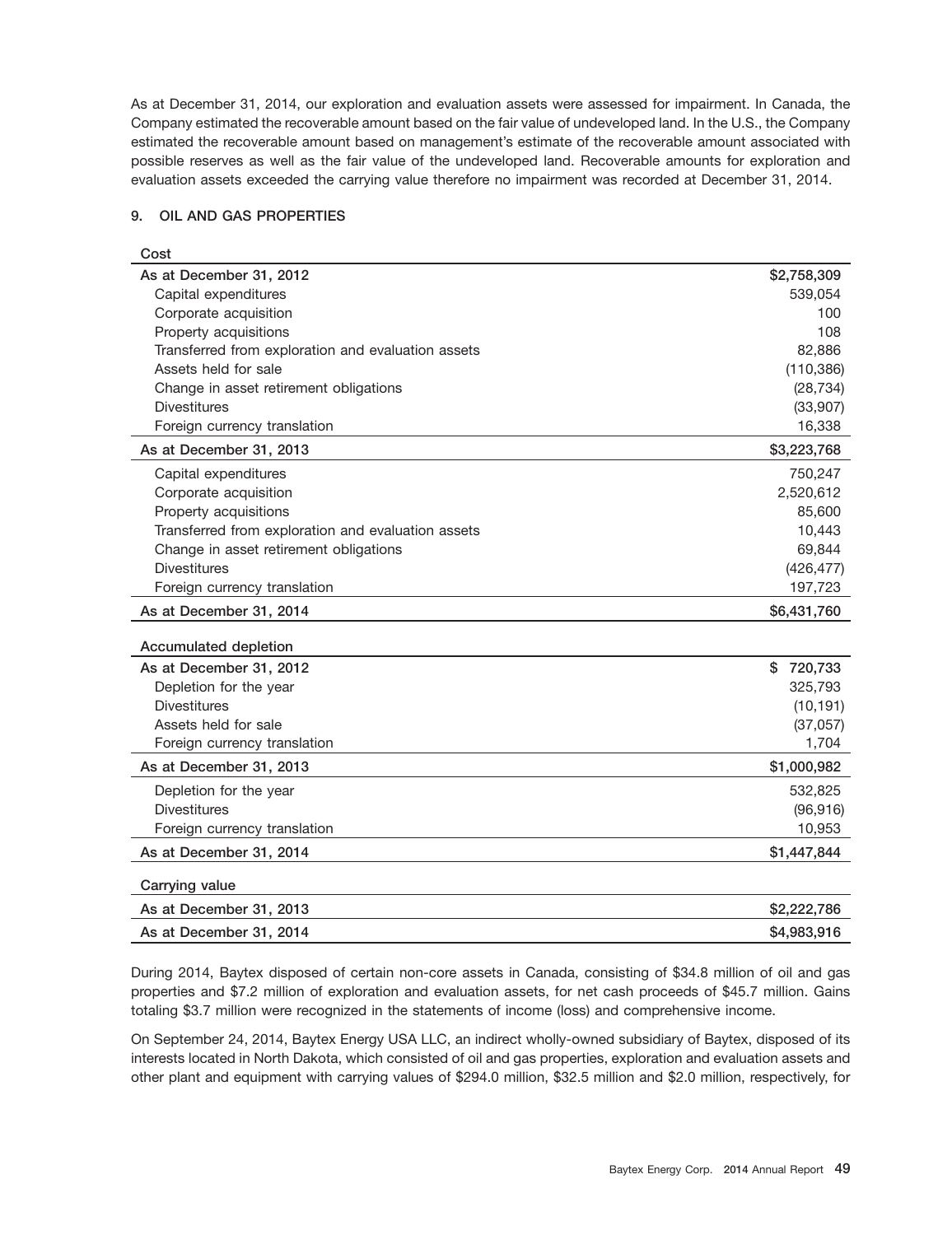As at December 31, 2014, our exploration and evaluation assets were assessed for impairment. In Canada, the Company estimated the recoverable amount based on the fair value of undeveloped land. In the U.S., the Company estimated the recoverable amount based on management's estimate of the recoverable amount associated with possible reserves as well as the fair value of the undeveloped land. Recoverable amounts for exploration and evaluation assets exceeded the carrying value therefore no impairment was recorded at December 31, 2014.

#### **9. OIL AND GAS PROPERTIES**

| Cost                                               |             |
|----------------------------------------------------|-------------|
| As at December 31, 2012                            | \$2,758,309 |
| Capital expenditures                               | 539,054     |
| Corporate acquisition                              | 100         |
| Property acquisitions                              | 108         |
| Transferred from exploration and evaluation assets | 82,886      |
| Assets held for sale                               | (110, 386)  |
| Change in asset retirement obligations             | (28, 734)   |
| <b>Divestitures</b>                                | (33,907)    |
| Foreign currency translation                       | 16,338      |
| As at December 31, 2013                            | \$3,223,768 |
| Capital expenditures                               | 750,247     |
| Corporate acquisition                              | 2,520,612   |
| Property acquisitions                              | 85,600      |
| Transferred from exploration and evaluation assets | 10,443      |
| Change in asset retirement obligations             | 69,844      |
| <b>Divestitures</b>                                | (426, 477)  |
| Foreign currency translation                       | 197,723     |
| As at December 31, 2014                            | \$6,431,760 |
| Accumulated depletion                              |             |
| As at December 31, 2012                            | \$720,733   |
| Depletion for the year                             | 325,793     |
| <b>Divestitures</b>                                | (10, 191)   |
| Assets held for sale                               | (37,057)    |
| Foreign currency translation                       | 1,704       |
| As at December 31, 2013                            | \$1,000,982 |
| Depletion for the year                             | 532,825     |
| <b>Divestitures</b>                                | (96, 916)   |
| Foreign currency translation                       | 10,953      |
| As at December 31, 2014                            | \$1,447,844 |
| Carrying value                                     |             |
| As at December 31, 2013                            | \$2,222,786 |
| As at December 31, 2014                            | \$4,983,916 |

During 2014, Baytex disposed of certain non-core assets in Canada, consisting of \$34.8 million of oil and gas properties and \$7.2 million of exploration and evaluation assets, for net cash proceeds of \$45.7 million. Gains totaling \$3.7 million were recognized in the statements of income (loss) and comprehensive income.

On September 24, 2014, Baytex Energy USA LLC, an indirect wholly-owned subsidiary of Baytex, disposed of its interests located in North Dakota, which consisted of oil and gas properties, exploration and evaluation assets and other plant and equipment with carrying values of \$294.0 million, \$32.5 million and \$2.0 million, respectively, for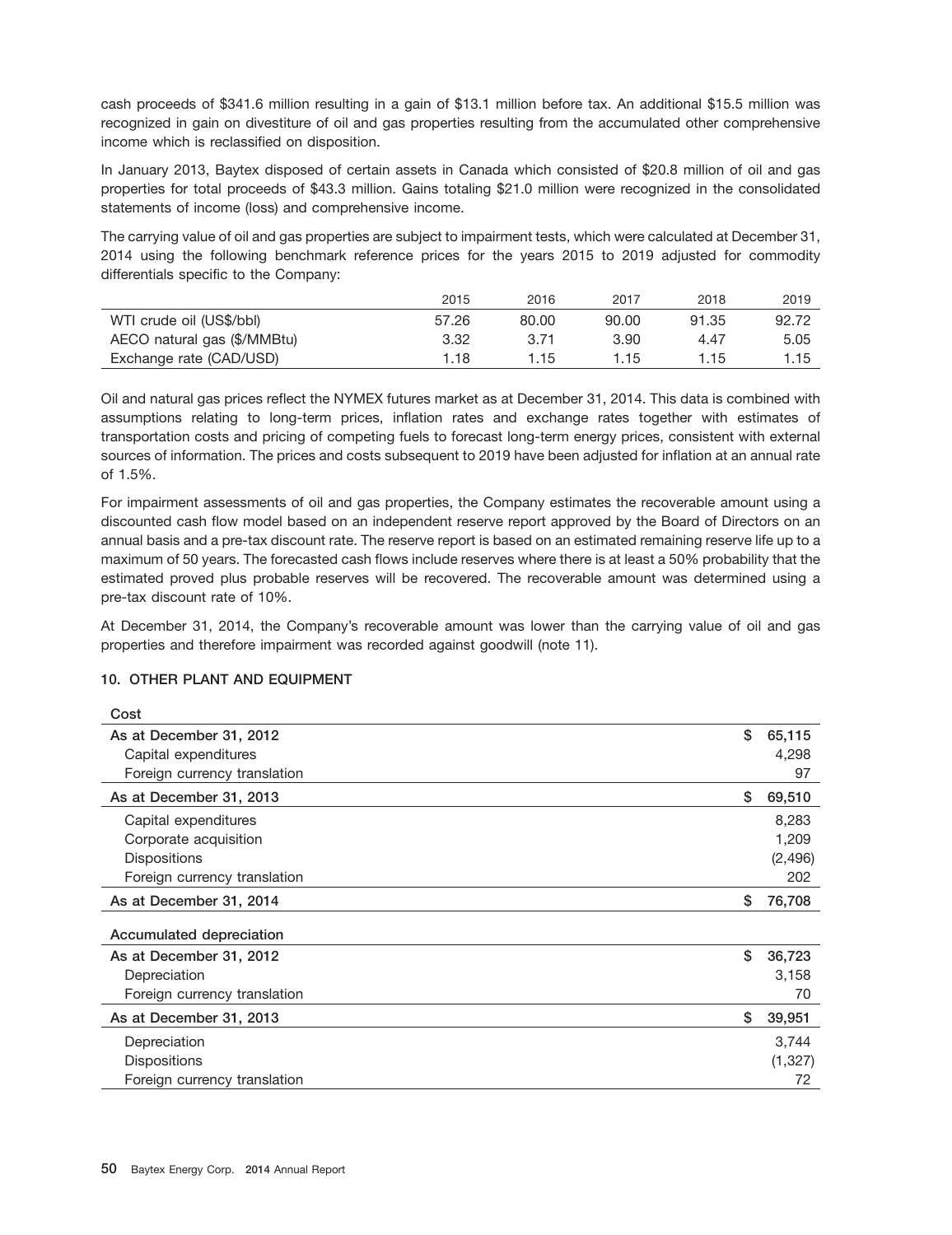cash proceeds of \$341.6 million resulting in a gain of \$13.1 million before tax. An additional \$15.5 million was recognized in gain on divestiture of oil and gas properties resulting from the accumulated other comprehensive income which is reclassified on disposition.

In January 2013, Baytex disposed of certain assets in Canada which consisted of \$20.8 million of oil and gas properties for total proceeds of \$43.3 million. Gains totaling \$21.0 million were recognized in the consolidated statements of income (loss) and comprehensive income.

The carrying value of oil and gas properties are subject to impairment tests, which were calculated at December 31, 2014 using the following benchmark reference prices for the years 2015 to 2019 adjusted for commodity differentials specific to the Company:

|                             | 2015  | 2016  | 2017  | 2018  | 2019  |
|-----------------------------|-------|-------|-------|-------|-------|
| WTI crude oil (US\$/bbl)    | 57.26 | 80.00 | 90.00 | 91.35 | 92.72 |
| AECO natural gas (\$/MMBtu) | 3.32  | 3.71  | 3.90  | 4.47  | 5.05  |
| Exchange rate (CAD/USD)     | 1.18  | 1.15  | 1.15  | 1.15  | 1.15  |

Oil and natural gas prices reflect the NYMEX futures market as at December 31, 2014. This data is combined with assumptions relating to long-term prices, inflation rates and exchange rates together with estimates of transportation costs and pricing of competing fuels to forecast long-term energy prices, consistent with external sources of information. The prices and costs subsequent to 2019 have been adjusted for inflation at an annual rate of 1.5%.

For impairment assessments of oil and gas properties, the Company estimates the recoverable amount using a discounted cash flow model based on an independent reserve report approved by the Board of Directors on an annual basis and a pre-tax discount rate. The reserve report is based on an estimated remaining reserve life up to a maximum of 50 years. The forecasted cash flows include reserves where there is at least a 50% probability that the estimated proved plus probable reserves will be recovered. The recoverable amount was determined using a pre-tax discount rate of 10%.

At December 31, 2014, the Company's recoverable amount was lower than the carrying value of oil and gas properties and therefore impairment was recorded against goodwill (note 11).

## **10. OTHER PLANT AND EQUIPMENT**

 $\sim$ 

| COST                         |              |
|------------------------------|--------------|
| As at December 31, 2012      | \$<br>65,115 |
| Capital expenditures         | 4,298        |
| Foreign currency translation | 97           |
| As at December 31, 2013      | \$<br>69,510 |
| Capital expenditures         | 8,283        |
| Corporate acquisition        | 1,209        |
| <b>Dispositions</b>          | (2,496)      |
| Foreign currency translation | 202          |
| As at December 31, 2014      | \$<br>76,708 |
| Accumulated depreciation     |              |
| As at December 31, 2012      | \$<br>36,723 |
| Depreciation                 | 3,158        |
| Foreign currency translation | 70           |
| As at December 31, 2013      | \$<br>39,951 |
| Depreciation                 | 3,744        |
| <b>Dispositions</b>          | (1,327)      |
| Foreign currency translation | 72           |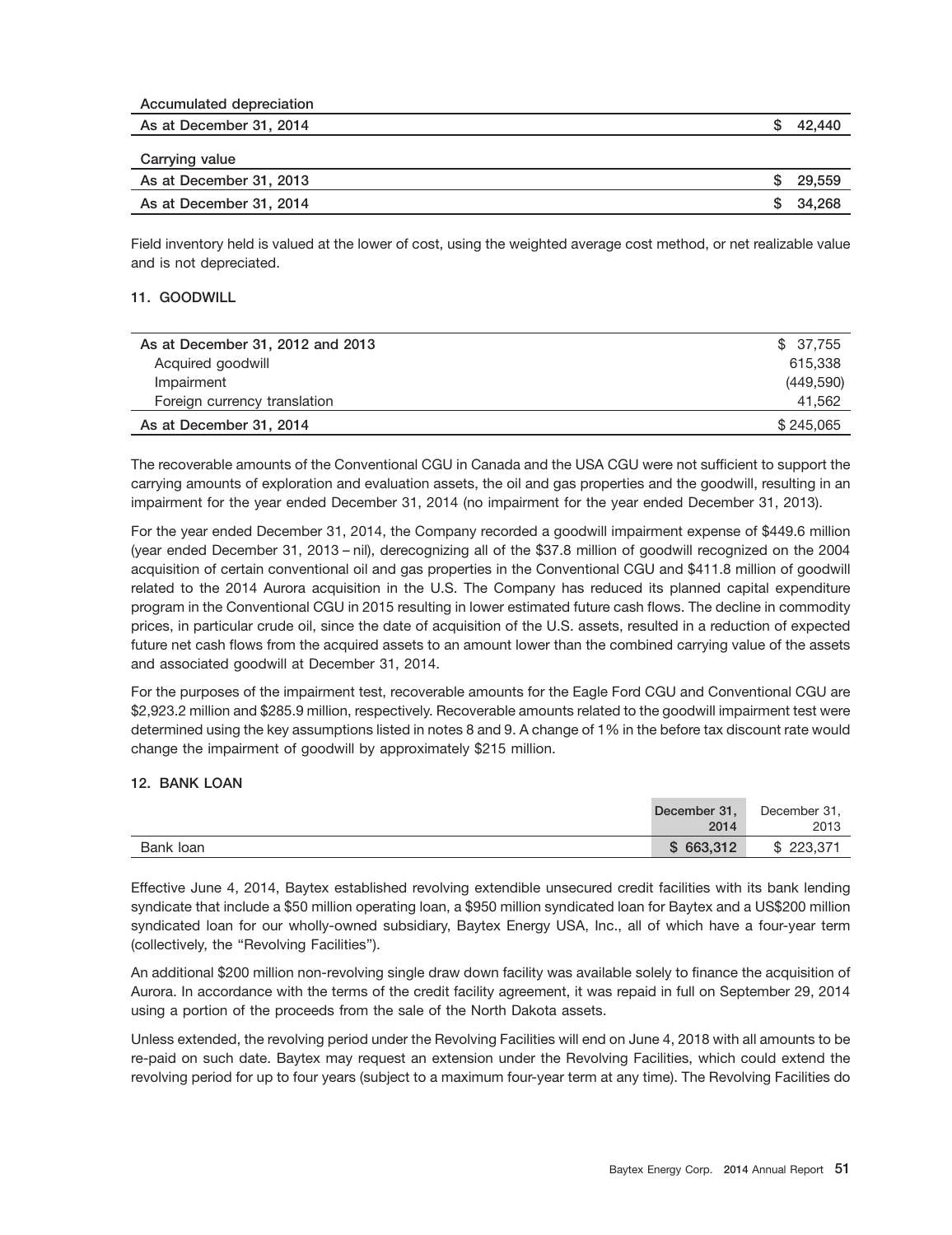| Accumulated depreciation |        |
|--------------------------|--------|
| As at December 31, 2014  | 42.440 |
| Carrying value           |        |
| As at December 31, 2013  | 29.559 |
| As at December 31, 2014  | 34.268 |

Field inventory held is valued at the lower of cost, using the weighted average cost method, or net realizable value and is not depreciated.

## **11. GOODWILL**

| As at December 31, 2012 and 2013 | \$37.755  |
|----------------------------------|-----------|
| Acquired goodwill                | 615.338   |
| Impairment                       | (449,590) |
| Foreign currency translation     | 41.562    |
| As at December 31, 2014          | \$245,065 |

The recoverable amounts of the Conventional CGU in Canada and the USA CGU were not sufficient to support the carrying amounts of exploration and evaluation assets, the oil and gas properties and the goodwill, resulting in an impairment for the year ended December 31, 2014 (no impairment for the year ended December 31, 2013).

For the year ended December 31, 2014, the Company recorded a goodwill impairment expense of \$449.6 million (year ended December 31, 2013 – nil), derecognizing all of the \$37.8 million of goodwill recognized on the 2004 acquisition of certain conventional oil and gas properties in the Conventional CGU and \$411.8 million of goodwill related to the 2014 Aurora acquisition in the U.S. The Company has reduced its planned capital expenditure program in the Conventional CGU in 2015 resulting in lower estimated future cash flows. The decline in commodity prices, in particular crude oil, since the date of acquisition of the U.S. assets, resulted in a reduction of expected future net cash flows from the acquired assets to an amount lower than the combined carrying value of the assets and associated goodwill at December 31, 2014.

For the purposes of the impairment test, recoverable amounts for the Eagle Ford CGU and Conventional CGU are \$2,923.2 million and \$285.9 million, respectively. Recoverable amounts related to the goodwill impairment test were determined using the key assumptions listed in notes 8 and 9. A change of 1% in the before tax discount rate would change the impairment of goodwill by approximately \$215 million.

## **12. BANK LOAN**

|           | December 31, | December 31, |
|-----------|--------------|--------------|
|           | 2014         | 2013         |
| Bank loan | \$663,312    | 223.371      |

Effective June 4, 2014, Baytex established revolving extendible unsecured credit facilities with its bank lending syndicate that include a \$50 million operating loan, a \$950 million syndicated loan for Baytex and a US\$200 million syndicated loan for our wholly-owned subsidiary, Baytex Energy USA, Inc., all of which have a four-year term (collectively, the ''Revolving Facilities'').

An additional \$200 million non-revolving single draw down facility was available solely to finance the acquisition of Aurora. In accordance with the terms of the credit facility agreement, it was repaid in full on September 29, 2014 using a portion of the proceeds from the sale of the North Dakota assets.

Unless extended, the revolving period under the Revolving Facilities will end on June 4, 2018 with all amounts to be re-paid on such date. Baytex may request an extension under the Revolving Facilities, which could extend the revolving period for up to four years (subject to a maximum four-year term at any time). The Revolving Facilities do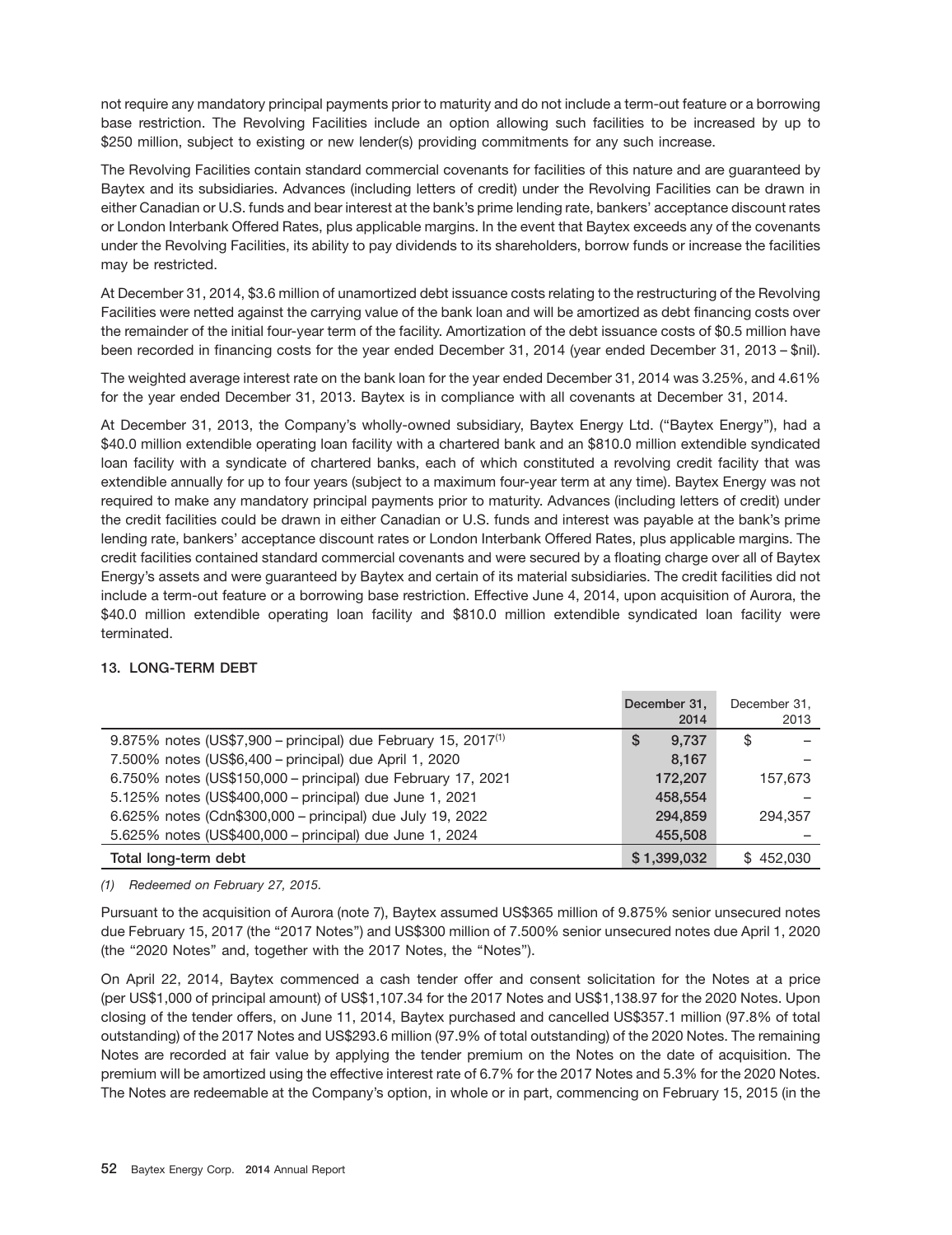not require any mandatory principal payments prior to maturity and do not include a term-out feature or a borrowing base restriction. The Revolving Facilities include an option allowing such facilities to be increased by up to \$250 million, subject to existing or new lender(s) providing commitments for any such increase.

The Revolving Facilities contain standard commercial covenants for facilities of this nature and are guaranteed by Baytex and its subsidiaries. Advances (including letters of credit) under the Revolving Facilities can be drawn in either Canadian or U.S. funds and bear interest at the bank's prime lending rate, bankers' acceptance discount rates or London Interbank Offered Rates, plus applicable margins. In the event that Baytex exceeds any of the covenants under the Revolving Facilities, its ability to pay dividends to its shareholders, borrow funds or increase the facilities may be restricted.

At December 31, 2014, \$3.6 million of unamortized debt issuance costs relating to the restructuring of the Revolving Facilities were netted against the carrying value of the bank loan and will be amortized as debt financing costs over the remainder of the initial four-year term of the facility. Amortization of the debt issuance costs of \$0.5 million have been recorded in financing costs for the year ended December 31, 2014 (year ended December 31, 2013 – \$nil).

The weighted average interest rate on the bank loan for the year ended December 31, 2014 was 3.25%, and 4.61% for the year ended December 31, 2013. Baytex is in compliance with all covenants at December 31, 2014.

At December 31, 2013, the Company's wholly-owned subsidiary, Baytex Energy Ltd. (''Baytex Energy''), had a \$40.0 million extendible operating loan facility with a chartered bank and an \$810.0 million extendible syndicated loan facility with a syndicate of chartered banks, each of which constituted a revolving credit facility that was extendible annually for up to four years (subject to a maximum four-year term at any time). Baytex Energy was not required to make any mandatory principal payments prior to maturity. Advances (including letters of credit) under the credit facilities could be drawn in either Canadian or U.S. funds and interest was payable at the bank's prime lending rate, bankers' acceptance discount rates or London Interbank Offered Rates, plus applicable margins. The credit facilities contained standard commercial covenants and were secured by a floating charge over all of Baytex Energy's assets and were guaranteed by Baytex and certain of its material subsidiaries. The credit facilities did not include a term-out feature or a borrowing base restriction. Effective June 4, 2014, upon acquisition of Aurora, the \$40.0 million extendible operating loan facility and \$810.0 million extendible syndicated loan facility were terminated.

## **13. LONG-TERM DEBT**

|                                                                           | December 31.<br>2014 | December 31.<br>2013 |
|---------------------------------------------------------------------------|----------------------|----------------------|
| 9.875% notes (US\$7,900 – principal) due February 15, 2017 <sup>(1)</sup> | 9.737<br>\$          | S                    |
| 7.500% notes (US\$6,400 - principal) due April 1, 2020                    | 8.167                |                      |
| 6.750% notes (US\$150,000 - principal) due February 17, 2021              | 172,207              | 157.673              |
| 5.125% notes (US\$400,000 - principal) due June 1, 2021                   | 458.554              |                      |
| 6.625% notes (Cdn\$300,000 - principal) due July 19, 2022                 | 294.859              | 294.357              |
| 5.625% notes (US\$400,000 - principal) due June 1, 2024                   | 455,508              |                      |
| Total long-term debt                                                      | \$1,399,032          | \$452.030            |

*(1) Redeemed on February 27, 2015.*

Pursuant to the acquisition of Aurora (note 7), Baytex assumed US\$365 million of 9.875% senior unsecured notes due February 15, 2017 (the ''2017 Notes'') and US\$300 million of 7.500% senior unsecured notes due April 1, 2020 (the ''2020 Notes'' and, together with the 2017 Notes, the ''Notes'').

On April 22, 2014, Baytex commenced a cash tender offer and consent solicitation for the Notes at a price (per US\$1,000 of principal amount) of US\$1,107.34 for the 2017 Notes and US\$1,138.97 for the 2020 Notes. Upon closing of the tender offers, on June 11, 2014, Baytex purchased and cancelled US\$357.1 million (97.8% of total outstanding) of the 2017 Notes and US\$293.6 million (97.9% of total outstanding) of the 2020 Notes. The remaining Notes are recorded at fair value by applying the tender premium on the Notes on the date of acquisition. The premium will be amortized using the effective interest rate of 6.7% for the 2017 Notes and 5.3% for the 2020 Notes. The Notes are redeemable at the Company's option, in whole or in part, commencing on February 15, 2015 (in the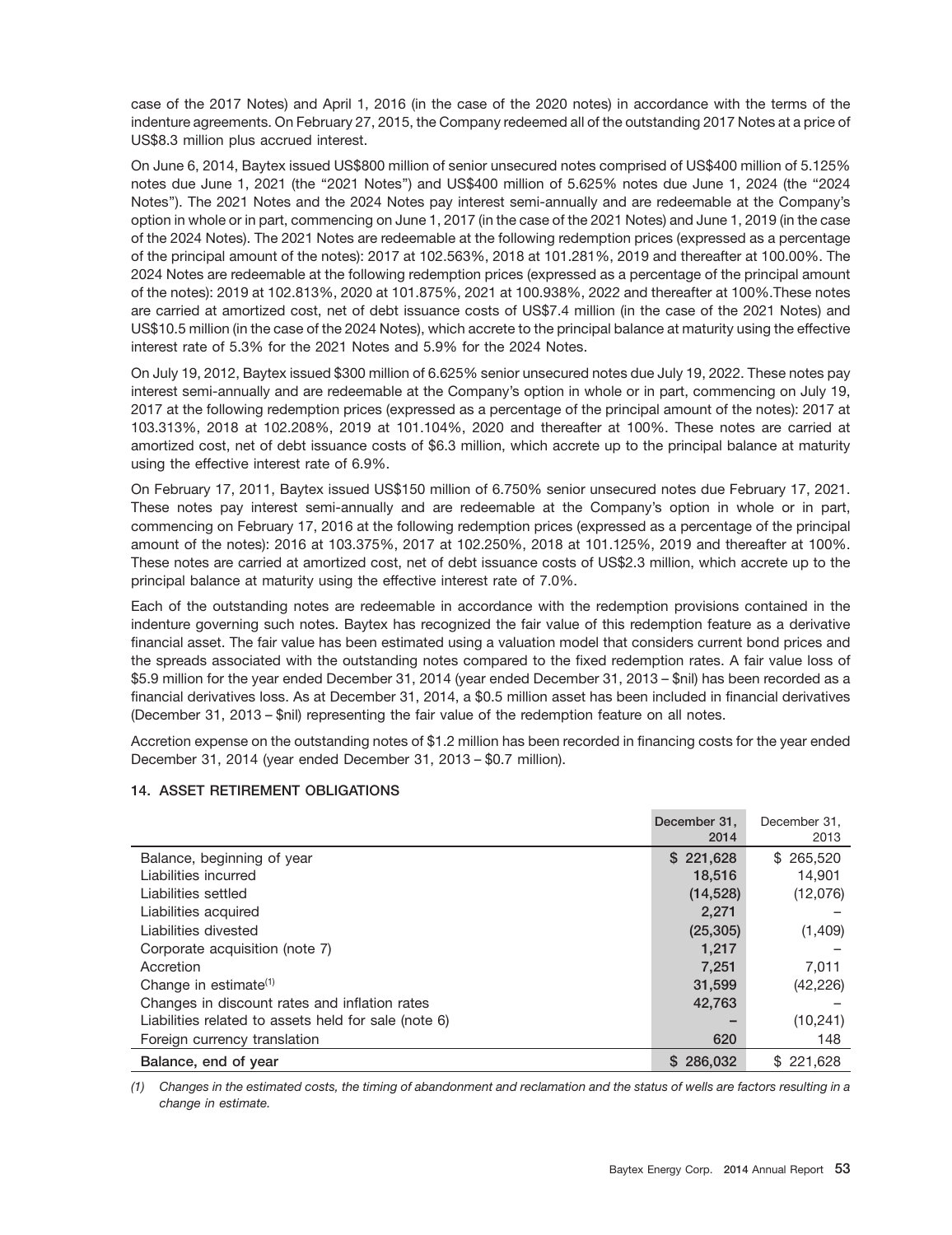case of the 2017 Notes) and April 1, 2016 (in the case of the 2020 notes) in accordance with the terms of the indenture agreements. On February 27, 2015, the Company redeemed all of the outstanding 2017 Notes at a price of US\$8.3 million plus accrued interest.

On June 6, 2014, Baytex issued US\$800 million of senior unsecured notes comprised of US\$400 million of 5.125% notes due June 1, 2021 (the ''2021 Notes'') and US\$400 million of 5.625% notes due June 1, 2024 (the ''2024 Notes''). The 2021 Notes and the 2024 Notes pay interest semi-annually and are redeemable at the Company's option in whole or in part, commencing on June 1, 2017 (in the case of the 2021 Notes) and June 1, 2019 (in the case of the 2024 Notes). The 2021 Notes are redeemable at the following redemption prices (expressed as a percentage of the principal amount of the notes): 2017 at 102.563%, 2018 at 101.281%, 2019 and thereafter at 100.00%. The 2024 Notes are redeemable at the following redemption prices (expressed as a percentage of the principal amount of the notes): 2019 at 102.813%, 2020 at 101.875%, 2021 at 100.938%, 2022 and thereafter at 100%.These notes are carried at amortized cost, net of debt issuance costs of US\$7.4 million (in the case of the 2021 Notes) and US\$10.5 million (in the case of the 2024 Notes), which accrete to the principal balance at maturity using the effective interest rate of 5.3% for the 2021 Notes and 5.9% for the 2024 Notes.

On July 19, 2012, Baytex issued \$300 million of 6.625% senior unsecured notes due July 19, 2022. These notes pay interest semi-annually and are redeemable at the Company's option in whole or in part, commencing on July 19, 2017 at the following redemption prices (expressed as a percentage of the principal amount of the notes): 2017 at 103.313%, 2018 at 102.208%, 2019 at 101.104%, 2020 and thereafter at 100%. These notes are carried at amortized cost, net of debt issuance costs of \$6.3 million, which accrete up to the principal balance at maturity using the effective interest rate of 6.9%.

On February 17, 2011, Baytex issued US\$150 million of 6.750% senior unsecured notes due February 17, 2021. These notes pay interest semi-annually and are redeemable at the Company's option in whole or in part, commencing on February 17, 2016 at the following redemption prices (expressed as a percentage of the principal amount of the notes): 2016 at 103.375%, 2017 at 102.250%, 2018 at 101.125%, 2019 and thereafter at 100%. These notes are carried at amortized cost, net of debt issuance costs of US\$2.3 million, which accrete up to the principal balance at maturity using the effective interest rate of 7.0%.

Each of the outstanding notes are redeemable in accordance with the redemption provisions contained in the indenture governing such notes. Baytex has recognized the fair value of this redemption feature as a derivative financial asset. The fair value has been estimated using a valuation model that considers current bond prices and the spreads associated with the outstanding notes compared to the fixed redemption rates. A fair value loss of \$5.9 million for the year ended December 31, 2014 (year ended December 31, 2013 – \$nil) has been recorded as a financial derivatives loss. As at December 31, 2014, a \$0.5 million asset has been included in financial derivatives (December 31, 2013 – \$nil) representing the fair value of the redemption feature on all notes.

Accretion expense on the outstanding notes of \$1.2 million has been recorded in financing costs for the year ended December 31, 2014 (year ended December 31, 2013 – \$0.7 million).

|                                                      | December 31,<br>2014 | December 31.<br>2013 |
|------------------------------------------------------|----------------------|----------------------|
| Balance, beginning of year                           | \$221,628            | \$265,520            |
| Liabilities incurred                                 | 18,516               | 14,901               |
| Liabilities settled                                  | (14, 528)            | (12,076)             |
| Liabilities acquired                                 | 2.271                |                      |
| Liabilities divested                                 | (25, 305)            | (1,409)              |
| Corporate acquisition (note 7)                       | 1,217                |                      |
| Accretion                                            | 7,251                | 7,011                |
| Change in estimate <sup>(1)</sup>                    | 31,599               | (42, 226)            |
| Changes in discount rates and inflation rates        | 42,763               |                      |
| Liabilities related to assets held for sale (note 6) |                      | (10, 241)            |
| Foreign currency translation                         | 620                  | 148                  |
| Balance, end of year                                 | \$286,032            | \$221,628            |

## **14. ASSET RETIREMENT OBLIGATIONS**

*(1) Changes in the estimated costs, the timing of abandonment and reclamation and the status of wells are factors resulting in a change in estimate.*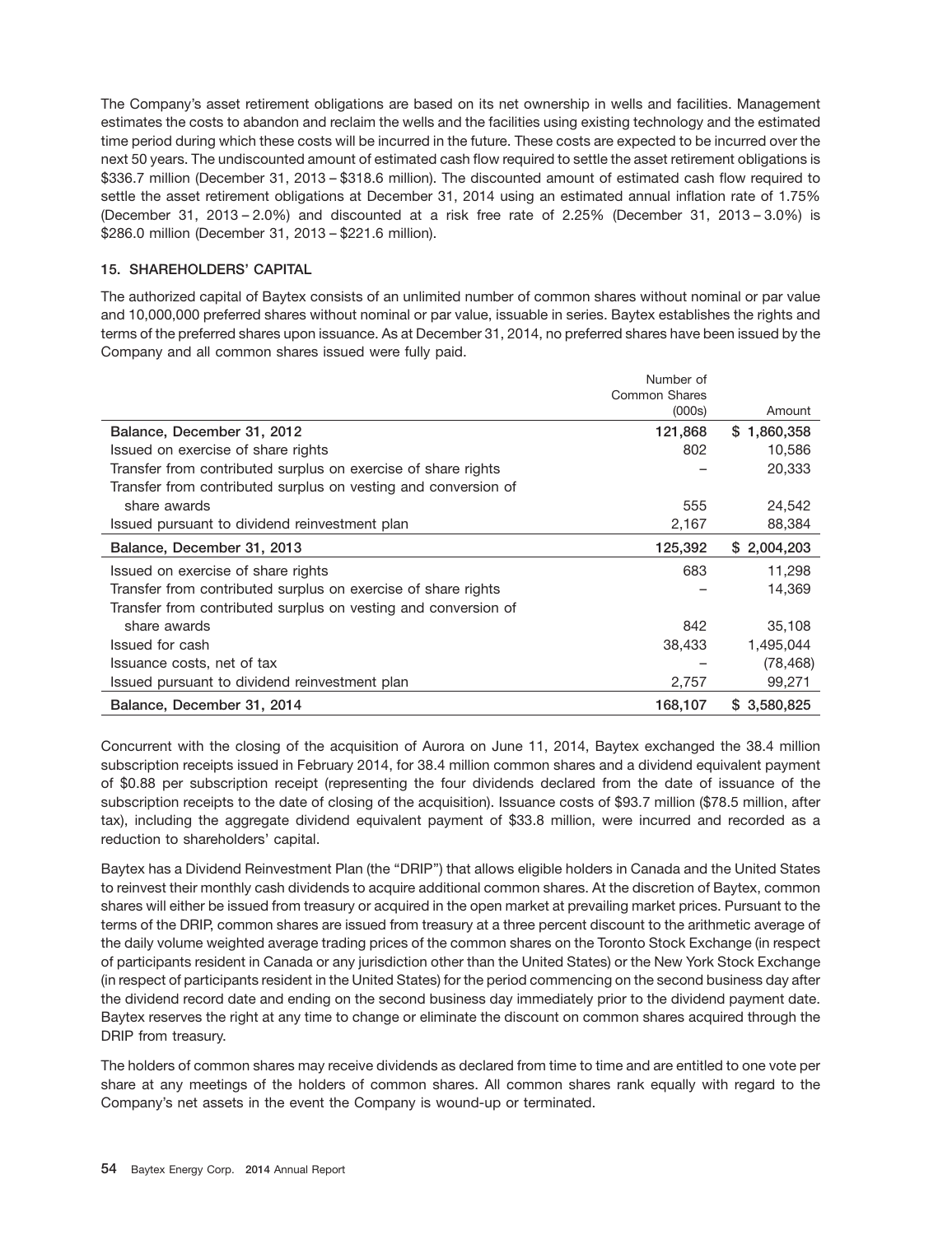The Company's asset retirement obligations are based on its net ownership in wells and facilities. Management estimates the costs to abandon and reclaim the wells and the facilities using existing technology and the estimated time period during which these costs will be incurred in the future. These costs are expected to be incurred over the next 50 years. The undiscounted amount of estimated cash flow required to settle the asset retirement obligations is \$336.7 million (December 31, 2013 – \$318.6 million). The discounted amount of estimated cash flow required to settle the asset retirement obligations at December 31, 2014 using an estimated annual inflation rate of 1.75% (December 31, 2013 – 2.0%) and discounted at a risk free rate of 2.25% (December 31, 2013 – 3.0%) is \$286.0 million (December 31, 2013 – \$221.6 million).

## **15. SHAREHOLDERS' CAPITAL**

The authorized capital of Baytex consists of an unlimited number of common shares without nominal or par value and 10,000,000 preferred shares without nominal or par value, issuable in series. Baytex establishes the rights and terms of the preferred shares upon issuance. As at December 31, 2014, no preferred shares have been issued by the Company and all common shares issued were fully paid.

|                                                                | Number of            |             |
|----------------------------------------------------------------|----------------------|-------------|
|                                                                | <b>Common Shares</b> |             |
|                                                                | (000s)               | Amount      |
| Balance, December 31, 2012                                     | 121,868              | \$1,860,358 |
| Issued on exercise of share rights                             | 802                  | 10,586      |
| Transfer from contributed surplus on exercise of share rights  |                      | 20,333      |
| Transfer from contributed surplus on vesting and conversion of |                      |             |
| share awards                                                   | 555                  | 24,542      |
| Issued pursuant to dividend reinvestment plan                  | 2,167                | 88,384      |
| Balance, December 31, 2013                                     | 125,392              | \$2,004,203 |
| Issued on exercise of share rights                             | 683                  | 11,298      |
| Transfer from contributed surplus on exercise of share rights  |                      | 14,369      |
| Transfer from contributed surplus on vesting and conversion of |                      |             |
| share awards                                                   | 842                  | 35,108      |
| Issued for cash                                                | 38,433               | 1,495,044   |
| Issuance costs, net of tax                                     |                      | (78, 468)   |
| Issued pursuant to dividend reinvestment plan                  | 2,757                | 99,271      |
| Balance, December 31, 2014                                     | 168,107              | \$3,580,825 |

Concurrent with the closing of the acquisition of Aurora on June 11, 2014, Baytex exchanged the 38.4 million subscription receipts issued in February 2014, for 38.4 million common shares and a dividend equivalent payment of \$0.88 per subscription receipt (representing the four dividends declared from the date of issuance of the subscription receipts to the date of closing of the acquisition). Issuance costs of \$93.7 million (\$78.5 million, after tax), including the aggregate dividend equivalent payment of \$33.8 million, were incurred and recorded as a reduction to shareholders' capital.

Baytex has a Dividend Reinvestment Plan (the ''DRIP'') that allows eligible holders in Canada and the United States to reinvest their monthly cash dividends to acquire additional common shares. At the discretion of Baytex, common shares will either be issued from treasury or acquired in the open market at prevailing market prices. Pursuant to the terms of the DRIP, common shares are issued from treasury at a three percent discount to the arithmetic average of the daily volume weighted average trading prices of the common shares on the Toronto Stock Exchange (in respect of participants resident in Canada or any jurisdiction other than the United States) or the New York Stock Exchange (in respect of participants resident in the United States) for the period commencing on the second business day after the dividend record date and ending on the second business day immediately prior to the dividend payment date. Baytex reserves the right at any time to change or eliminate the discount on common shares acquired through the DRIP from treasury.

The holders of common shares may receive dividends as declared from time to time and are entitled to one vote per share at any meetings of the holders of common shares. All common shares rank equally with regard to the Company's net assets in the event the Company is wound-up or terminated.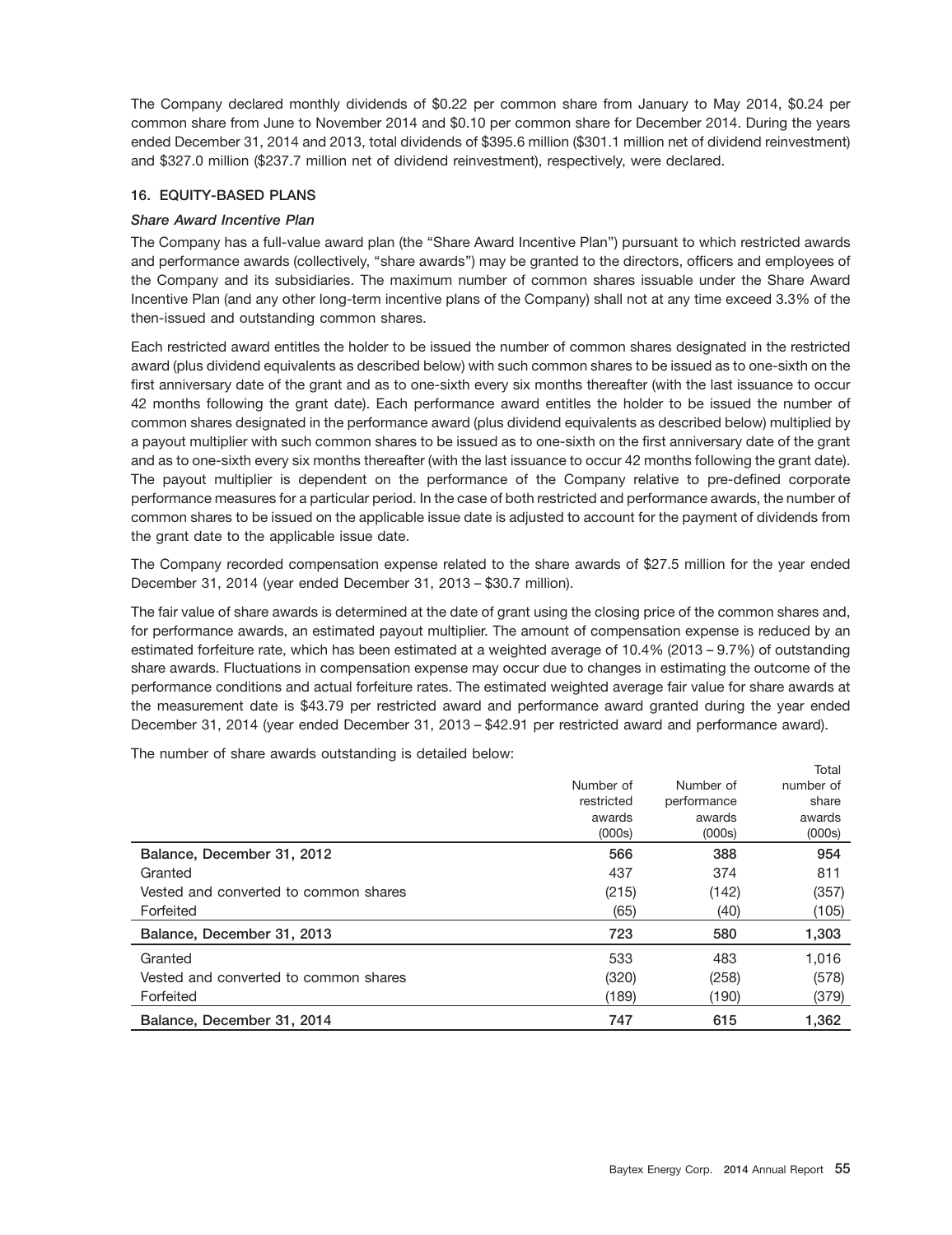The Company declared monthly dividends of \$0.22 per common share from January to May 2014, \$0.24 per common share from June to November 2014 and \$0.10 per common share for December 2014. During the years ended December 31, 2014 and 2013, total dividends of \$395.6 million (\$301.1 million net of dividend reinvestment) and \$327.0 million (\$237.7 million net of dividend reinvestment), respectively, were declared.

## **16. EQUITY-BASED PLANS**

## *Share Award Incentive Plan*

The Company has a full-value award plan (the ''Share Award Incentive Plan'') pursuant to which restricted awards and performance awards (collectively, ''share awards'') may be granted to the directors, officers and employees of the Company and its subsidiaries. The maximum number of common shares issuable under the Share Award Incentive Plan (and any other long-term incentive plans of the Company) shall not at any time exceed 3.3% of the then-issued and outstanding common shares.

Each restricted award entitles the holder to be issued the number of common shares designated in the restricted award (plus dividend equivalents as described below) with such common shares to be issued as to one-sixth on the first anniversary date of the grant and as to one-sixth every six months thereafter (with the last issuance to occur 42 months following the grant date). Each performance award entitles the holder to be issued the number of common shares designated in the performance award (plus dividend equivalents as described below) multiplied by a payout multiplier with such common shares to be issued as to one-sixth on the first anniversary date of the grant and as to one-sixth every six months thereafter (with the last issuance to occur 42 months following the grant date). The payout multiplier is dependent on the performance of the Company relative to pre-defined corporate performance measures for a particular period. In the case of both restricted and performance awards, the number of common shares to be issued on the applicable issue date is adjusted to account for the payment of dividends from the grant date to the applicable issue date.

The Company recorded compensation expense related to the share awards of \$27.5 million for the year ended December 31, 2014 (year ended December 31, 2013 – \$30.7 million).

The fair value of share awards is determined at the date of grant using the closing price of the common shares and, for performance awards, an estimated payout multiplier. The amount of compensation expense is reduced by an estimated forfeiture rate, which has been estimated at a weighted average of 10.4% (2013 – 9.7%) of outstanding share awards. Fluctuations in compensation expense may occur due to changes in estimating the outcome of the performance conditions and actual forfeiture rates. The estimated weighted average fair value for share awards at the measurement date is \$43.79 per restricted award and performance award granted during the year ended December 31, 2014 (year ended December 31, 2013 – \$42.91 per restricted award and performance award).

The number of share awards outstanding is detailed below:

|                                       |            |             | Total     |
|---------------------------------------|------------|-------------|-----------|
|                                       | Number of  | Number of   | number of |
|                                       | restricted | performance | share     |
|                                       | awards     | awards      | awards    |
|                                       | (000s)     | (000s)      | (000s)    |
| Balance, December 31, 2012            | 566        | 388         | 954       |
| Granted                               | 437        | 374         | 811       |
| Vested and converted to common shares | (215)      | (142)       | (357)     |
| Forfeited                             | (65)       | (40)        | (105)     |
| Balance, December 31, 2013            | 723        | 580         | 1,303     |
| Granted                               | 533        | 483         | 1.016     |
| Vested and converted to common shares | (320)      | (258)       | (578)     |
| Forfeited                             | (189)      | (190)       | (379)     |
| Balance, December 31, 2014            | 747        | 615         | 1,362     |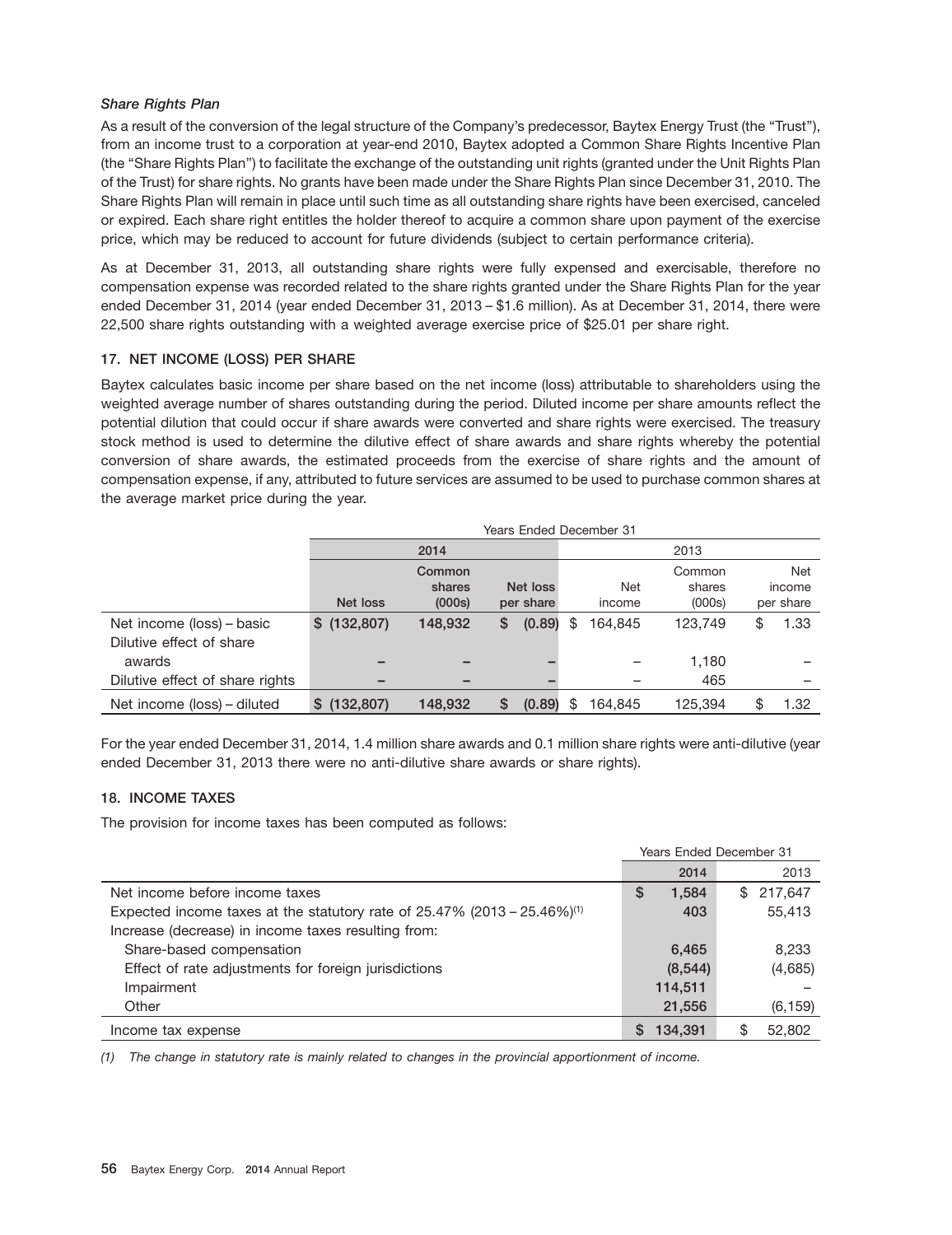## *Share Rights Plan*

As a result of the conversion of the legal structure of the Company's predecessor, Baytex Energy Trust (the "Trust"), from an income trust to a corporation at year-end 2010, Baytex adopted a Common Share Rights Incentive Plan (the ''Share Rights Plan'') to facilitate the exchange of the outstanding unit rights (granted under the Unit Rights Plan of the Trust) for share rights. No grants have been made under the Share Rights Plan since December 31, 2010. The Share Rights Plan will remain in place until such time as all outstanding share rights have been exercised, canceled or expired. Each share right entitles the holder thereof to acquire a common share upon payment of the exercise price, which may be reduced to account for future dividends (subject to certain performance criteria).

As at December 31, 2013, all outstanding share rights were fully expensed and exercisable, therefore no compensation expense was recorded related to the share rights granted under the Share Rights Plan for the year ended December 31, 2014 (year ended December 31, 2013 – \$1.6 million). As at December 31, 2014, there were 22,500 share rights outstanding with a weighted average exercise price of \$25.01 per share right.

## **17. NET INCOME (LOSS) PER SHARE**

Baytex calculates basic income per share based on the net income (loss) attributable to shareholders using the weighted average number of shares outstanding during the period. Diluted income per share amounts reflect the potential dilution that could occur if share awards were converted and share rights were exercised. The treasury stock method is used to determine the dilutive effect of share awards and share rights whereby the potential conversion of share awards, the estimated proceeds from the exercise of share rights and the amount of compensation expense, if any, attributed to future services are assumed to be used to purchase common shares at the average market price during the year.

|                                 | <b>Years Ended December 31</b> |         |   |           |    |            |         |            |
|---------------------------------|--------------------------------|---------|---|-----------|----|------------|---------|------------|
|                                 |                                | 2014    |   |           |    |            | 2013    |            |
|                                 |                                | Common  |   |           |    |            | Common  | Net        |
|                                 |                                | shares  |   | Net loss  |    | <b>Net</b> | shares  | income     |
|                                 | Net loss                       | (000s)  |   | per share |    | income     | (000s)  | per share  |
| Net income (loss) – basic       | \$(132,807)                    | 148,932 | S | (0.89)    | S  | 164.845    | 123,749 | \$<br>1.33 |
| Dilutive effect of share        |                                |         |   |           |    |            |         |            |
| awards                          |                                |         |   |           |    |            | 1,180   |            |
| Dilutive effect of share rights |                                |         |   |           |    |            | 465     |            |
| Net income (loss) – diluted     | \$(132,807)                    | 148,932 |   | (0.89)    | £. | 164,845    | 125.394 | \$<br>1.32 |

For the year ended December 31, 2014, 1.4 million share awards and 0.1 million share rights were anti-dilutive (year ended December 31, 2013 there were no anti-dilutive share awards or share rights).

## **18. INCOME TAXES**

The provision for income taxes has been computed as follows:

|                                                                                         | <b>Years Ended December 31</b> |               |
|-----------------------------------------------------------------------------------------|--------------------------------|---------------|
|                                                                                         | 2014                           | 2013          |
| Net income before income taxes                                                          | 1,584<br>S                     | 217,647<br>\$ |
| Expected income taxes at the statutory rate of $25.47\%$ (2013 - 25.46%) <sup>(1)</sup> | 403                            | 55,413        |
| Increase (decrease) in income taxes resulting from:                                     |                                |               |
| Share-based compensation                                                                | 6,465                          | 8,233         |
| Effect of rate adjustments for foreign jurisdictions                                    | (8,544)                        | (4,685)       |
| Impairment                                                                              | 114,511                        |               |
| Other                                                                                   | 21,556                         | (6, 159)      |
| Income tax expense                                                                      | 134.391                        | 52,802<br>S   |

*(1) The change in statutory rate is mainly related to changes in the provincial apportionment of income.*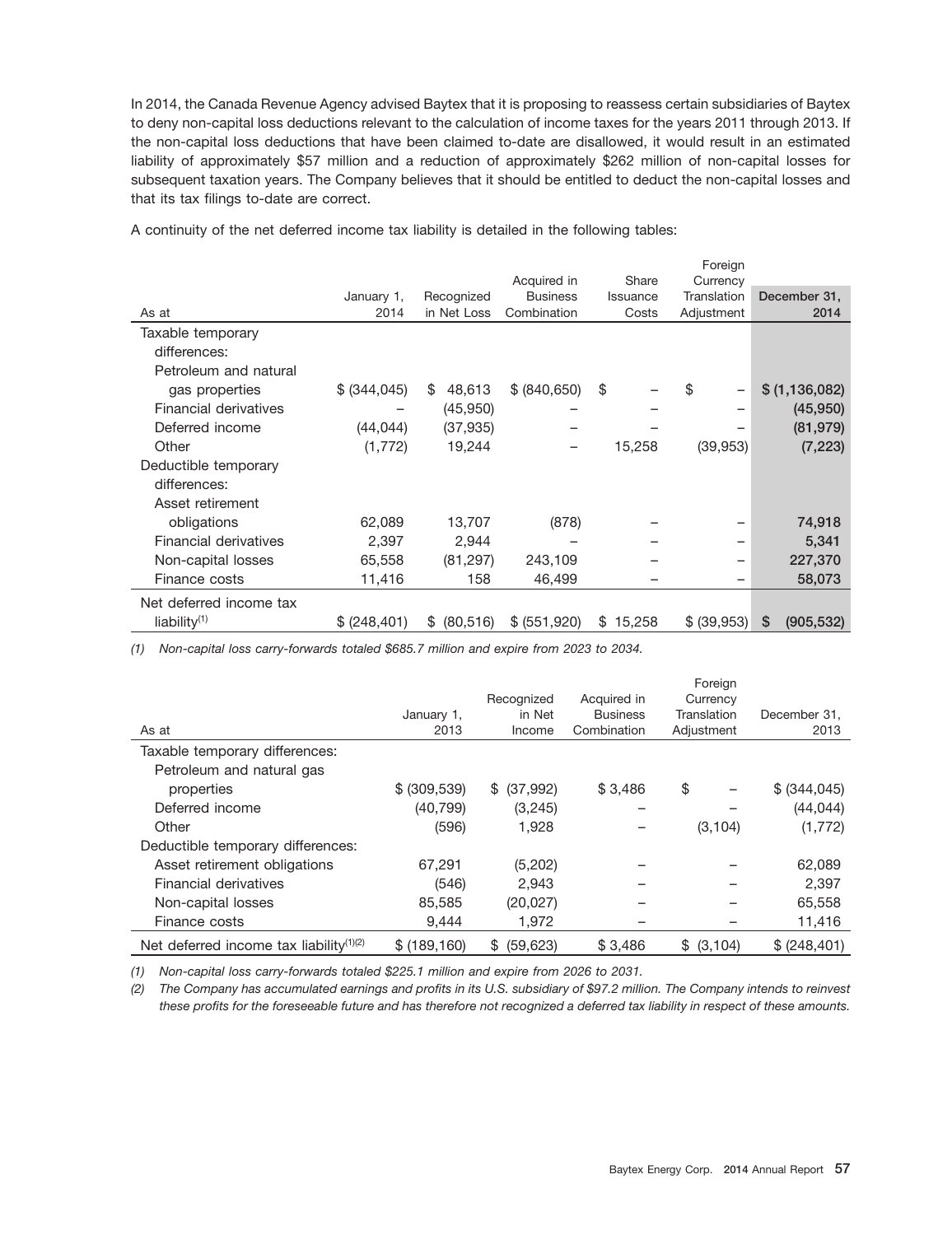In 2014, the Canada Revenue Agency advised Baytex that it is proposing to reassess certain subsidiaries of Baytex to deny non-capital loss deductions relevant to the calculation of income taxes for the years 2011 through 2013. If the non-capital loss deductions that have been claimed to-date are disallowed, it would result in an estimated liability of approximately \$57 million and a reduction of approximately \$262 million of non-capital losses for subsequent taxation years. The Company believes that it should be entitled to deduct the non-capital losses and that its tax filings to-date are correct.

|                         |               |                  |                 |              | Foreign     |                  |
|-------------------------|---------------|------------------|-----------------|--------------|-------------|------------------|
|                         |               |                  | Acquired in     | Share        | Currency    |                  |
|                         | January 1,    | Recognized       | <b>Business</b> | Issuance     | Translation | December 31,     |
| As at                   | 2014          | in Net Loss      | Combination     | Costs        | Adjustment  | 2014             |
| Taxable temporary       |               |                  |                 |              |             |                  |
| differences:            |               |                  |                 |              |             |                  |
| Petroleum and natural   |               |                  |                 |              |             |                  |
| gas properties          | \$ (344, 045) | 48,613<br>S      | \$ (840, 650)   | \$           | \$          | \$ (1,136,082)   |
| Financial derivatives   |               | (45,950)         |                 |              |             | (45,950)         |
| Deferred income         | (44, 044)     | (37, 935)        |                 |              |             | (81, 979)        |
| Other                   | (1, 772)      | 19,244           |                 | 15,258       | (39, 953)   | (7, 223)         |
| Deductible temporary    |               |                  |                 |              |             |                  |
| differences:            |               |                  |                 |              |             |                  |
| Asset retirement        |               |                  |                 |              |             |                  |
| obligations             | 62,089        | 13,707           | (878)           |              |             | 74,918           |
| Financial derivatives   | 2,397         | 2,944            |                 |              |             | 5,341            |
| Non-capital losses      | 65,558        | (81, 297)        | 243,109         |              |             | 227,370          |
| Finance costs           | 11,416        | 158              | 46,499          |              |             | 58,073           |
| Net deferred income tax |               |                  |                 |              |             |                  |
| liability $(1)$         | \$ (248, 401) | (80, 516)<br>\$. | \$ (551,920)    | 15,258<br>\$ | \$ (39,953) | \$<br>(905, 532) |
|                         |               |                  |                 |              |             |                  |

A continuity of the net deferred income tax liability is detailed in the following tables:

*(1) Non-capital loss carry-forwards totaled \$685.7 million and expire from 2023 to 2034.*

|                                            |               |                 |                 | Foreign     |               |
|--------------------------------------------|---------------|-----------------|-----------------|-------------|---------------|
|                                            |               | Recognized      | Acquired in     | Currency    |               |
|                                            | January 1,    | in Net          | <b>Business</b> | Translation | December 31.  |
| As at                                      | 2013          | Income          | Combination     | Adjustment  | 2013          |
| Taxable temporary differences:             |               |                 |                 |             |               |
| Petroleum and natural gas                  |               |                 |                 |             |               |
| properties                                 | \$ (309, 539) | \$ (37,992)     | \$3,486         | \$          | \$ (344, 045) |
| Deferred income                            | (40, 799)     | (3,245)         | -               |             | (44, 044)     |
| Other                                      | (596)         | 1.928           |                 | (3, 104)    | (1,772)       |
| Deductible temporary differences:          |               |                 |                 |             |               |
| Asset retirement obligations               | 67.291        | (5,202)         |                 |             | 62,089        |
| Financial derivatives                      | (546)         | 2,943           |                 |             | 2,397         |
| Non-capital losses                         | 85,585        | (20, 027)       |                 |             | 65,558        |
| Finance costs                              | 9,444         | 1,972           |                 |             | 11,416        |
| Net deferred income tax liability $(1)(2)$ | \$(189, 160)  | (59, 623)<br>S. | \$3,486         | \$ (3,104)  | \$ (248, 401) |

*(1) Non-capital loss carry-forwards totaled \$225.1 million and expire from 2026 to 2031.*

*(2) The Company has accumulated earnings and profits in its U.S. subsidiary of \$97.2 million. The Company intends to reinvest these profits for the foreseeable future and has therefore not recognized a deferred tax liability in respect of these amounts.*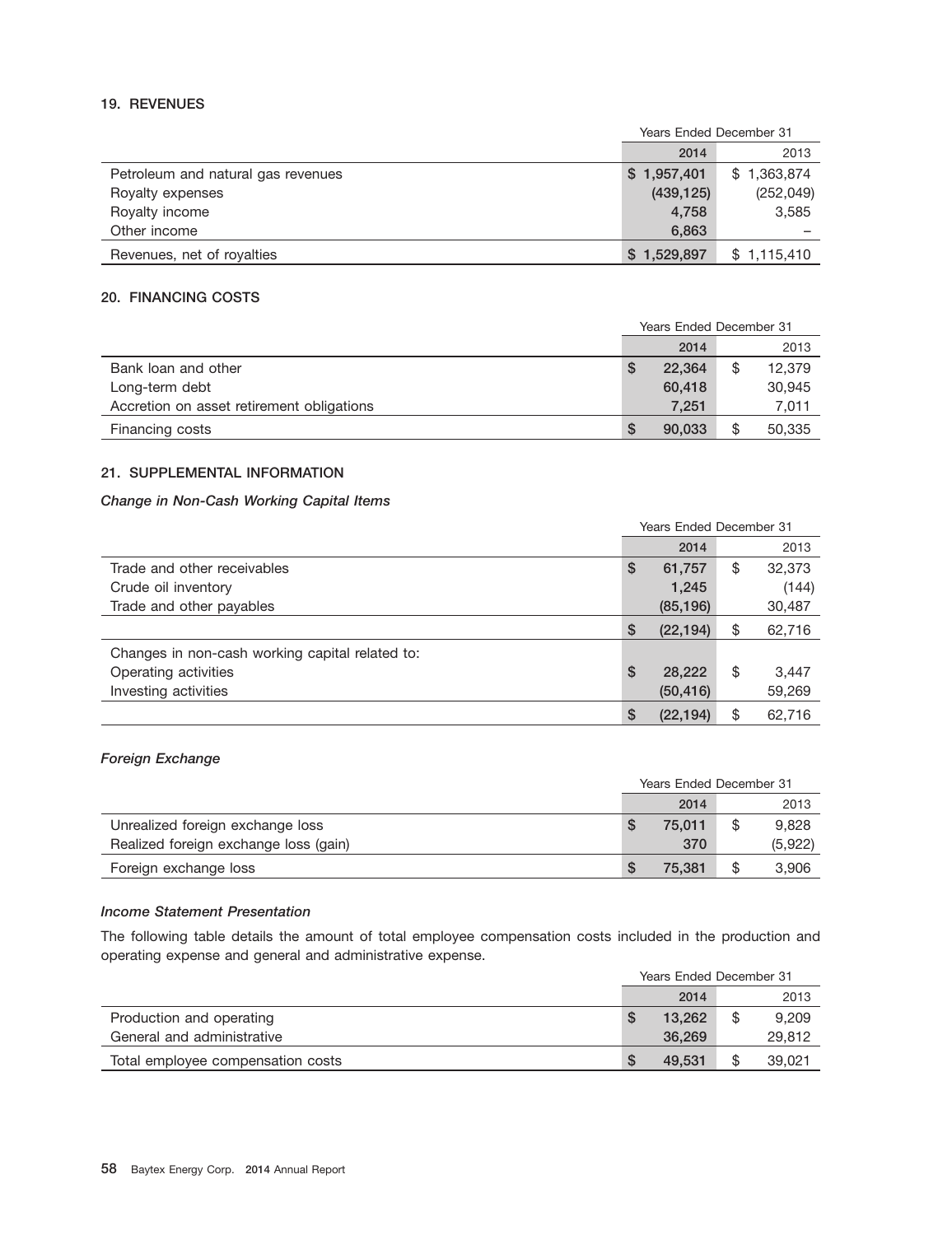## **19. REVENUES**

|                                    | Years Ended December 31 |             |  |
|------------------------------------|-------------------------|-------------|--|
|                                    | 2014                    | 2013        |  |
| Petroleum and natural gas revenues | \$1,957,401             | \$1,363,874 |  |
| Royalty expenses                   | (439, 125)              | (252, 049)  |  |
| Royalty income                     | 4.758                   | 3,585       |  |
| Other income                       | 6,863                   |             |  |
| Revenues, net of royalties         | \$1,529,897             | \$1,115,410 |  |

## **20. FINANCING COSTS**

|                                           | <b>Years Ended December 31</b> |        |    |        |
|-------------------------------------------|--------------------------------|--------|----|--------|
|                                           |                                | 2014   |    | 2013   |
| Bank loan and other                       |                                | 22,364 | \$ | 12,379 |
| Long-term debt                            |                                | 60,418 |    | 30,945 |
| Accretion on asset retirement obligations |                                | 7.251  |    | 7,011  |
| Financing costs                           | S.                             | 90,033 | \$ | 50,335 |

## **21. SUPPLEMENTAL INFORMATION**

## *Change in Non-Cash Working Capital Items*

|                                                 |    | <b>Years Ended December 31</b> |    |        |  |
|-------------------------------------------------|----|--------------------------------|----|--------|--|
|                                                 |    | 2014                           |    | 2013   |  |
| Trade and other receivables                     | S  | 61,757                         | \$ | 32,373 |  |
| Crude oil inventory                             |    | 1,245                          |    | (144)  |  |
| Trade and other payables                        |    | (85, 196)                      |    | 30,487 |  |
|                                                 | \$ | (22, 194)                      | \$ | 62,716 |  |
| Changes in non-cash working capital related to: |    |                                |    |        |  |
| Operating activities                            | \$ | 28,222                         | \$ | 3,447  |  |
| Investing activities                            |    | (50, 416)                      |    | 59,269 |  |
|                                                 | \$ | (22, 194)                      | \$ | 62.716 |  |

## *Foreign Exchange*

|                                       | <b>Years Ended December 31</b> |        |    |         |
|---------------------------------------|--------------------------------|--------|----|---------|
|                                       |                                | 2014   |    | 2013    |
| Unrealized foreign exchange loss      |                                | 75,011 |    | 9,828   |
| Realized foreign exchange loss (gain) |                                | 370    |    | (5,922) |
| Foreign exchange loss                 |                                | 75.381 | \$ | 3,906   |

## *Income Statement Presentation*

The following table details the amount of total employee compensation costs included in the production and operating expense and general and administrative expense.

|                                   | Years Ended December 31 |        |  |        |
|-----------------------------------|-------------------------|--------|--|--------|
|                                   |                         | 2014   |  | 2013   |
| Production and operating          |                         | 13.262 |  | 9.209  |
| General and administrative        |                         | 36.269 |  | 29,812 |
| Total employee compensation costs |                         | 49.531 |  | 39.021 |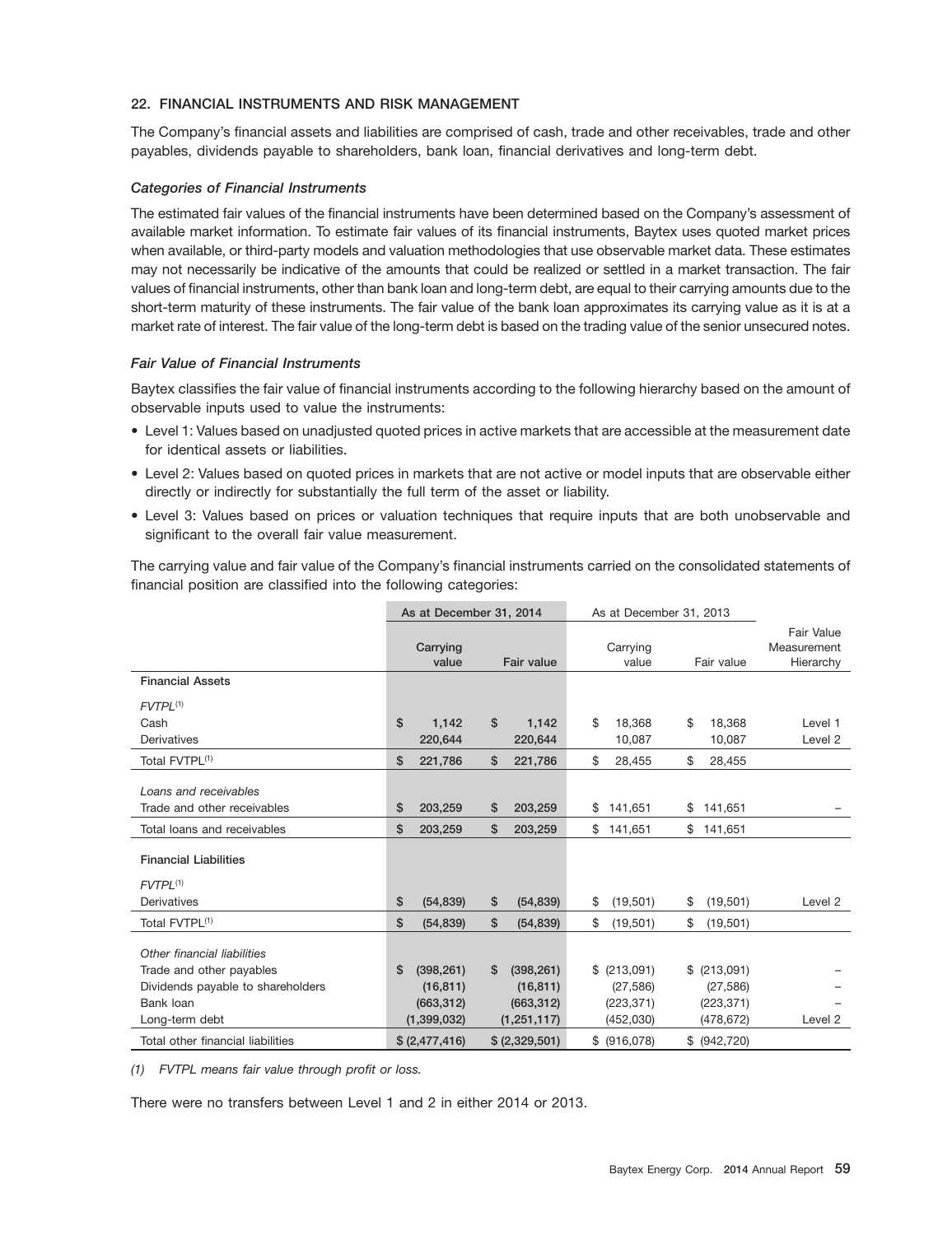## **22. FINANCIAL INSTRUMENTS AND RISK MANAGEMENT**

The Company's financial assets and liabilities are comprised of cash, trade and other receivables, trade and other payables, dividends payable to shareholders, bank loan, financial derivatives and long-term debt.

#### *Categories of Financial Instruments*

The estimated fair values of the financial instruments have been determined based on the Company's assessment of available market information. To estimate fair values of its financial instruments, Baytex uses quoted market prices when available, or third-party models and valuation methodologies that use observable market data. These estimates may not necessarily be indicative of the amounts that could be realized or settled in a market transaction. The fair values of financial instruments, other than bank loan and long-term debt, are equal to their carrying amounts due to the short-term maturity of these instruments. The fair value of the bank loan approximates its carrying value as it is at a market rate of interest. The fair value of the long-term debt is based on the trading value of the senior unsecured notes.

## *Fair Value of Financial Instruments*

Baytex classifies the fair value of financial instruments according to the following hierarchy based on the amount of observable inputs used to value the instruments:

- Level 1: Values based on unadjusted quoted prices in active markets that are accessible at the measurement date for identical assets or liabilities.
- Level 2: Values based on quoted prices in markets that are not active or model inputs that are observable either directly or indirectly for substantially the full term of the asset or liability.
- Level 3: Values based on prices or valuation techniques that require inputs that are both unobservable and significant to the overall fair value measurement.

The carrying value and fair value of the Company's financial instruments carried on the consolidated statements of financial position are classified into the following categories:

|                                   |                | As at December 31, 2014 |                |                   |                   | As at December 31, 2013 |               |                                        |
|-----------------------------------|----------------|-------------------------|----------------|-------------------|-------------------|-------------------------|---------------|----------------------------------------|
|                                   |                | Carrying<br>value       |                | <b>Fair value</b> | Carrying<br>value |                         | Fair value    | Fair Value<br>Measurement<br>Hierarchy |
| <b>Financial Assets</b>           |                |                         |                |                   |                   |                         |               |                                        |
| $FVTPL^{(1)}$                     |                |                         |                |                   |                   |                         |               |                                        |
| Cash                              | \$             | \$<br>1,142             |                | 1,142             | \$<br>18,368      | \$                      | 18,368        | Level 1                                |
| Derivatives                       |                | 220,644                 |                | 220,644           | 10,087            |                         | 10,087        | Level <sub>2</sub>                     |
| Total FVTPL <sup>(1)</sup>        | \$             | \$<br>221,786           |                | 221,786           | \$<br>28,455      | \$                      | 28,455        |                                        |
| Loans and receivables             |                |                         |                |                   |                   |                         |               |                                        |
| Trade and other receivables       |                | 203,259<br>\$           |                | 203,259           | 141,651           |                         | 141,651       |                                        |
|                                   | \$             |                         |                |                   | \$                | \$                      |               |                                        |
| Total loans and receivables       | \$             | \$<br>203,259           |                | 203,259           | \$<br>141,651     | \$                      | 141,651       |                                        |
| <b>Financial Liabilities</b>      |                |                         |                |                   |                   |                         |               |                                        |
| $FVTPL^{(1)}$                     |                |                         |                |                   |                   |                         |               |                                        |
| Derivatives                       | \$             | \$<br>(54, 839)         |                | (54, 839)         | \$<br>(19, 501)   | \$                      | (19, 501)     | Level 2                                |
| Total FVTPL <sup>(1)</sup>        | \$             | \$<br>(54, 839)         |                | (54, 839)         | \$<br>(19,501)    | \$                      | (19, 501)     |                                        |
| Other financial liabilities       |                |                         |                |                   |                   |                         |               |                                        |
| Trade and other payables          | \$             | (398, 261)<br>\$        |                | (398, 261)        | $$$ (213,091)     |                         | $$$ (213,091) |                                        |
| Dividends payable to shareholders |                | (16, 811)               |                | (16, 811)         | (27, 586)         |                         | (27, 586)     |                                        |
| Bank loan                         |                | (663, 312)              |                | (663, 312)        | (223, 371)        |                         | (223, 371)    |                                        |
| Long-term debt                    | (1, 399, 032)  |                         |                | (1, 251, 117)     | (452,030)         |                         | (478, 672)    | Level 2                                |
| Total other financial liabilities | \$ (2,477,416) |                         | \$ (2,329,501) |                   | $$$ (916,078)     |                         | \$ (942, 720) |                                        |

*(1) FVTPL means fair value through profit or loss.*

There were no transfers between Level 1 and 2 in either 2014 or 2013.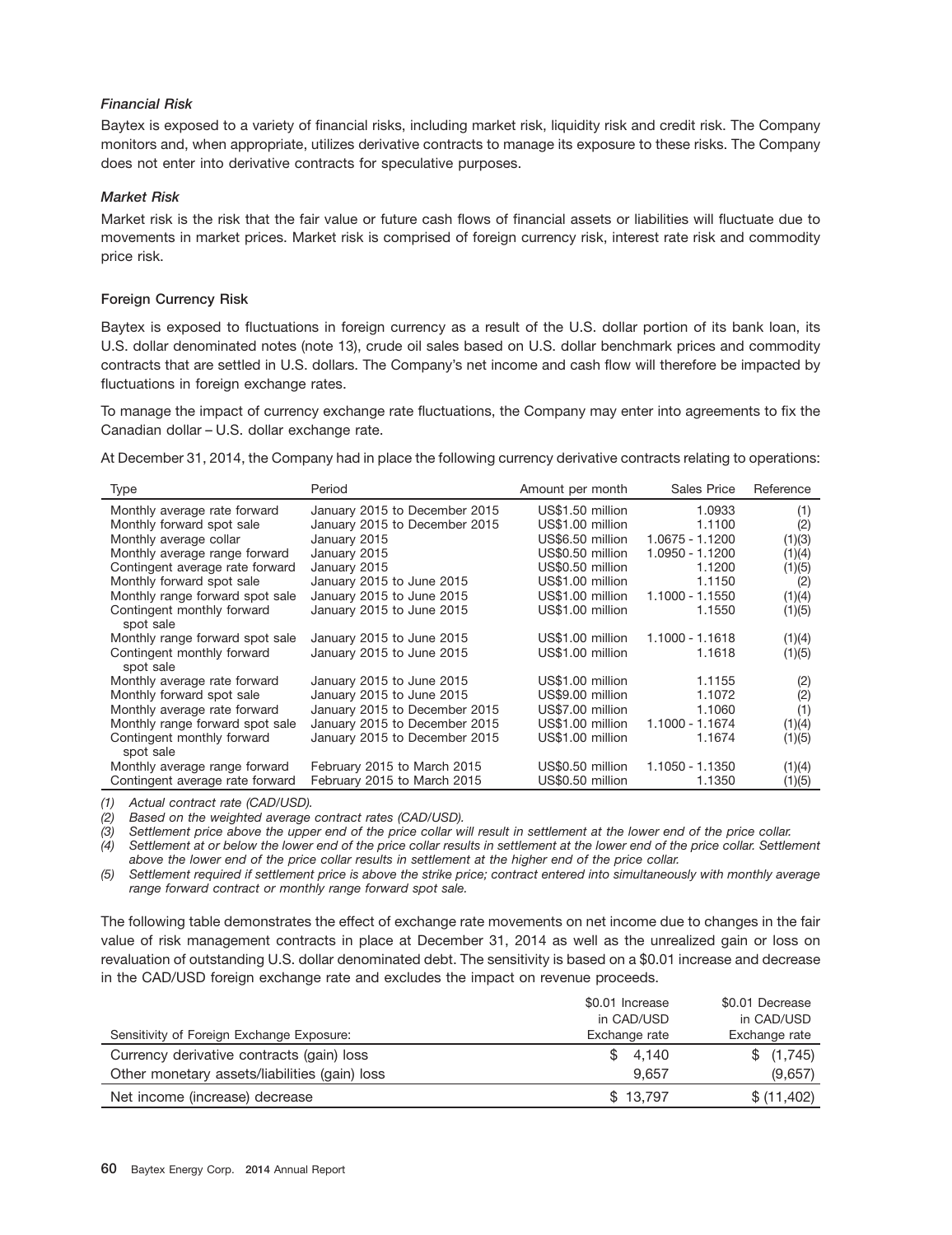## *Financial Risk*

Baytex is exposed to a variety of financial risks, including market risk, liquidity risk and credit risk. The Company monitors and, when appropriate, utilizes derivative contracts to manage its exposure to these risks. The Company does not enter into derivative contracts for speculative purposes.

## *Market Risk*

Market risk is the risk that the fair value or future cash flows of financial assets or liabilities will fluctuate due to movements in market prices. Market risk is comprised of foreign currency risk, interest rate risk and commodity price risk.

## **Foreign Currency Risk**

Baytex is exposed to fluctuations in foreign currency as a result of the U.S. dollar portion of its bank loan, its U.S. dollar denominated notes (note 13), crude oil sales based on U.S. dollar benchmark prices and commodity contracts that are settled in U.S. dollars. The Company's net income and cash flow will therefore be impacted by fluctuations in foreign exchange rates.

To manage the impact of currency exchange rate fluctuations, the Company may enter into agreements to fix the Canadian dollar – U.S. dollar exchange rate.

At December 31, 2014, the Company had in place the following currency derivative contracts relating to operations:

| Type                                    | Period                        | Amount per month | Sales Price     | Reference |
|-----------------------------------------|-------------------------------|------------------|-----------------|-----------|
| Monthly average rate forward            | January 2015 to December 2015 | US\$1.50 million | 1.0933          | (1)       |
| Monthly forward spot sale               | January 2015 to December 2015 | US\$1.00 million | 1.1100          | (2)       |
| Monthly average collar                  | January 2015                  | US\$6.50 million | 1.0675 - 1.1200 | (1)(3)    |
| Monthly average range forward           | January 2015                  | US\$0.50 million | 1.0950 - 1.1200 | (1)(4)    |
| Contingent average rate forward         | January 2015                  | US\$0.50 million | 1.1200          | (1)(5)    |
| Monthly forward spot sale               | January 2015 to June 2015     | US\$1.00 million | 1.1150          | (2)       |
| Monthly range forward spot sale         | January 2015 to June 2015     | US\$1.00 million | 1.1000 - 1.1550 | (1)(4)    |
| Contingent monthly forward<br>spot sale | January 2015 to June 2015     | US\$1.00 million | 1.1550          | (1)(5)    |
| Monthly range forward spot sale         | January 2015 to June 2015     | US\$1.00 million | 1.1000 - 1.1618 | (1)(4)    |
| Contingent monthly forward<br>spot sale | January 2015 to June 2015     | US\$1.00 million | 1.1618          | (1)(5)    |
| Monthly average rate forward            | January 2015 to June 2015     | US\$1.00 million | 1.1155          | (2)       |
| Monthly forward spot sale               | January 2015 to June 2015     | US\$9.00 million | 1.1072          | (2)       |
| Monthly average rate forward            | January 2015 to December 2015 | US\$7.00 million | 1.1060          | (1)       |
| Monthly range forward spot sale         | January 2015 to December 2015 | US\$1.00 million | 1.1000 - 1.1674 | (1)(4)    |
| Contingent monthly forward<br>spot sale | January 2015 to December 2015 | US\$1.00 million | 1.1674          | (1)(5)    |
| Monthly average range forward           | February 2015 to March 2015   | US\$0.50 million | 1.1050 - 1.1350 | (1)(4)    |
| Contingent average rate forward         | February 2015 to March 2015   | US\$0.50 million | 1.1350          | (1)(5)    |

*(1) Actual contract rate (CAD/USD).*

*(2) Based on the weighted average contract rates (CAD/USD).*

*(3) Settlement price above the upper end of the price collar will result in settlement at the lower end of the price collar.*

*(4) Settlement at or below the lower end of the price collar results in settlement at the lower end of the price collar. Settlement above the lower end of the price collar results in settlement at the higher end of the price collar.*

*(5) Settlement required if settlement price is above the strike price; contract entered into simultaneously with monthly average range forward contract or monthly range forward spot sale.*

The following table demonstrates the effect of exchange rate movements on net income due to changes in the fair value of risk management contracts in place at December 31, 2014 as well as the unrealized gain or loss on revaluation of outstanding U.S. dollar denominated debt. The sensitivity is based on a \$0.01 increase and decrease in the CAD/USD foreign exchange rate and excludes the impact on revenue proceeds.

|                                               | \$0.01 Increase | \$0.01 Decrease |
|-----------------------------------------------|-----------------|-----------------|
|                                               | in CAD/USD      | in CAD/USD      |
| Sensitivity of Foreign Exchange Exposure:     | Exchange rate   | Exchange rate   |
| Currency derivative contracts (gain) loss     | \$4,140         | \$(1,745)       |
| Other monetary assets/liabilities (gain) loss | 9.657           | (9,657)         |
| Net income (increase) decrease                | \$13,797        | \$ (11,402)     |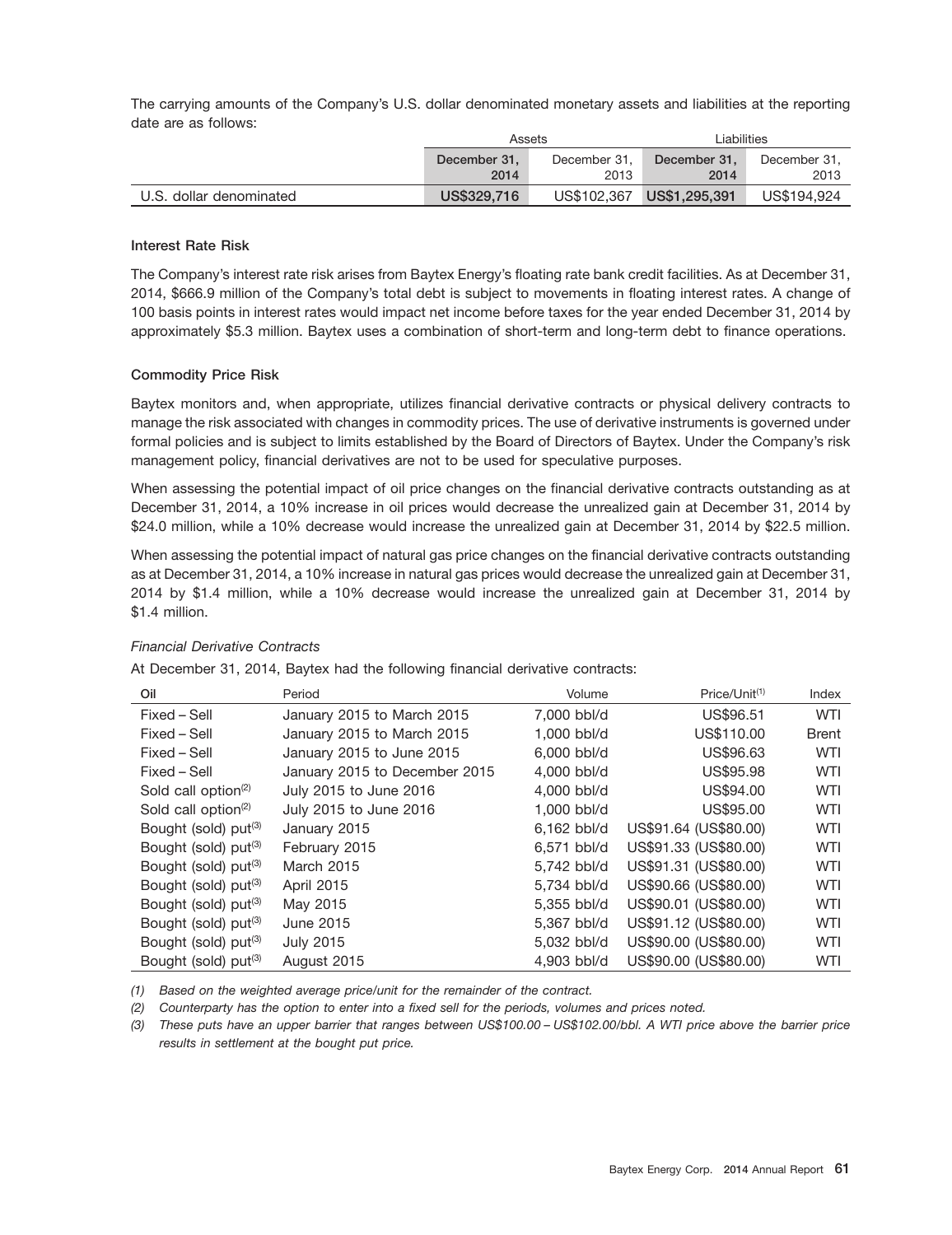The carrying amounts of the Company's U.S. dollar denominated monetary assets and liabilities at the reporting date are as follows:

|                         |              | Assets       | Liabilities               |              |  |
|-------------------------|--------------|--------------|---------------------------|--------------|--|
|                         | December 31. | December 31. | December 31.              | December 31. |  |
|                         | 2014         | 2013         | 2014                      | 2013         |  |
| U.S. dollar denominated | US\$329.716  |              | US\$102.367 US\$1,295.391 | US\$194.924  |  |

#### **Interest Rate Risk**

The Company's interest rate risk arises from Baytex Energy's floating rate bank credit facilities. As at December 31, 2014, \$666.9 million of the Company's total debt is subject to movements in floating interest rates. A change of 100 basis points in interest rates would impact net income before taxes for the year ended December 31, 2014 by approximately \$5.3 million. Baytex uses a combination of short-term and long-term debt to finance operations.

#### **Commodity Price Risk**

Baytex monitors and, when appropriate, utilizes financial derivative contracts or physical delivery contracts to manage the risk associated with changes in commodity prices. The use of derivative instruments is governed under formal policies and is subject to limits established by the Board of Directors of Baytex. Under the Company's risk management policy, financial derivatives are not to be used for speculative purposes.

When assessing the potential impact of oil price changes on the financial derivative contracts outstanding as at December 31, 2014, a 10% increase in oil prices would decrease the unrealized gain at December 31, 2014 by \$24.0 million, while a 10% decrease would increase the unrealized gain at December 31, 2014 by \$22.5 million.

When assessing the potential impact of natural gas price changes on the financial derivative contracts outstanding as at December 31, 2014, a 10% increase in natural gas prices would decrease the unrealized gain at December 31, 2014 by \$1.4 million, while a 10% decrease would increase the unrealized gain at December 31, 2014 by \$1.4 million.

## *Financial Derivative Contracts*

At December 31, 2014, Baytex had the following financial derivative contracts:

| Oil                                          | Period                        | Volume      | Price/Unit <sup>(1)</sup> | Index        |
|----------------------------------------------|-------------------------------|-------------|---------------------------|--------------|
| Fixed – Sell                                 | January 2015 to March 2015    | 7.000 bbl/d | US\$96.51                 | <b>WTI</b>   |
| Fixed – Sell                                 | January 2015 to March 2015    | 1.000 bbl/d | US\$110.00                | <b>Brent</b> |
| Fixed – Sell                                 | January 2015 to June 2015     | 6,000 bbl/d | US\$96.63                 | <b>WTI</b>   |
| Fixed – Sell                                 | January 2015 to December 2015 | 4.000 bbl/d | US\$95.98                 | WTI          |
| Sold call option <sup><math>(2)</math></sup> | July 2015 to June 2016        | 4.000 bbl/d | US\$94.00                 | <b>WTI</b>   |
| Sold call option <sup>(2)</sup>              | July 2015 to June 2016        | 1,000 bbl/d | US\$95.00                 | WTI          |
| Bought (sold) put <sup>(3)</sup>             | January 2015                  | 6,162 bbl/d | US\$91.64 (US\$80.00)     | <b>WTI</b>   |
| Bought (sold) put <sup>(3)</sup>             | February 2015                 | 6.571 bbl/d | US\$91.33 (US\$80.00)     | <b>WTI</b>   |
| Bought (sold) put <sup>(3)</sup>             | <b>March 2015</b>             | 5,742 bbl/d | US\$91.31 (US\$80.00)     | <b>WTI</b>   |
| Bought (sold) put <sup>(3)</sup>             | <b>April 2015</b>             | 5.734 bbl/d | US\$90.66 (US\$80.00)     | WTI          |
| Bought (sold) put <sup>(3)</sup>             | May 2015                      | 5.355 bbl/d | US\$90.01 (US\$80.00)     | <b>WTI</b>   |
| Bought (sold) put <sup>(3)</sup>             | June 2015                     | 5,367 bbl/d | US\$91.12 (US\$80.00)     | WTI          |
| Bought (sold) put <sup>(3)</sup>             | <b>July 2015</b>              | 5,032 bbl/d | US\$90.00 (US\$80.00)     | <b>WTI</b>   |
| Bought (sold) put <sup>(3)</sup>             | August 2015                   | 4.903 bbl/d | US\$90.00 (US\$80.00)     | <b>WTI</b>   |

*(1) Based on the weighted average price/unit for the remainder of the contract.*

*(2) Counterparty has the option to enter into a fixed sell for the periods, volumes and prices noted.*

*(3) These puts have an upper barrier that ranges between US\$100.00 – US\$102.00/bbl. A WTI price above the barrier price results in settlement at the bought put price.*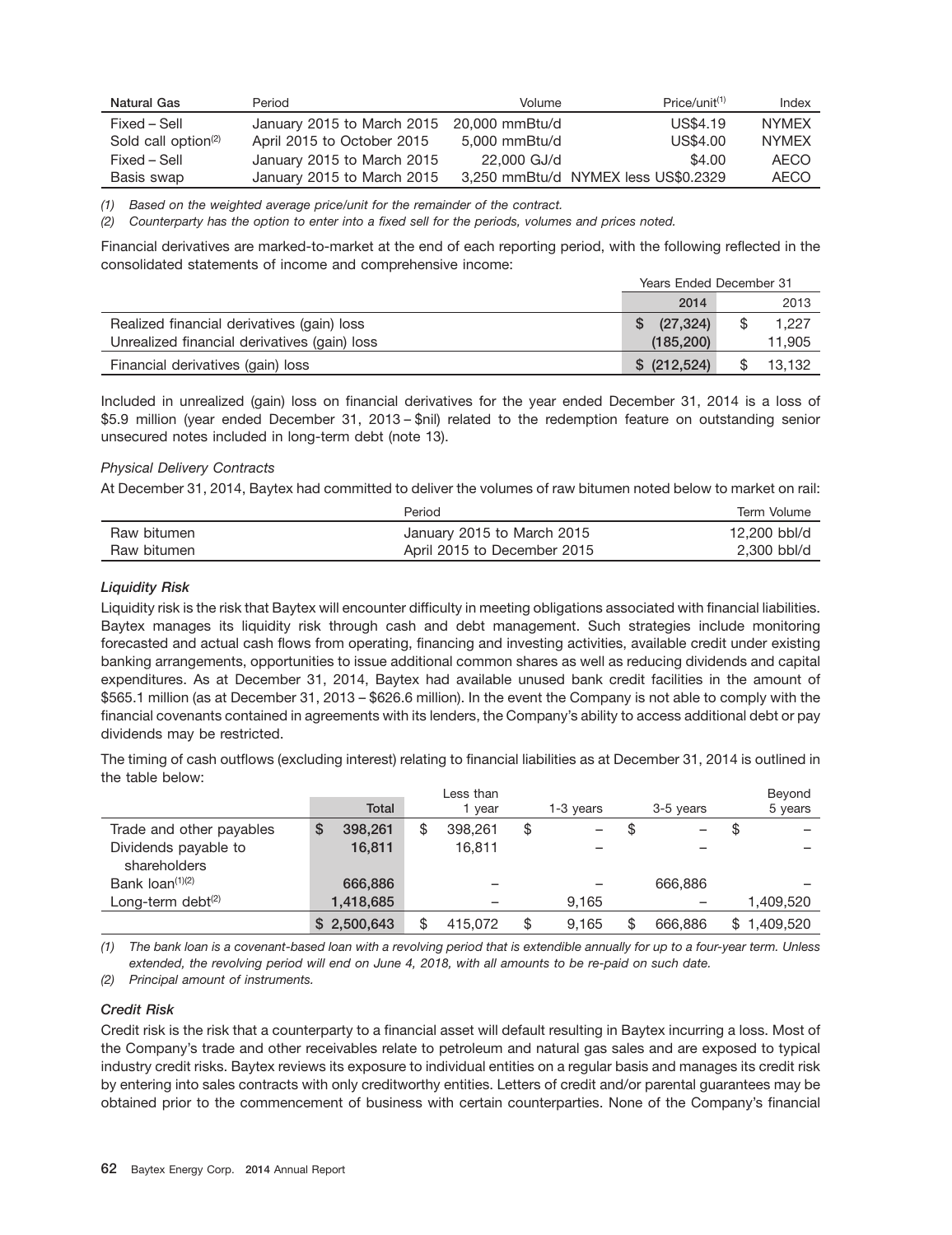| Natural Gas                     | Period                     | Volume         | Price/unit <sup>(1)</sup>           | Index        |
|---------------------------------|----------------------------|----------------|-------------------------------------|--------------|
| Fixed – Sell                    | January 2015 to March 2015 | 20,000 mmBtu/d | US\$4.19                            | <b>NYMEX</b> |
| Sold call option <sup>(2)</sup> | April 2015 to October 2015 | 5.000 mmBtu/d  | US\$4.00                            | <b>NYMFX</b> |
| Fixed – Sell                    | January 2015 to March 2015 | 22,000 GJ/d    | \$4.00                              | AECO         |
| Basis swap                      | January 2015 to March 2015 |                | 3,250 mmBtu/d NYMEX less US\$0.2329 | <b>AECO</b>  |

*(1) Based on the weighted average price/unit for the remainder of the contract.*

*(2) Counterparty has the option to enter into a fixed sell for the periods, volumes and prices noted.*

Financial derivatives are marked-to-market at the end of each reporting period, with the following reflected in the consolidated statements of income and comprehensive income:

|                                              | Years Ended December 31 |  |        |
|----------------------------------------------|-------------------------|--|--------|
|                                              | 2014                    |  | 2013   |
| Realized financial derivatives (gain) loss   | (27, 324)               |  | 1,227  |
| Unrealized financial derivatives (gain) loss | (185.200)               |  | 11,905 |
| Financial derivatives (gain) loss            | \$ (212, 524)           |  | 13.132 |

Included in unrealized (gain) loss on financial derivatives for the year ended December 31, 2014 is a loss of \$5.9 million (year ended December 31, 2013 – \$nil) related to the redemption feature on outstanding senior unsecured notes included in long-term debt (note 13).

#### *Physical Delivery Contracts*

At December 31, 2014, Baytex had committed to deliver the volumes of raw bitumen noted below to market on rail:

|             | Period                      | Term Volume  |
|-------------|-----------------------------|--------------|
| Raw bitumen | January 2015 to March 2015  | 12,200 bbl/d |
| Raw bitumen | April 2015 to December 2015 | 2.300 bbl/d  |

## *Liquidity Risk*

Liquidity risk is the risk that Baytex will encounter difficulty in meeting obligations associated with financial liabilities. Baytex manages its liquidity risk through cash and debt management. Such strategies include monitoring forecasted and actual cash flows from operating, financing and investing activities, available credit under existing banking arrangements, opportunities to issue additional common shares as well as reducing dividends and capital expenditures. As at December 31, 2014, Baytex had available unused bank credit facilities in the amount of \$565.1 million (as at December 31, 2013 – \$626.6 million). In the event the Company is not able to comply with the financial covenants contained in agreements with its lenders, the Company's ability to access additional debt or pay dividends may be restricted.

The timing of cash outflows (excluding interest) relating to financial liabilities as at December 31, 2014 is outlined in the table below:

|                                      | <b>Total</b> | Less than<br>vear | 1-3 years   | 3-5 years | Beyond<br>5 years |
|--------------------------------------|--------------|-------------------|-------------|-----------|-------------------|
| Trade and other payables             | 398.261<br>S | 398.261           | \$          |           | \$                |
| Dividends payable to<br>shareholders | 16,811       | 16.811            |             |           |                   |
| Bank $\text{Ioan}^{(1)(2)}$          | 666,886      |                   |             | 666,886   |                   |
| Long-term debt $(2)$                 | 1,418,685    |                   | 9.165       |           | 1,409,520         |
|                                      | \$2,500,643  | 415.072           | \$<br>9.165 | 666,886   | \$<br>1.409.520   |

*(1) The bank loan is a covenant-based loan with a revolving period that is extendible annually for up to a four-year term. Unless extended, the revolving period will end on June 4, 2018, with all amounts to be re-paid on such date.*

*(2) Principal amount of instruments.*

## *Credit Risk*

Credit risk is the risk that a counterparty to a financial asset will default resulting in Baytex incurring a loss. Most of the Company's trade and other receivables relate to petroleum and natural gas sales and are exposed to typical industry credit risks. Baytex reviews its exposure to individual entities on a regular basis and manages its credit risk by entering into sales contracts with only creditworthy entities. Letters of credit and/or parental guarantees may be obtained prior to the commencement of business with certain counterparties. None of the Company's financial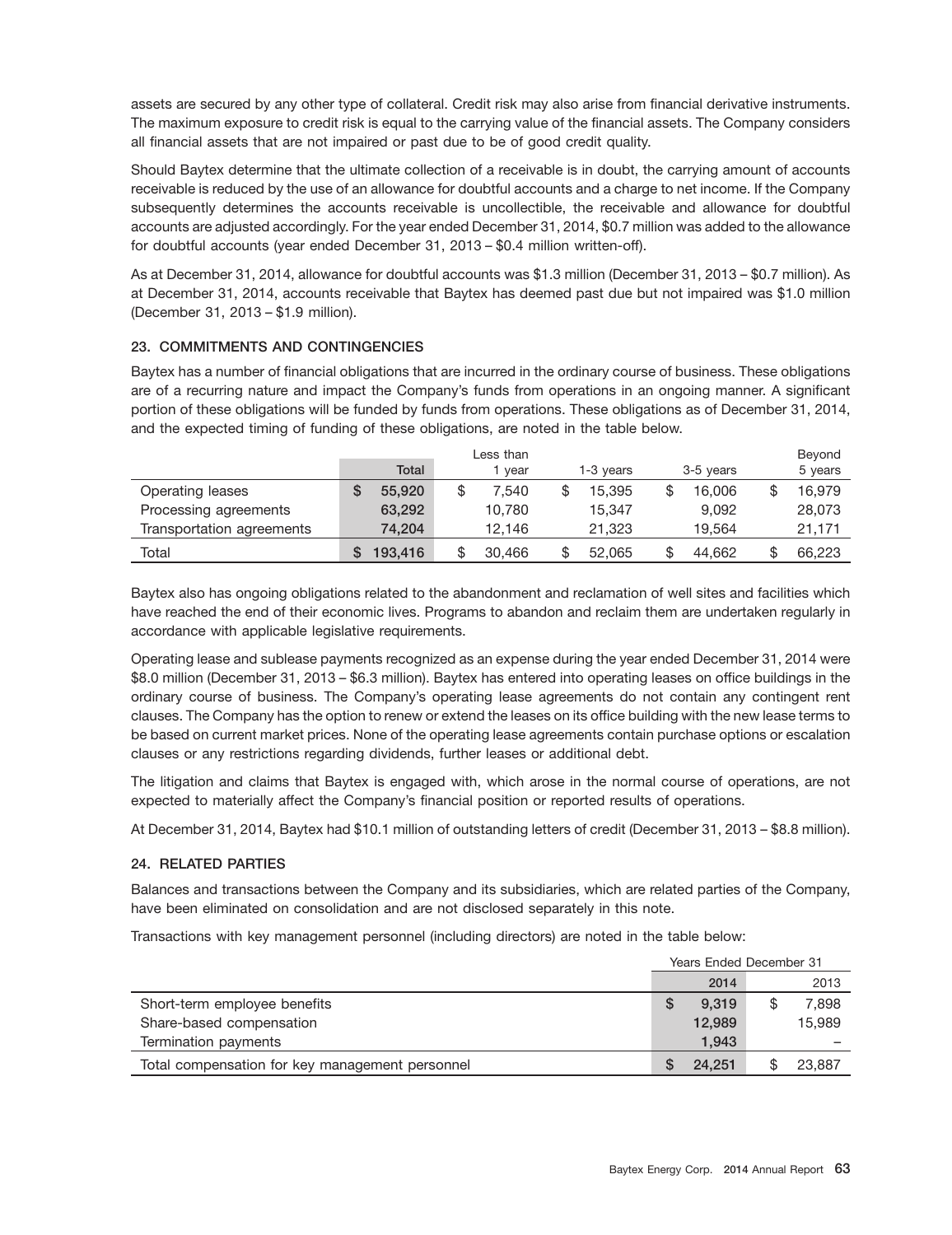assets are secured by any other type of collateral. Credit risk may also arise from financial derivative instruments. The maximum exposure to credit risk is equal to the carrying value of the financial assets. The Company considers all financial assets that are not impaired or past due to be of good credit quality.

Should Baytex determine that the ultimate collection of a receivable is in doubt, the carrying amount of accounts receivable is reduced by the use of an allowance for doubtful accounts and a charge to net income. If the Company subsequently determines the accounts receivable is uncollectible, the receivable and allowance for doubtful accounts are adjusted accordingly. For the year ended December 31, 2014, \$0.7 million was added to the allowance for doubtful accounts (year ended December 31, 2013 – \$0.4 million written-off).

As at December 31, 2014, allowance for doubtful accounts was \$1.3 million (December 31, 2013 – \$0.7 million). As at December 31, 2014, accounts receivable that Baytex has deemed past due but not impaired was \$1.0 million (December 31, 2013 – \$1.9 million).

## **23. COMMITMENTS AND CONTINGENCIES**

Baytex has a number of financial obligations that are incurred in the ordinary course of business. These obligations are of a recurring nature and impact the Company's funds from operations in an ongoing manner. A significant portion of these obligations will be funded by funds from operations. These obligations as of December 31, 2014, and the expected timing of funding of these obligations, are noted in the table below.

|                           |         | Less than   |           |           | Beyond  |
|---------------------------|---------|-------------|-----------|-----------|---------|
|                           | Total   | vear        | 1-3 vears | 3-5 years | 5 years |
| Operating leases          | 55,920  | \$<br>7.540 | 15.395    | 16,006    | 16,979  |
| Processing agreements     | 63,292  | 10,780      | 15.347    | 9.092     | 28,073  |
| Transportation agreements | 74.204  | 12.146      | 21.323    | 19.564    | 21.171  |
| Total                     | 193,416 | 30,466      | 52.065    | 44.662    | 66,223  |

Baytex also has ongoing obligations related to the abandonment and reclamation of well sites and facilities which have reached the end of their economic lives. Programs to abandon and reclaim them are undertaken regularly in accordance with applicable legislative requirements.

Operating lease and sublease payments recognized as an expense during the year ended December 31, 2014 were \$8.0 million (December 31, 2013 – \$6.3 million). Baytex has entered into operating leases on office buildings in the ordinary course of business. The Company's operating lease agreements do not contain any contingent rent clauses. The Company has the option to renew or extend the leases on its office building with the new lease terms to be based on current market prices. None of the operating lease agreements contain purchase options or escalation clauses or any restrictions regarding dividends, further leases or additional debt.

The litigation and claims that Baytex is engaged with, which arose in the normal course of operations, are not expected to materially affect the Company's financial position or reported results of operations.

At December 31, 2014, Baytex had \$10.1 million of outstanding letters of credit (December 31, 2013 – \$8.8 million).

## **24. RELATED PARTIES**

Balances and transactions between the Company and its subsidiaries, which are related parties of the Company, have been eliminated on consolidation and are not disclosed separately in this note.

Transactions with key management personnel (including directors) are noted in the table below:

|                                                 | Years Ended December 31 |        |  |        |
|-------------------------------------------------|-------------------------|--------|--|--------|
|                                                 |                         | 2014   |  | 2013   |
| Short-term employee benefits                    |                         | 9.319  |  | 7,898  |
| Share-based compensation                        |                         | 12.989 |  | 15,989 |
| Termination payments                            |                         | 1.943  |  |        |
| Total compensation for key management personnel |                         | 24.251 |  | 23,887 |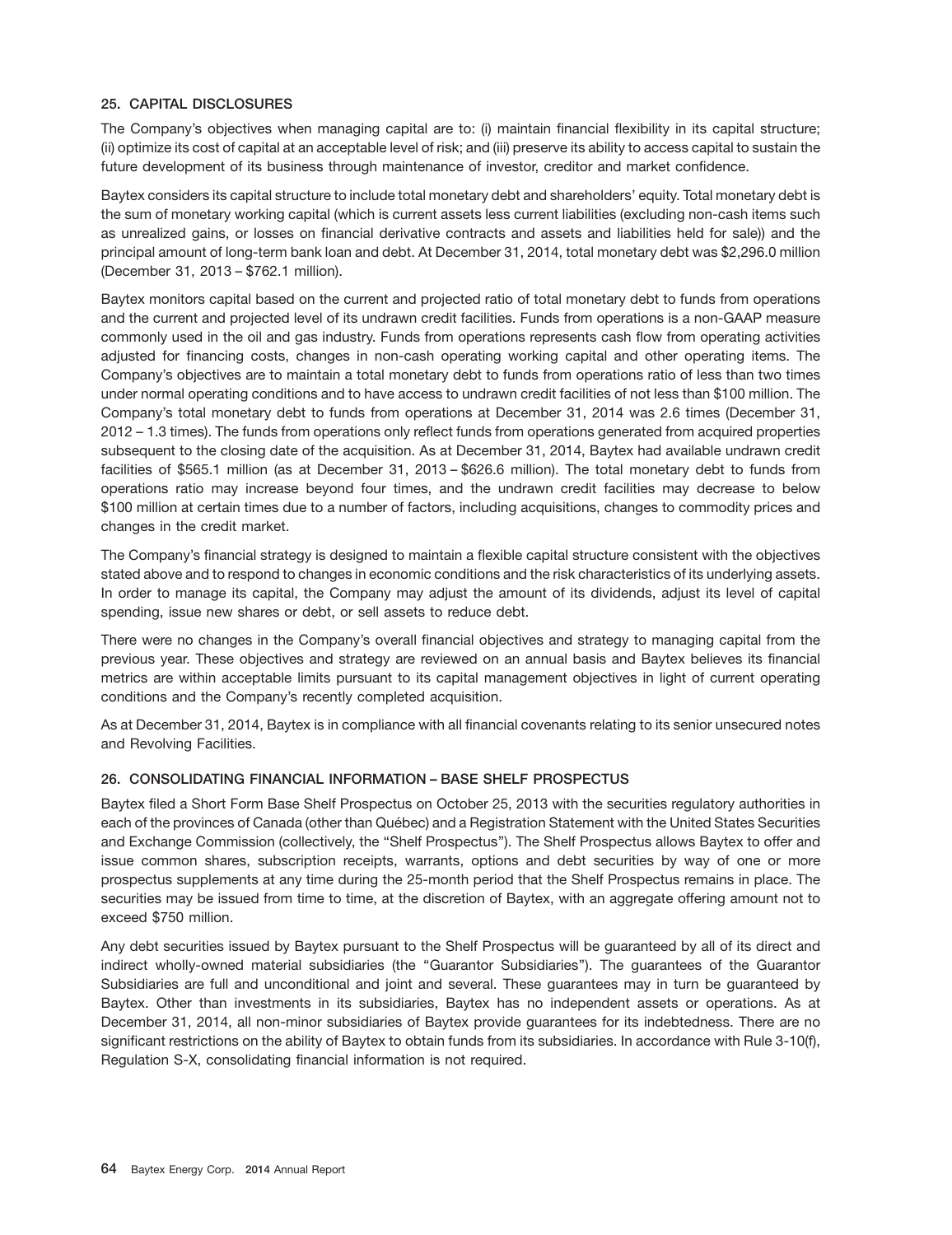## **25. CAPITAL DISCLOSURES**

The Company's objectives when managing capital are to: (i) maintain financial flexibility in its capital structure; (ii) optimize its cost of capital at an acceptable level of risk; and (iii) preserve its ability to access capital to sustain the future development of its business through maintenance of investor, creditor and market confidence.

Baytex considers its capital structure to include total monetary debt and shareholders' equity. Total monetary debt is the sum of monetary working capital (which is current assets less current liabilities (excluding non-cash items such as unrealized gains, or losses on financial derivative contracts and assets and liabilities held for sale)) and the principal amount of long-term bank loan and debt. At December 31, 2014, total monetary debt was \$2,296.0 million (December 31, 2013 – \$762.1 million).

Baytex monitors capital based on the current and projected ratio of total monetary debt to funds from operations and the current and projected level of its undrawn credit facilities. Funds from operations is a non-GAAP measure commonly used in the oil and gas industry. Funds from operations represents cash flow from operating activities adjusted for financing costs, changes in non-cash operating working capital and other operating items. The Company's objectives are to maintain a total monetary debt to funds from operations ratio of less than two times under normal operating conditions and to have access to undrawn credit facilities of not less than \$100 million. The Company's total monetary debt to funds from operations at December 31, 2014 was 2.6 times (December 31, 2012 – 1.3 times). The funds from operations only reflect funds from operations generated from acquired properties subsequent to the closing date of the acquisition. As at December 31, 2014, Baytex had available undrawn credit facilities of \$565.1 million (as at December 31, 2013 – \$626.6 million). The total monetary debt to funds from operations ratio may increase beyond four times, and the undrawn credit facilities may decrease to below \$100 million at certain times due to a number of factors, including acquisitions, changes to commodity prices and changes in the credit market.

The Company's financial strategy is designed to maintain a flexible capital structure consistent with the objectives stated above and to respond to changes in economic conditions and the risk characteristics of its underlying assets. In order to manage its capital, the Company may adjust the amount of its dividends, adjust its level of capital spending, issue new shares or debt, or sell assets to reduce debt.

There were no changes in the Company's overall financial objectives and strategy to managing capital from the previous year. These objectives and strategy are reviewed on an annual basis and Baytex believes its financial metrics are within acceptable limits pursuant to its capital management objectives in light of current operating conditions and the Company's recently completed acquisition.

As at December 31, 2014, Baytex is in compliance with all financial covenants relating to its senior unsecured notes and Revolving Facilities.

## **26. CONSOLIDATING FINANCIAL INFORMATION – BASE SHELF PROSPECTUS**

Baytex filed a Short Form Base Shelf Prospectus on October 25, 2013 with the securities regulatory authorities in each of the provinces of Canada (other than Québec) and a Registration Statement with the United States Securities and Exchange Commission (collectively, the ''Shelf Prospectus''). The Shelf Prospectus allows Baytex to offer and issue common shares, subscription receipts, warrants, options and debt securities by way of one or more prospectus supplements at any time during the 25-month period that the Shelf Prospectus remains in place. The securities may be issued from time to time, at the discretion of Baytex, with an aggregate offering amount not to exceed \$750 million.

Any debt securities issued by Baytex pursuant to the Shelf Prospectus will be guaranteed by all of its direct and indirect wholly-owned material subsidiaries (the ''Guarantor Subsidiaries''). The guarantees of the Guarantor Subsidiaries are full and unconditional and joint and several. These guarantees may in turn be guaranteed by Baytex. Other than investments in its subsidiaries, Baytex has no independent assets or operations. As at December 31, 2014, all non-minor subsidiaries of Baytex provide guarantees for its indebtedness. There are no significant restrictions on the ability of Baytex to obtain funds from its subsidiaries. In accordance with Rule 3-10(f), Regulation S-X, consolidating financial information is not required.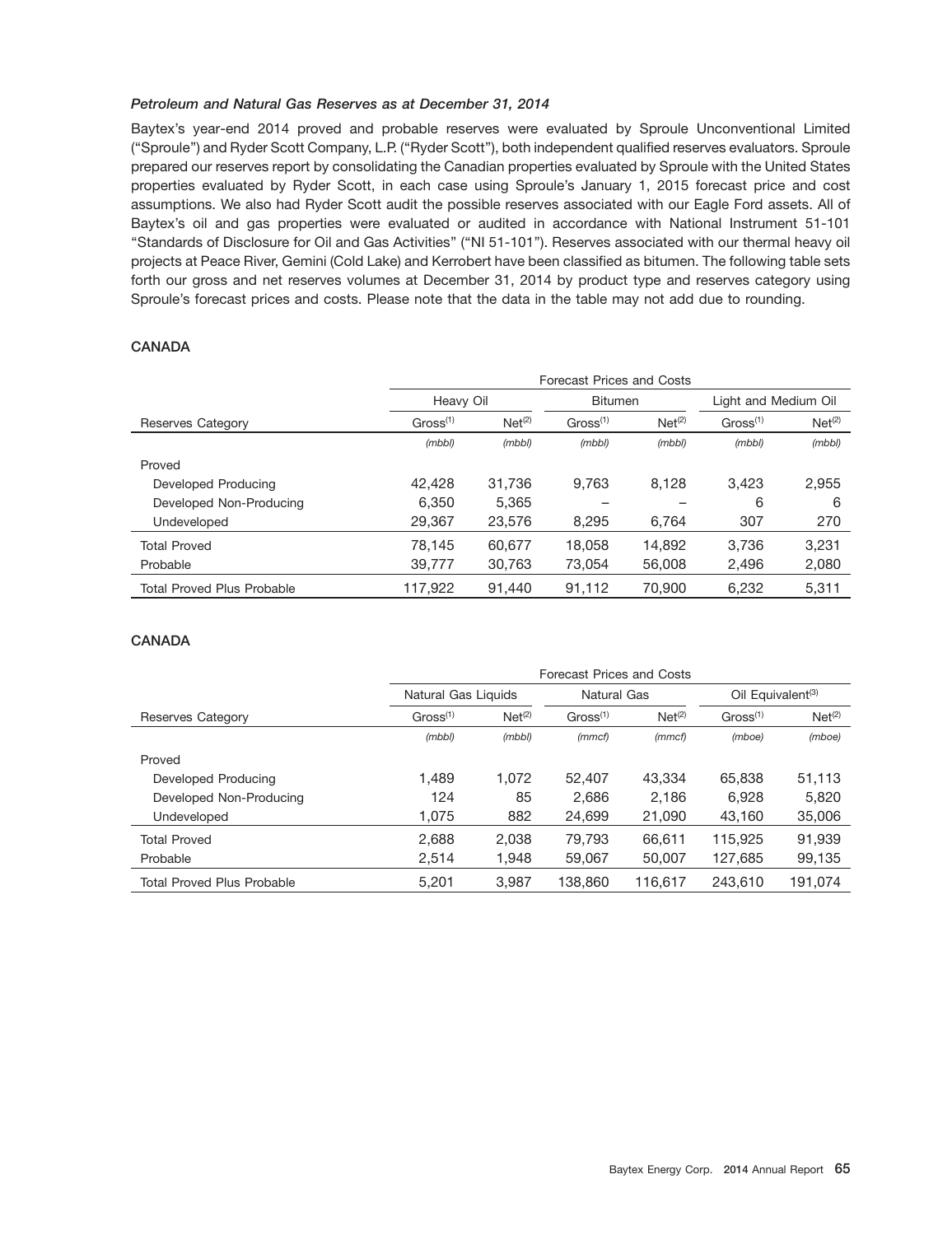## *Petroleum and Natural Gas Reserves as at December 31, 2014*

Baytex's year-end 2014 proved and probable reserves were evaluated by Sproule Unconventional Limited (''Sproule'') and Ryder Scott Company, L.P. (''Ryder Scott''), both independent qualified reserves evaluators. Sproule prepared our reserves report by consolidating the Canadian properties evaluated by Sproule with the United States properties evaluated by Ryder Scott, in each case using Sproule's January 1, 2015 forecast price and cost assumptions. We also had Ryder Scott audit the possible reserves associated with our Eagle Ford assets. All of Baytex's oil and gas properties were evaluated or audited in accordance with National Instrument 51-101 ''Standards of Disclosure for Oil and Gas Activities'' (''NI 51-101''). Reserves associated with our thermal heavy oil projects at Peace River, Gemini (Cold Lake) and Kerrobert have been classified as bitumen. The following table sets forth our gross and net reserves volumes at December 31, 2014 by product type and reserves category using Sproule's forecast prices and costs. Please note that the data in the table may not add due to rounding.

## **CANADA**

|                                   | Forecast Prices and Costs |                    |                      |                    |                      |                    |  |  |  |
|-----------------------------------|---------------------------|--------------------|----------------------|--------------------|----------------------|--------------------|--|--|--|
|                                   | Heavy Oil                 |                    | <b>Bitumen</b>       |                    | Light and Medium Oil |                    |  |  |  |
| Reserves Category                 | Gross <sup>(1)</sup>      | Net <sup>(2)</sup> | Gross <sup>(1)</sup> | Net <sup>(2)</sup> | Gross <sup>(1)</sup> | Net <sup>(2)</sup> |  |  |  |
|                                   | (mbb)                     | (mbb)              | (mbb)                | (mbb)              | (mbb)                | (mbb)              |  |  |  |
| Proved                            |                           |                    |                      |                    |                      |                    |  |  |  |
| Developed Producing               | 42.428                    | 31.736             | 9.763                | 8.128              | 3.423                | 2,955              |  |  |  |
| Developed Non-Producing           | 6,350                     | 5.365              |                      |                    | 6                    | 6                  |  |  |  |
| Undeveloped                       | 29,367                    | 23,576             | 8,295                | 6.764              | 307                  | 270                |  |  |  |
| <b>Total Proved</b>               | 78.145                    | 60.677             | 18.058               | 14.892             | 3.736                | 3,231              |  |  |  |
| Probable                          | 39,777                    | 30.763             | 73,054               | 56,008             | 2,496                | 2,080              |  |  |  |
| <b>Total Proved Plus Probable</b> | 117,922                   | 91,440             | 91,112               | 70,900             | 6,232                | 5,311              |  |  |  |

## **CANADA**

|                                   | Forecast Prices and Costs |                    |                      |                    |                               |                    |  |  |
|-----------------------------------|---------------------------|--------------------|----------------------|--------------------|-------------------------------|--------------------|--|--|
|                                   | Natural Gas Liquids       |                    | Natural Gas          |                    | Oil Equivalent <sup>(3)</sup> |                    |  |  |
| Reserves Category                 | Gross <sup>(1)</sup>      | Net <sup>(2)</sup> | Gross <sup>(1)</sup> | Net <sup>(2)</sup> | Gross <sup>(1)</sup>          | Net <sup>(2)</sup> |  |  |
|                                   | (mbb)                     | (mbb)              | (mmcf)               | (mmcf)             | (mboe)                        | (mboe)             |  |  |
| Proved                            |                           |                    |                      |                    |                               |                    |  |  |
| Developed Producing               | 1.489                     | 1.072              | 52,407               | 43.334             | 65,838                        | 51,113             |  |  |
| Developed Non-Producing           | 124                       | 85                 | 2,686                | 2,186              | 6,928                         | 5,820              |  |  |
| Undeveloped                       | 1,075                     | 882                | 24,699               | 21,090             | 43,160                        | 35,006             |  |  |
| <b>Total Proved</b>               | 2,688                     | 2.038              | 79.793               | 66.611             | 115.925                       | 91,939             |  |  |
| Probable                          | 2,514                     | 1,948              | 59,067               | 50,007             | 127,685                       | 99,135             |  |  |
| <b>Total Proved Plus Probable</b> | 5,201                     | 3,987              | 138,860              | 116,617            | 243.610                       | 191,074            |  |  |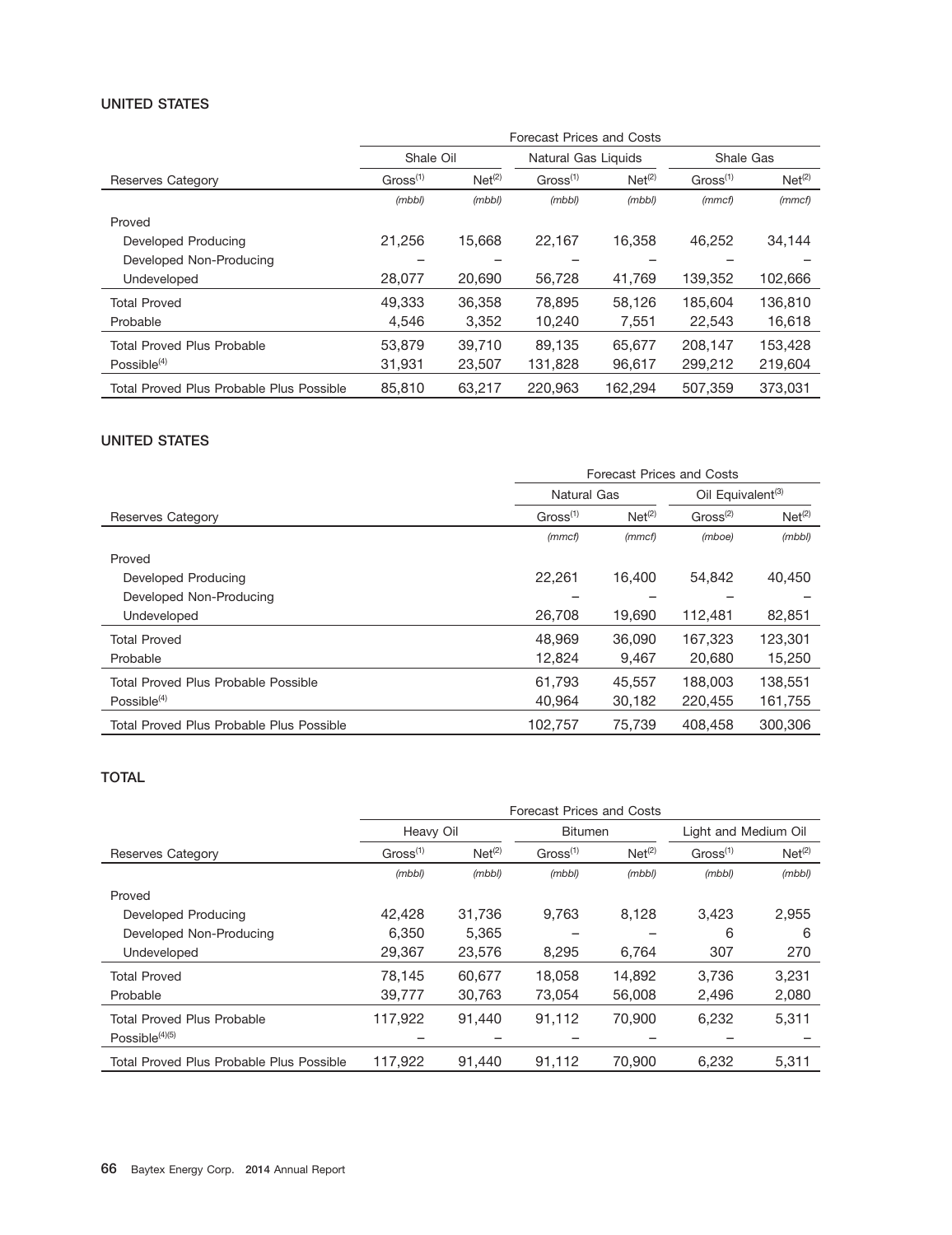## **UNITED STATES**

|                                          | Forecast Prices and Costs |                    |                      |                    |                      |                    |  |  |
|------------------------------------------|---------------------------|--------------------|----------------------|--------------------|----------------------|--------------------|--|--|
|                                          | Shale Oil                 |                    | Natural Gas Liquids  |                    | Shale Gas            |                    |  |  |
| Reserves Category                        | Gross <sup>(1)</sup>      | Net <sup>(2)</sup> | Gross <sup>(1)</sup> | Net <sup>(2)</sup> | Gross <sup>(1)</sup> | Net <sup>(2)</sup> |  |  |
|                                          | (mbb)                     | (mbb)              | (mbb)                | (mbb)              | (mmcf)               | (mmcf)             |  |  |
| Proved                                   |                           |                    |                      |                    |                      |                    |  |  |
| Developed Producing                      | 21.256                    | 15,668             | 22,167               | 16.358             | 46,252               | 34,144             |  |  |
| Developed Non-Producing                  |                           |                    |                      |                    |                      |                    |  |  |
| Undeveloped                              | 28,077                    | 20,690             | 56,728               | 41,769             | 139,352              | 102,666            |  |  |
| <b>Total Proved</b>                      | 49.333                    | 36,358             | 78.895               | 58.126             | 185.604              | 136.810            |  |  |
| Probable                                 | 4.546                     | 3.352              | 10,240               | 7,551              | 22,543               | 16,618             |  |  |
| <b>Total Proved Plus Probable</b>        | 53,879                    | 39.710             | 89.135               | 65,677             | 208.147              | 153.428            |  |  |
| Possible $(4)$                           | 31,931                    | 23,507             | 131,828              | 96,617             | 299,212              | 219,604            |  |  |
| Total Proved Plus Probable Plus Possible | 85,810                    | 63.217             | 220.963              | 162.294            | 507.359              | 373.031            |  |  |

#### **UNITED STATES**

|                                            | Forecast Prices and Costs |                    |                               |                    |  |  |
|--------------------------------------------|---------------------------|--------------------|-------------------------------|--------------------|--|--|
|                                            | Natural Gas               |                    | Oil Equivalent <sup>(3)</sup> |                    |  |  |
| Reserves Category                          | Gross <sup>(1)</sup>      | Net <sup>(2)</sup> | Gross <sup>(2)</sup>          | Net <sup>(2)</sup> |  |  |
|                                            | (mmcf)                    | (mmcf)             | (mboe)                        | (mbb)              |  |  |
| Proved                                     |                           |                    |                               |                    |  |  |
| Developed Producing                        | 22.261                    | 16.400             | 54.842                        | 40.450             |  |  |
| Developed Non-Producing                    |                           |                    |                               |                    |  |  |
| Undeveloped                                | 26,708                    | 19,690             | 112,481                       | 82,851             |  |  |
| <b>Total Proved</b>                        | 48.969                    | 36,090             | 167.323                       | 123.301            |  |  |
| Probable                                   | 12.824                    | 9,467              | 20,680                        | 15,250             |  |  |
| <b>Total Proved Plus Probable Possible</b> | 61.793                    | 45.557             | 188,003                       | 138.551            |  |  |
| $Possible^{(4)}$                           | 40.964                    | 30.182             | 220,455                       | 161,755            |  |  |
| Total Proved Plus Probable Plus Possible   | 102,757                   | 75.739             | 408,458                       | 300,306            |  |  |

## **TOTAL**

|                                          | Forecast Prices and Costs |                    |                      |                    |                      |                    |  |
|------------------------------------------|---------------------------|--------------------|----------------------|--------------------|----------------------|--------------------|--|
|                                          | Heavy Oil                 |                    | <b>Bitumen</b>       |                    | Light and Medium Oil |                    |  |
| Reserves Category                        | Gross <sup>(1)</sup>      | Net <sup>(2)</sup> | Gross <sup>(1)</sup> | Net <sup>(2)</sup> | Gross <sup>(1)</sup> | Net <sup>(2)</sup> |  |
|                                          | (mbb)                     | (mbb)              | (mbb)                | (mbb)              | (mbb)                | (mbb)              |  |
| Proved                                   |                           |                    |                      |                    |                      |                    |  |
| Developed Producing                      | 42.428                    | 31,736             | 9,763                | 8,128              | 3,423                | 2,955              |  |
| Developed Non-Producing                  | 6.350                     | 5.365              |                      |                    | 6                    | 6                  |  |
| Undeveloped                              | 29,367                    | 23,576             | 8,295                | 6.764              | 307                  | 270                |  |
| <b>Total Proved</b>                      | 78,145                    | 60.677             | 18.058               | 14.892             | 3.736                | 3.231              |  |
| Probable                                 | 39,777                    | 30,763             | 73,054               | 56,008             | 2,496                | 2,080              |  |
| Total Proved Plus Probable               | 117,922                   | 91,440             | 91,112               | 70,900             | 6,232                | 5,311              |  |
| Possible $(4)(5)$                        |                           |                    |                      |                    |                      |                    |  |
| Total Proved Plus Probable Plus Possible | 117.922                   | 91.440             | 91.112               | 70,900             | 6.232                | 5.311              |  |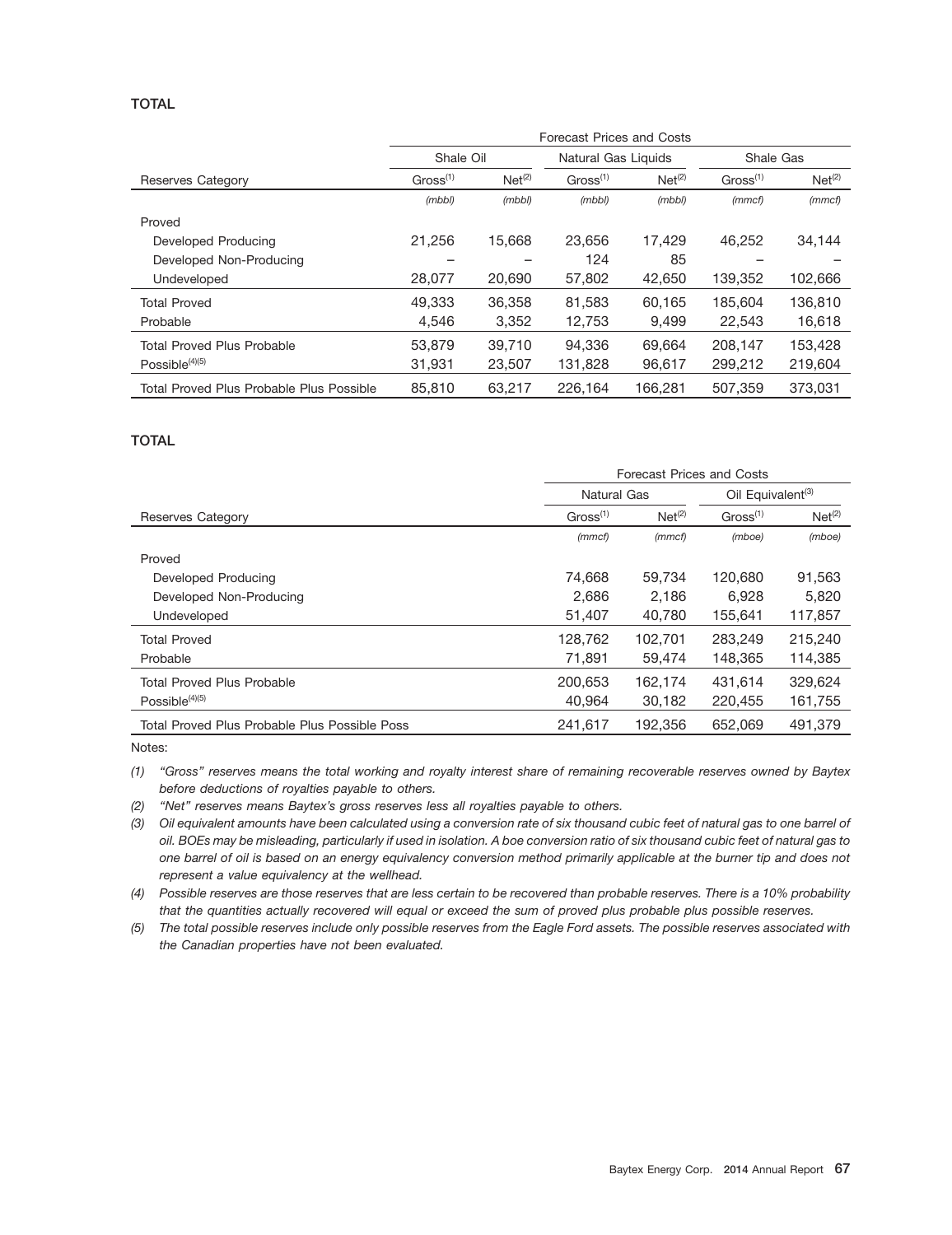## **TOTAL**

|                                          | <b>Forecast Prices and Costs</b> |                    |                      |                    |                      |                    |  |  |
|------------------------------------------|----------------------------------|--------------------|----------------------|--------------------|----------------------|--------------------|--|--|
|                                          | Shale Oil                        |                    | Natural Gas Liquids  |                    | Shale Gas            |                    |  |  |
| Reserves Category                        | Gross <sup>(1)</sup>             | Net <sup>(2)</sup> | Gross <sup>(1)</sup> | Net <sup>(2)</sup> | Gross <sup>(1)</sup> | Net <sup>(2)</sup> |  |  |
|                                          | (mbb)                            | (mbb)              | (mbb)                | (mbb)              | (mmcf)               | (mmcf)             |  |  |
| Proved                                   |                                  |                    |                      |                    |                      |                    |  |  |
| Developed Producing                      | 21.256                           | 15.668             | 23.656               | 17.429             | 46.252               | 34,144             |  |  |
| Developed Non-Producing                  |                                  |                    | 124                  | 85                 |                      |                    |  |  |
| Undeveloped                              | 28,077                           | 20,690             | 57,802               | 42,650             | 139,352              | 102,666            |  |  |
| <b>Total Proved</b>                      | 49.333                           | 36,358             | 81.583               | 60.165             | 185,604              | 136,810            |  |  |
| Probable                                 | 4,546                            | 3,352              | 12,753               | 9,499              | 22,543               | 16,618             |  |  |
| <b>Total Proved Plus Probable</b>        | 53,879                           | 39,710             | 94.336               | 69.664             | 208.147              | 153,428            |  |  |
| Possible $(4)(5)$                        | 31,931                           | 23,507             | 131,828              | 96,617             | 299,212              | 219,604            |  |  |
| Total Proved Plus Probable Plus Possible | 85,810                           | 63.217             | 226.164              | 166.281            | 507.359              | 373.031            |  |  |

## **TOTAL**

|                                               | Forecast Prices and Costs |                    |                               |                    |  |  |
|-----------------------------------------------|---------------------------|--------------------|-------------------------------|--------------------|--|--|
|                                               | <b>Natural Gas</b>        |                    | Oil Equivalent <sup>(3)</sup> |                    |  |  |
| Reserves Category                             | Gross <sup>(1)</sup>      | Net <sup>(2)</sup> | Gross <sup>(1)</sup>          | Net <sup>(2)</sup> |  |  |
|                                               | (mmcf)                    | (mmcf)             | (mboe)                        | (mboe)             |  |  |
| Proved                                        |                           |                    |                               |                    |  |  |
| Developed Producing                           | 74.668                    | 59.734             | 120,680                       | 91,563             |  |  |
| Developed Non-Producing                       | 2,686                     | 2.186              | 6.928                         | 5,820              |  |  |
| Undeveloped                                   | 51,407                    | 40,780             | 155,641                       | 117,857            |  |  |
| <b>Total Proved</b>                           | 128,762                   | 102.701            | 283.249                       | 215.240            |  |  |
| Probable                                      | 71,891                    | 59,474             | 148,365                       | 114,385            |  |  |
| <b>Total Proved Plus Probable</b>             | 200.653                   | 162,174            | 431.614                       | 329.624            |  |  |
| Possible $(4)(5)$                             | 40,964                    | 30,182             | 220,455                       | 161,755            |  |  |
| Total Proved Plus Probable Plus Possible Poss | 241.617                   | 192,356            | 652.069                       | 491.379            |  |  |

Notes:

*(1) ''Gross'' reserves means the total working and royalty interest share of remaining recoverable reserves owned by Baytex before deductions of royalties payable to others.*

*(2) ''Net'' reserves means Baytex's gross reserves less all royalties payable to others.*

*(3) Oil equivalent amounts have been calculated using a conversion rate of six thousand cubic feet of natural gas to one barrel of oil. BOEs may be misleading, particularly if used in isolation. A boe conversion ratio of six thousand cubic feet of natural gas to one barrel of oil is based on an energy equivalency conversion method primarily applicable at the burner tip and does not represent a value equivalency at the wellhead.*

*(4) Possible reserves are those reserves that are less certain to be recovered than probable reserves. There is a 10% probability that the quantities actually recovered will equal or exceed the sum of proved plus probable plus possible reserves.*

*(5) The total possible reserves include only possible reserves from the Eagle Ford assets. The possible reserves associated with the Canadian properties have not been evaluated.*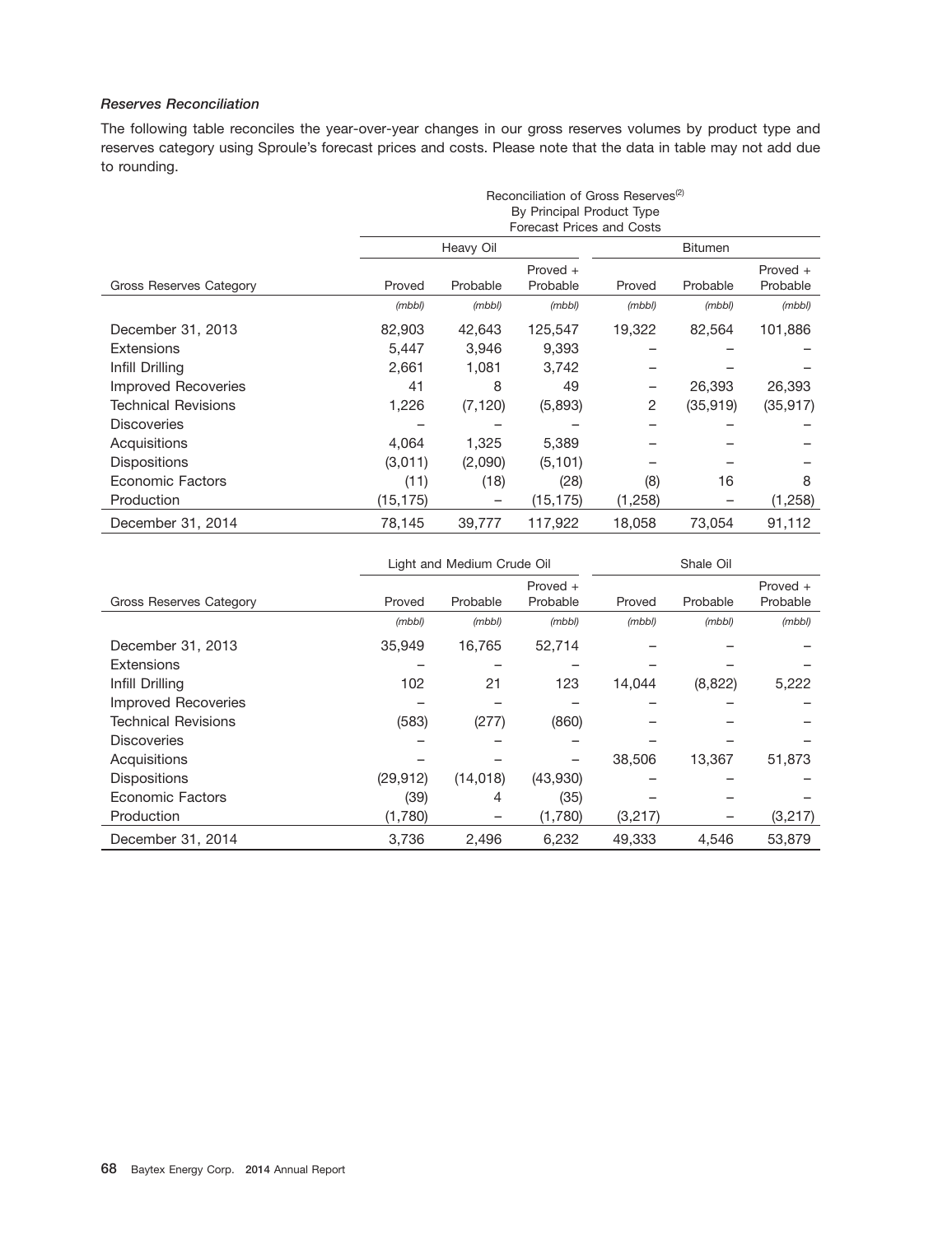## *Reserves Reconciliation*

The following table reconciles the year-over-year changes in our gross reserves volumes by product type and reserves category using Sproule's forecast prices and costs. Please note that the data in table may not add due to rounding.

|                            | Reconciliation of Gross Reserves <sup>(2)</sup> |                                  |                           |         |                |            |  |  |  |
|----------------------------|-------------------------------------------------|----------------------------------|---------------------------|---------|----------------|------------|--|--|--|
|                            |                                                 |                                  | By Principal Product Type |         |                |            |  |  |  |
|                            |                                                 | <b>Forecast Prices and Costs</b> |                           |         |                |            |  |  |  |
|                            |                                                 | Heavy Oil                        |                           |         | <b>Bitumen</b> |            |  |  |  |
|                            |                                                 |                                  | Proved $+$                |         |                | Proved $+$ |  |  |  |
| Gross Reserves Category    | Proved                                          | Probable                         | Probable                  | Proved  | Probable       | Probable   |  |  |  |
|                            | (mbb)                                           | (mbb)                            | (mbb)                     | (mbb)   | (mbb)          | (mbb)      |  |  |  |
| December 31, 2013          | 82,903                                          | 42,643                           | 125,547                   | 19,322  | 82,564         | 101,886    |  |  |  |
| <b>Extensions</b>          | 5,447                                           | 3,946                            | 9,393                     |         |                |            |  |  |  |
| Infill Drilling            | 2,661                                           | 1,081                            | 3,742                     |         |                |            |  |  |  |
| <b>Improved Recoveries</b> | 41                                              | 8                                | 49                        |         | 26,393         | 26,393     |  |  |  |
| <b>Technical Revisions</b> | 1,226                                           | (7, 120)                         | (5,893)                   | 2       | (35,919)       | (35, 917)  |  |  |  |
| <b>Discoveries</b>         |                                                 |                                  |                           |         |                |            |  |  |  |
| Acquisitions               | 4,064                                           | 1,325                            | 5,389                     |         |                |            |  |  |  |
| <b>Dispositions</b>        | (3,011)                                         | (2,090)                          | (5, 101)                  |         |                |            |  |  |  |
| Economic Factors           | (11)                                            | (18)                             | (28)                      | (8)     | 16             | 8          |  |  |  |
| Production                 | (15, 175)                                       |                                  | (15, 175)                 | (1,258) |                | (1,258)    |  |  |  |
| December 31, 2014          | 78,145                                          | 39,777                           | 117,922                   | 18,058  | 73,054         | 91,112     |  |  |  |

|                                | Light and Medium Crude Oil |           |                        | Shale Oil |          |                        |
|--------------------------------|----------------------------|-----------|------------------------|-----------|----------|------------------------|
| <b>Gross Reserves Category</b> | Proved                     | Probable  | Proved $+$<br>Probable | Proved    | Probable | Proved $+$<br>Probable |
|                                | (mbb)                      | (mbb)     | (mbb)                  | (mbb)     | (mbb)    | (mbb)                  |
| December 31, 2013              | 35,949                     | 16,765    | 52,714                 |           |          |                        |
| Extensions                     |                            |           |                        |           |          |                        |
| Infill Drilling                | 102                        | 21        | 123                    | 14,044    | (8,822)  | 5,222                  |
| <b>Improved Recoveries</b>     |                            |           |                        |           |          |                        |
| <b>Technical Revisions</b>     | (583)                      | (277)     | (860)                  |           |          |                        |
| <b>Discoveries</b>             |                            |           |                        |           |          |                        |
| Acquisitions                   |                            |           |                        | 38,506    | 13,367   | 51,873                 |
| <b>Dispositions</b>            | (29, 912)                  | (14, 018) | (43,930)               |           |          |                        |
| <b>Economic Factors</b>        | (39)                       | 4         | (35)                   |           |          |                        |
| Production                     | (1,780)                    |           | (1,780)                | (3,217)   |          | (3,217)                |
| December 31, 2014              | 3,736                      | 2,496     | 6,232                  | 49.333    | 4.546    | 53,879                 |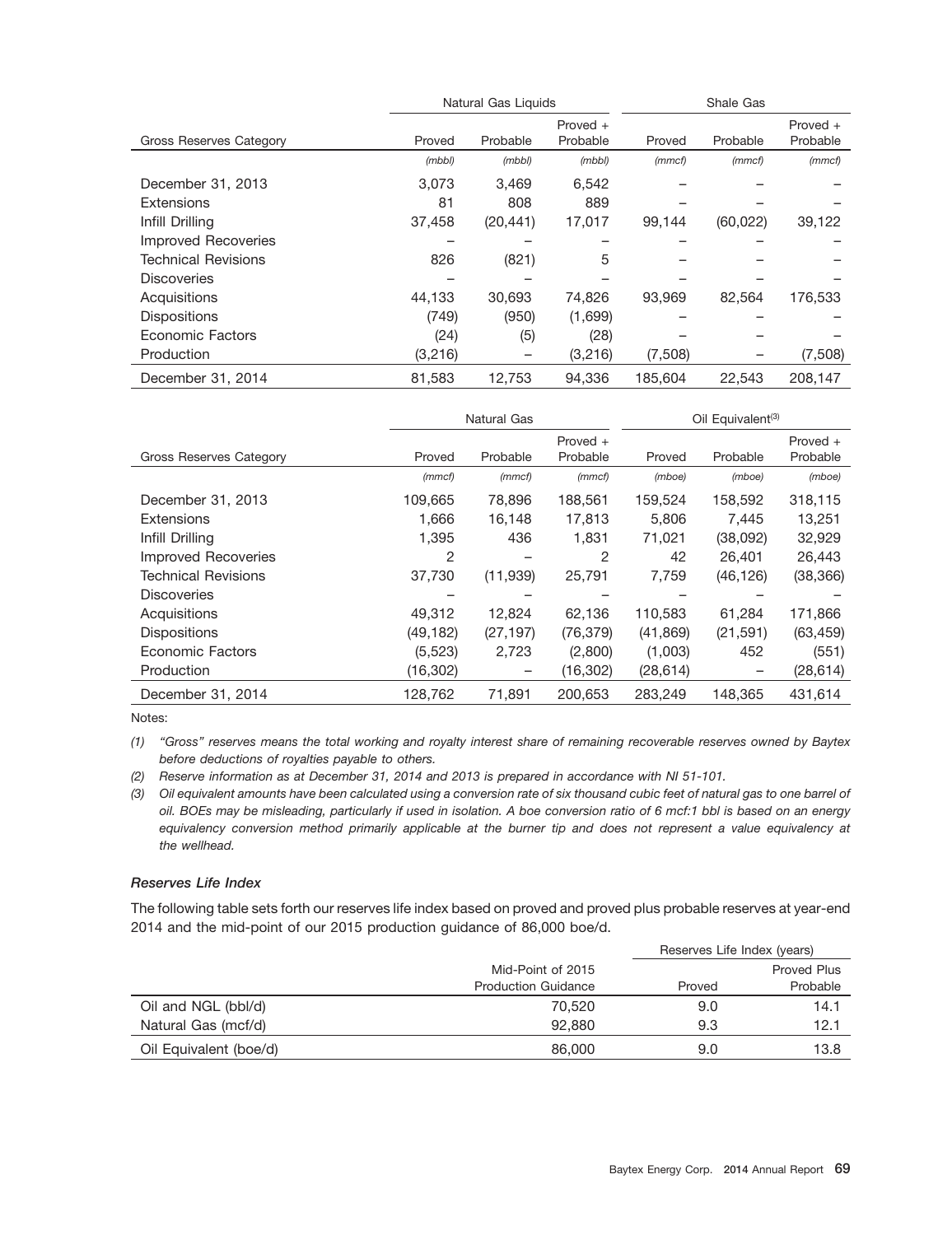|                            |         | Natural Gas Liquids |            | Shale Gas |           |          |  |
|----------------------------|---------|---------------------|------------|-----------|-----------|----------|--|
|                            |         |                     | Proved $+$ |           |           | Proved + |  |
| Gross Reserves Category    | Proved  | Probable            | Probable   | Proved    | Probable  | Probable |  |
|                            | (mbb)   | (mbb)               | (mbb)      | (mmcf)    | (mmcf)    | (mmcf)   |  |
| December 31, 2013          | 3.073   | 3.469               | 6,542      |           |           |          |  |
| <b>Extensions</b>          | 81      | 808                 | 889        |           |           |          |  |
| Infill Drilling            | 37,458  | (20, 441)           | 17,017     | 99,144    | (60, 022) | 39,122   |  |
| <b>Improved Recoveries</b> |         |                     |            |           |           |          |  |
| <b>Technical Revisions</b> | 826     | (821)               | 5          |           |           |          |  |
| <b>Discoveries</b>         |         |                     |            |           |           |          |  |
| Acquisitions               | 44,133  | 30,693              | 74,826     | 93,969    | 82,564    | 176,533  |  |
| <b>Dispositions</b>        | (749)   | (950)               | (1,699)    |           |           |          |  |
| <b>Economic Factors</b>    | (24)    | (5)                 | (28)       |           |           |          |  |
| Production                 | (3,216) |                     | (3,216)    | (7,508)   |           | (7,508)  |  |
| December 31, 2014          | 81,583  | 12.753              | 94.336     | 185.604   | 22.543    | 208.147  |  |

|                                | Natural Gas |           |                        | Oil Equivalent <sup>(3)</sup> |           |                      |  |
|--------------------------------|-------------|-----------|------------------------|-------------------------------|-----------|----------------------|--|
| <b>Gross Reserves Category</b> | Proved      | Probable  | Proved $+$<br>Probable | Proved                        | Probable  | Proved +<br>Probable |  |
|                                | (mmcf)      | (mmcf)    | (mmcf)                 | (mboe)                        | (mboe)    | (mboe)               |  |
| December 31, 2013              | 109,665     | 78,896    | 188,561                | 159,524                       | 158,592   | 318,115              |  |
| <b>Extensions</b>              | 1,666       | 16,148    | 17,813                 | 5.806                         | 7.445     | 13,251               |  |
| Infill Drilling                | 1,395       | 436       | 1.831                  | 71,021                        | (38,092)  | 32,929               |  |
| <b>Improved Recoveries</b>     | 2           |           | 2                      | 42                            | 26,401    | 26,443               |  |
| <b>Technical Revisions</b>     | 37,730      | (11, 939) | 25,791                 | 7,759                         | (46, 126) | (38, 366)            |  |
| <b>Discoveries</b>             |             |           |                        |                               |           |                      |  |
| Acquisitions                   | 49,312      | 12,824    | 62,136                 | 110,583                       | 61,284    | 171,866              |  |
| <b>Dispositions</b>            | (49, 182)   | (27, 197) | (76, 379)              | (41, 869)                     | (21, 591) | (63, 459)            |  |
| <b>Economic Factors</b>        | (5,523)     | 2,723     | (2,800)                | (1,003)                       | 452       | (551)                |  |
| Production                     | (16, 302)   |           | (16, 302)              | (28, 614)                     |           | (28, 614)            |  |
| December 31, 2014              | 128.762     | 71.891    | 200,653                | 283.249                       | 148.365   | 431.614              |  |

Notes:

*(1) ''Gross'' reserves means the total working and royalty interest share of remaining recoverable reserves owned by Baytex before deductions of royalties payable to others.*

*(2) Reserve information as at December 31, 2014 and 2013 is prepared in accordance with NI 51-101.*

*(3) Oil equivalent amounts have been calculated using a conversion rate of six thousand cubic feet of natural gas to one barrel of oil. BOEs may be misleading, particularly if used in isolation. A boe conversion ratio of 6 mcf:1 bbl is based on an energy equivalency conversion method primarily applicable at the burner tip and does not represent a value equivalency at the wellhead.*

## *Reserves Life Index*

The following table sets forth our reserves life index based on proved and proved plus probable reserves at year-end 2014 and the mid-point of our 2015 production guidance of 86,000 boe/d.

|                        |                            | Reserves Life Index (years) |                    |  |  |
|------------------------|----------------------------|-----------------------------|--------------------|--|--|
|                        | Mid-Point of 2015          |                             | <b>Proved Plus</b> |  |  |
|                        | <b>Production Guidance</b> | Proved                      | Probable           |  |  |
| Oil and NGL (bbl/d)    | 70,520                     | 9.0                         | 14.1               |  |  |
| Natural Gas (mcf/d)    | 92,880                     | 9.3                         | 12.1               |  |  |
| Oil Equivalent (boe/d) | 86,000                     | 9.0                         | 13.8               |  |  |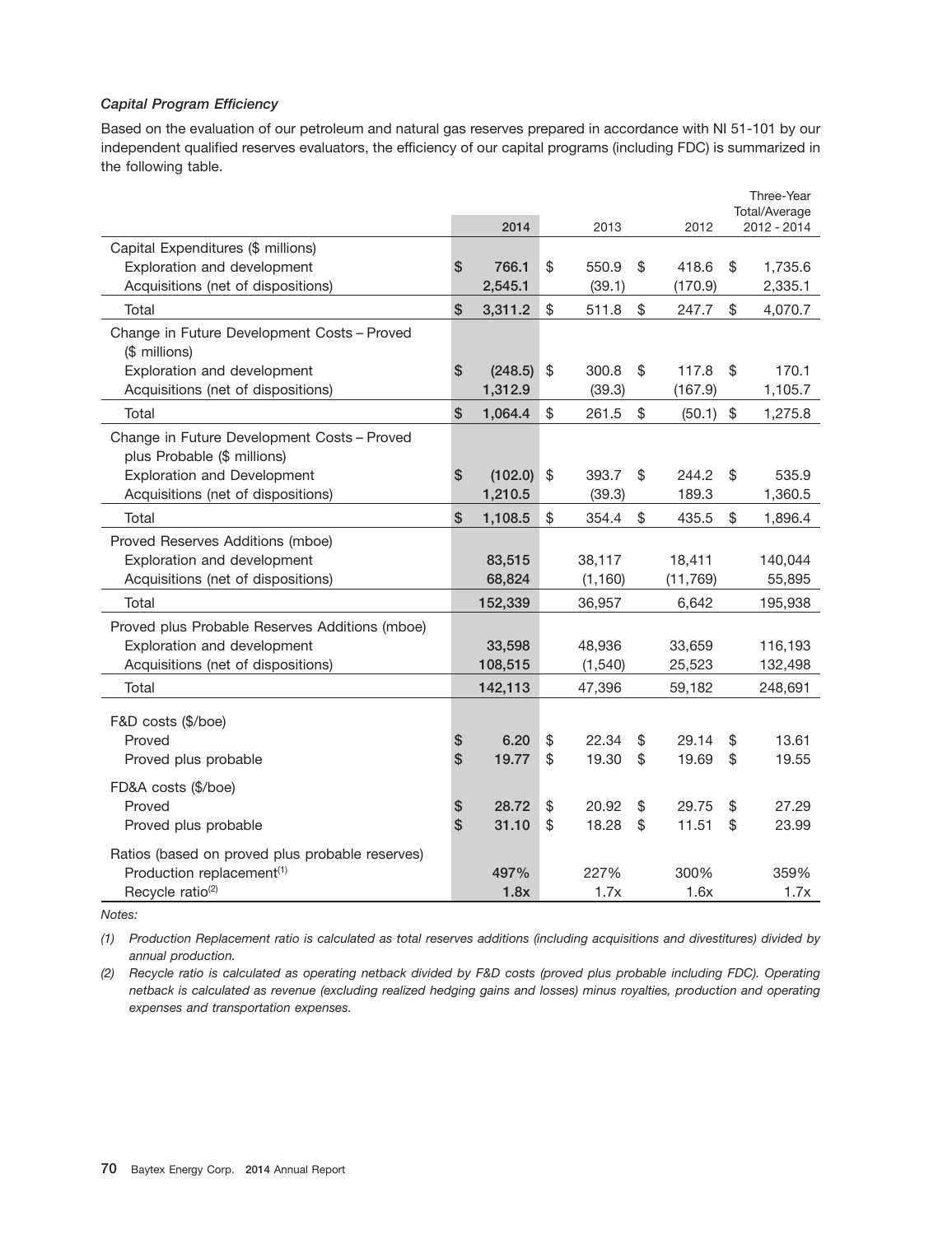## *Capital Program Efficiency*

Based on the evaluation of our petroleum and natural gas reserves prepared in accordance with NI 51-101 by our independent qualified reserves evaluators, the efficiency of our capital programs (including FDC) is summarized in the following table.

|                                                 |                 |         |             |              | Three-Year<br>Total/Average |
|-------------------------------------------------|-----------------|---------|-------------|--------------|-----------------------------|
|                                                 |                 | 2014    | 2013        | 2012         | 2012 - 2014                 |
| Capital Expenditures (\$ millions)              |                 |         |             |              |                             |
| Exploration and development                     | \$              | 766.1   | \$<br>550.9 | \$<br>418.6  | \$<br>1,735.6               |
| Acquisitions (net of dispositions)              |                 | 2,545.1 | (39.1)      | (170.9)      | 2,335.1                     |
| Total                                           | \$              | 3,311.2 | \$<br>511.8 | \$<br>247.7  | \$<br>4,070.7               |
| Change in Future Development Costs - Proved     |                 |         |             |              |                             |
| (\$ millions)                                   |                 |         |             |              |                             |
| Exploration and development                     | \$              | (248.5) | \$<br>300.8 | \$<br>117.8  | \$<br>170.1                 |
| Acquisitions (net of dispositions)              |                 | 1,312.9 | (39.3)      | (167.9)      | 1,105.7                     |
| Total                                           | $\mathsf{\$}$   | 1,064.4 | \$<br>261.5 | \$<br>(50.1) | \$<br>1,275.8               |
| Change in Future Development Costs - Proved     |                 |         |             |              |                             |
| plus Probable (\$ millions)                     |                 |         |             |              |                             |
| <b>Exploration and Development</b>              | $\mathsf{\$}$   | (102.0) | \$<br>393.7 | \$<br>244.2  | \$<br>535.9                 |
| Acquisitions (net of dispositions)              |                 | 1,210.5 | (39.3)      | 189.3        | 1,360.5                     |
| Total                                           | $\mathsf{\$}$   | 1,108.5 | \$<br>354.4 | \$<br>435.5  | \$<br>1,896.4               |
| Proved Reserves Additions (mboe)                |                 |         |             |              |                             |
| Exploration and development                     |                 | 83,515  | 38,117      | 18,411       | 140,044                     |
| Acquisitions (net of dispositions)              |                 | 68,824  | (1, 160)    | (11, 769)    | 55,895                      |
| Total                                           |                 | 152,339 | 36,957      | 6,642        | 195,938                     |
| Proved plus Probable Reserves Additions (mboe)  |                 |         |             |              |                             |
| Exploration and development                     |                 | 33,598  | 48,936      | 33,659       | 116,193                     |
| Acquisitions (net of dispositions)              |                 | 108,515 | (1, 540)    | 25,523       | 132,498                     |
| Total                                           |                 | 142,113 | 47,396      | 59,182       | 248,691                     |
| F&D costs (\$/boe)                              |                 |         |             |              |                             |
| Proved                                          | \$              | 6.20    | \$<br>22.34 | \$<br>29.14  | \$<br>13.61                 |
| Proved plus probable                            | $\mathsf{\$}$   | 19.77   | \$<br>19.30 | \$<br>19.69  | \$<br>19.55                 |
|                                                 |                 |         |             |              |                             |
| FD&A costs (\$/boe)                             |                 |         |             |              |                             |
| Proved                                          | \$<br>$\hat{S}$ | 28.72   | \$<br>20.92 | \$<br>29.75  | \$<br>27.29                 |
| Proved plus probable                            |                 | 31.10   | \$<br>18.28 | \$<br>11.51  | \$<br>23.99                 |
| Ratios (based on proved plus probable reserves) |                 |         |             |              |                             |
| Production replacement <sup>(1)</sup>           |                 | 497%    | 227%        | 300%         | 359%                        |
| Recycle ratio <sup>(2)</sup>                    |                 | 1.8x    | 1.7x        | 1.6x         | 1.7x                        |

*Notes:*

*(1) Production Replacement ratio is calculated as total reserves additions (including acquisitions and divestitures) divided by annual production.*

*(2) Recycle ratio is calculated as operating netback divided by F&D costs (proved plus probable including FDC). Operating netback is calculated as revenue (excluding realized hedging gains and losses) minus royalties, production and operating expenses and transportation expenses.*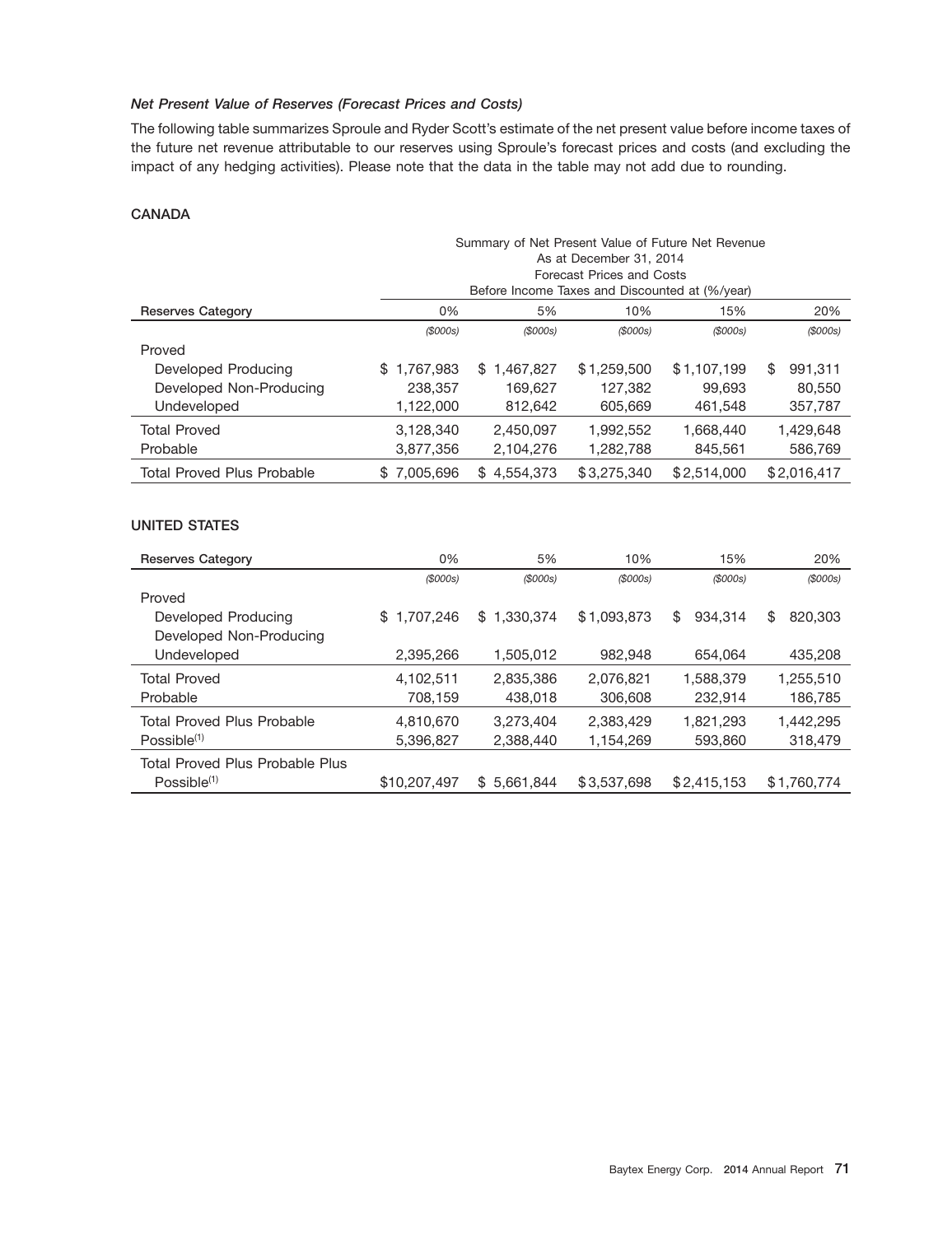# *Net Present Value of Reserves (Forecast Prices and Costs)*

The following table summarizes Sproule and Ryder Scott's estimate of the net present value before income taxes of the future net revenue attributable to our reserves using Sproule's forecast prices and costs (and excluding the impact of any hedging activities). Please note that the data in the table may not add due to rounding.

## **CANADA**

|                                   | Summary of Net Present Value of Future Net Revenue<br>As at December 31, 2014<br>Forecast Prices and Costs<br>Before Income Taxes and Discounted at (%/year) |                  |             |             |               |  |  |
|-----------------------------------|--------------------------------------------------------------------------------------------------------------------------------------------------------------|------------------|-------------|-------------|---------------|--|--|
| <b>Reserves Category</b>          | 5%<br>10%<br>0%<br>15%<br>20%                                                                                                                                |                  |             |             |               |  |  |
|                                   | $($ \$000s $)$                                                                                                                                               | (S000s)          | (S000s)     | (S000s)     | (S000s)       |  |  |
| Proved                            |                                                                                                                                                              |                  |             |             |               |  |  |
| Developed Producing               | 1.767.983<br>\$.                                                                                                                                             | 1.467.827<br>\$  | \$1,259,500 | \$1,107,199 | \$<br>991,311 |  |  |
| Developed Non-Producing           | 238,357                                                                                                                                                      | 169.627          | 127.382     | 99.693      | 80,550        |  |  |
| Undeveloped                       | 1.122.000                                                                                                                                                    | 812.642          | 605,669     | 461.548     | 357.787       |  |  |
| <b>Total Proved</b>               | 3,128,340                                                                                                                                                    | 2,450,097        | 1,992,552   | 1,668,440   | 1,429,648     |  |  |
| Probable                          | 3,877,356                                                                                                                                                    | 2,104,276        | 1,282,788   | 845.561     | 586,769       |  |  |
| <b>Total Proved Plus Probable</b> | \$7,005,696                                                                                                                                                  | 4,554,373<br>\$. | \$3,275,340 | \$2,514,000 | \$2.016.417   |  |  |

# **UNITED STATES**

| <b>Reserves Category</b>                                   | 0%              | 5%              | 10%         | 15%           | 20%           |
|------------------------------------------------------------|-----------------|-----------------|-------------|---------------|---------------|
|                                                            | (\$000s)        | (S000s)         | (S000s)     | (S000s)       | (\$000s)      |
| Proved                                                     |                 |                 |             |               |               |
| Developed Producing                                        | \$<br>1.707.246 | 1.330.374<br>\$ | \$1,093,873 | \$<br>934.314 | \$<br>820,303 |
| Developed Non-Producing                                    |                 |                 |             |               |               |
| Undeveloped                                                | 2,395,266       | 1,505,012       | 982,948     | 654,064       | 435,208       |
| <b>Total Proved</b>                                        | 4,102,511       | 2,835,386       | 2,076,821   | 1,588,379     | 1,255,510     |
| Probable                                                   | 708,159         | 438,018         | 306,608     | 232,914       | 186,785       |
| <b>Total Proved Plus Probable</b>                          | 4,810,670       | 3.273.404       | 2.383.429   | 1.821.293     | 1,442,295     |
| $Possible^{(1)}$                                           | 5,396,827       | 2.388.440       | 1.154.269   | 593,860       | 318,479       |
| Total Proved Plus Probable Plus<br>Possible <sup>(1)</sup> | \$10,207,497    | 5.661.844<br>\$ | \$3.537.698 | \$2,415,153   | \$1.760.774   |
|                                                            |                 |                 |             |               |               |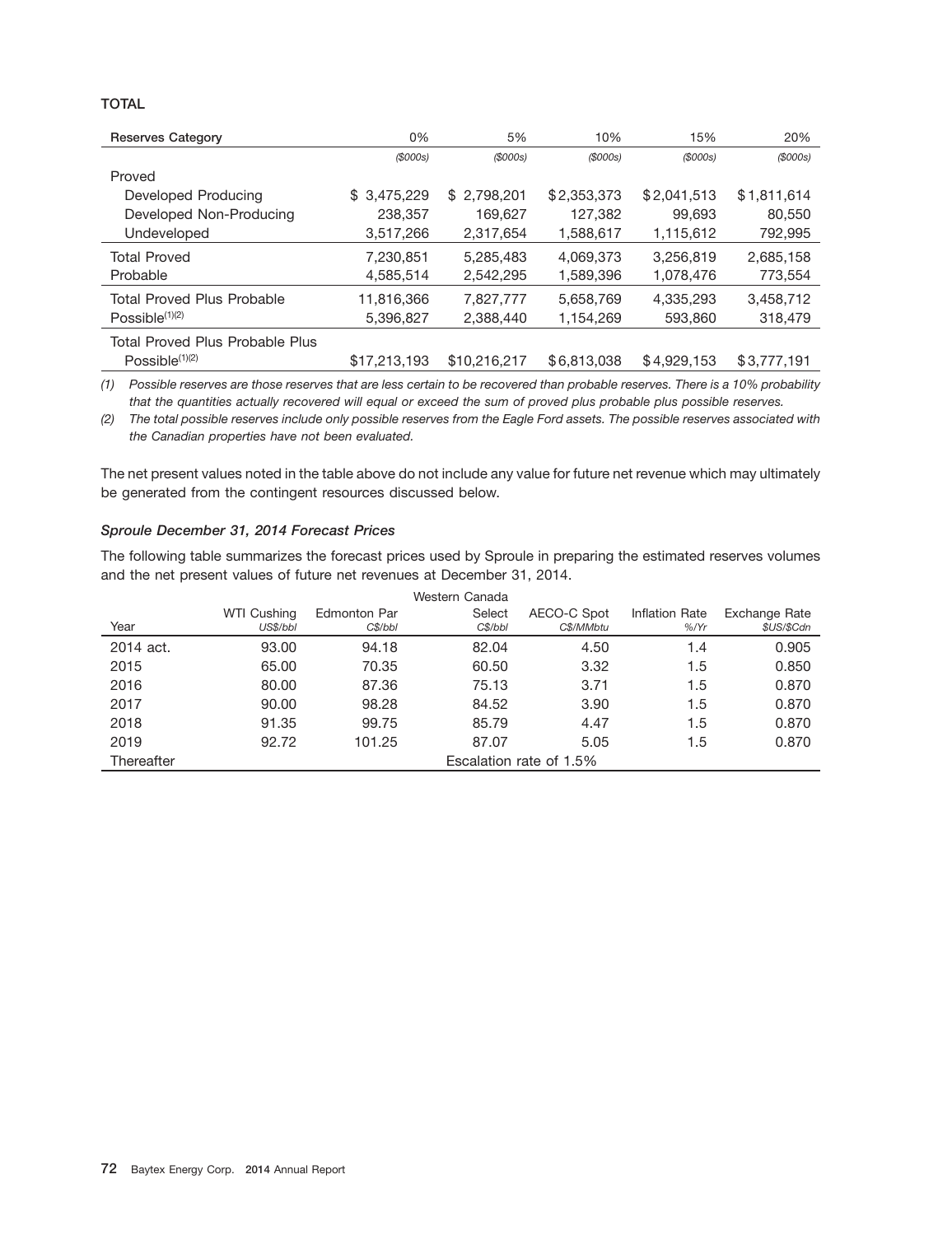# **TOTAL**

| <b>Reserves Category</b>          | 0%           | 5%           | 10%         | 15%         | 20%         |
|-----------------------------------|--------------|--------------|-------------|-------------|-------------|
|                                   | (S000s)      | (S000s)      | (S000s)     | (S000s)     | (S000s)     |
| Proved                            |              |              |             |             |             |
| Developed Producing               | \$3,475,229  | \$2,798,201  | \$2,353,373 | \$2,041,513 | \$1,811,614 |
| Developed Non-Producing           | 238,357      | 169,627      | 127,382     | 99,693      | 80,550      |
| Undeveloped                       | 3,517,266    | 2,317,654    | 1,588,617   | 1,115,612   | 792,995     |
| <b>Total Proved</b>               | 7,230,851    | 5,285,483    | 4,069,373   | 3,256,819   | 2,685,158   |
| Probable                          | 4,585,514    | 2,542,295    | 1,589,396   | 1,078,476   | 773,554     |
| <b>Total Proved Plus Probable</b> | 11,816,366   | 7,827,777    | 5,658,769   | 4,335,293   | 3,458,712   |
| Possible $(1)(2)$                 | 5,396,827    | 2,388,440    | 1,154,269   | 593,860     | 318,479     |
| Total Proved Plus Probable Plus   |              |              |             |             |             |
| Possible $(1)(2)$                 | \$17,213,193 | \$10,216,217 | \$6.813,038 | \$4,929,153 | \$3,777,191 |

*(1) Possible reserves are those reserves that are less certain to be recovered than probable reserves. There is a 10% probability that the quantities actually recovered will equal or exceed the sum of proved plus probable plus possible reserves.*

*(2) The total possible reserves include only possible reserves from the Eagle Ford assets. The possible reserves associated with the Canadian properties have not been evaluated.*

The net present values noted in the table above do not include any value for future net revenue which may ultimately be generated from the contingent resources discussed below.

### *Sproule December 31, 2014 Forecast Prices*

The following table summarizes the forecast prices used by Sproule in preparing the estimated reserves volumes and the net present values of future net revenues at December 31, 2014.

|            |                         |              | Western Canada |             |                |               |
|------------|-------------------------|--------------|----------------|-------------|----------------|---------------|
|            | WTI Cushing             | Edmonton Par | Select         | AECO-C Spot | Inflation Rate | Exchange Rate |
| Year       | US\$/bbl                | C\$/bbI      | C\$/bbI        | C\$/MMbtu   | $%$ /Yr        | \$US/\$Cdn    |
| 2014 act.  | 93.00                   | 94.18        | 82.04          | 4.50        | 1.4            | 0.905         |
| 2015       | 65.00                   | 70.35        | 60.50          | 3.32        | 1.5            | 0.850         |
| 2016       | 80.00                   | 87.36        | 75.13          | 3.71        | 1.5            | 0.870         |
| 2017       | 90.00                   | 98.28        | 84.52          | 3.90        | 1.5            | 0.870         |
| 2018       | 91.35                   | 99.75        | 85.79          | 4.47        | 1.5            | 0.870         |
| 2019       | 92.72                   | 101.25       | 87.07          | 5.05        | 1.5            | 0.870         |
| Thereafter | Escalation rate of 1.5% |              |                |             |                |               |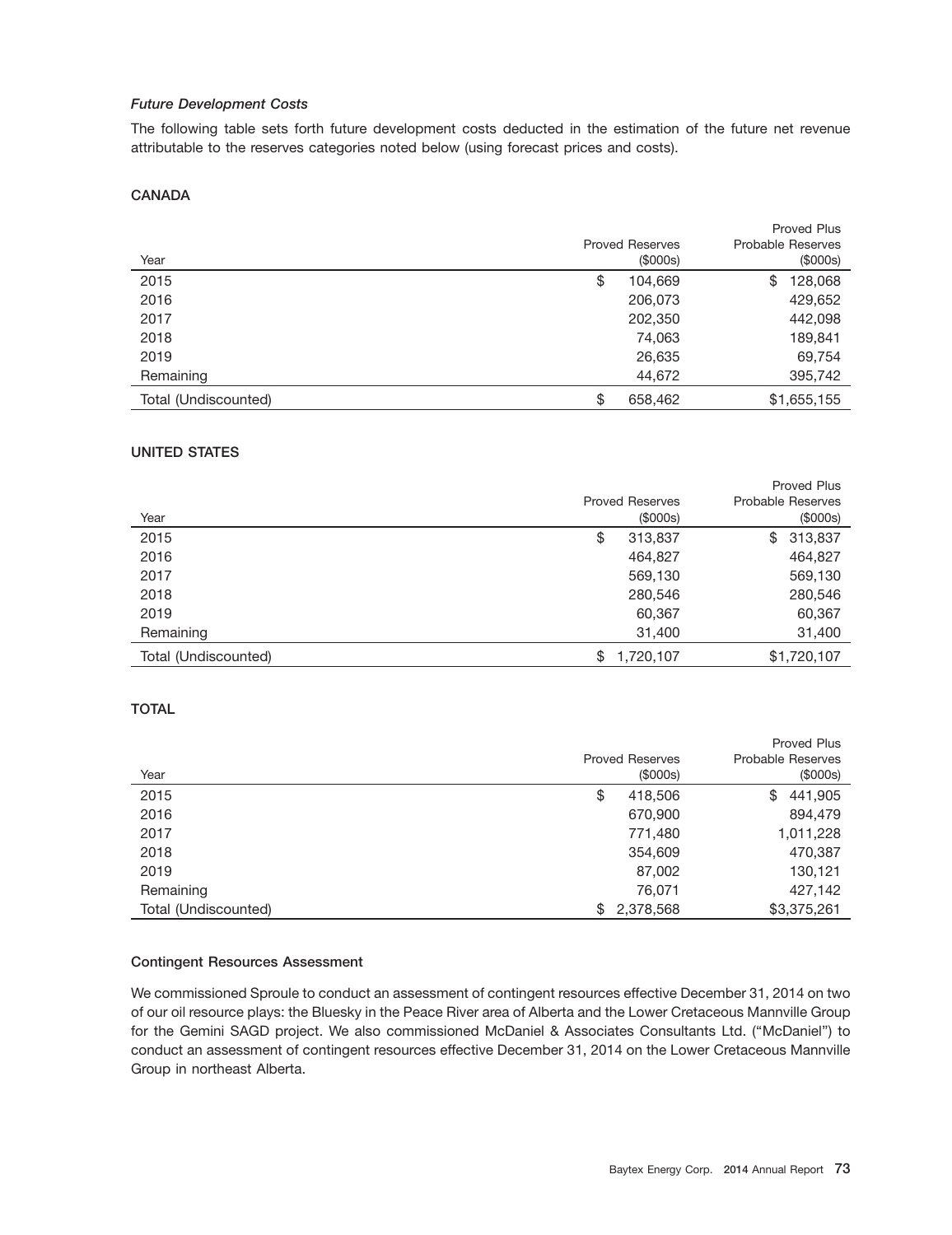# *Future Development Costs*

The following table sets forth future development costs deducted in the estimation of the future net revenue attributable to the reserves categories noted below (using forecast prices and costs).

# **CANADA**

|                      |                        | Proved Plus              |
|----------------------|------------------------|--------------------------|
|                      | <b>Proved Reserves</b> | <b>Probable Reserves</b> |
| Year                 | (\$000s)               | (\$000s)                 |
| 2015                 | \$<br>104,669          | 128,068<br>\$            |
| 2016                 | 206,073                | 429,652                  |
| 2017                 | 202,350                | 442,098                  |
| 2018                 | 74,063                 | 189,841                  |
| 2019                 | 26,635                 | 69,754                   |
| Remaining            | 44,672                 | 395,742                  |
| Total (Undiscounted) | \$<br>658,462          | \$1,655,155              |

# **UNITED STATES**

|                      |                        | <b>Proved Plus</b>       |
|----------------------|------------------------|--------------------------|
|                      | <b>Proved Reserves</b> | <b>Probable Reserves</b> |
| Year                 | (\$000s)               | (\$000s)                 |
| 2015                 | 313,837<br>\$          | 313,837<br>\$            |
| 2016                 | 464,827                | 464,827                  |
| 2017                 | 569,130                | 569,130                  |
| 2018                 | 280,546                | 280,546                  |
| 2019                 | 60,367                 | 60,367                   |
| Remaining            | 31,400                 | 31,400                   |
| Total (Undiscounted) | 1,720,107<br>\$        | \$1,720,107              |

### **TOTAL**

|                      |                        | <b>Proved Plus</b>       |
|----------------------|------------------------|--------------------------|
|                      | <b>Proved Reserves</b> | <b>Probable Reserves</b> |
| Year                 | (\$000s)               | (\$000s)                 |
| 2015                 | \$<br>418,506          | 441,905<br>\$            |
| 2016                 | 670,900                | 894,479                  |
| 2017                 | 771,480                | 1,011,228                |
| 2018                 | 354,609                | 470,387                  |
| 2019                 | 87,002                 | 130,121                  |
| Remaining            | 76,071                 | 427,142                  |
| Total (Undiscounted) | \$<br>2,378,568        | \$3,375,261              |

#### **Contingent Resources Assessment**

We commissioned Sproule to conduct an assessment of contingent resources effective December 31, 2014 on two of our oil resource plays: the Bluesky in the Peace River area of Alberta and the Lower Cretaceous Mannville Group for the Gemini SAGD project. We also commissioned McDaniel & Associates Consultants Ltd. (''McDaniel'') to conduct an assessment of contingent resources effective December 31, 2014 on the Lower Cretaceous Mannville Group in northeast Alberta.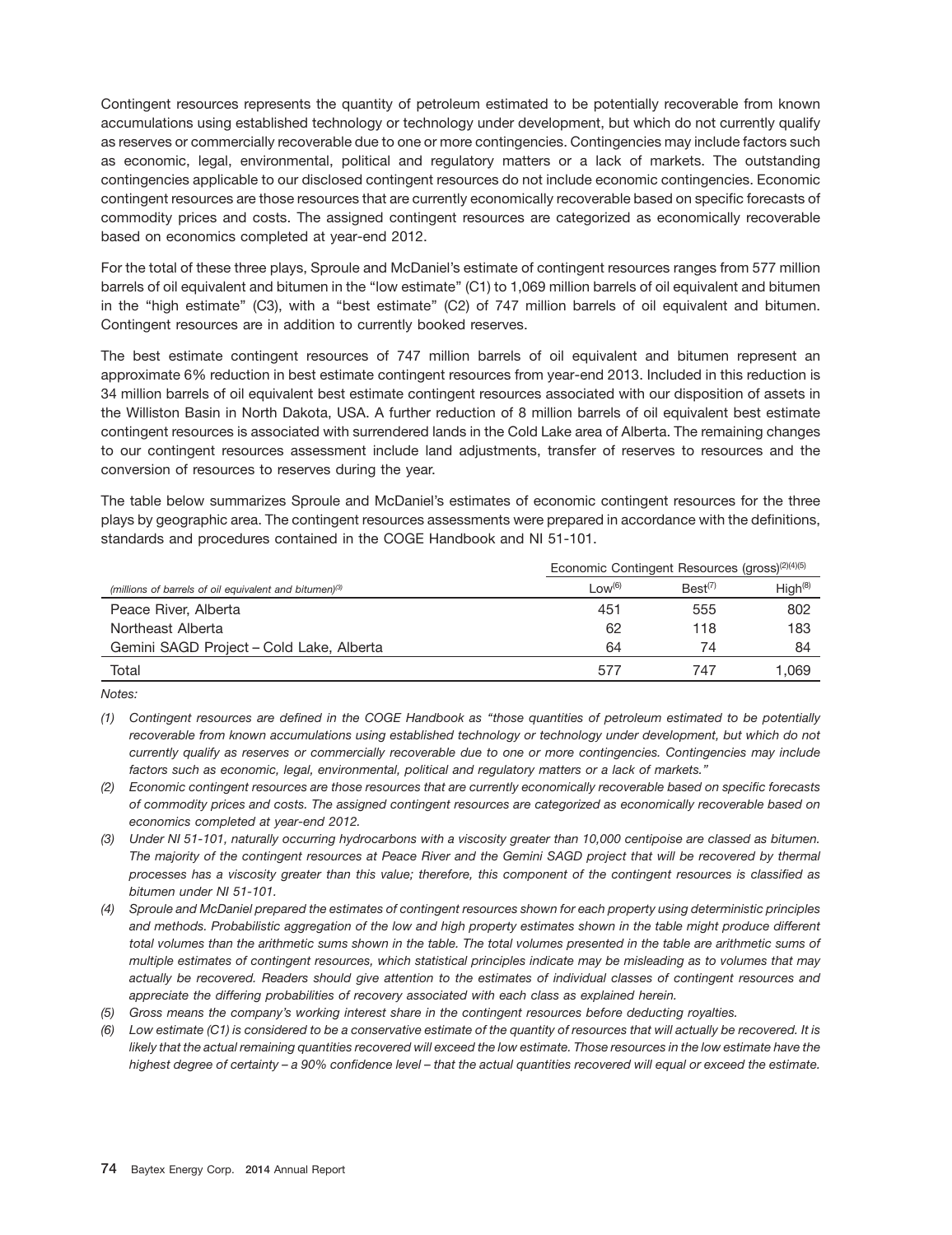Contingent resources represents the quantity of petroleum estimated to be potentially recoverable from known accumulations using established technology or technology under development, but which do not currently qualify as reserves or commercially recoverable due to one or more contingencies. Contingencies may include factors such as economic, legal, environmental, political and regulatory matters or a lack of markets. The outstanding contingencies applicable to our disclosed contingent resources do not include economic contingencies. Economic contingent resources are those resources that are currently economically recoverable based on specific forecasts of commodity prices and costs. The assigned contingent resources are categorized as economically recoverable based on economics completed at year-end 2012.

For the total of these three plays, Sproule and McDaniel's estimate of contingent resources ranges from 577 million barrels of oil equivalent and bitumen in the ''low estimate'' (C1) to 1,069 million barrels of oil equivalent and bitumen in the ''high estimate'' (C3), with a ''best estimate'' (C2) of 747 million barrels of oil equivalent and bitumen. Contingent resources are in addition to currently booked reserves.

The best estimate contingent resources of 747 million barrels of oil equivalent and bitumen represent an approximate 6% reduction in best estimate contingent resources from year-end 2013. Included in this reduction is 34 million barrels of oil equivalent best estimate contingent resources associated with our disposition of assets in the Williston Basin in North Dakota, USA. A further reduction of 8 million barrels of oil equivalent best estimate contingent resources is associated with surrendered lands in the Cold Lake area of Alberta. The remaining changes to our contingent resources assessment include land adjustments, transfer of reserves to resources and the conversion of resources to reserves during the year.

The table below summarizes Sproule and McDaniel's estimates of economic contingent resources for the three plays by geographic area. The contingent resources assessments were prepared in accordance with the definitions, standards and procedures contained in the COGE Handbook and NI 51-101.

|                                                                    | Economic Contingent Resources (gross) <sup>(2)(4)(5)</sup> |                     |                     |
|--------------------------------------------------------------------|------------------------------------------------------------|---------------------|---------------------|
| (millions of barrels of oil equivalent and bitumen) <sup>(3)</sup> | Low <sup>(6)</sup>                                         | Best <sup>(7)</sup> | High <sup>(8)</sup> |
| Peace River, Alberta                                               | 451                                                        | 555                 | 802                 |
| Northeast Alberta                                                  | 62                                                         | 118                 | 183                 |
| Gemini SAGD Project - Cold Lake, Alberta                           | 64                                                         | 74                  | 84                  |
| Total                                                              | 577                                                        | 747                 | 069. ا              |

*Notes:*

- *(1) Contingent resources are defined in the COGE Handbook as ''those quantities of petroleum estimated to be potentially recoverable from known accumulations using established technology or technology under development, but which do not currently qualify as reserves or commercially recoverable due to one or more contingencies. Contingencies may include factors such as economic, legal, environmental, political and regulatory matters or a lack of markets.''*
- *(2) Economic contingent resources are those resources that are currently economically recoverable based on specific forecasts of commodity prices and costs. The assigned contingent resources are categorized as economically recoverable based on economics completed at year-end 2012.*
- *(3) Under NI 51-101, naturally occurring hydrocarbons with a viscosity greater than 10,000 centipoise are classed as bitumen. The majority of the contingent resources at Peace River and the Gemini SAGD project that will be recovered by thermal processes has a viscosity greater than this value; therefore, this component of the contingent resources is classified as bitumen under NI 51-101.*
- *(4) Sproule and McDaniel prepared the estimates of contingent resources shown for each property using deterministic principles and methods. Probabilistic aggregation of the low and high property estimates shown in the table might produce different total volumes than the arithmetic sums shown in the table. The total volumes presented in the table are arithmetic sums of multiple estimates of contingent resources, which statistical principles indicate may be misleading as to volumes that may actually be recovered. Readers should give attention to the estimates of individual classes of contingent resources and appreciate the differing probabilities of recovery associated with each class as explained herein.*
- *(5) Gross means the company's working interest share in the contingent resources before deducting royalties.*
- *(6) Low estimate (C1) is considered to be a conservative estimate of the quantity of resources that will actually be recovered. It is likely that the actual remaining quantities recovered will exceed the low estimate. Those resources in the low estimate have the highest degree of certainty – a 90% confidence level – that the actual quantities recovered will equal or exceed the estimate.*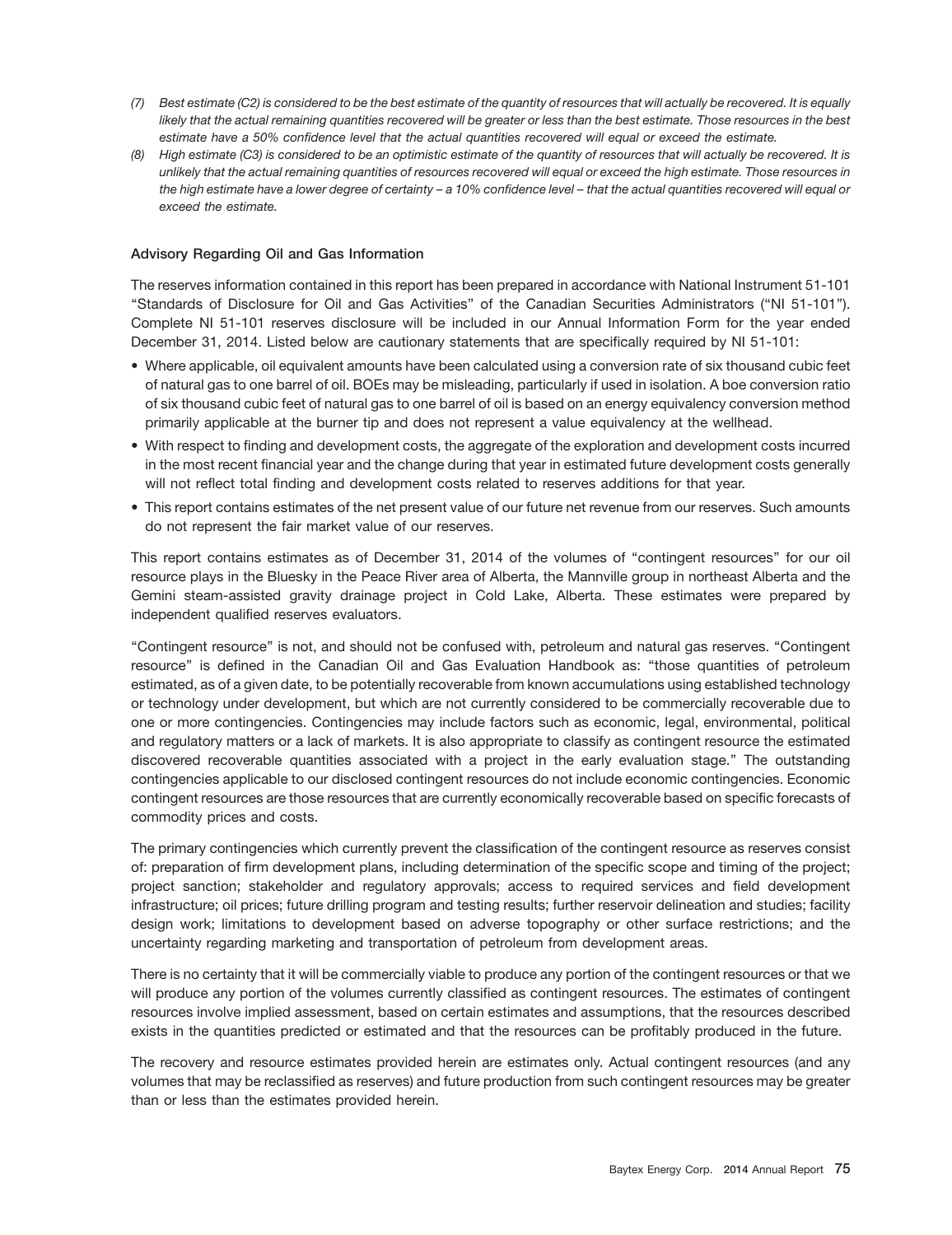- *(7) Best estimate (C2) is considered to be the best estimate of the quantity of resources that will actually be recovered. It is equally likely that the actual remaining quantities recovered will be greater or less than the best estimate. Those resources in the best estimate have a 50% confidence level that the actual quantities recovered will equal or exceed the estimate.*
- *(8) High estimate (C3) is considered to be an optimistic estimate of the quantity of resources that will actually be recovered. It is unlikely that the actual remaining quantities of resources recovered will equal or exceed the high estimate. Those resources in the high estimate have a lower degree of certainty – a 10% confidence level – that the actual quantities recovered will equal or exceed the estimate.*

#### **Advisory Regarding Oil and Gas Information**

The reserves information contained in this report has been prepared in accordance with National Instrument 51-101 ''Standards of Disclosure for Oil and Gas Activities'' of the Canadian Securities Administrators (''NI 51-101''). Complete NI 51-101 reserves disclosure will be included in our Annual Information Form for the year ended December 31, 2014. Listed below are cautionary statements that are specifically required by NI 51-101:

- Where applicable, oil equivalent amounts have been calculated using a conversion rate of six thousand cubic feet of natural gas to one barrel of oil. BOEs may be misleading, particularly if used in isolation. A boe conversion ratio of six thousand cubic feet of natural gas to one barrel of oil is based on an energy equivalency conversion method primarily applicable at the burner tip and does not represent a value equivalency at the wellhead.
- With respect to finding and development costs, the aggregate of the exploration and development costs incurred in the most recent financial year and the change during that year in estimated future development costs generally will not reflect total finding and development costs related to reserves additions for that year.
- This report contains estimates of the net present value of our future net revenue from our reserves. Such amounts do not represent the fair market value of our reserves.

This report contains estimates as of December 31, 2014 of the volumes of ''contingent resources'' for our oil resource plays in the Bluesky in the Peace River area of Alberta, the Mannville group in northeast Alberta and the Gemini steam-assisted gravity drainage project in Cold Lake, Alberta. These estimates were prepared by independent qualified reserves evaluators.

''Contingent resource'' is not, and should not be confused with, petroleum and natural gas reserves. ''Contingent resource'' is defined in the Canadian Oil and Gas Evaluation Handbook as: ''those quantities of petroleum estimated, as of a given date, to be potentially recoverable from known accumulations using established technology or technology under development, but which are not currently considered to be commercially recoverable due to one or more contingencies. Contingencies may include factors such as economic, legal, environmental, political and regulatory matters or a lack of markets. It is also appropriate to classify as contingent resource the estimated discovered recoverable quantities associated with a project in the early evaluation stage.'' The outstanding contingencies applicable to our disclosed contingent resources do not include economic contingencies. Economic contingent resources are those resources that are currently economically recoverable based on specific forecasts of commodity prices and costs.

The primary contingencies which currently prevent the classification of the contingent resource as reserves consist of: preparation of firm development plans, including determination of the specific scope and timing of the project; project sanction; stakeholder and regulatory approvals; access to required services and field development infrastructure; oil prices; future drilling program and testing results; further reservoir delineation and studies; facility design work; limitations to development based on adverse topography or other surface restrictions; and the uncertainty regarding marketing and transportation of petroleum from development areas.

There is no certainty that it will be commercially viable to produce any portion of the contingent resources or that we will produce any portion of the volumes currently classified as contingent resources. The estimates of contingent resources involve implied assessment, based on certain estimates and assumptions, that the resources described exists in the quantities predicted or estimated and that the resources can be profitably produced in the future.

The recovery and resource estimates provided herein are estimates only. Actual contingent resources (and any volumes that may be reclassified as reserves) and future production from such contingent resources may be greater than or less than the estimates provided herein.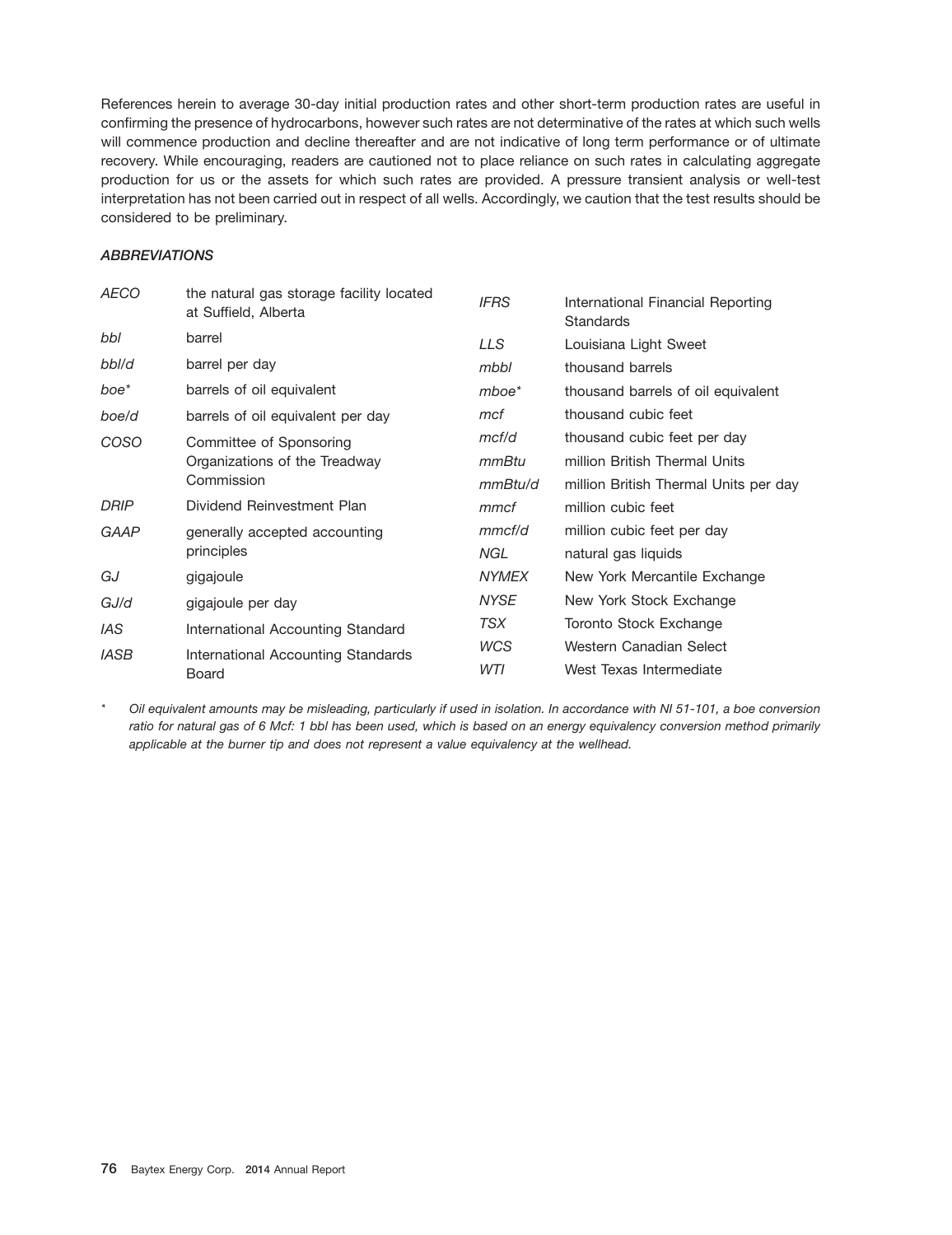References herein to average 30-day initial production rates and other short-term production rates are useful in confirming the presence of hydrocarbons, however such rates are not determinative of the rates at which such wells will commence production and decline thereafter and are not indicative of long term performance or of ultimate recovery. While encouraging, readers are cautioned not to place reliance on such rates in calculating aggregate production for us or the assets for which such rates are provided. A pressure transient analysis or well-test interpretation has not been carried out in respect of all wells. Accordingly, we caution that the test results should be considered to be preliminary.

# *ABBREVIATIONS*

| <b>AECO</b>      | the natural gas storage facility located<br>at Suffield, Alberta | <b>IFRS</b>  | International Financial Reporting<br><b>Standards</b> |
|------------------|------------------------------------------------------------------|--------------|-------------------------------------------------------|
| bbl              | barrel                                                           | LLS.         | Louisiana Light Sweet                                 |
| bbl/d            | barrel per day                                                   | mbbl         | thousand barrels                                      |
| boe <sup>*</sup> | barrels of oil equivalent                                        | $mboe*$      | thousand barrels of oil equivalent                    |
| boe/d            | barrels of oil equivalent per day                                | mcf          | thousand cubic feet                                   |
| COSO             | Committee of Sponsoring                                          | mcf/d        | thousand cubic feet per day                           |
|                  | Organizations of the Treadway                                    | mmBtu        | million British Thermal Units                         |
|                  | Commission                                                       | mmBtu/d      | million British Thermal Units per day                 |
| <b>DRIP</b>      | Dividend Reinvestment Plan                                       | mmcf         | million cubic feet                                    |
| GAAP             | generally accepted accounting                                    | mmcf/d       | million cubic feet per day                            |
|                  | principles                                                       | NGL.         | natural gas liquids                                   |
| GJ               | gigajoule                                                        | <b>NYMEX</b> | New York Mercantile Exchange                          |
| GJ/d             | gigajoule per day                                                | <b>NYSE</b>  | New York Stock Exchange                               |
| <b>IAS</b>       | International Accounting Standard                                | TSX          | Toronto Stock Exchange                                |
| <b>IASB</b>      | International Accounting Standards                               | <b>WCS</b>   | Western Canadian Select                               |
|                  | Board                                                            | WTI          | West Texas Intermediate                               |

*\* Oil equivalent amounts may be misleading, particularly if used in isolation. In accordance with NI 51-101, a boe conversion ratio for natural gas of 6 Mcf: 1 bbl has been used, which is based on an energy equivalency conversion method primarily applicable at the burner tip and does not represent a value equivalency at the wellhead.*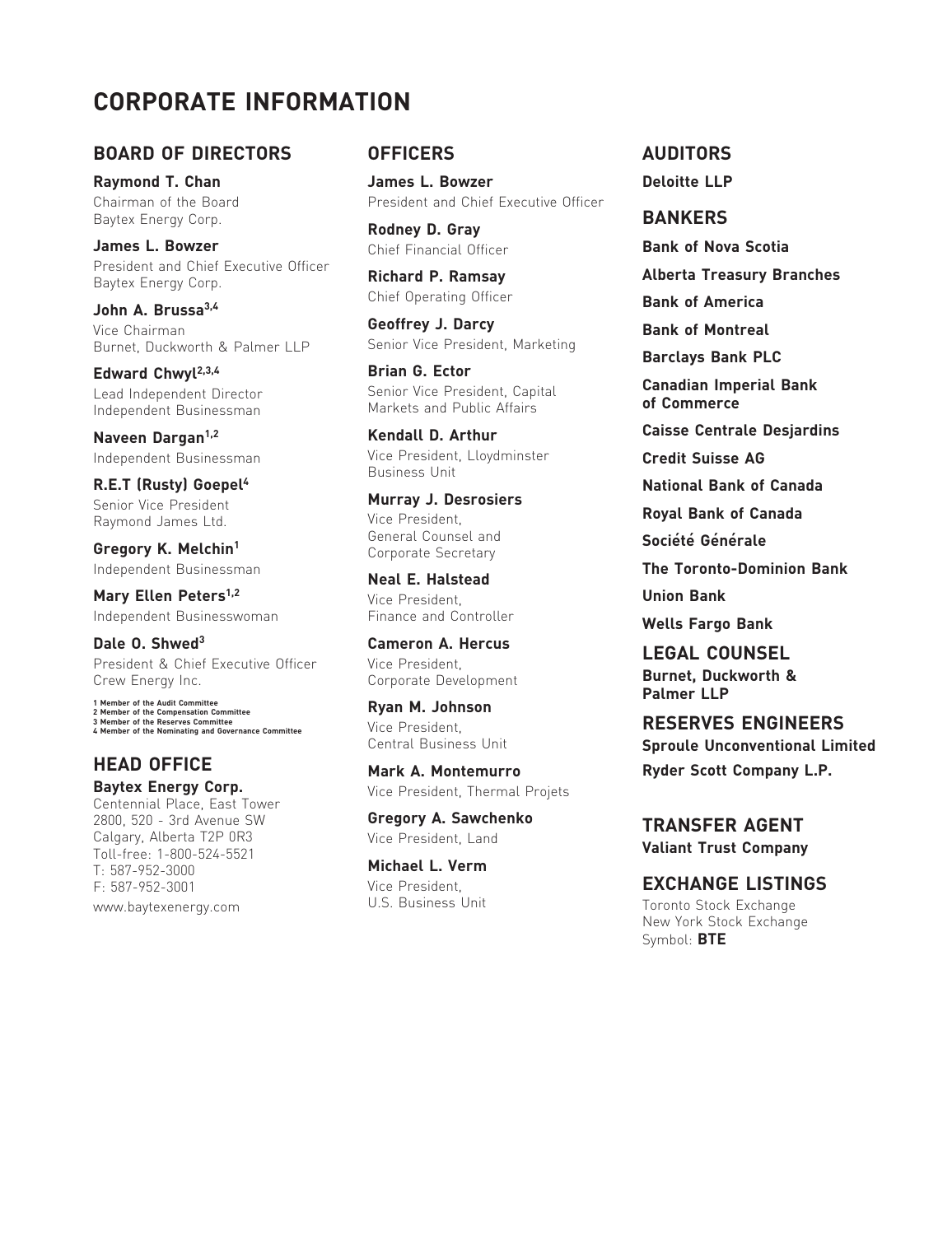# **CORPORATE INFORMATION**

# **BOARD OF DIRECTORS OFFICERS AUDITORS**

**James L. Bowzer Chief Financial Officer Bank of Chief Scotia**<br>**President and Chief Executive Officer** President and Chief Executive Officer **Richard P. Ramsay Alberta Treasury Branches** Baytex Energy Corp.

**John A. Brussa<sup>3,4</sup> entity of America** Chief Operating Officer **Bank of America Vice Chairman**<br> **Geoffrey J. Darcy Bank of Montreal**<br>
Bank of Montreal<br>
Burnet Duckworth & Palmer II P<br>
Senior Vice President, Marketing Burnet, Duckworth & Palmer LLP Senior Vice President, Marketing **Barclays Bank PLC**<br>**Barclays Bank PLC Brian G. Ector** 

Edward Chwyl<sup>2,3,4</sup> Independent Businessman

**R.E.T (Rusty) Goepel<sup>4</sup> <b>National Bank of Canada**<br>
Sopier Vice President **National Bank of Canada** 

**Mary Ellen Peters<sup>1,2</sup>** Vice President,<br> **Undependent Businesswoman** Finance and Controller Independent Businesswoman **Finance and Controller Wells Fargo Bank** 

**Dale 0. Shwed<sup>3</sup> <b>Cameron A. Hercus LEGAL COUNSEL**<br>
President & Chief Executive Officer Vice President, **County A. President Crew Energy Inc.**<br>
Corporate Development **Burnet, Duckworth &** 

**Palmer LLP 1 Member of the Audit Committee 2 Member of the Compensation Committee Ryan M. Johnson 3 Member of the Reserves Committee**

**Baytex Energy Corp.** Vice President, Thermal Projets<br>Centennial Place, East Tower<br>2800. 520 - 3rd Avenue SW **Gregory A. Sawchenko** 2800, 520 - 3rd Avenue SW **Gregory A. Sawchenko TRANSFER AGENT** Calgary, Alberta T2P 0R3 Vice President, Land **Valiant Trust Company** Toll-free: 1-800-524-5521 T: 587-952-3000 **Michael L. Verm**

**Raymond T. Chan Chan** James L. Bowzer **Deloitte LLP** Chairman of the Board President and Chief Executive Officer

Baytex Energy Corp.<br> **BANKERS Bowzer Booking Chief Einancial Officer Bank of Nova Scotia** 

**Canadian Imperial Bank** Lead Independent Director Senior Vice President, Capital

**Kendall D. Arthur Caisse Centrale Desjardins**<br>
Independent Businessman **Mice President, Lloydminster Credit Suisse AG** Independent Businessman Vice President, Lloydminster **Credit Suisse AG** Business Unit

Senior Vice President **Senior Canada Murray J. Desrosiers Royal Bank of Canada**<br>Raymond James Ltd. Kaymond James Ltd. Vice President, General Counsel and **Société Générale**<br> **Gorporate Secretary The Toronto-Dominion Bank**<br> **Corporate Secretary The Toronto-Dominion Bank** 

Independent Businessman **Independent Businessman**<br> **Meal E. Halstead Neal The Toronto**<br>
Vice President **Neal Agency Communism** 

Corporate Development **Burnet, Duckworth Burnet, Duckworth Burnet, Duckworth Burnet, Duckworth Burnet, Purnet, P** 

**HEAD OFFICE Mark A. Montemurro Ryder Scott Company L.P.**<br> **Baytex Energy Corp. Mark A. Montemurro Experience Ryder Scott Company L.P.** 

FRESERVES ENGINEERS **Sproule Unconventional Limited** 

Vice President, **EXCHANGE LISTINGS**<br>U.S. Business Unit www.baytexenergy.com **U.S. Business Unit** Toronto Stock Exchange New York Stock Exchange Symbol: **BTE**